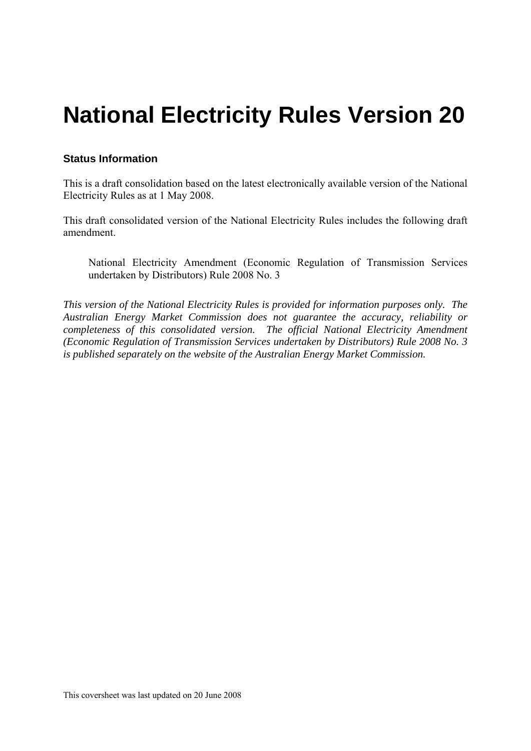# **National Electricity Rules Version 20**

#### **Status Information**

This is a draft consolidation based on the latest electronically available version of the National Electricity Rules as at 1 May 2008.

This draft consolidated version of the National Electricity Rules includes the following draft amendment.

National Electricity Amendment (Economic Regulation of Transmission Services undertaken by Distributors) Rule 2008 No. 3

*This version of the National Electricity Rules is provided for information purposes only. The Australian Energy Market Commission does not guarantee the accuracy, reliability or completeness of this consolidated version. The official National Electricity Amendment (Economic Regulation of Transmission Services undertaken by Distributors) Rule 2008 No. 3 is published separately on the website of the Australian Energy Market Commission.*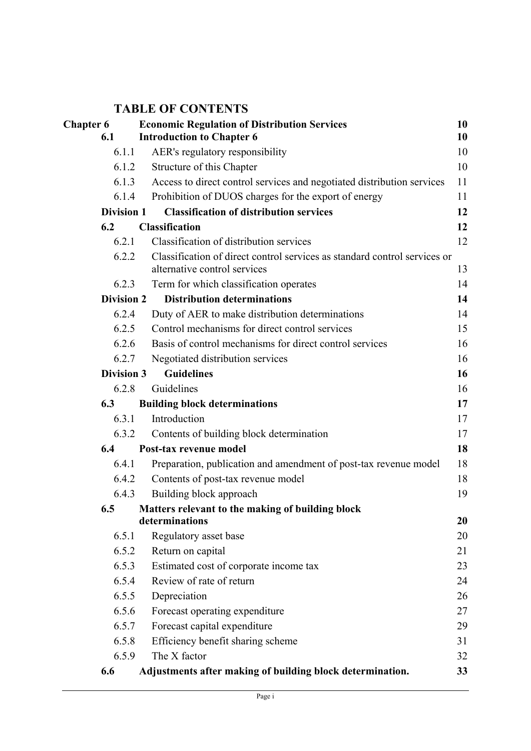# **TABLE OF CONTENTS**

| <b>Chapter 6</b>  | <b>Economic Regulation of Distribution Services</b>                                                       | 10 |
|-------------------|-----------------------------------------------------------------------------------------------------------|----|
| 6.1               | <b>Introduction to Chapter 6</b>                                                                          | 10 |
| 6.1.1             | AER's regulatory responsibility                                                                           | 10 |
| 6.1.2             | Structure of this Chapter                                                                                 | 10 |
| 6.1.3             | Access to direct control services and negotiated distribution services                                    | 11 |
| 6.1.4             | Prohibition of DUOS charges for the export of energy                                                      | 11 |
| <b>Division 1</b> | <b>Classification of distribution services</b>                                                            | 12 |
| 6.2               | <b>Classification</b>                                                                                     | 12 |
| 6.2.1             | Classification of distribution services                                                                   | 12 |
| 6.2.2             | Classification of direct control services as standard control services or<br>alternative control services | 13 |
| 6.2.3             | Term for which classification operates                                                                    | 14 |
| <b>Division 2</b> | <b>Distribution determinations</b>                                                                        | 14 |
| 6.2.4             | Duty of AER to make distribution determinations                                                           | 14 |
| 6.2.5             | Control mechanisms for direct control services                                                            | 15 |
| 6.2.6             | Basis of control mechanisms for direct control services                                                   | 16 |
| 6.2.7             | Negotiated distribution services                                                                          | 16 |
| <b>Division 3</b> | <b>Guidelines</b>                                                                                         | 16 |
| 6.2.8             | Guidelines                                                                                                | 16 |
| 6.3               | <b>Building block determinations</b>                                                                      | 17 |
| 6.3.1             | Introduction                                                                                              | 17 |
| 6.3.2             | Contents of building block determination                                                                  | 17 |
| 6.4               | Post-tax revenue model                                                                                    | 18 |
| 6.4.1             | Preparation, publication and amendment of post-tax revenue model                                          | 18 |
| 6.4.2             | Contents of post-tax revenue model                                                                        | 18 |
| 6.4.3             | Building block approach                                                                                   | 19 |
| 6.5               | Matters relevant to the making of building block                                                          |    |
|                   | determinations                                                                                            | 20 |
| 6.5.1             | Regulatory asset base                                                                                     | 20 |
| 6.5.2             | Return on capital                                                                                         | 21 |
| 6.5.3             | Estimated cost of corporate income tax                                                                    | 23 |
| 6.5.4             | Review of rate of return                                                                                  | 24 |
| 6.5.5             | Depreciation                                                                                              | 26 |
| 6.5.6             | Forecast operating expenditure                                                                            | 27 |
| 6.5.7             | Forecast capital expenditure                                                                              | 29 |
| 6.5.8             | Efficiency benefit sharing scheme                                                                         | 31 |
| 6.5.9             | The X factor                                                                                              | 32 |
| 6.6               | Adjustments after making of building block determination.                                                 | 33 |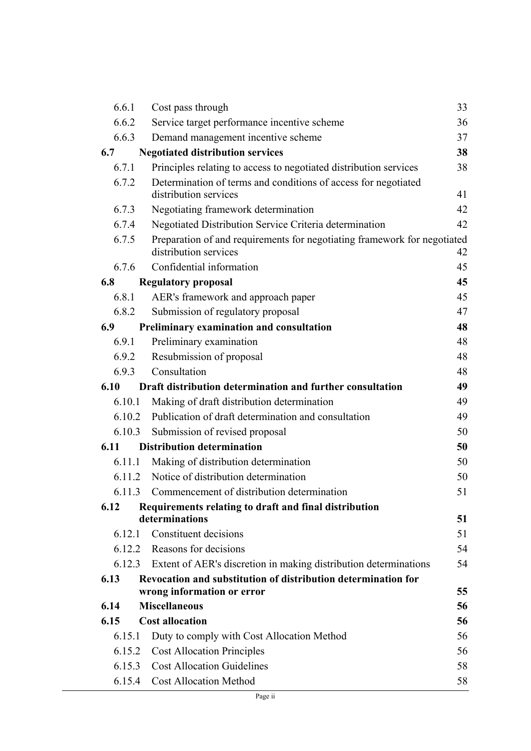| Cost pass through                                                 | 33                                                                                                                                                                                                                                                                                                                                                                                                                                                                                                                                                                                                                                                                                                                                                                                                                                                                                                                                                                                                                                                                                                                                                                           |
|-------------------------------------------------------------------|------------------------------------------------------------------------------------------------------------------------------------------------------------------------------------------------------------------------------------------------------------------------------------------------------------------------------------------------------------------------------------------------------------------------------------------------------------------------------------------------------------------------------------------------------------------------------------------------------------------------------------------------------------------------------------------------------------------------------------------------------------------------------------------------------------------------------------------------------------------------------------------------------------------------------------------------------------------------------------------------------------------------------------------------------------------------------------------------------------------------------------------------------------------------------|
| Service target performance incentive scheme                       | 36                                                                                                                                                                                                                                                                                                                                                                                                                                                                                                                                                                                                                                                                                                                                                                                                                                                                                                                                                                                                                                                                                                                                                                           |
| Demand management incentive scheme                                | 37                                                                                                                                                                                                                                                                                                                                                                                                                                                                                                                                                                                                                                                                                                                                                                                                                                                                                                                                                                                                                                                                                                                                                                           |
| <b>Negotiated distribution services</b>                           | 38                                                                                                                                                                                                                                                                                                                                                                                                                                                                                                                                                                                                                                                                                                                                                                                                                                                                                                                                                                                                                                                                                                                                                                           |
| Principles relating to access to negotiated distribution services | 38                                                                                                                                                                                                                                                                                                                                                                                                                                                                                                                                                                                                                                                                                                                                                                                                                                                                                                                                                                                                                                                                                                                                                                           |
| Determination of terms and conditions of access for negotiated    |                                                                                                                                                                                                                                                                                                                                                                                                                                                                                                                                                                                                                                                                                                                                                                                                                                                                                                                                                                                                                                                                                                                                                                              |
|                                                                   | 41                                                                                                                                                                                                                                                                                                                                                                                                                                                                                                                                                                                                                                                                                                                                                                                                                                                                                                                                                                                                                                                                                                                                                                           |
| Negotiating framework determination                               | 42                                                                                                                                                                                                                                                                                                                                                                                                                                                                                                                                                                                                                                                                                                                                                                                                                                                                                                                                                                                                                                                                                                                                                                           |
|                                                                   | 42                                                                                                                                                                                                                                                                                                                                                                                                                                                                                                                                                                                                                                                                                                                                                                                                                                                                                                                                                                                                                                                                                                                                                                           |
| distribution services                                             | 42                                                                                                                                                                                                                                                                                                                                                                                                                                                                                                                                                                                                                                                                                                                                                                                                                                                                                                                                                                                                                                                                                                                                                                           |
| Confidential information                                          | 45                                                                                                                                                                                                                                                                                                                                                                                                                                                                                                                                                                                                                                                                                                                                                                                                                                                                                                                                                                                                                                                                                                                                                                           |
| <b>Regulatory proposal</b>                                        | 45                                                                                                                                                                                                                                                                                                                                                                                                                                                                                                                                                                                                                                                                                                                                                                                                                                                                                                                                                                                                                                                                                                                                                                           |
| AER's framework and approach paper                                | 45                                                                                                                                                                                                                                                                                                                                                                                                                                                                                                                                                                                                                                                                                                                                                                                                                                                                                                                                                                                                                                                                                                                                                                           |
| Submission of regulatory proposal                                 | 47                                                                                                                                                                                                                                                                                                                                                                                                                                                                                                                                                                                                                                                                                                                                                                                                                                                                                                                                                                                                                                                                                                                                                                           |
| Preliminary examination and consultation                          | 48                                                                                                                                                                                                                                                                                                                                                                                                                                                                                                                                                                                                                                                                                                                                                                                                                                                                                                                                                                                                                                                                                                                                                                           |
| Preliminary examination                                           | 48                                                                                                                                                                                                                                                                                                                                                                                                                                                                                                                                                                                                                                                                                                                                                                                                                                                                                                                                                                                                                                                                                                                                                                           |
|                                                                   | 48                                                                                                                                                                                                                                                                                                                                                                                                                                                                                                                                                                                                                                                                                                                                                                                                                                                                                                                                                                                                                                                                                                                                                                           |
|                                                                   | 48                                                                                                                                                                                                                                                                                                                                                                                                                                                                                                                                                                                                                                                                                                                                                                                                                                                                                                                                                                                                                                                                                                                                                                           |
| Draft distribution determination and further consultation         | 49                                                                                                                                                                                                                                                                                                                                                                                                                                                                                                                                                                                                                                                                                                                                                                                                                                                                                                                                                                                                                                                                                                                                                                           |
|                                                                   | 49                                                                                                                                                                                                                                                                                                                                                                                                                                                                                                                                                                                                                                                                                                                                                                                                                                                                                                                                                                                                                                                                                                                                                                           |
|                                                                   | 49                                                                                                                                                                                                                                                                                                                                                                                                                                                                                                                                                                                                                                                                                                                                                                                                                                                                                                                                                                                                                                                                                                                                                                           |
| Submission of revised proposal                                    | 50                                                                                                                                                                                                                                                                                                                                                                                                                                                                                                                                                                                                                                                                                                                                                                                                                                                                                                                                                                                                                                                                                                                                                                           |
|                                                                   | 50                                                                                                                                                                                                                                                                                                                                                                                                                                                                                                                                                                                                                                                                                                                                                                                                                                                                                                                                                                                                                                                                                                                                                                           |
|                                                                   | 50                                                                                                                                                                                                                                                                                                                                                                                                                                                                                                                                                                                                                                                                                                                                                                                                                                                                                                                                                                                                                                                                                                                                                                           |
|                                                                   | 50                                                                                                                                                                                                                                                                                                                                                                                                                                                                                                                                                                                                                                                                                                                                                                                                                                                                                                                                                                                                                                                                                                                                                                           |
|                                                                   | 51                                                                                                                                                                                                                                                                                                                                                                                                                                                                                                                                                                                                                                                                                                                                                                                                                                                                                                                                                                                                                                                                                                                                                                           |
|                                                                   |                                                                                                                                                                                                                                                                                                                                                                                                                                                                                                                                                                                                                                                                                                                                                                                                                                                                                                                                                                                                                                                                                                                                                                              |
|                                                                   | 51                                                                                                                                                                                                                                                                                                                                                                                                                                                                                                                                                                                                                                                                                                                                                                                                                                                                                                                                                                                                                                                                                                                                                                           |
|                                                                   | 51<br>54                                                                                                                                                                                                                                                                                                                                                                                                                                                                                                                                                                                                                                                                                                                                                                                                                                                                                                                                                                                                                                                                                                                                                                     |
|                                                                   | 54                                                                                                                                                                                                                                                                                                                                                                                                                                                                                                                                                                                                                                                                                                                                                                                                                                                                                                                                                                                                                                                                                                                                                                           |
|                                                                   |                                                                                                                                                                                                                                                                                                                                                                                                                                                                                                                                                                                                                                                                                                                                                                                                                                                                                                                                                                                                                                                                                                                                                                              |
|                                                                   | 55                                                                                                                                                                                                                                                                                                                                                                                                                                                                                                                                                                                                                                                                                                                                                                                                                                                                                                                                                                                                                                                                                                                                                                           |
|                                                                   | 56                                                                                                                                                                                                                                                                                                                                                                                                                                                                                                                                                                                                                                                                                                                                                                                                                                                                                                                                                                                                                                                                                                                                                                           |
|                                                                   | 56                                                                                                                                                                                                                                                                                                                                                                                                                                                                                                                                                                                                                                                                                                                                                                                                                                                                                                                                                                                                                                                                                                                                                                           |
|                                                                   | 56                                                                                                                                                                                                                                                                                                                                                                                                                                                                                                                                                                                                                                                                                                                                                                                                                                                                                                                                                                                                                                                                                                                                                                           |
|                                                                   | 56                                                                                                                                                                                                                                                                                                                                                                                                                                                                                                                                                                                                                                                                                                                                                                                                                                                                                                                                                                                                                                                                                                                                                                           |
|                                                                   | 58                                                                                                                                                                                                                                                                                                                                                                                                                                                                                                                                                                                                                                                                                                                                                                                                                                                                                                                                                                                                                                                                                                                                                                           |
| <b>Cost Allocation Method</b>                                     | 58                                                                                                                                                                                                                                                                                                                                                                                                                                                                                                                                                                                                                                                                                                                                                                                                                                                                                                                                                                                                                                                                                                                                                                           |
| 6.8.1<br>6.9.1                                                    | 6.6.2<br>6.6.3<br>6.7.2<br>distribution services<br>6.7.3<br>6.7.4<br>Negotiated Distribution Service Criteria determination<br>Preparation of and requirements for negotiating framework for negotiated<br>6.7.5<br>6.7.6<br>6.8.2<br>Resubmission of proposal<br>6.9.2<br>Consultation<br>6.9.3<br>Making of draft distribution determination<br>6.10.1<br>Publication of draft determination and consultation<br>6.10.2<br>6.10.3<br><b>Distribution determination</b><br>Making of distribution determination<br>6.11.1<br>6.11.2 Notice of distribution determination<br>6.11.3 Commencement of distribution determination<br>Requirements relating to draft and final distribution<br>determinations<br>Constituent decisions<br>6.12.1<br>6.12.2 Reasons for decisions<br>Extent of AER's discretion in making distribution determinations<br>6.12.3<br>Revocation and substitution of distribution determination for<br>wrong information or error<br><b>Miscellaneous</b><br><b>Cost allocation</b><br>Duty to comply with Cost Allocation Method<br>6.15.1<br><b>Cost Allocation Principles</b><br>6.15.2<br><b>Cost Allocation Guidelines</b><br>6.15.3<br>6.15.4 |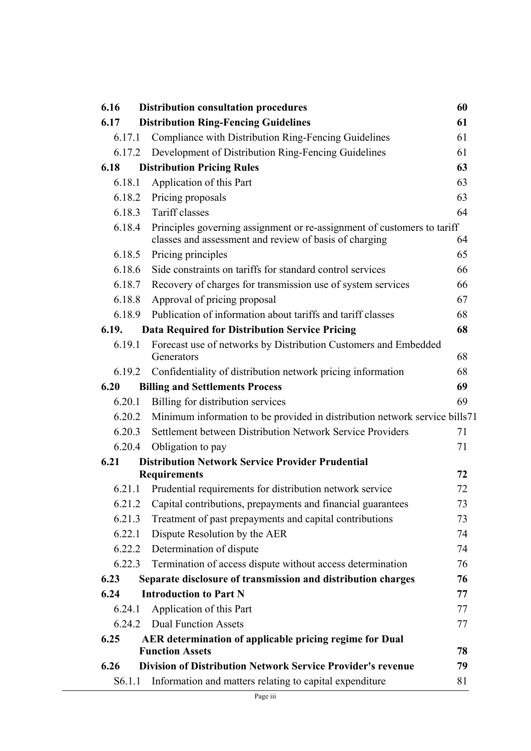| 6.16   | <b>Distribution consultation procedures</b>                                                                                       | 60 |
|--------|-----------------------------------------------------------------------------------------------------------------------------------|----|
| 6.17   | <b>Distribution Ring-Fencing Guidelines</b>                                                                                       | 61 |
| 6.17.1 | Compliance with Distribution Ring-Fencing Guidelines                                                                              | 61 |
| 6.17.2 | Development of Distribution Ring-Fencing Guidelines                                                                               | 61 |
| 6.18   | <b>Distribution Pricing Rules</b>                                                                                                 | 63 |
| 6.18.1 | Application of this Part                                                                                                          | 63 |
| 6.18.2 | Pricing proposals                                                                                                                 | 63 |
| 6.18.3 | Tariff classes                                                                                                                    | 64 |
| 6.18.4 | Principles governing assignment or re-assignment of customers to tariff<br>classes and assessment and review of basis of charging | 64 |
| 6.18.5 | Pricing principles                                                                                                                | 65 |
| 6.18.6 | Side constraints on tariffs for standard control services                                                                         | 66 |
| 6.18.7 | Recovery of charges for transmission use of system services                                                                       | 66 |
| 6.18.8 | Approval of pricing proposal                                                                                                      | 67 |
| 6.18.9 | Publication of information about tariffs and tariff classes                                                                       | 68 |
| 6.19.  | <b>Data Required for Distribution Service Pricing</b>                                                                             | 68 |
| 6.19.1 | Forecast use of networks by Distribution Customers and Embedded<br>Generators                                                     | 68 |
| 6.19.2 | Confidentiality of distribution network pricing information                                                                       | 68 |
| 6.20   | <b>Billing and Settlements Process</b>                                                                                            | 69 |
| 6.20.1 | Billing for distribution services                                                                                                 | 69 |
| 6.20.2 | Minimum information to be provided in distribution network service bills71                                                        |    |
| 6.20.3 | Settlement between Distribution Network Service Providers                                                                         | 71 |
| 6.20.4 | Obligation to pay                                                                                                                 | 71 |
| 6.21   | <b>Distribution Network Service Provider Prudential</b>                                                                           |    |
|        | <b>Requirements</b>                                                                                                               | 72 |
| 6.21.1 | Prudential requirements for distribution network service                                                                          | 72 |
| 6.21.2 | Capital contributions, prepayments and financial guarantees                                                                       | 73 |
| 6.21.3 | Treatment of past prepayments and capital contributions                                                                           | 73 |
| 6.22.1 | Dispute Resolution by the AER                                                                                                     | 74 |
| 6.22.2 | Determination of dispute                                                                                                          | 74 |
| 6.22.3 | Termination of access dispute without access determination                                                                        | 76 |
| 6.23   | Separate disclosure of transmission and distribution charges                                                                      | 76 |
| 6.24   | <b>Introduction to Part N</b>                                                                                                     | 77 |
| 6.24.1 | Application of this Part                                                                                                          | 77 |
| 6.24.2 | <b>Dual Function Assets</b>                                                                                                       | 77 |
| 6.25   | AER determination of applicable pricing regime for Dual<br><b>Function Assets</b>                                                 | 78 |
| 6.26   | <b>Division of Distribution Network Service Provider's revenue</b>                                                                | 79 |
| S6.1.1 | Information and matters relating to capital expenditure                                                                           | 81 |
|        |                                                                                                                                   |    |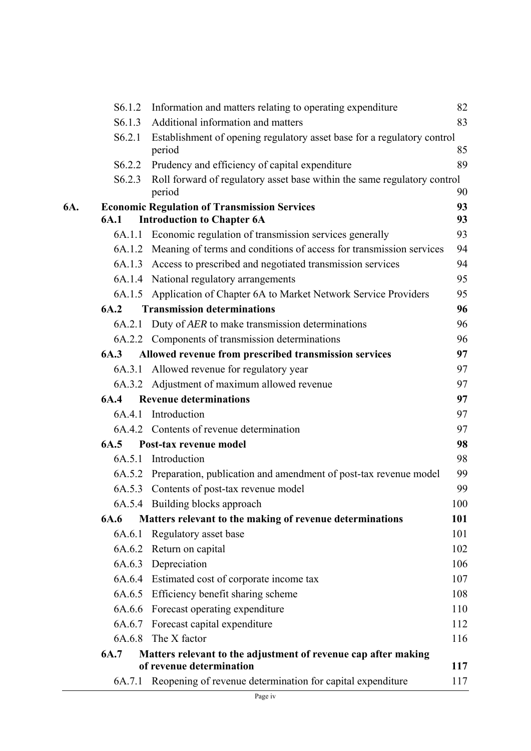|     | S6.1.2             | Information and matters relating to operating expenditure                          | 82  |
|-----|--------------------|------------------------------------------------------------------------------------|-----|
|     | S <sub>6.1.3</sub> | Additional information and matters                                                 | 83  |
|     | S6.2.1             | Establishment of opening regulatory asset base for a regulatory control<br>period  | 85  |
|     | S <sub>6.2.2</sub> | Prudency and efficiency of capital expenditure                                     | 89  |
|     | S <sub>6.2.3</sub> | Roll forward of regulatory asset base within the same regulatory control<br>period | 90  |
| 6A. |                    | <b>Economic Regulation of Transmission Services</b>                                | 93  |
|     | 6A.1               | <b>Introduction to Chapter 6A</b>                                                  | 93  |
|     |                    | 6A.1.1 Economic regulation of transmission services generally                      | 93  |
|     |                    | 6A.1.2 Meaning of terms and conditions of access for transmission services         | 94  |
|     |                    | 6A.1.3 Access to prescribed and negotiated transmission services                   | 94  |
|     |                    | 6A.1.4 National regulatory arrangements                                            | 95  |
|     |                    | 6A.1.5 Application of Chapter 6A to Market Network Service Providers               | 95  |
|     | 6A.2               | <b>Transmission determinations</b>                                                 | 96  |
|     |                    | 6A.2.1 Duty of AER to make transmission determinations                             | 96  |
|     |                    | 6A.2.2 Components of transmission determinations                                   | 96  |
|     | 6A.3               | Allowed revenue from prescribed transmission services                              | 97  |
|     | 6A.3.1             | Allowed revenue for regulatory year                                                | 97  |
|     |                    | 6A.3.2 Adjustment of maximum allowed revenue                                       | 97  |
|     | 6A.4               | <b>Revenue determinations</b>                                                      | 97  |
|     |                    | 6A.4.1 Introduction                                                                | 97  |
|     |                    | 6A.4.2 Contents of revenue determination                                           | 97  |
|     | 6A.5               | Post-tax revenue model                                                             | 98  |
|     |                    | 6A.5.1 Introduction                                                                | 98  |
|     |                    | 6A.5.2 Preparation, publication and amendment of post-tax revenue model            | 99  |
|     |                    | 6A.5.3 Contents of post-tax revenue model                                          | 99  |
|     |                    | 6A.5.4 Building blocks approach                                                    | 100 |
|     | 6A.6               | Matters relevant to the making of revenue determinations                           | 101 |
|     |                    | 6A.6.1 Regulatory asset base                                                       | 101 |
|     |                    | 6A.6.2 Return on capital                                                           | 102 |
|     |                    | 6A.6.3 Depreciation                                                                | 106 |
|     |                    | 6A.6.4 Estimated cost of corporate income tax                                      | 107 |
|     |                    | 6A.6.5 Efficiency benefit sharing scheme                                           | 108 |
|     |                    | 6A.6.6 Forecast operating expenditure                                              | 110 |
|     |                    | 6A.6.7 Forecast capital expenditure                                                | 112 |
|     |                    | 6A.6.8 The X factor                                                                | 116 |
|     | 6A.7               | Matters relevant to the adjustment of revenue cap after making                     |     |
|     |                    | of revenue determination                                                           | 117 |
|     |                    | 6A.7.1 Reopening of revenue determination for capital expenditure                  | 117 |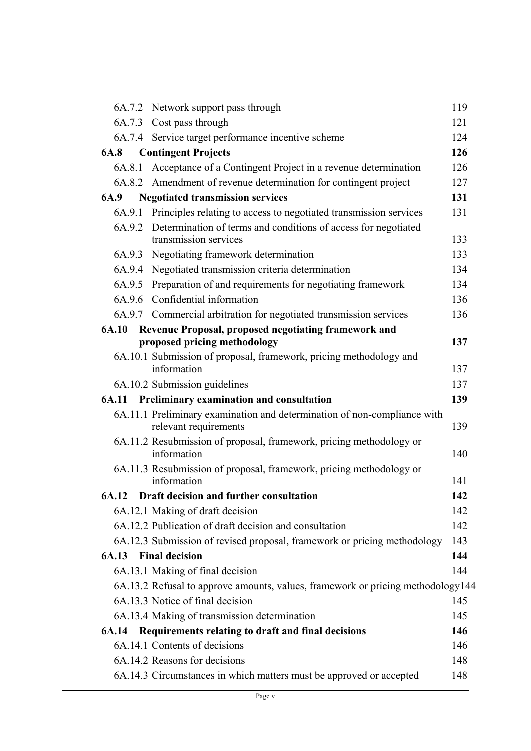|             | 6A.7.2 Network support pass through                                                               | 119 |
|-------------|---------------------------------------------------------------------------------------------------|-----|
|             | 6A.7.3 Cost pass through                                                                          | 121 |
|             | 6A.7.4 Service target performance incentive scheme                                                | 124 |
| <b>6A.8</b> | <b>Contingent Projects</b>                                                                        | 126 |
| 6A.8.1      | Acceptance of a Contingent Project in a revenue determination                                     | 126 |
|             | 6A.8.2 Amendment of revenue determination for contingent project                                  | 127 |
| 6A.9        | <b>Negotiated transmission services</b>                                                           | 131 |
| 6A.9.1      | Principles relating to access to negotiated transmission services                                 | 131 |
|             | 6A.9.2 Determination of terms and conditions of access for negotiated<br>transmission services    | 133 |
|             | 6A.9.3 Negotiating framework determination                                                        | 133 |
|             | 6A.9.4 Negotiated transmission criteria determination                                             | 134 |
| 6A.9.5      | Preparation of and requirements for negotiating framework                                         | 134 |
|             | 6A.9.6 Confidential information                                                                   | 136 |
|             | 6A.9.7 Commercial arbitration for negotiated transmission services                                | 136 |
| 6A.10       | Revenue Proposal, proposed negotiating framework and                                              |     |
|             | proposed pricing methodology                                                                      | 137 |
|             | 6A.10.1 Submission of proposal, framework, pricing methodology and                                |     |
|             | information                                                                                       | 137 |
|             | 6A.10.2 Submission guidelines                                                                     | 137 |
|             | 6A.11 Preliminary examination and consultation                                                    | 139 |
|             | 6A.11.1 Preliminary examination and determination of non-compliance with<br>relevant requirements | 139 |
|             | 6A.11.2 Resubmission of proposal, framework, pricing methodology or<br>information                | 140 |
|             |                                                                                                   |     |
|             | 6A.11.3 Resubmission of proposal, framework, pricing methodology or<br>information                | 141 |
| 6A.12       | Draft decision and further consultation                                                           | 142 |
|             | 6A.12.1 Making of draft decision                                                                  | 142 |
|             | 6A.12.2 Publication of draft decision and consultation                                            | 142 |
|             | 6A.12.3 Submission of revised proposal, framework or pricing methodology                          | 143 |
|             | <b>6A.13</b> Final decision                                                                       | 144 |
|             | 6A.13.1 Making of final decision                                                                  | 144 |
|             | 6A.13.2 Refusal to approve amounts, values, framework or pricing methodology144                   |     |
|             | 6A.13.3 Notice of final decision                                                                  | 145 |
|             | 6A.13.4 Making of transmission determination                                                      | 145 |
| 6A.14       | Requirements relating to draft and final decisions                                                | 146 |
|             | 6A.14.1 Contents of decisions                                                                     | 146 |
|             | 6A.14.2 Reasons for decisions                                                                     | 148 |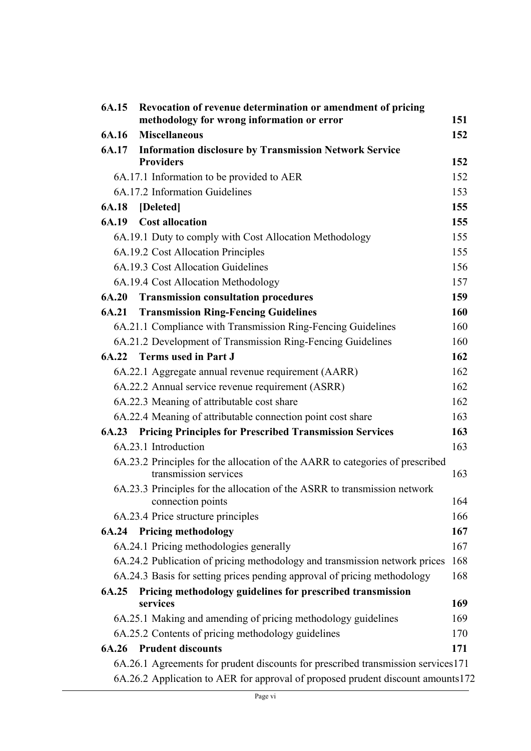| 6A.15        | Revocation of revenue determination or amendment of pricing<br>methodology for wrong information or error | 151 |
|--------------|-----------------------------------------------------------------------------------------------------------|-----|
| 6A.16        | <b>Miscellaneous</b>                                                                                      | 152 |
| 6A.17        | <b>Information disclosure by Transmission Network Service</b>                                             |     |
|              | <b>Providers</b>                                                                                          | 152 |
|              | 6A.17.1 Information to be provided to AER                                                                 | 152 |
|              | 6A.17.2 Information Guidelines                                                                            | 153 |
| 6A.18        | [Deleted]                                                                                                 | 155 |
| 6A.19        | <b>Cost allocation</b>                                                                                    | 155 |
|              | 6A.19.1 Duty to comply with Cost Allocation Methodology                                                   | 155 |
|              | 6A.19.2 Cost Allocation Principles                                                                        | 155 |
|              | 6A.19.3 Cost Allocation Guidelines                                                                        | 156 |
|              | 6A.19.4 Cost Allocation Methodology                                                                       | 157 |
| <b>6A.20</b> | <b>Transmission consultation procedures</b>                                                               | 159 |
| 6A.21        | <b>Transmission Ring-Fencing Guidelines</b>                                                               | 160 |
|              | 6A.21.1 Compliance with Transmission Ring-Fencing Guidelines                                              | 160 |
|              | 6A.21.2 Development of Transmission Ring-Fencing Guidelines                                               | 160 |
|              | 6A.22 Terms used in Part J                                                                                | 162 |
|              | 6A.22.1 Aggregate annual revenue requirement (AARR)                                                       | 162 |
|              | 6A.22.2 Annual service revenue requirement (ASRR)                                                         | 162 |
|              | 6A.22.3 Meaning of attributable cost share                                                                | 162 |
|              | 6A.22.4 Meaning of attributable connection point cost share                                               | 163 |
|              | <b>6A.23 Pricing Principles for Prescribed Transmission Services</b>                                      | 163 |
|              | 6A.23.1 Introduction                                                                                      | 163 |
|              | 6A.23.2 Principles for the allocation of the AARR to categories of prescribed<br>transmission services    | 163 |
|              | 6A.23.3 Principles for the allocation of the ASRR to transmission network                                 |     |
|              | connection points                                                                                         | 164 |
|              | 6A.23.4 Price structure principles                                                                        | 166 |
|              | 6A.24 Pricing methodology                                                                                 | 167 |
|              | 6A.24.1 Pricing methodologies generally                                                                   | 167 |
|              | 6A.24.2 Publication of pricing methodology and transmission network prices                                | 168 |
|              | 6A.24.3 Basis for setting prices pending approval of pricing methodology                                  | 168 |
| 6A.25        | Pricing methodology guidelines for prescribed transmission                                                |     |
|              | services                                                                                                  | 169 |
|              | 6A.25.1 Making and amending of pricing methodology guidelines                                             | 169 |
|              | 6A.25.2 Contents of pricing methodology guidelines                                                        | 170 |
| 6A.26        | <b>Prudent discounts</b>                                                                                  | 171 |
|              | 6A.26.1 Agreements for prudent discounts for prescribed transmission services 171                         |     |
|              | 6A.26.2 Application to AER for approval of proposed prudent discount amounts172                           |     |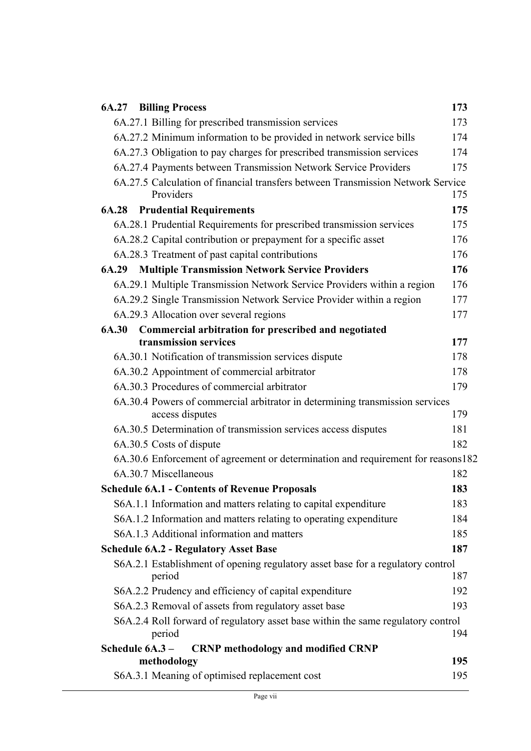| <b>6A.27 Billing Process</b>                                                     | 173 |
|----------------------------------------------------------------------------------|-----|
| 6A.27.1 Billing for prescribed transmission services                             | 173 |
| 6A.27.2 Minimum information to be provided in network service bills              | 174 |
| 6A.27.3 Obligation to pay charges for prescribed transmission services           | 174 |
| 6A.27.4 Payments between Transmission Network Service Providers                  | 175 |
| 6A.27.5 Calculation of financial transfers between Transmission Network Service  |     |
| Providers                                                                        | 175 |
| <b>6A.28</b> Prudential Requirements                                             | 175 |
| 6A.28.1 Prudential Requirements for prescribed transmission services             | 175 |
| 6A.28.2 Capital contribution or prepayment for a specific asset                  | 176 |
| 6A.28.3 Treatment of past capital contributions                                  | 176 |
| <b>Multiple Transmission Network Service Providers</b><br>6A.29                  | 176 |
| 6A.29.1 Multiple Transmission Network Service Providers within a region          | 176 |
| 6A.29.2 Single Transmission Network Service Provider within a region             | 177 |
| 6A.29.3 Allocation over several regions                                          | 177 |
| 6A.30<br>Commercial arbitration for prescribed and negotiated                    |     |
| transmission services                                                            | 177 |
| 6A.30.1 Notification of transmission services dispute                            | 178 |
| 6A.30.2 Appointment of commercial arbitrator                                     | 178 |
| 6A.30.3 Procedures of commercial arbitrator                                      | 179 |
| 6A.30.4 Powers of commercial arbitrator in determining transmission services     |     |
| access disputes                                                                  | 179 |
| 6A.30.5 Determination of transmission services access disputes                   | 181 |
| 6A.30.5 Costs of dispute                                                         | 182 |
| 6A.30.6 Enforcement of agreement or determination and requirement for reasons182 |     |
| 6A.30.7 Miscellaneous                                                            | 182 |
| <b>Schedule 6A.1 - Contents of Revenue Proposals</b>                             | 183 |
| S6A.1.1 Information and matters relating to capital expenditure                  | 183 |
| S6A.1.2 Information and matters relating to operating expenditure                | 184 |
| S6A.1.3 Additional information and matters                                       | 185 |
| <b>Schedule 6A.2 - Regulatory Asset Base</b>                                     | 187 |
| S6A.2.1 Establishment of opening regulatory asset base for a regulatory control  |     |
| period                                                                           | 187 |
| S6A.2.2 Prudency and efficiency of capital expenditure                           | 192 |
| S6A.2.3 Removal of assets from regulatory asset base                             | 193 |
| S6A.2.4 Roll forward of regulatory asset base within the same regulatory control |     |
| period                                                                           | 194 |
| Schedule 6A.3-<br><b>CRNP</b> methodology and modified CRNP                      | 195 |
| methodology                                                                      |     |
| S6A.3.1 Meaning of optimised replacement cost                                    | 195 |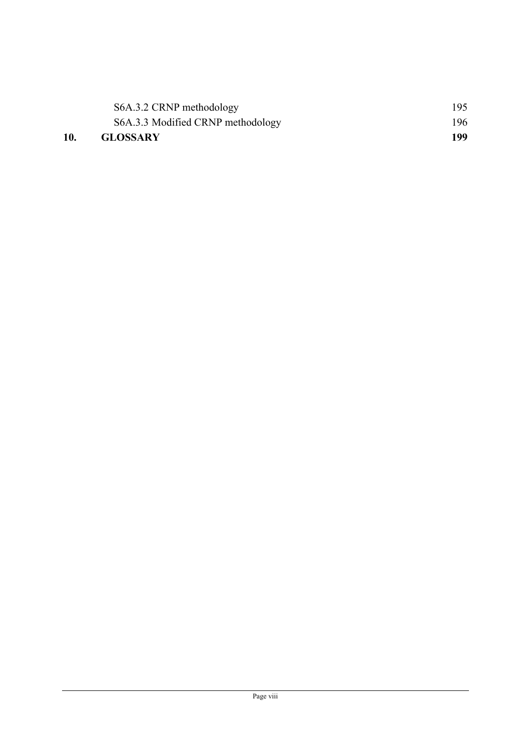| 10. | <b>GLOSSARY</b>                   | 199 |
|-----|-----------------------------------|-----|
|     | S6A.3.3 Modified CRNP methodology | 196 |
|     | S6A.3.2 CRNP methodology          | 195 |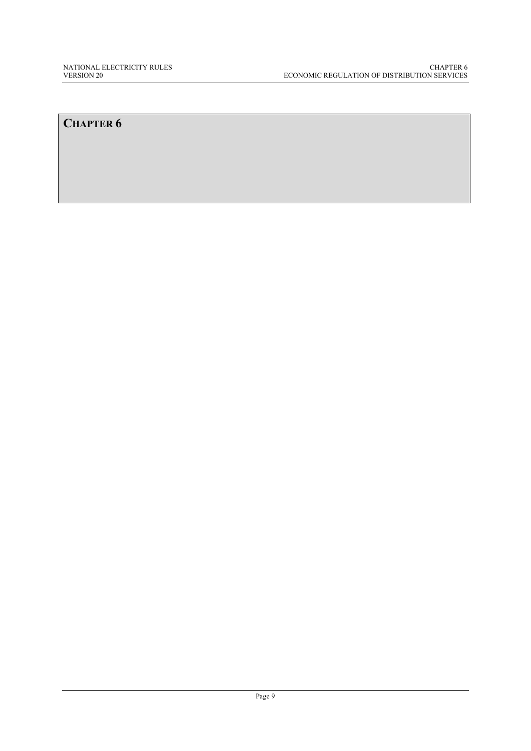# **CHAPTER 6**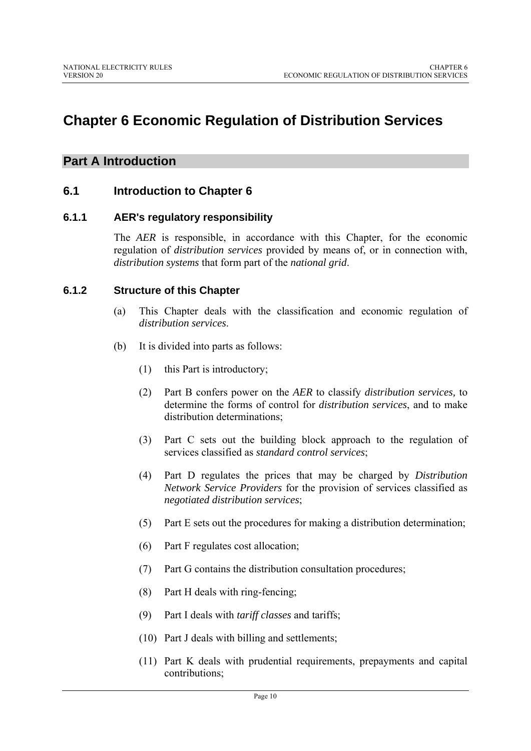# **Chapter 6 Economic Regulation of Distribution Services**

# **Part A Introduction**

# **6.1 Introduction to Chapter 6**

# **6.1.1 AER's regulatory responsibility**

The *AER* is responsible, in accordance with this Chapter, for the economic regulation of *distribution services* provided by means of, or in connection with, *distribution systems* that form part of the *national grid*.

# **6.1.2 Structure of this Chapter**

- (a) This Chapter deals with the classification and economic regulation of *distribution services*.
- (b) It is divided into parts as follows:
	- (1) this Part is introductory;
	- (2) Part B confers power on the *AER* to classify *distribution services,* to determine the forms of control for *distribution services*, and to make distribution determinations;
	- (3) Part C sets out the building block approach to the regulation of services classified as *standard control services*;
	- (4) Part D regulates the prices that may be charged by *Distribution Network Service Providers* for the provision of services classified as *negotiated distribution services*;
	- (5) Part E sets out the procedures for making a distribution determination;
	- (6) Part F regulates cost allocation;
	- (7) Part G contains the distribution consultation procedures;
	- (8) Part H deals with ring-fencing;
	- (9) Part I deals with *tariff classes* and tariffs;
	- (10) Part J deals with billing and settlements;
	- (11) Part K deals with prudential requirements, prepayments and capital contributions;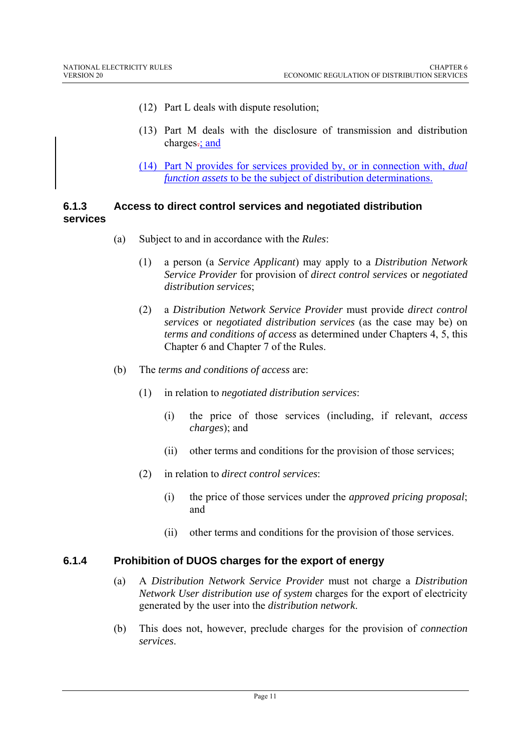- (12) Part L deals with dispute resolution;
- (13) Part M deals with the disclosure of transmission and distribution charges-; and
- (14) Part N provides for services provided by, or in connection with, *dual function assets* to be the subject of distribution determinations.

#### **6.1.3 Access to direct control services and negotiated distribution services**

- (a) Subject to and in accordance with the *Rules*:
	- (1) a person (a *Service Applicant*) may apply to a *Distribution Network Service Provider* for provision of *direct control services* or *negotiated distribution services*;
	- (2) a *Distribution Network Service Provider* must provide *direct control services* or *negotiated distribution services* (as the case may be) on *terms and conditions of access* as determined under Chapters 4, 5, this Chapter 6 and Chapter 7 of the Rules.
- (b) The *terms and conditions of access* are:
	- (1) in relation to *negotiated distribution services*:
		- (i) the price of those services (including, if relevant, *access charges*); and
		- (ii) other terms and conditions for the provision of those services;
	- (2) in relation to *direct control services*:
		- (i) the price of those services under the *approved pricing proposal*; and
		- (ii) other terms and conditions for the provision of those services.

#### **6.1.4 Prohibition of DUOS charges for the export of energy**

- (a) A *Distribution Network Service Provider* must not charge a *Distribution Network User distribution use of system* charges for the export of electricity generated by the user into the *distribution network*.
- (b) This does not, however, preclude charges for the provision of *connection services*.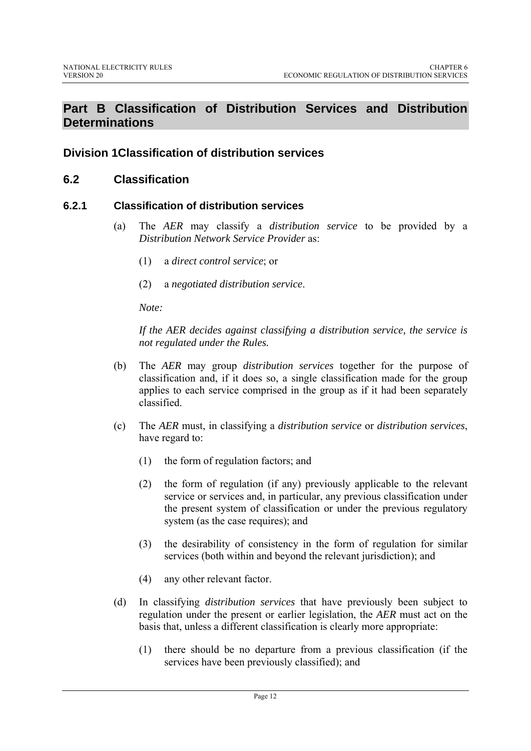# **Part B Classification of Distribution Services and Distribution Determinations**

# **Division 1Classification of distribution services**

#### **6.2 Classification**

#### **6.2.1 Classification of distribution services**

- (a) The *AER* may classify a *distribution service* to be provided by a *Distribution Network Service Provider* as:
	- (1) a *direct control service*; or
	- (2) a *negotiated distribution service*.

*Note:* 

*If the AER decides against classifying a distribution service, the service is not regulated under the Rules.* 

- (b) The *AER* may group *distribution services* together for the purpose of classification and, if it does so, a single classification made for the group applies to each service comprised in the group as if it had been separately classified.
- (c) The *AER* must, in classifying a *distribution service* or *distribution services*, have regard to:
	- (1) the form of regulation factors; and
	- (2) the form of regulation (if any) previously applicable to the relevant service or services and, in particular, any previous classification under the present system of classification or under the previous regulatory system (as the case requires); and
	- (3) the desirability of consistency in the form of regulation for similar services (both within and beyond the relevant jurisdiction); and
	- (4) any other relevant factor.
- (d) In classifying *distribution services* that have previously been subject to regulation under the present or earlier legislation, the *AER* must act on the basis that, unless a different classification is clearly more appropriate:
	- (1) there should be no departure from a previous classification (if the services have been previously classified); and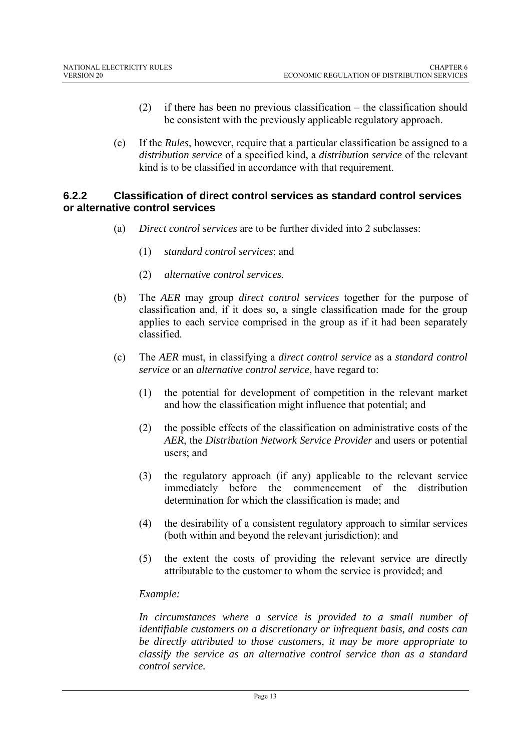- (2) if there has been no previous classification the classification should be consistent with the previously applicable regulatory approach.
- (e) If the *Rules*, however, require that a particular classification be assigned to a *distribution service* of a specified kind, a *distribution service* of the relevant kind is to be classified in accordance with that requirement.

#### **6.2.2 Classification of direct control services as standard control services or alternative control services**

- (a) *Direct control services* are to be further divided into 2 subclasses:
	- (1) *standard control services*; and
	- (2) *alternative control services*.
- (b) The *AER* may group *direct control services* together for the purpose of classification and, if it does so, a single classification made for the group applies to each service comprised in the group as if it had been separately classified.
- (c) The *AER* must, in classifying a *direct control service* as a *standard control service* or an *alternative control service*, have regard to:
	- (1) the potential for development of competition in the relevant market and how the classification might influence that potential; and
	- (2) the possible effects of the classification on administrative costs of the *AER*, the *Distribution Network Service Provider* and users or potential users; and
	- (3) the regulatory approach (if any) applicable to the relevant service immediately before the commencement of the distribution determination for which the classification is made; and
	- (4) the desirability of a consistent regulatory approach to similar services (both within and beyond the relevant jurisdiction); and
	- (5) the extent the costs of providing the relevant service are directly attributable to the customer to whom the service is provided; and

#### *Example:*

*In circumstances where a service is provided to a small number of identifiable customers on a discretionary or infrequent basis, and costs can be directly attributed to those customers, it may be more appropriate to classify the service as an alternative control service than as a standard control service.*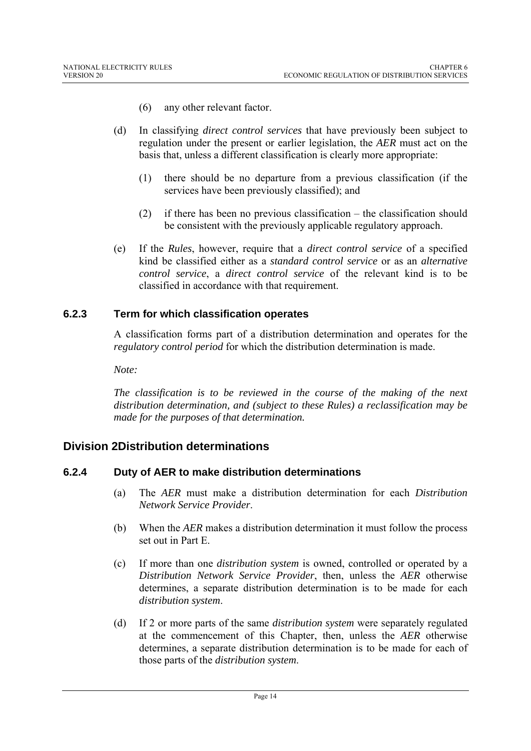- (6) any other relevant factor.
- (d) In classifying *direct control services* that have previously been subject to regulation under the present or earlier legislation, the *AER* must act on the basis that, unless a different classification is clearly more appropriate:
	- (1) there should be no departure from a previous classification (if the services have been previously classified); and
	- (2) if there has been no previous classification the classification should be consistent with the previously applicable regulatory approach.
- (e) If the *Rules*, however, require that a *direct control service* of a specified kind be classified either as a *standard control service* or as an *alternative control service*, a *direct control service* of the relevant kind is to be classified in accordance with that requirement.

#### **6.2.3 Term for which classification operates**

A classification forms part of a distribution determination and operates for the *regulatory control period* for which the distribution determination is made.

*Note:* 

*The classification is to be reviewed in the course of the making of the next distribution determination, and (subject to these Rules) a reclassification may be made for the purposes of that determination.* 

# **Division 2Distribution determinations**

#### **6.2.4 Duty of AER to make distribution determinations**

- (a) The *AER* must make a distribution determination for each *Distribution Network Service Provider*.
- (b) When the *AER* makes a distribution determination it must follow the process set out in Part E.
- (c) If more than one *distribution system* is owned, controlled or operated by a *Distribution Network Service Provider*, then, unless the *AER* otherwise determines, a separate distribution determination is to be made for each *distribution system*.
- (d) If 2 or more parts of the same *distribution system* were separately regulated at the commencement of this Chapter, then, unless the *AER* otherwise determines, a separate distribution determination is to be made for each of those parts of the *distribution system*.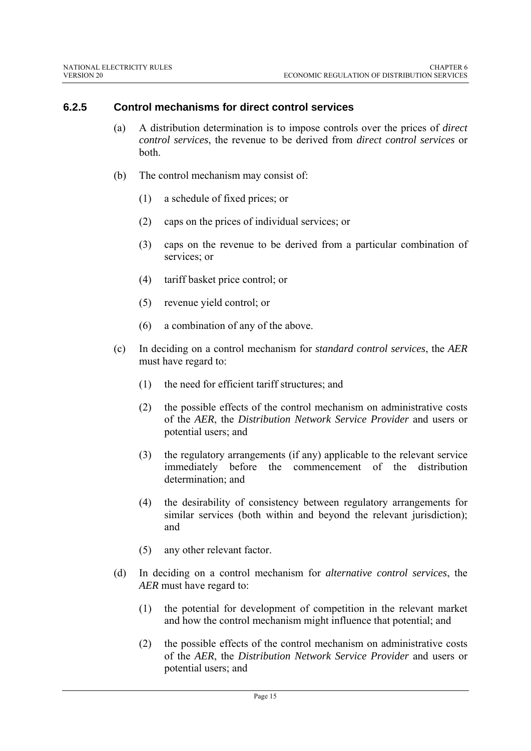#### **6.2.5 Control mechanisms for direct control services**

- (a) A distribution determination is to impose controls over the prices of *direct control services*, the revenue to be derived from *direct control services* or both.
- (b) The control mechanism may consist of:
	- (1) a schedule of fixed prices; or
	- (2) caps on the prices of individual services; or
	- (3) caps on the revenue to be derived from a particular combination of services; or
	- (4) tariff basket price control; or
	- (5) revenue yield control; or
	- (6) a combination of any of the above.
- (c) In deciding on a control mechanism for *standard control services*, the *AER* must have regard to:
	- (1) the need for efficient tariff structures; and
	- (2) the possible effects of the control mechanism on administrative costs of the *AER*, the *Distribution Network Service Provider* and users or potential users; and
	- (3) the regulatory arrangements (if any) applicable to the relevant service immediately before the commencement of the distribution determination; and
	- (4) the desirability of consistency between regulatory arrangements for similar services (both within and beyond the relevant jurisdiction); and
	- (5) any other relevant factor.
- (d) In deciding on a control mechanism for *alternative control services*, the *AER* must have regard to:
	- (1) the potential for development of competition in the relevant market and how the control mechanism might influence that potential; and
	- (2) the possible effects of the control mechanism on administrative costs of the *AER*, the *Distribution Network Service Provider* and users or potential users; and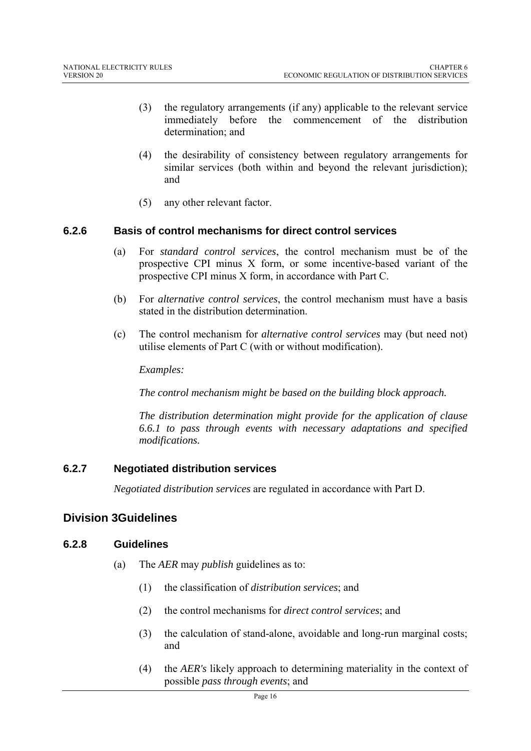- (3) the regulatory arrangements (if any) applicable to the relevant service immediately before the commencement of the distribution determination; and
- (4) the desirability of consistency between regulatory arrangements for similar services (both within and beyond the relevant jurisdiction); and
- (5) any other relevant factor.

#### **6.2.6 Basis of control mechanisms for direct control services**

- (a) For *standard control services*, the control mechanism must be of the prospective CPI minus X form, or some incentive-based variant of the prospective CPI minus X form, in accordance with Part C.
- (b) For *alternative control services*, the control mechanism must have a basis stated in the distribution determination.
- (c) The control mechanism for *alternative control services* may (but need not) utilise elements of Part C (with or without modification).

*Examples:* 

*The control mechanism might be based on the building block approach.* 

*The distribution determination might provide for the application of clause 6.6.1 to pass through events with necessary adaptations and specified modifications.* 

#### **6.2.7 Negotiated distribution services**

*Negotiated distribution services* are regulated in accordance with Part D.

# **Division 3Guidelines**

#### **6.2.8 Guidelines**

- (a) The *AER* may *publish* guidelines as to:
	- (1) the classification of *distribution services*; and
	- (2) the control mechanisms for *direct control services*; and
	- (3) the calculation of stand-alone, avoidable and long-run marginal costs; and
	- (4) the *AER's* likely approach to determining materiality in the context of possible *pass through events*; and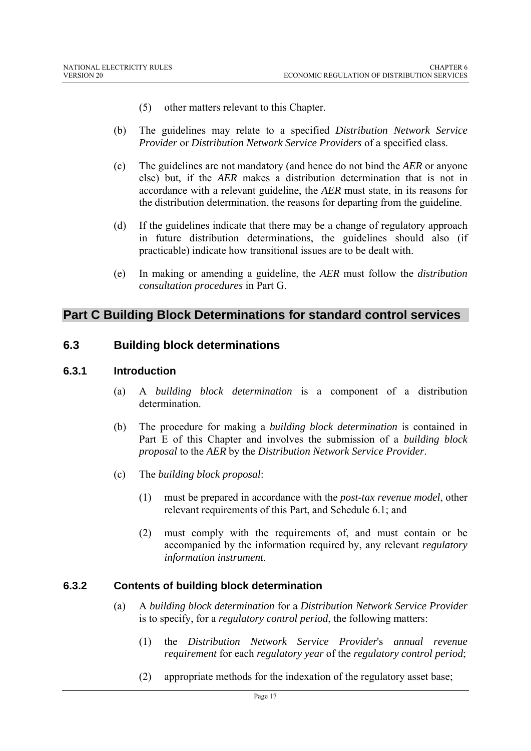- (5) other matters relevant to this Chapter.
- (b) The guidelines may relate to a specified *Distribution Network Service Provider* or *Distribution Network Service Providers* of a specified class.
- (c) The guidelines are not mandatory (and hence do not bind the *AER* or anyone else) but, if the *AER* makes a distribution determination that is not in accordance with a relevant guideline, the *AER* must state, in its reasons for the distribution determination, the reasons for departing from the guideline.
- (d) If the guidelines indicate that there may be a change of regulatory approach in future distribution determinations, the guidelines should also (if practicable) indicate how transitional issues are to be dealt with.
- (e) In making or amending a guideline, the *AER* must follow the *distribution consultation procedures* in Part G.

# **Part C Building Block Determinations for standard control services**

#### **6.3 Building block determinations**

#### **6.3.1 Introduction**

- (a) A *building block determination* is a component of a distribution determination.
- (b) The procedure for making a *building block determination* is contained in Part E of this Chapter and involves the submission of a *building block proposal* to the *AER* by the *Distribution Network Service Provider*.
- (c) The *building block proposal*:
	- (1) must be prepared in accordance with the *post-tax revenue model*, other relevant requirements of this Part, and Schedule 6.1; and
	- (2) must comply with the requirements of, and must contain or be accompanied by the information required by, any relevant *regulatory information instrument*.

# **6.3.2 Contents of building block determination**

- (a) A *building block determination* for a *Distribution Network Service Provider* is to specify, for a *regulatory control period*, the following matters:
	- (1) the *Distribution Network Service Provider*'s *annual revenue requirement* for each *regulatory year* of the *regulatory control period*;
	- (2) appropriate methods for the indexation of the regulatory asset base;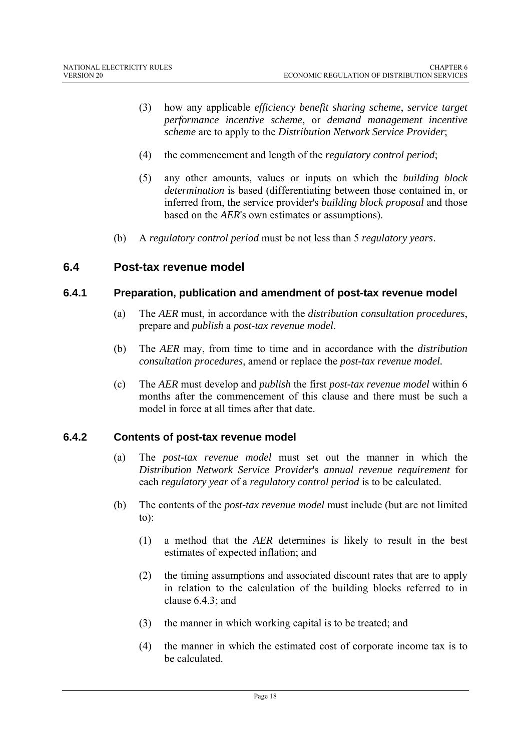- (3) how any applicable *efficiency benefit sharing scheme*, *service target performance incentive scheme*, or *demand management incentive scheme* are to apply to the *Distribution Network Service Provider*;
- (4) the commencement and length of the *regulatory control period*;
- (5) any other amounts, values or inputs on which the *building block determination* is based (differentiating between those contained in, or inferred from, the service provider's *building block proposal* and those based on the *AER*'s own estimates or assumptions).
- (b) A *regulatory control period* must be not less than 5 *regulatory years*.

#### **6.4 Post-tax revenue model**

#### **6.4.1 Preparation, publication and amendment of post-tax revenue model**

- (a) The *AER* must, in accordance with the *distribution consultation procedures*, prepare and *publish* a *post-tax revenue model*.
- (b) The *AER* may, from time to time and in accordance with the *distribution consultation procedures*, amend or replace the *post-tax revenue model.*
- (c) The *AER* must develop and *publish* the first *post-tax revenue model* within 6 months after the commencement of this clause and there must be such a model in force at all times after that date.

#### **6.4.2 Contents of post-tax revenue model**

- (a) The *post-tax revenue model* must set out the manner in which the *Distribution Network Service Provider*'s *annual revenue requirement* for each *regulatory year* of a *regulatory control period* is to be calculated.
- (b) The contents of the *post-tax revenue model* must include (but are not limited to):
	- (1) a method that the *AER* determines is likely to result in the best estimates of expected inflation; and
	- (2) the timing assumptions and associated discount rates that are to apply in relation to the calculation of the building blocks referred to in clause 6.4.3; and
	- (3) the manner in which working capital is to be treated; and
	- (4) the manner in which the estimated cost of corporate income tax is to be calculated.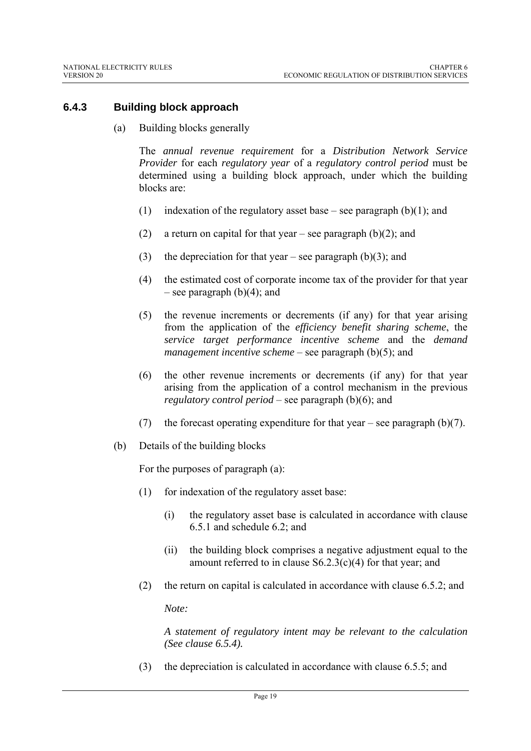# **6.4.3 Building block approach**

(a) Building blocks generally

The *annual revenue requirement* for a *Distribution Network Service Provider* for each *regulatory year* of a *regulatory control period* must be determined using a building block approach, under which the building blocks are:

- (1) indexation of the regulatory asset base see paragraph  $(b)(1)$ ; and
- (2) a return on capital for that year see paragraph  $(b)(2)$ ; and
- (3) the depreciation for that year see paragraph (b)(3); and
- (4) the estimated cost of corporate income tax of the provider for that year – see paragraph  $(b)(4)$ ; and
- (5) the revenue increments or decrements (if any) for that year arising from the application of the *efficiency benefit sharing scheme*, the *service target performance incentive scheme* and the *demand management incentive scheme* – see paragraph (b)(5); and
- (6) the other revenue increments or decrements (if any) for that year arising from the application of a control mechanism in the previous *regulatory control period* – see paragraph (b)(6); and
- (7) the forecast operating expenditure for that year see paragraph  $(b)(7)$ .
- (b) Details of the building blocks

For the purposes of paragraph (a):

- (1) for indexation of the regulatory asset base:
	- (i) the regulatory asset base is calculated in accordance with clause 6.5.1 and schedule 6.2; and
	- (ii) the building block comprises a negative adjustment equal to the amount referred to in clause S6.2.3(c)(4) for that year; and
- (2) the return on capital is calculated in accordance with clause 6.5.2; and

*Note:* 

*A statement of regulatory intent may be relevant to the calculation (See clause 6.5.4).* 

(3) the depreciation is calculated in accordance with clause 6.5.5; and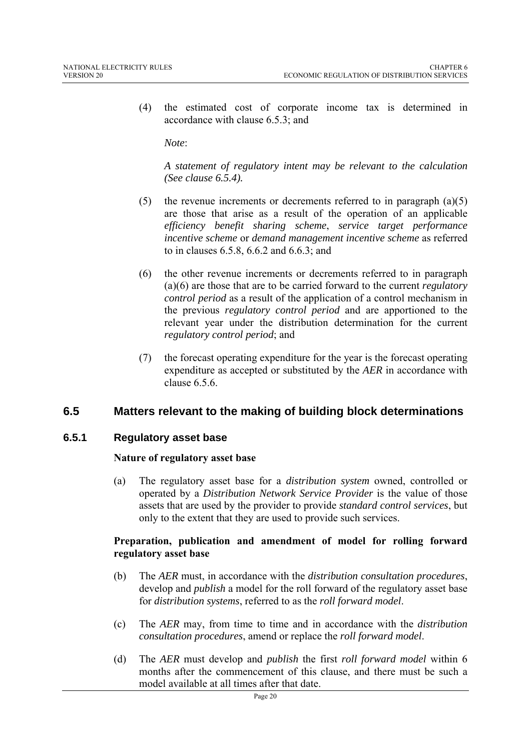(4) the estimated cost of corporate income tax is determined in accordance with clause 6.5.3; and

*Note*:

*A statement of regulatory intent may be relevant to the calculation (See clause 6.5.4).* 

- (5) the revenue increments or decrements referred to in paragraph (a)(5) are those that arise as a result of the operation of an applicable *efficiency benefit sharing scheme*, *service target performance incentive scheme* or *demand management incentive scheme* as referred to in clauses 6.5.8, 6.6.2 and 6.6.3; and
- (6) the other revenue increments or decrements referred to in paragraph (a)(6) are those that are to be carried forward to the current *regulatory control period* as a result of the application of a control mechanism in the previous *regulatory control period* and are apportioned to the relevant year under the distribution determination for the current *regulatory control period*; and
- (7) the forecast operating expenditure for the year is the forecast operating expenditure as accepted or substituted by the *AER* in accordance with clause  $6.5.6$

# **6.5 Matters relevant to the making of building block determinations**

#### **6.5.1 Regulatory asset base**

#### **Nature of regulatory asset base**

(a) The regulatory asset base for a *distribution system* owned, controlled or operated by a *Distribution Network Service Provider* is the value of those assets that are used by the provider to provide *standard control services*, but only to the extent that they are used to provide such services.

#### **Preparation, publication and amendment of model for rolling forward regulatory asset base**

- (b) The *AER* must, in accordance with the *distribution consultation procedures*, develop and *publish* a model for the roll forward of the regulatory asset base for *distribution systems*, referred to as the *roll forward model*.
- (c) The *AER* may, from time to time and in accordance with the *distribution consultation procedures*, amend or replace the *roll forward model*.
- (d) The *AER* must develop and *publish* the first *roll forward model* within 6 months after the commencement of this clause, and there must be such a model available at all times after that date.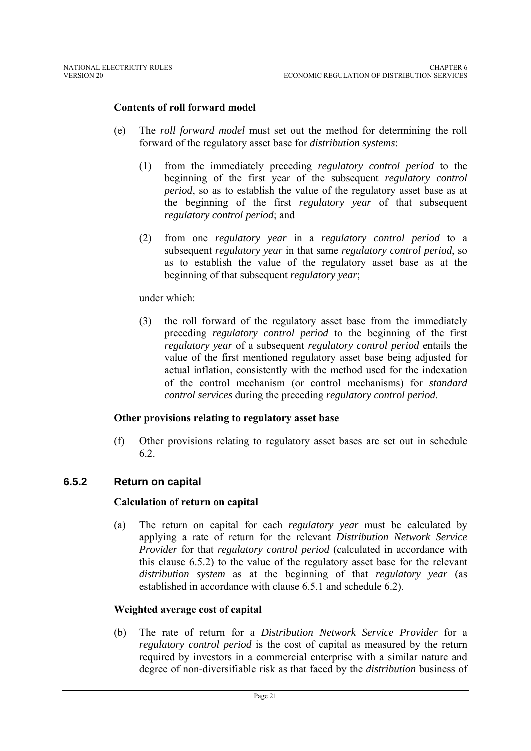#### **Contents of roll forward model**

- (e) The *roll forward model* must set out the method for determining the roll forward of the regulatory asset base for *distribution systems*:
	- (1) from the immediately preceding *regulatory control period* to the beginning of the first year of the subsequent *regulatory control period*, so as to establish the value of the regulatory asset base as at the beginning of the first *regulatory year* of that subsequent *regulatory control period*; and
	- (2) from one *regulatory year* in a *regulatory control period* to a subsequent *regulatory year* in that same *regulatory control period*, so as to establish the value of the regulatory asset base as at the beginning of that subsequent *regulatory year*;

#### under which:

(3) the roll forward of the regulatory asset base from the immediately preceding *regulatory control period* to the beginning of the first *regulatory year* of a subsequent *regulatory control period* entails the value of the first mentioned regulatory asset base being adjusted for actual inflation, consistently with the method used for the indexation of the control mechanism (or control mechanisms) for *standard control services* during the preceding *regulatory control period*.

#### **Other provisions relating to regulatory asset base**

(f) Other provisions relating to regulatory asset bases are set out in schedule 6.2.

#### **6.5.2 Return on capital**

#### **Calculation of return on capital**

(a) The return on capital for each *regulatory year* must be calculated by applying a rate of return for the relevant *Distribution Network Service Provider* for that *regulatory control period* (calculated in accordance with this clause 6.5.2) to the value of the regulatory asset base for the relevant *distribution system* as at the beginning of that *regulatory year* (as established in accordance with clause 6.5.1 and schedule 6.2).

#### **Weighted average cost of capital**

(b) The rate of return for a *Distribution Network Service Provider* for a *regulatory control period* is the cost of capital as measured by the return required by investors in a commercial enterprise with a similar nature and degree of non-diversifiable risk as that faced by the *distribution* business of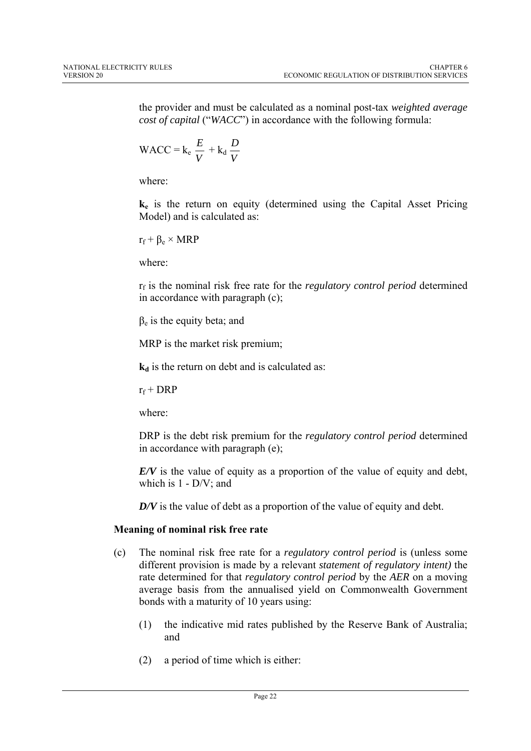the provider and must be calculated as a nominal post-tax *weighted average cost of capital* ("*WACC*") in accordance with the following formula:

WACC = 
$$
k_e \frac{E}{V} + k_d \frac{D}{V}
$$

where:

**ke** is the return on equity (determined using the Capital Asset Pricing Model) and is calculated as:

 $r_f + \beta_e \times MRP$ 

where:

rf is the nominal risk free rate for the *regulatory control period* determined in accordance with paragraph (c);

 $\beta_e$  is the equity beta; and

MRP is the market risk premium;

 $k_d$  is the return on debt and is calculated as:

 $r_f$  + DRP

where:

DRP is the debt risk premium for the *regulatory control period* determined in accordance with paragraph (e);

*E/V* is the value of equity as a proportion of the value of equity and debt, which is 1 - D/V; and

*D/V* is the value of debt as a proportion of the value of equity and debt.

# **Meaning of nominal risk free rate**

- (c) The nominal risk free rate for a *regulatory control period* is (unless some different provision is made by a relevant *statement of regulatory intent)* the rate determined for that *regulatory control period* by the *AER* on a moving average basis from the annualised yield on Commonwealth Government bonds with a maturity of 10 years using:
	- (1) the indicative mid rates published by the Reserve Bank of Australia; and
	- (2) a period of time which is either: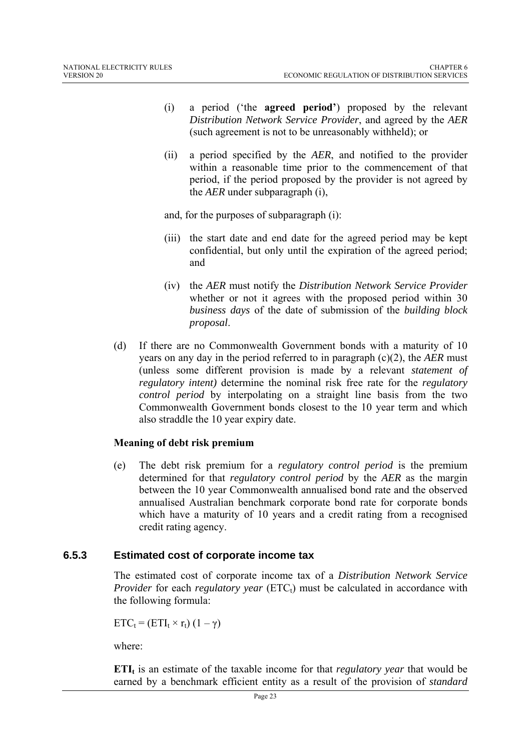- (i) a period ('the **agreed period'**) proposed by the relevant *Distribution Network Service Provider*, and agreed by the *AER*  (such agreement is not to be unreasonably withheld); or
- (ii) a period specified by the *AER*, and notified to the provider within a reasonable time prior to the commencement of that period, if the period proposed by the provider is not agreed by the *AER* under subparagraph (i),

and, for the purposes of subparagraph (i):

- (iii) the start date and end date for the agreed period may be kept confidential, but only until the expiration of the agreed period; and
- (iv) the *AER* must notify the *Distribution Network Service Provider*  whether or not it agrees with the proposed period within 30 *business days* of the date of submission of the *building block proposal*.
- (d) If there are no Commonwealth Government bonds with a maturity of 10 years on any day in the period referred to in paragraph (c)(2), the *AER* must (unless some different provision is made by a relevant *statement of regulatory intent)* determine the nominal risk free rate for the *regulatory control period* by interpolating on a straight line basis from the two Commonwealth Government bonds closest to the 10 year term and which also straddle the 10 year expiry date.

#### **Meaning of debt risk premium**

(e) The debt risk premium for a *regulatory control period* is the premium determined for that *regulatory control period* by the *AER* as the margin between the 10 year Commonwealth annualised bond rate and the observed annualised Australian benchmark corporate bond rate for corporate bonds which have a maturity of 10 years and a credit rating from a recognised credit rating agency.

# **6.5.3 Estimated cost of corporate income tax**

The estimated cost of corporate income tax of a *Distribution Network Service Provider* for each *regulatory year* (ETC<sub>t</sub>) must be calculated in accordance with the following formula:

 $ETC_t = (ETI_t \times r_t) (1 - \gamma)$ 

where:

**ETI**<sub>t</sub> is an estimate of the taxable income for that *regulatory year* that would be earned by a benchmark efficient entity as a result of the provision of *standard*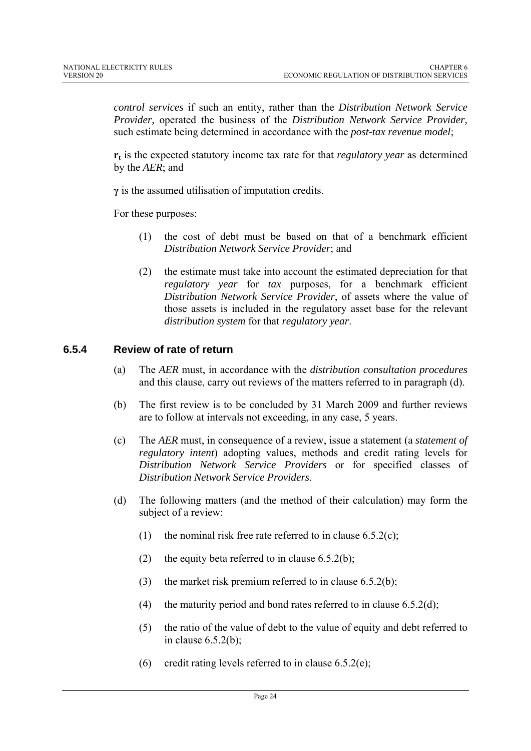*control services* if such an entity, rather than the *Distribution Network Service Provider,* operated the business of the *Distribution Network Service Provider,*  such estimate being determined in accordance with the *post-tax revenue model*;

 $r_t$  is the expected statutory income tax rate for that *regulatory year* as determined by the *AER*; and

**γ** is the assumed utilisation of imputation credits.

For these purposes:

- (1) the cost of debt must be based on that of a benchmark efficient *Distribution Network Service Provider*; and
- (2) the estimate must take into account the estimated depreciation for that *regulatory year* for *tax* purposes, for a benchmark efficient *Distribution Network Service Provider*, of assets where the value of those assets is included in the regulatory asset base for the relevant *distribution system* for that *regulatory year*.

#### **6.5.4 Review of rate of return**

- (a) The *AER* must, in accordance with the *distribution consultation procedures* and this clause, carry out reviews of the matters referred to in paragraph (d).
- (b) The first review is to be concluded by 31 March 2009 and further reviews are to follow at intervals not exceeding, in any case, 5 years.
- (c) The *AER* must, in consequence of a review, issue a statement (a *statement of regulatory intent*) adopting values, methods and credit rating levels for *Distribution Network Service Providers* or for specified classes of *Distribution Network Service Providers*.
- (d) The following matters (and the method of their calculation) may form the subject of a review:
	- (1) the nominal risk free rate referred to in clause  $6.5.2(c)$ ;
	- (2) the equity beta referred to in clause  $6.5.2(b)$ ;
	- (3) the market risk premium referred to in clause  $6.5.2(b)$ ;
	- (4) the maturity period and bond rates referred to in clause  $6.5.2(d)$ ;
	- (5) the ratio of the value of debt to the value of equity and debt referred to in clause 6.5.2(b);
	- (6) credit rating levels referred to in clause  $6.5.2(e)$ ;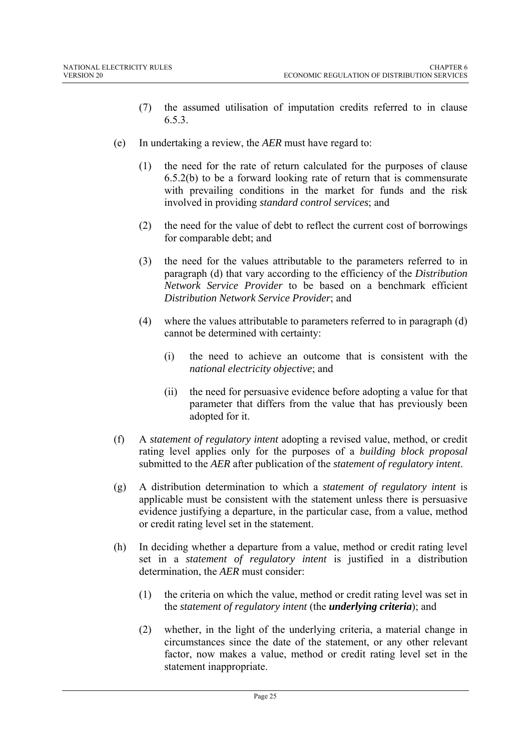- (7) the assumed utilisation of imputation credits referred to in clause 6.5.3.
- (e) In undertaking a review, the *AER* must have regard to:
	- (1) the need for the rate of return calculated for the purposes of clause 6.5.2(b) to be a forward looking rate of return that is commensurate with prevailing conditions in the market for funds and the risk involved in providing *standard control services*; and
	- (2) the need for the value of debt to reflect the current cost of borrowings for comparable debt; and
	- (3) the need for the values attributable to the parameters referred to in paragraph (d) that vary according to the efficiency of the *Distribution Network Service Provider* to be based on a benchmark efficient *Distribution Network Service Provider*; and
	- (4) where the values attributable to parameters referred to in paragraph (d) cannot be determined with certainty:
		- (i) the need to achieve an outcome that is consistent with the *national electricity objective*; and
		- (ii) the need for persuasive evidence before adopting a value for that parameter that differs from the value that has previously been adopted for it.
- (f) A *statement of regulatory intent* adopting a revised value, method, or credit rating level applies only for the purposes of a *building block proposal* submitted to the *AER* after publication of the *statement of regulatory intent*.
- (g) A distribution determination to which a *statement of regulatory intent* is applicable must be consistent with the statement unless there is persuasive evidence justifying a departure, in the particular case, from a value, method or credit rating level set in the statement.
- (h) In deciding whether a departure from a value, method or credit rating level set in a *statement of regulatory intent* is justified in a distribution determination, the *AER* must consider:
	- (1) the criteria on which the value, method or credit rating level was set in the *statement of regulatory intent* (the *underlying criteria*); and
	- (2) whether, in the light of the underlying criteria, a material change in circumstances since the date of the statement, or any other relevant factor, now makes a value, method or credit rating level set in the statement inappropriate.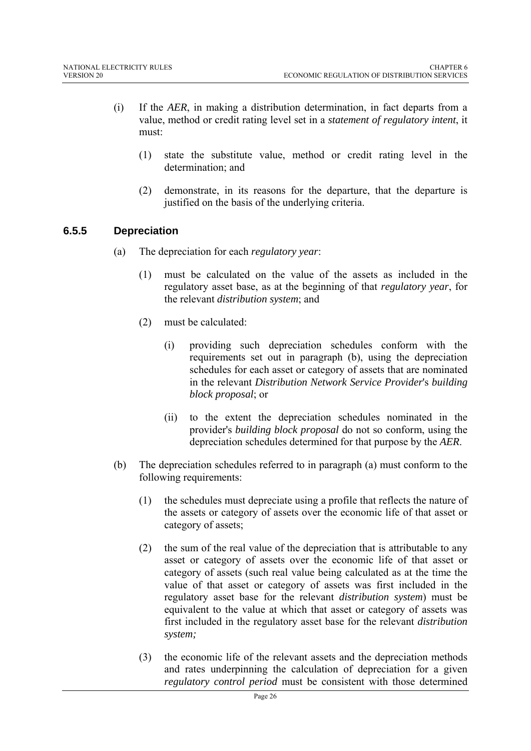- (i) If the *AER*, in making a distribution determination, in fact departs from a value, method or credit rating level set in a *statement of regulatory intent*, it must:
	- (1) state the substitute value, method or credit rating level in the determination; and
	- (2) demonstrate, in its reasons for the departure, that the departure is justified on the basis of the underlying criteria.

# **6.5.5 Depreciation**

- (a) The depreciation for each *regulatory year*:
	- (1) must be calculated on the value of the assets as included in the regulatory asset base, as at the beginning of that *regulatory year*, for the relevant *distribution system*; and
	- (2) must be calculated:
		- (i) providing such depreciation schedules conform with the requirements set out in paragraph (b), using the depreciation schedules for each asset or category of assets that are nominated in the relevant *Distribution Network Service Provider*'s *building block proposal*; or
		- (ii) to the extent the depreciation schedules nominated in the provider's *building block proposal* do not so conform, using the depreciation schedules determined for that purpose by the *AER*.
- (b) The depreciation schedules referred to in paragraph (a) must conform to the following requirements:
	- (1) the schedules must depreciate using a profile that reflects the nature of the assets or category of assets over the economic life of that asset or category of assets;
	- (2) the sum of the real value of the depreciation that is attributable to any asset or category of assets over the economic life of that asset or category of assets (such real value being calculated as at the time the value of that asset or category of assets was first included in the regulatory asset base for the relevant *distribution system*) must be equivalent to the value at which that asset or category of assets was first included in the regulatory asset base for the relevant *distribution system;*
	- (3) the economic life of the relevant assets and the depreciation methods and rates underpinning the calculation of depreciation for a given *regulatory control period* must be consistent with those determined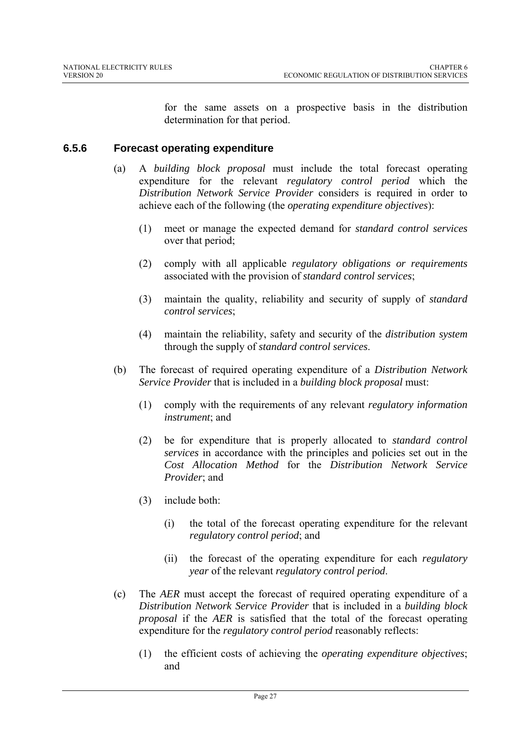for the same assets on a prospective basis in the distribution determination for that period.

# **6.5.6 Forecast operating expenditure**

- (a) A *building block proposal* must include the total forecast operating expenditure for the relevant *regulatory control period* which the *Distribution Network Service Provider* considers is required in order to achieve each of the following (the *operating expenditure objectives*):
	- (1) meet or manage the expected demand for *standard control services* over that period;
	- (2) comply with all applicable *regulatory obligations or requirements* associated with the provision of *standard control services*;
	- (3) maintain the quality, reliability and security of supply of *standard control services*;
	- (4) maintain the reliability, safety and security of the *distribution system* through the supply of *standard control services*.
- (b) The forecast of required operating expenditure of a *Distribution Network Service Provider* that is included in a *building block proposal* must:
	- (1) comply with the requirements of any relevant *regulatory information instrument*; and
	- (2) be for expenditure that is properly allocated to *standard control services* in accordance with the principles and policies set out in the *Cost Allocation Method* for the *Distribution Network Service Provider*; and
	- (3) include both:
		- (i) the total of the forecast operating expenditure for the relevant *regulatory control period*; and
		- (ii) the forecast of the operating expenditure for each *regulatory year* of the relevant *regulatory control period*.
- (c) The *AER* must accept the forecast of required operating expenditure of a *Distribution Network Service Provider* that is included in a *building block proposal* if the *AER* is satisfied that the total of the forecast operating expenditure for the *regulatory control period* reasonably reflects:
	- (1) the efficient costs of achieving the *operating expenditure objectives*; and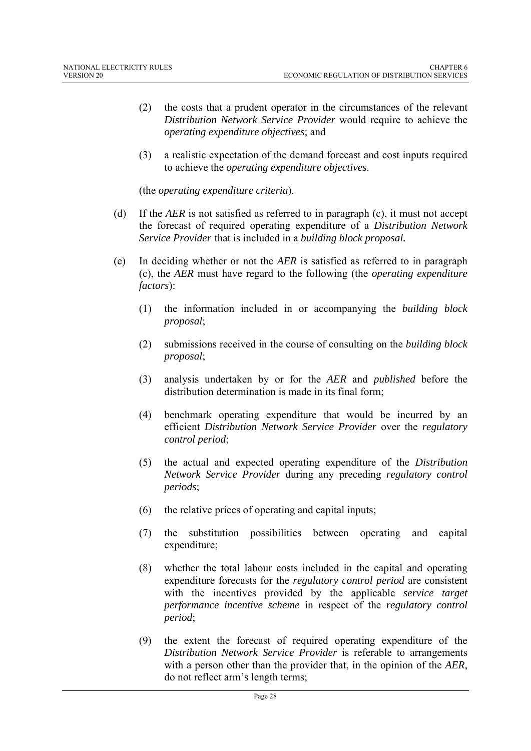- (2) the costs that a prudent operator in the circumstances of the relevant *Distribution Network Service Provider* would require to achieve the *operating expenditure objectives*; and
- (3) a realistic expectation of the demand forecast and cost inputs required to achieve the *operating expenditure objectives*.

(the *operating expenditure criteria*).

- (d) If the *AER* is not satisfied as referred to in paragraph (c), it must not accept the forecast of required operating expenditure of a *Distribution Network Service Provider* that is included in a *building block proposal.*
- (e) In deciding whether or not the *AER* is satisfied as referred to in paragraph (c), the *AER* must have regard to the following (the *operating expenditure factors*):
	- (1) the information included in or accompanying the *building block proposal*;
	- (2) submissions received in the course of consulting on the *building block proposal*;
	- (3) analysis undertaken by or for the *AER* and *published* before the distribution determination is made in its final form;
	- (4) benchmark operating expenditure that would be incurred by an efficient *Distribution Network Service Provider* over the *regulatory control period*;
	- (5) the actual and expected operating expenditure of the *Distribution Network Service Provider* during any preceding *regulatory control periods*;
	- (6) the relative prices of operating and capital inputs;
	- (7) the substitution possibilities between operating and capital expenditure;
	- (8) whether the total labour costs included in the capital and operating expenditure forecasts for the *regulatory control period* are consistent with the incentives provided by the applicable *service target performance incentive scheme* in respect of the *regulatory control period*;
	- (9) the extent the forecast of required operating expenditure of the *Distribution Network Service Provider* is referable to arrangements with a person other than the provider that, in the opinion of the *AER*, do not reflect arm's length terms;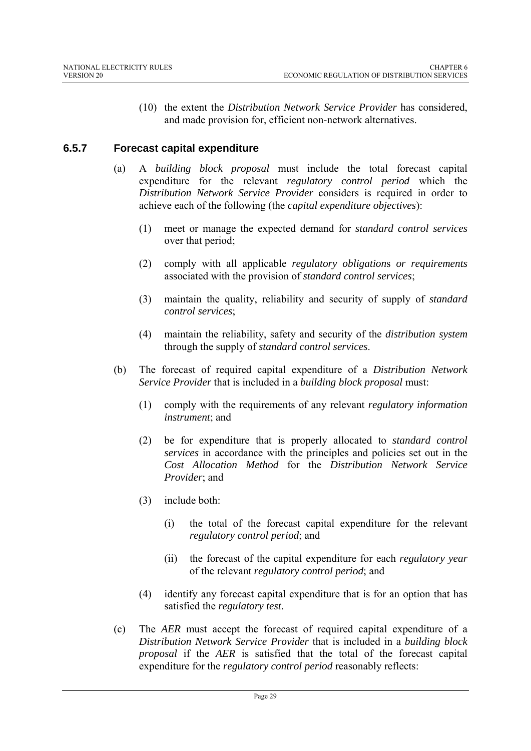(10) the extent the *Distribution Network Service Provider* has considered, and made provision for, efficient non-network alternatives.

# **6.5.7 Forecast capital expenditure**

- (a) A *building block proposal* must include the total forecast capital expenditure for the relevant *regulatory control period* which the *Distribution Network Service Provider* considers is required in order to achieve each of the following (the *capital expenditure objectives*):
	- (1) meet or manage the expected demand for *standard control services* over that period;
	- (2) comply with all applicable *regulatory obligation*s *or requirements* associated with the provision of *standard control services*;
	- (3) maintain the quality, reliability and security of supply of *standard control services*;
	- (4) maintain the reliability, safety and security of the *distribution system* through the supply of *standard control services*.
- (b) The forecast of required capital expenditure of a *Distribution Network Service Provider* that is included in a *building block proposal* must:
	- (1) comply with the requirements of any relevant *regulatory information instrument*; and
	- (2) be for expenditure that is properly allocated to *standard control services* in accordance with the principles and policies set out in the *Cost Allocation Method* for the *Distribution Network Service Provider*; and
	- (3) include both:
		- (i) the total of the forecast capital expenditure for the relevant *regulatory control period*; and
		- (ii) the forecast of the capital expenditure for each *regulatory year* of the relevant *regulatory control period*; and
	- (4) identify any forecast capital expenditure that is for an option that has satisfied the *regulatory test*.
- (c) The *AER* must accept the forecast of required capital expenditure of a *Distribution Network Service Provider* that is included in a *building block proposal* if the *AER* is satisfied that the total of the forecast capital expenditure for the *regulatory control period* reasonably reflects: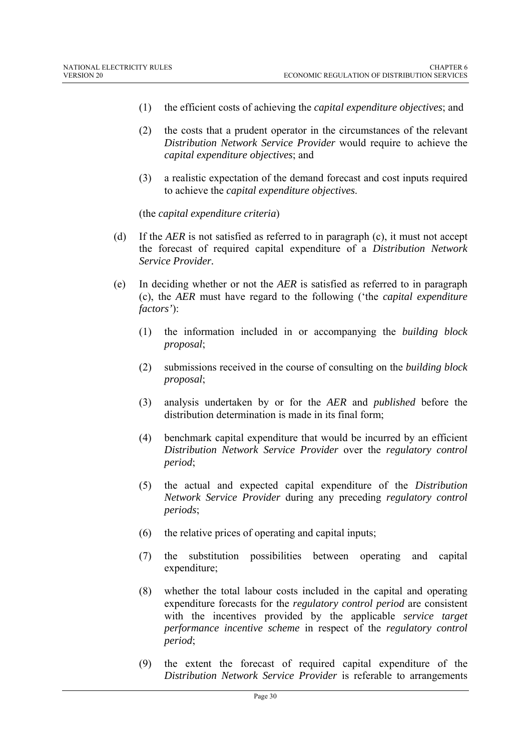- (1) the efficient costs of achieving the *capital expenditure objectives*; and
- (2) the costs that a prudent operator in the circumstances of the relevant *Distribution Network Service Provider* would require to achieve the *capital expenditure objectives*; and
- (3) a realistic expectation of the demand forecast and cost inputs required to achieve the *capital expenditure objectives*.

(the *capital expenditure criteria*)

- (d) If the *AER* is not satisfied as referred to in paragraph (c), it must not accept the forecast of required capital expenditure of a *Distribution Network Service Provider.*
- (e) In deciding whether or not the *AER* is satisfied as referred to in paragraph (c), the *AER* must have regard to the following ('the *capital expenditure factors'*):
	- (1) the information included in or accompanying the *building block proposal*;
	- (2) submissions received in the course of consulting on the *building block proposal*;
	- (3) analysis undertaken by or for the *AER* and *published* before the distribution determination is made in its final form;
	- (4) benchmark capital expenditure that would be incurred by an efficient *Distribution Network Service Provider* over the *regulatory control period*;
	- (5) the actual and expected capital expenditure of the *Distribution Network Service Provider* during any preceding *regulatory control periods*;
	- (6) the relative prices of operating and capital inputs;
	- (7) the substitution possibilities between operating and capital expenditure;
	- (8) whether the total labour costs included in the capital and operating expenditure forecasts for the *regulatory control period* are consistent with the incentives provided by the applicable *service target performance incentive scheme* in respect of the *regulatory control period*;
	- (9) the extent the forecast of required capital expenditure of the *Distribution Network Service Provider* is referable to arrangements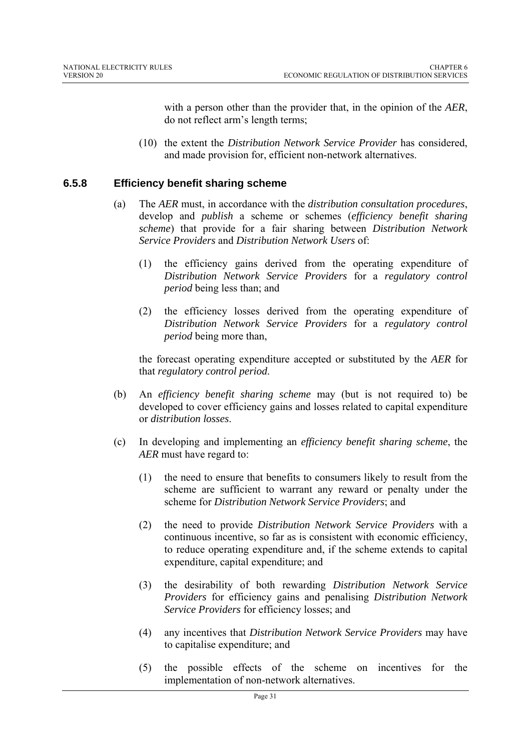with a person other than the provider that, in the opinion of the *AER*, do not reflect arm's length terms;

(10) the extent the *Distribution Network Service Provider* has considered, and made provision for, efficient non-network alternatives.

#### **6.5.8 Efficiency benefit sharing scheme**

- (a) The *AER* must, in accordance with the *distribution consultation procedures*, develop and *publish* a scheme or schemes (*efficiency benefit sharing scheme*) that provide for a fair sharing between *Distribution Network Service Providers* and *Distribution Network Users* of:
	- (1) the efficiency gains derived from the operating expenditure of *Distribution Network Service Providers* for a *regulatory control period* being less than; and
	- (2) the efficiency losses derived from the operating expenditure of *Distribution Network Service Providers* for a *regulatory control period* being more than,

the forecast operating expenditure accepted or substituted by the *AER* for that *regulatory control period*.

- (b) An *efficiency benefit sharing scheme* may (but is not required to) be developed to cover efficiency gains and losses related to capital expenditure or *distribution losses*.
- (c) In developing and implementing an *efficiency benefit sharing scheme*, the *AER* must have regard to:
	- (1) the need to ensure that benefits to consumers likely to result from the scheme are sufficient to warrant any reward or penalty under the scheme for *Distribution Network Service Providers*; and
	- (2) the need to provide *Distribution Network Service Providers* with a continuous incentive, so far as is consistent with economic efficiency, to reduce operating expenditure and, if the scheme extends to capital expenditure, capital expenditure; and
	- (3) the desirability of both rewarding *Distribution Network Service Providers* for efficiency gains and penalising *Distribution Network Service Providers* for efficiency losses; and
	- (4) any incentives that *Distribution Network Service Providers* may have to capitalise expenditure; and
	- (5) the possible effects of the scheme on incentives for the implementation of non-network alternatives.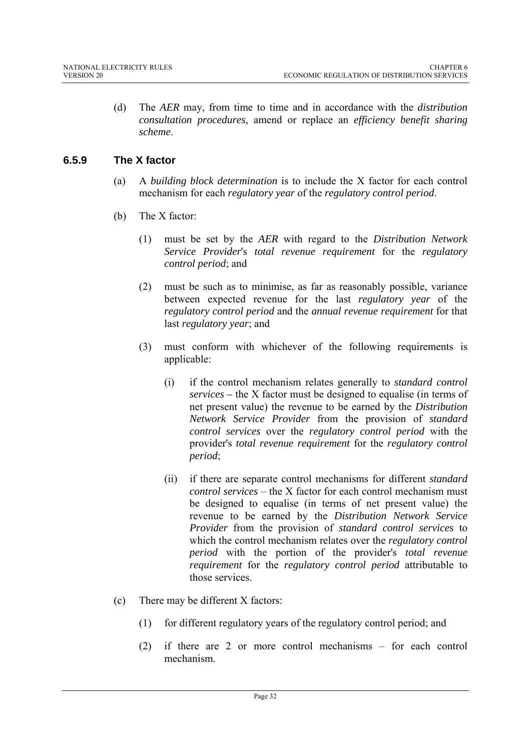(d) The *AER* may, from time to time and in accordance with the *distribution consultation procedures*, amend or replace an *efficiency benefit sharing scheme*.

# **6.5.9 The X factor**

- (a) A *building block determination* is to include the X factor for each control mechanism for each *regulatory year* of the *regulatory control period*.
- (b) The X factor:
	- (1) must be set by the *AER* with regard to the *Distribution Network Service Provider*'s *total revenue requirement* for the *regulatory control period*; and
	- (2) must be such as to minimise, as far as reasonably possible, variance between expected revenue for the last *regulatory year* of the *regulatory control period* and the *annual revenue requirement* for that last *regulatory year*; and
	- (3) must conform with whichever of the following requirements is applicable:
		- (i) if the control mechanism relates generally to *standard control services –* the X factor must be designed to equalise (in terms of net present value) the revenue to be earned by the *Distribution Network Service Provider* from the provision of *standard control services* over the *regulatory control period* with the provider's *total revenue requirement* for the *regulatory control period*;
		- (ii) if there are separate control mechanisms for different *standard control services* – the X factor for each control mechanism must be designed to equalise (in terms of net present value) the revenue to be earned by the *Distribution Network Service Provider* from the provision of *standard control services* to which the control mechanism relates over the *regulatory control period* with the portion of the provider's *total revenue requirement* for the *regulatory control period* attributable to those services.
- (c) There may be different X factors:
	- (1) for different regulatory years of the regulatory control period; and
	- (2) if there are 2 or more control mechanisms for each control mechanism.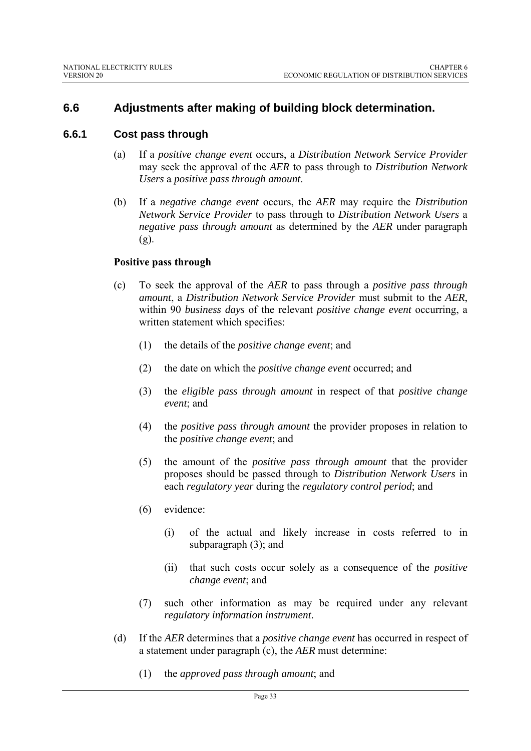# **6.6 Adjustments after making of building block determination.**

#### **6.6.1 Cost pass through**

- (a) If a *positive change event* occurs, a *Distribution Network Service Provider* may seek the approval of the *AER* to pass through to *Distribution Network Users* a *positive pass through amount*.
- (b) If a *negative change event* occurs, the *AER* may require the *Distribution Network Service Provider* to pass through to *Distribution Network Users* a *negative pass through amount* as determined by the *AER* under paragraph  $(g)$ .

#### **Positive pass through**

- (c) To seek the approval of the *AER* to pass through a *positive pass through amount*, a *Distribution Network Service Provider* must submit to the *AER*, within 90 *business days* of the relevant *positive change event* occurring, a written statement which specifies:
	- (1) the details of the *positive change event*; and
	- (2) the date on which the *positive change event* occurred; and
	- (3) the *eligible pass through amount* in respect of that *positive change event*; and
	- (4) the *positive pass through amount* the provider proposes in relation to the *positive change event*; and
	- (5) the amount of the *positive pass through amount* that the provider proposes should be passed through to *Distribution Network Users* in each *regulatory year* during the *regulatory control period*; and
	- (6) evidence:
		- (i) of the actual and likely increase in costs referred to in subparagraph (3); and
		- (ii) that such costs occur solely as a consequence of the *positive change event*; and
	- (7) such other information as may be required under any relevant *regulatory information instrument*.
- (d) If the *AER* determines that a *positive change event* has occurred in respect of a statement under paragraph (c), the *AER* must determine:
	- (1) the *approved pass through amount*; and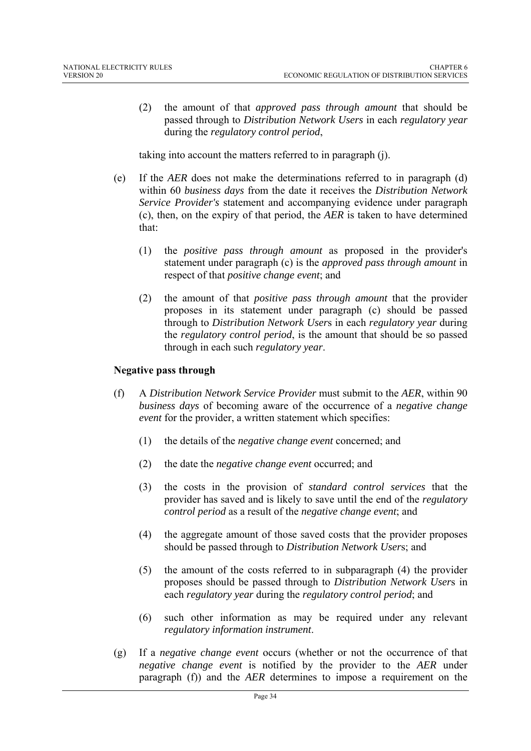(2) the amount of that *approved pass through amount* that should be passed through to *Distribution Network Users* in each *regulatory year* during the *regulatory control period*,

taking into account the matters referred to in paragraph (j).

- (e) If the *AER* does not make the determinations referred to in paragraph (d) within 60 *business days* from the date it receives the *Distribution Network Service Provider's* statement and accompanying evidence under paragraph (c), then, on the expiry of that period, the *AER* is taken to have determined that:
	- (1) the *positive pass through amount* as proposed in the provider's statement under paragraph (c) is the *approved pass through amount* in respect of that *positive change event*; and
	- (2) the amount of that *positive pass through amount* that the provider proposes in its statement under paragraph (c) should be passed through to *Distribution Network User*s in each *regulatory year* during the *regulatory control period*, is the amount that should be so passed through in each such *regulatory year*.

#### **Negative pass through**

- (f) A *Distribution Network Service Provider* must submit to the *AER*, within 90 *business days* of becoming aware of the occurrence of a *negative change event* for the provider, a written statement which specifies:
	- (1) the details of the *negative change event* concerned; and
	- (2) the date the *negative change event* occurred; and
	- (3) the costs in the provision of *standard control services* that the provider has saved and is likely to save until the end of the *regulatory control period* as a result of the *negative change event*; and
	- (4) the aggregate amount of those saved costs that the provider proposes should be passed through to *Distribution Network User*s; and
	- (5) the amount of the costs referred to in subparagraph (4) the provider proposes should be passed through to *Distribution Network User*s in each *regulatory year* during the *regulatory control period*; and
	- (6) such other information as may be required under any relevant *regulatory information instrument*.
- (g) If a *negative change event* occurs (whether or not the occurrence of that *negative change event* is notified by the provider to the *AER* under paragraph (f)) and the *AER* determines to impose a requirement on the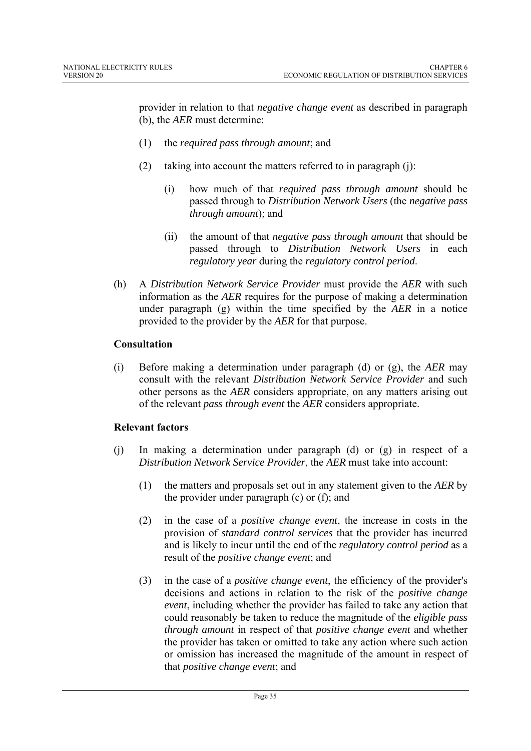provider in relation to that *negative change event* as described in paragraph (b), the *AER* must determine:

- (1) the *required pass through amount*; and
- (2) taking into account the matters referred to in paragraph (j):
	- (i) how much of that *required pass through amount* should be passed through to *Distribution Network Users* (the *negative pass through amount*); and
	- (ii) the amount of that *negative pass through amount* that should be passed through to *Distribution Network Users* in each *regulatory year* during the *regulatory control period*.
- (h) A *Distribution Network Service Provider* must provide the *AER* with such information as the *AER* requires for the purpose of making a determination under paragraph (g) within the time specified by the *AER* in a notice provided to the provider by the *AER* for that purpose.

#### **Consultation**

(i) Before making a determination under paragraph (d) or (g), the *AER* may consult with the relevant *Distribution Network Service Provider* and such other persons as the *AER* considers appropriate, on any matters arising out of the relevant *pass through event* the *AER* considers appropriate.

#### **Relevant factors**

- (j) In making a determination under paragraph (d) or (g) in respect of a *Distribution Network Service Provider*, the *AER* must take into account:
	- (1) the matters and proposals set out in any statement given to the *AER* by the provider under paragraph (c) or (f); and
	- (2) in the case of a *positive change event*, the increase in costs in the provision of *standard control services* that the provider has incurred and is likely to incur until the end of the *regulatory control period* as a result of the *positive change event*; and
	- (3) in the case of a *positive change event*, the efficiency of the provider's decisions and actions in relation to the risk of the *positive change event*, including whether the provider has failed to take any action that could reasonably be taken to reduce the magnitude of the *eligible pass through amount* in respect of that *positive change event* and whether the provider has taken or omitted to take any action where such action or omission has increased the magnitude of the amount in respect of that *positive change event*; and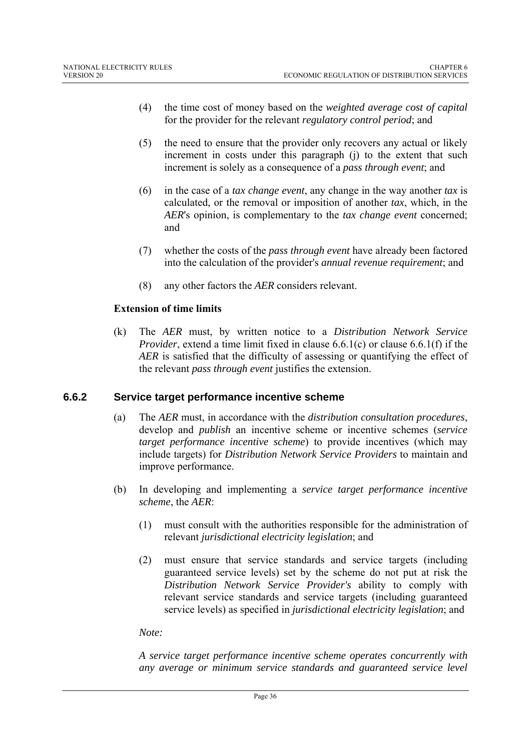- (4) the time cost of money based on the *weighted average cost of capital* for the provider for the relevant *regulatory control period*; and
- (5) the need to ensure that the provider only recovers any actual or likely increment in costs under this paragraph (j) to the extent that such increment is solely as a consequence of a *pass through event*; and
- (6) in the case of a *tax change event*, any change in the way another *tax* is calculated, or the removal or imposition of another *tax*, which, in the *AER*'s opinion, is complementary to the *tax change event* concerned; and
- (7) whether the costs of the *pass through event* have already been factored into the calculation of the provider's *annual revenue requirement*; and
- (8) any other factors the *AER* considers relevant.

#### **Extension of time limits**

(k) The *AER* must, by written notice to a *Distribution Network Service Provider*, extend a time limit fixed in clause 6.6.1(c) or clause 6.6.1(f) if the *AER* is satisfied that the difficulty of assessing or quantifying the effect of the relevant *pass through event* justifies the extension.

#### **6.6.2 Service target performance incentive scheme**

- (a) The *AER* must, in accordance with the *distribution consultation procedures*, develop and *publish* an incentive scheme or incentive schemes (*service target performance incentive scheme*) to provide incentives (which may include targets) for *Distribution Network Service Providers* to maintain and improve performance.
- (b) In developing and implementing a *service target performance incentive scheme*, the *AER*:
	- (1) must consult with the authorities responsible for the administration of relevant *jurisdictional electricity legislation*; and
	- (2) must ensure that service standards and service targets (including guaranteed service levels) set by the scheme do not put at risk the *Distribution Network Service Provider's* ability to comply with relevant service standards and service targets (including guaranteed service levels) as specified in *jurisdictional electricity legislation*; and

#### *Note:*

*A service target performance incentive scheme operates concurrently with any average or minimum service standards and guaranteed service level*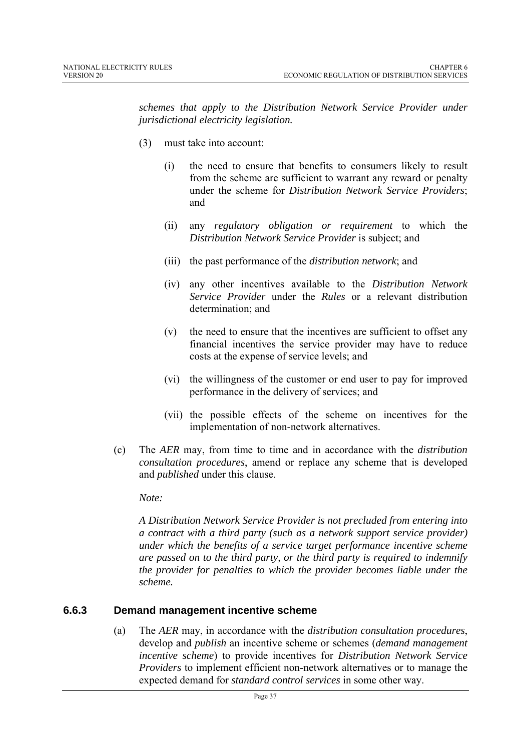*schemes that apply to the Distribution Network Service Provider under jurisdictional electricity legislation.* 

- (3) must take into account:
	- (i) the need to ensure that benefits to consumers likely to result from the scheme are sufficient to warrant any reward or penalty under the scheme for *Distribution Network Service Providers*; and
	- (ii) any *regulatory obligation or requirement* to which the *Distribution Network Service Provider* is subject; and
	- (iii) the past performance of the *distribution network*; and
	- (iv) any other incentives available to the *Distribution Network Service Provider* under the *Rules* or a relevant distribution determination; and
	- (v) the need to ensure that the incentives are sufficient to offset any financial incentives the service provider may have to reduce costs at the expense of service levels; and
	- (vi) the willingness of the customer or end user to pay for improved performance in the delivery of services; and
	- (vii) the possible effects of the scheme on incentives for the implementation of non-network alternatives.
- (c) The *AER* may, from time to time and in accordance with the *distribution consultation procedures*, amend or replace any scheme that is developed and *published* under this clause.

*Note:* 

*A Distribution Network Service Provider is not precluded from entering into a contract with a third party (such as a network support service provider) under which the benefits of a service target performance incentive scheme are passed on to the third party, or the third party is required to indemnify the provider for penalties to which the provider becomes liable under the scheme.*

## **6.6.3 Demand management incentive scheme**

(a) The *AER* may, in accordance with the *distribution consultation procedures*, develop and *publish* an incentive scheme or schemes (*demand management incentive scheme*) to provide incentives for *Distribution Network Service Providers* to implement efficient non-network alternatives or to manage the expected demand for *standard control services* in some other way.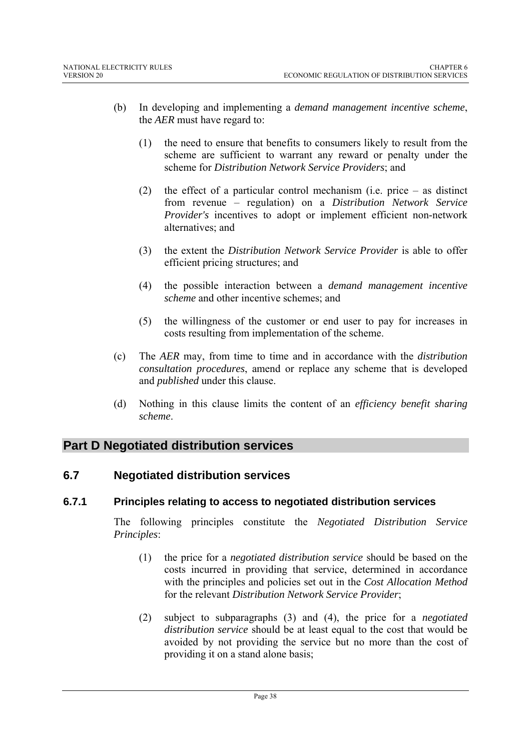- (b) In developing and implementing a *demand management incentive scheme*, the *AER* must have regard to:
	- (1) the need to ensure that benefits to consumers likely to result from the scheme are sufficient to warrant any reward or penalty under the scheme for *Distribution Network Service Providers*; and
	- (2) the effect of a particular control mechanism (i.e. price as distinct from revenue – regulation) on a *Distribution Network Service Provider's* incentives to adopt or implement efficient non-network alternatives; and
	- (3) the extent the *Distribution Network Service Provider* is able to offer efficient pricing structures; and
	- (4) the possible interaction between a *demand management incentive scheme* and other incentive schemes; and
	- (5) the willingness of the customer or end user to pay for increases in costs resulting from implementation of the scheme.
- (c) The *AER* may, from time to time and in accordance with the *distribution consultation procedures*, amend or replace any scheme that is developed and *published* under this clause.
- (d) Nothing in this clause limits the content of an *efficiency benefit sharing scheme*.

# **Part D Negotiated distribution services**

## **6.7 Negotiated distribution services**

## **6.7.1 Principles relating to access to negotiated distribution services**

The following principles constitute the *Negotiated Distribution Service Principles*:

- (1) the price for a *negotiated distribution service* should be based on the costs incurred in providing that service, determined in accordance with the principles and policies set out in the *Cost Allocation Method* for the relevant *Distribution Network Service Provider*;
- (2) subject to subparagraphs (3) and (4), the price for a *negotiated distribution service* should be at least equal to the cost that would be avoided by not providing the service but no more than the cost of providing it on a stand alone basis;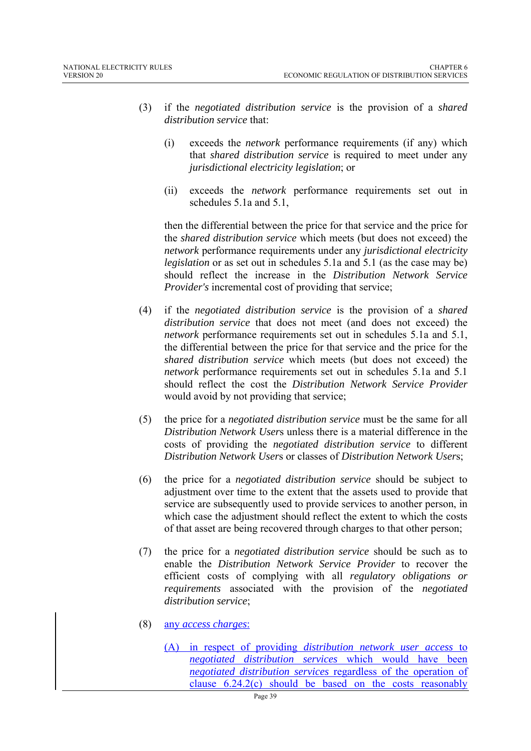- (3) if the *negotiated distribution service* is the provision of a *shared distribution service* that:
	- (i) exceeds the *network* performance requirements (if any) which that *shared distribution service* is required to meet under any *jurisdictional electricity legislation*; or
	- (ii) exceeds the *network* performance requirements set out in schedules 5.1a and 5.1

then the differential between the price for that service and the price for the *shared distribution service* which meets (but does not exceed) the *network* performance requirements under any *jurisdictional electricity legislation* or as set out in schedules 5.1a and 5.1 (as the case may be) should reflect the increase in the *Distribution Network Service Provider's* incremental cost of providing that service;

- (4) if the *negotiated distribution service* is the provision of a *shared distribution service* that does not meet (and does not exceed) the *network* performance requirements set out in schedules 5.1a and 5.1, the differential between the price for that service and the price for the *shared distribution service* which meets (but does not exceed) the *network* performance requirements set out in schedules 5.1a and 5.1 should reflect the cost the *Distribution Network Service Provider* would avoid by not providing that service;
- (5) the price for a *negotiated distribution service* must be the same for all *Distribution Network User*s unless there is a material difference in the costs of providing the *negotiated distribution service* to different *Distribution Network User*s or classes of *Distribution Network User*s;
- (6) the price for a *negotiated distribution service* should be subject to adjustment over time to the extent that the assets used to provide that service are subsequently used to provide services to another person, in which case the adjustment should reflect the extent to which the costs of that asset are being recovered through charges to that other person;
- (7) the price for a *negotiated distribution service* should be such as to enable the *Distribution Network Service Provider* to recover the efficient costs of complying with all *regulatory obligations or requirements* associated with the provision of the *negotiated distribution service*;
- (8) any *access charges*:
	- (A) in respect of providing *distribution network user access* to *negotiated distribution services* which would have been *negotiated distribution services* regardless of the operation of clause 6.24.2(c) should be based on the costs reasonably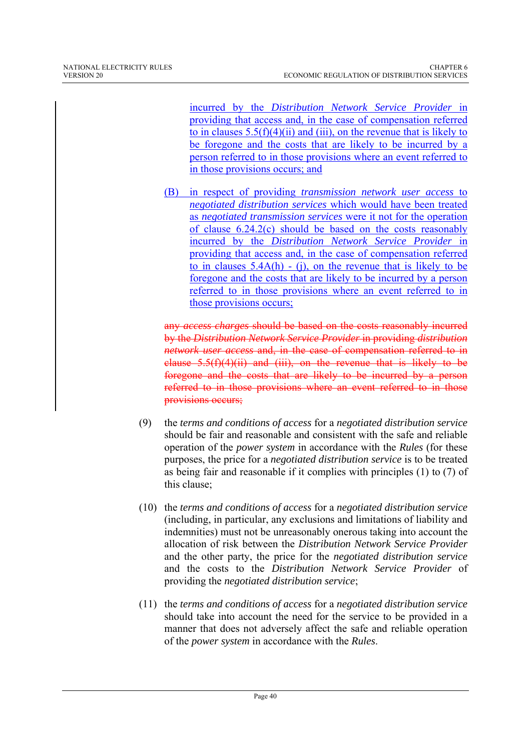incurred by the *Distribution Network Service Provider* in providing that access and, in the case of compensation referred to in clauses  $5.5(f)(4)(ii)$  and (iii), on the revenue that is likely to be foregone and the costs that are likely to be incurred by a person referred to in those provisions where an event referred to in those provisions occurs; and

(B) in respect of providing *transmission network user access* to *negotiated distribution services* which would have been treated as *negotiated transmission services* were it not for the operation of clause 6.24.2(c) should be based on the costs reasonably incurred by the *Distribution Network Service Provider* in providing that access and, in the case of compensation referred to in clauses  $5.4A(h)$  - (j), on the revenue that is likely to be foregone and the costs that are likely to be incurred by a person referred to in those provisions where an event referred to in those provisions occurs;

any *access charges* should be based on the costs reasonably incurred by the *Distribution Network Service Provider* in providing *distribution network user access* and, in the case of compensation referred to in clause  $5.5(f)(4)(ii)$  and (iii), on the revenue that is likely to be foregone and the costs that are likely to be incurred by a person referred to in those provisions where an event referred to in those provisions occurs;

- (9) the *terms and conditions of access* for a *negotiated distribution service* should be fair and reasonable and consistent with the safe and reliable operation of the *power system* in accordance with the *Rules* (for these purposes, the price for a *negotiated distribution service* is to be treated as being fair and reasonable if it complies with principles (1) to (7) of this clause;
- (10) the *terms and conditions of access* for a *negotiated distribution service* (including, in particular, any exclusions and limitations of liability and indemnities) must not be unreasonably onerous taking into account the allocation of risk between the *Distribution Network Service Provider* and the other party, the price for the *negotiated distribution service* and the costs to the *Distribution Network Service Provider* of providing the *negotiated distribution service*;
- (11) the *terms and conditions of access* for a *negotiated distribution service* should take into account the need for the service to be provided in a manner that does not adversely affect the safe and reliable operation of the *power system* in accordance with the *Rules*.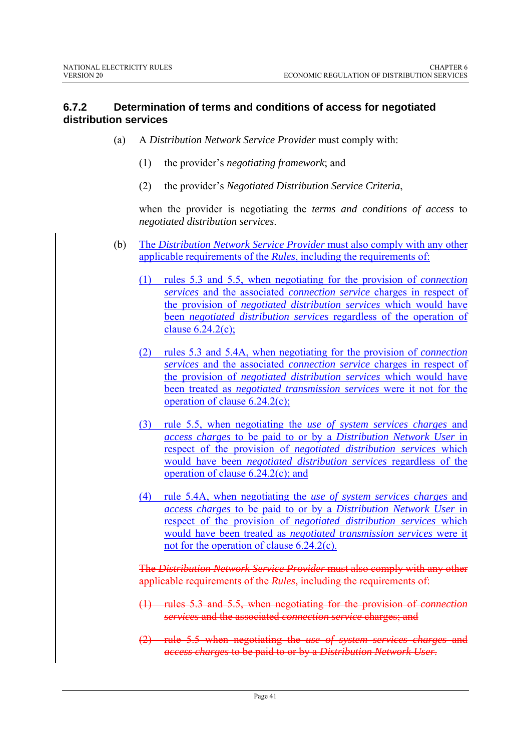### **6.7.2 Determination of terms and conditions of access for negotiated distribution services**

- (a) A *Distribution Network Service Provider* must comply with:
	- (1) the provider's *negotiating framework*; and
	- (2) the provider's *Negotiated Distribution Service Criteria*,

when the provider is negotiating the *terms and conditions of access* to *negotiated distribution services*.

- (b) The *Distribution Network Service Provider* must also comply with any other applicable requirements of the *Rules*, including the requirements of:
	- (1) rules 5.3 and 5.5, when negotiating for the provision of *connection services* and the associated *connection service* charges in respect of the provision of *negotiated distribution services* which would have been *negotiated distribution services* regardless of the operation of clause  $6.24.2(c)$ ;
	- (2) rules 5.3 and 5.4A, when negotiating for the provision of *connection services* and the associated *connection service* charges in respect of the provision of *negotiated distribution services* which would have been treated as *negotiated transmission services* were it not for the operation of clause 6.24.2(c);
	- (3) rule 5.5, when negotiating the *use of system services charges* and *access charges* to be paid to or by a *Distribution Network User* in respect of the provision of *negotiated distribution services* which would have been *negotiated distribution services* regardless of the operation of clause 6.24.2(c); and
	- (4) rule 5.4A, when negotiating the *use of system services charges* and *access charges* to be paid to or by a *Distribution Network User* in respect of the provision of *negotiated distribution services* which would have been treated as *negotiated transmission services* were it not for the operation of clause 6.24.2(c).

The *Distribution Network Service Provider* must also comply with any other applicable requirements of the *Rules*, including the requirements of:

- (1) rules 5.3 and 5.5, when negotiating for the provision of *connection services* and the associated *connection service* charges; and
- (2) rule 5.5 when negotiating the *use of system services charges* and *access charges* to be paid to or by a *Distribution Network User*.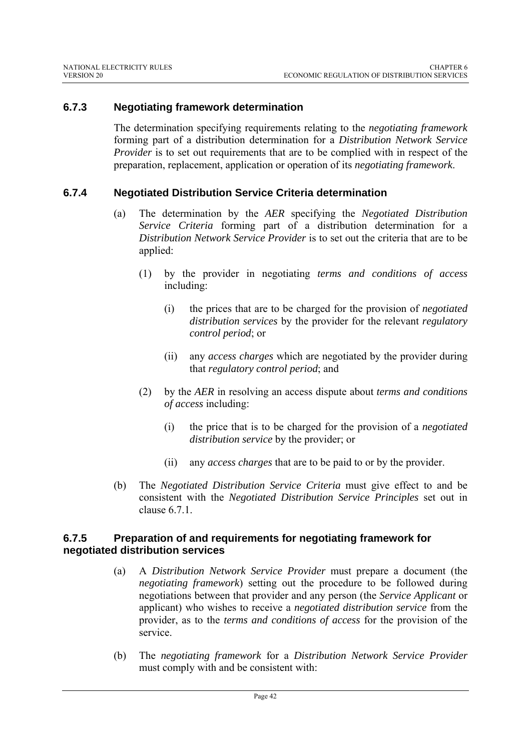### **6.7.3 Negotiating framework determination**

The determination specifying requirements relating to the *negotiating framework* forming part of a distribution determination for a *Distribution Network Service Provider* is to set out requirements that are to be complied with in respect of the preparation, replacement, application or operation of its *negotiating framework*.

### **6.7.4 Negotiated Distribution Service Criteria determination**

- (a) The determination by the *AER* specifying the *Negotiated Distribution Service Criteria* forming part of a distribution determination for a *Distribution Network Service Provider* is to set out the criteria that are to be applied:
	- (1) by the provider in negotiating *terms and conditions of access* including:
		- (i) the prices that are to be charged for the provision of *negotiated distribution services* by the provider for the relevant *regulatory control period*; or
		- (ii) any *access charges* which are negotiated by the provider during that *regulatory control period*; and
	- (2) by the *AER* in resolving an access dispute about *terms and conditions of access* including:
		- (i) the price that is to be charged for the provision of a *negotiated distribution service* by the provider; or
		- (ii) any *access charges* that are to be paid to or by the provider.
- (b) The *Negotiated Distribution Service Criteria* must give effect to and be consistent with the *Negotiated Distribution Service Principles* set out in clause 6.7.1.

#### **6.7.5 Preparation of and requirements for negotiating framework for negotiated distribution services**

- (a) A *Distribution Network Service Provider* must prepare a document (the *negotiating framework*) setting out the procedure to be followed during negotiations between that provider and any person (the *Service Applicant* or applicant) who wishes to receive a *negotiated distribution service* from the provider, as to the *terms and conditions of access* for the provision of the service.
- (b) The *negotiating framework* for a *Distribution Network Service Provider* must comply with and be consistent with: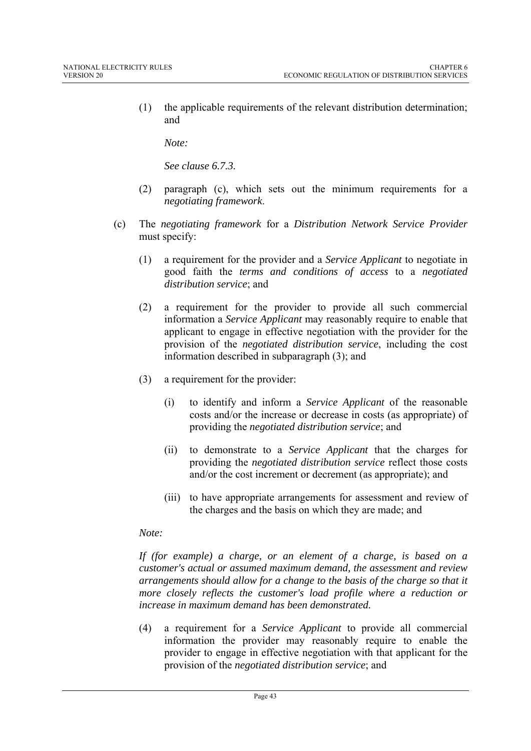(1) the applicable requirements of the relevant distribution determination; and

*Note:* 

*See clause 6.7.3.* 

- (2) paragraph (c), which sets out the minimum requirements for a *negotiating framework*.
- (c) The *negotiating framework* for a *Distribution Network Service Provider* must specify:
	- (1) a requirement for the provider and a *Service Applicant* to negotiate in good faith the *terms and conditions of access* to a *negotiated distribution service*; and
	- (2) a requirement for the provider to provide all such commercial information a *Service Applicant* may reasonably require to enable that applicant to engage in effective negotiation with the provider for the provision of the *negotiated distribution service*, including the cost information described in subparagraph (3); and
	- (3) a requirement for the provider:
		- (i) to identify and inform a *Service Applicant* of the reasonable costs and/or the increase or decrease in costs (as appropriate) of providing the *negotiated distribution service*; and
		- (ii) to demonstrate to a *Service Applicant* that the charges for providing the *negotiated distribution service* reflect those costs and/or the cost increment or decrement (as appropriate); and
		- (iii) to have appropriate arrangements for assessment and review of the charges and the basis on which they are made; and

#### *Note:*

*If (for example) a charge, or an element of a charge, is based on a customer's actual or assumed maximum demand, the assessment and review arrangements should allow for a change to the basis of the charge so that it more closely reflects the customer's load profile where a reduction or increase in maximum demand has been demonstrated.* 

(4) a requirement for a *Service Applicant* to provide all commercial information the provider may reasonably require to enable the provider to engage in effective negotiation with that applicant for the provision of the *negotiated distribution service*; and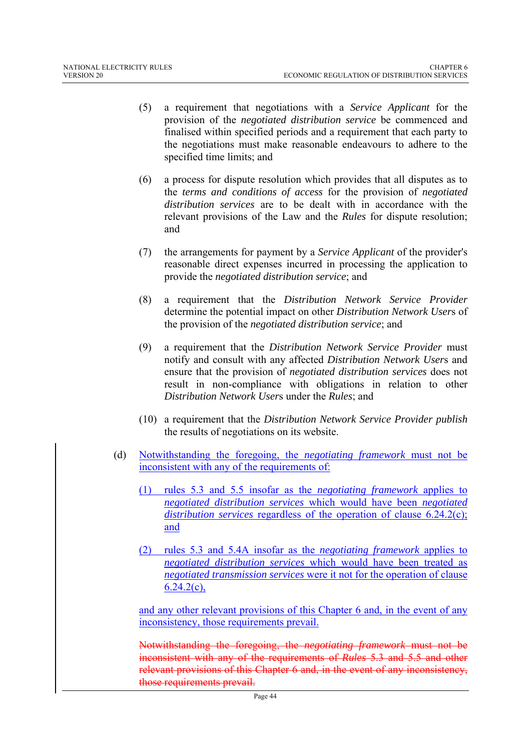- (5) a requirement that negotiations with a *Service Applicant* for the provision of the *negotiated distribution service* be commenced and finalised within specified periods and a requirement that each party to the negotiations must make reasonable endeavours to adhere to the specified time limits; and
- (6) a process for dispute resolution which provides that all disputes as to the *terms and conditions of access* for the provision of *negotiated distribution services* are to be dealt with in accordance with the relevant provisions of the Law and the *Rules* for dispute resolution; and
- (7) the arrangements for payment by a *Service Applicant* of the provider's reasonable direct expenses incurred in processing the application to provide the *negotiated distribution service*; and
- (8) a requirement that the *Distribution Network Service Provider* determine the potential impact on other *Distribution Network User*s of the provision of the *negotiated distribution service*; and
- (9) a requirement that the *Distribution Network Service Provider* must notify and consult with any affected *Distribution Network User*s and ensure that the provision of *negotiated distribution services* does not result in non-compliance with obligations in relation to other *Distribution Network User*s under the *Rules*; and
- (10) a requirement that the *Distribution Network Service Provider publish* the results of negotiations on its website.
- (d) Notwithstanding the foregoing, the *negotiating framework* must not be inconsistent with any of the requirements of:
	- (1) rules 5.3 and 5.5 insofar as the *negotiating framework* applies to *negotiated distribution services* which would have been *negotiated distribution services* regardless of the operation of clause 6.24.2(c); and
	- (2) rules 5.3 and 5.4A insofar as the *negotiating framework* applies to *negotiated distribution services* which would have been treated as *negotiated transmission services* were it not for the operation of clause  $6.24.2(c)$ ,

and any other relevant provisions of this Chapter 6 and, in the event of any inconsistency, those requirements prevail.

Notwithstanding the foregoing, the *negotiating framework* must not be inconsistent with any of the requirements of *Rules* 5.3 and 5.5 and other relevant provisions of this Chapter 6 and, in the event of any inconsistency, those requirements prevail.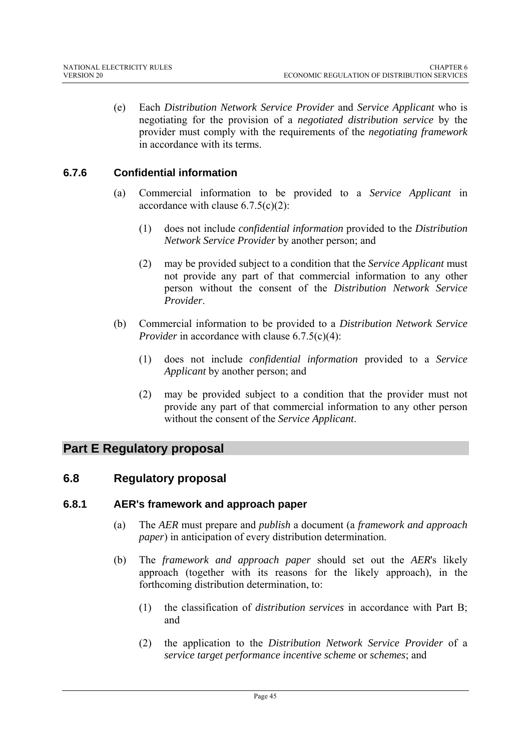(e) Each *Distribution Network Service Provider* and *Service Applicant* who is negotiating for the provision of a *negotiated distribution service* by the provider must comply with the requirements of the *negotiating framework* in accordance with its terms.

## **6.7.6 Confidential information**

- (a) Commercial information to be provided to a *Service Applicant* in accordance with clause  $6.7.5(c)(2)$ :
	- (1) does not include *confidential information* provided to the *Distribution Network Service Provider* by another person; and
	- (2) may be provided subject to a condition that the *Service Applicant* must not provide any part of that commercial information to any other person without the consent of the *Distribution Network Service Provider*.
- (b) Commercial information to be provided to a *Distribution Network Service Provider* in accordance with clause 6.7.5(c)(4):
	- (1) does not include *confidential information* provided to a *Service Applicant* by another person; and
	- (2) may be provided subject to a condition that the provider must not provide any part of that commercial information to any other person without the consent of the *Service Applicant*.

# **Part E Regulatory proposal**

## **6.8 Regulatory proposal**

#### **6.8.1 AER's framework and approach paper**

- (a) The *AER* must prepare and *publish* a document (a *framework and approach paper*) in anticipation of every distribution determination.
- (b) The *framework and approach paper* should set out the *AER*'s likely approach (together with its reasons for the likely approach), in the forthcoming distribution determination, to:
	- (1) the classification of *distribution services* in accordance with Part B; and
	- (2) the application to the *Distribution Network Service Provider* of a *service target performance incentive scheme* or *schemes*; and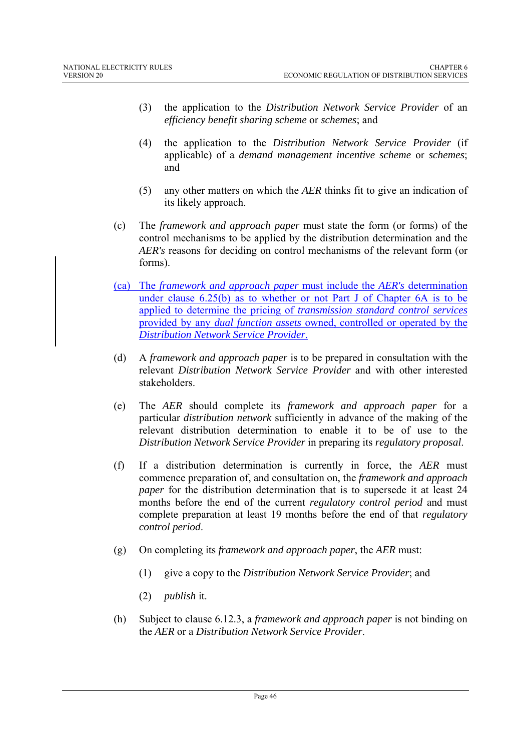- (3) the application to the *Distribution Network Service Provider* of an *efficiency benefit sharing scheme* or *schemes*; and
- (4) the application to the *Distribution Network Service Provider* (if applicable) of a *demand management incentive scheme* or *schemes*; and
- (5) any other matters on which the *AER* thinks fit to give an indication of its likely approach.
- (c) The *framework and approach paper* must state the form (or forms) of the control mechanisms to be applied by the distribution determination and the *AER's* reasons for deciding on control mechanisms of the relevant form (or forms).
- (ca) The *framework and approach paper* must include the *AER's* determination under clause 6.25(b) as to whether or not Part J of Chapter 6A is to be applied to determine the pricing of *transmission standard control services* provided by any *dual function assets* owned, controlled or operated by the *Distribution Network Service Provider*.
- (d) A *framework and approach paper* is to be prepared in consultation with the relevant *Distribution Network Service Provider* and with other interested stakeholders.
- (e) The *AER* should complete its *framework and approach paper* for a particular *distribution network* sufficiently in advance of the making of the relevant distribution determination to enable it to be of use to the *Distribution Network Service Provider* in preparing its *regulatory proposal*.
- (f) If a distribution determination is currently in force, the *AER* must commence preparation of, and consultation on, the *framework and approach paper* for the distribution determination that is to supersede it at least 24 months before the end of the current *regulatory control period* and must complete preparation at least 19 months before the end of that *regulatory control period*.
- (g) On completing its *framework and approach paper*, the *AER* must:
	- (1) give a copy to the *Distribution Network Service Provider*; and
	- (2) *publish* it.
- (h) Subject to clause 6.12.3, a *framework and approach paper* is not binding on the *AER* or a *Distribution Network Service Provider*.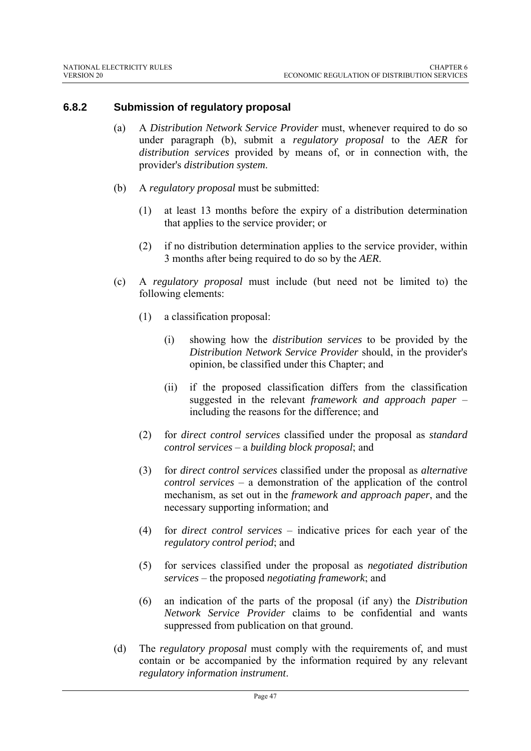### **6.8.2 Submission of regulatory proposal**

- (a) A *Distribution Network Service Provider* must, whenever required to do so under paragraph (b), submit a *regulatory proposal* to the *AER* for *distribution services* provided by means of, or in connection with, the provider's *distribution system*.
- (b) A *regulatory proposal* must be submitted:
	- (1) at least 13 months before the expiry of a distribution determination that applies to the service provider; or
	- (2) if no distribution determination applies to the service provider, within 3 months after being required to do so by the *AER*.
- (c) A *regulatory proposal* must include (but need not be limited to) the following elements:
	- (1) a classification proposal:
		- (i) showing how the *distribution services* to be provided by the *Distribution Network Service Provider* should, in the provider's opinion, be classified under this Chapter; and
		- (ii) if the proposed classification differs from the classification suggested in the relevant *framework and approach paper* – including the reasons for the difference; and
	- (2) for *direct control services* classified under the proposal as *standard control services* – a *building block proposal*; and
	- (3) for *direct control services* classified under the proposal as *alternative control services* – a demonstration of the application of the control mechanism, as set out in the *framework and approach paper*, and the necessary supporting information; and
	- (4) for *direct control services* indicative prices for each year of the *regulatory control period*; and
	- (5) for services classified under the proposal as *negotiated distribution services* – the proposed *negotiating framework*; and
	- (6) an indication of the parts of the proposal (if any) the *Distribution Network Service Provider* claims to be confidential and wants suppressed from publication on that ground.
- (d) The *regulatory proposal* must comply with the requirements of, and must contain or be accompanied by the information required by any relevant *regulatory information instrument*.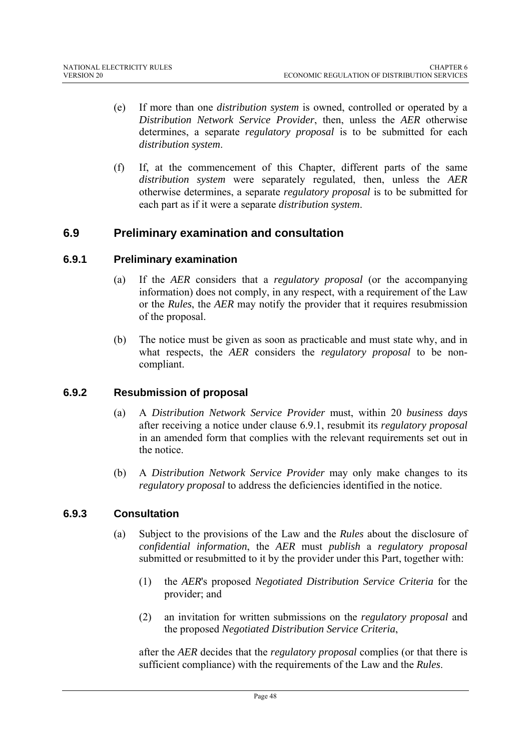- (e) If more than one *distribution system* is owned, controlled or operated by a *Distribution Network Service Provider*, then, unless the *AER* otherwise determines, a separate *regulatory proposal* is to be submitted for each *distribution system*.
- (f) If, at the commencement of this Chapter, different parts of the same *distribution system* were separately regulated, then, unless the *AER* otherwise determines, a separate *regulatory proposal* is to be submitted for each part as if it were a separate *distribution system*.

## **6.9 Preliminary examination and consultation**

#### **6.9.1 Preliminary examination**

- (a) If the *AER* considers that a *regulatory proposal* (or the accompanying information) does not comply, in any respect, with a requirement of the Law or the *Rules*, the *AER* may notify the provider that it requires resubmission of the proposal.
- (b) The notice must be given as soon as practicable and must state why, and in what respects, the *AER* considers the *regulatory proposal* to be noncompliant.

#### **6.9.2 Resubmission of proposal**

- (a) A *Distribution Network Service Provider* must, within 20 *business days* after receiving a notice under clause 6.9.1, resubmit its *regulatory proposal* in an amended form that complies with the relevant requirements set out in the notice.
- (b) A *Distribution Network Service Provider* may only make changes to its *regulatory proposal* to address the deficiencies identified in the notice.

## **6.9.3 Consultation**

- (a) Subject to the provisions of the Law and the *Rules* about the disclosure of *confidential information*, the *AER* must *publish* a *regulatory proposal* submitted or resubmitted to it by the provider under this Part, together with:
	- (1) the *AER*'s proposed *Negotiated Distribution Service Criteria* for the provider; and
	- (2) an invitation for written submissions on the *regulatory proposal* and the proposed *Negotiated Distribution Service Criteria*,

after the *AER* decides that the *regulatory proposal* complies (or that there is sufficient compliance) with the requirements of the Law and the *Rules*.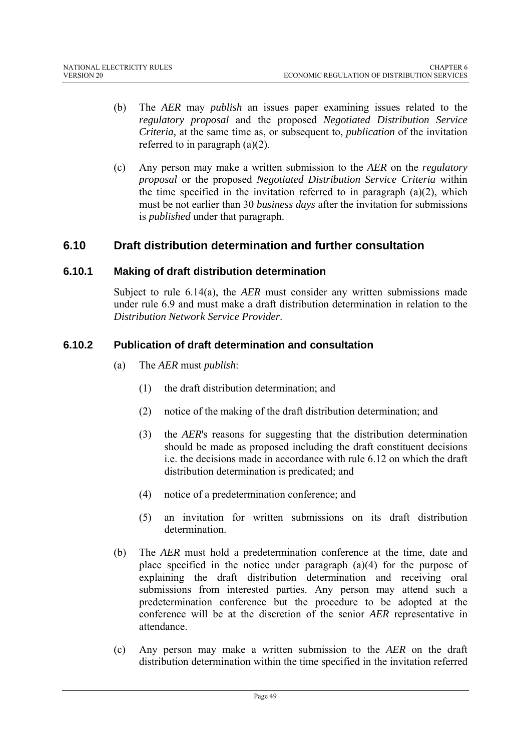- (b) The *AER* may *publish* an issues paper examining issues related to the *regulatory proposal* and the proposed *Negotiated Distribution Service Criteria,* at the same time as, or subsequent to, *publication* of the invitation referred to in paragraph (a)(2).
- (c) Any person may make a written submission to the *AER* on the *regulatory proposal* or the proposed *Negotiated Distribution Service Criteria* within the time specified in the invitation referred to in paragraph  $(a)(2)$ , which must be not earlier than 30 *business days* after the invitation for submissions is *published* under that paragraph.

# **6.10 Draft distribution determination and further consultation**

#### **6.10.1 Making of draft distribution determination**

Subject to rule 6.14(a), the *AER* must consider any written submissions made under rule 6.9 and must make a draft distribution determination in relation to the *Distribution Network Service Provider*.

### **6.10.2 Publication of draft determination and consultation**

- (a) The *AER* must *publish*:
	- (1) the draft distribution determination; and
	- (2) notice of the making of the draft distribution determination; and
	- (3) the *AER*'s reasons for suggesting that the distribution determination should be made as proposed including the draft constituent decisions i.e. the decisions made in accordance with rule 6.12 on which the draft distribution determination is predicated; and
	- (4) notice of a predetermination conference; and
	- (5) an invitation for written submissions on its draft distribution determination.
- (b) The *AER* must hold a predetermination conference at the time, date and place specified in the notice under paragraph (a)(4) for the purpose of explaining the draft distribution determination and receiving oral submissions from interested parties. Any person may attend such a predetermination conference but the procedure to be adopted at the conference will be at the discretion of the senior *AER* representative in attendance.
- (c) Any person may make a written submission to the *AER* on the draft distribution determination within the time specified in the invitation referred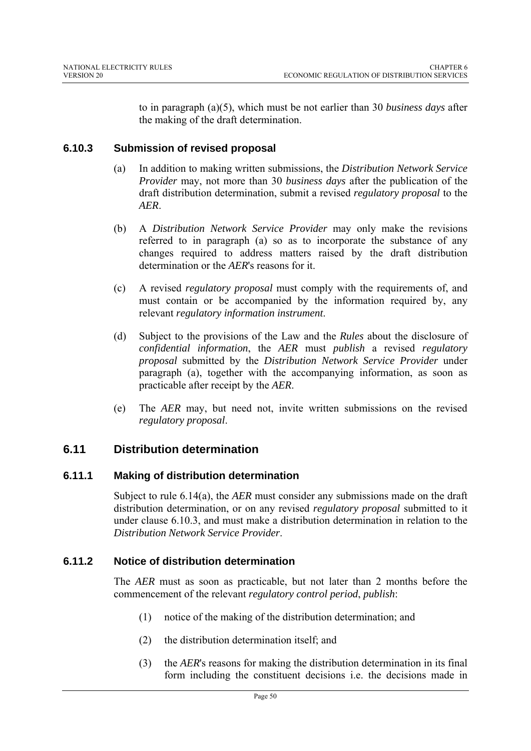to in paragraph (a)(5), which must be not earlier than 30 *business days* after the making of the draft determination.

## **6.10.3 Submission of revised proposal**

- (a) In addition to making written submissions, the *Distribution Network Service Provider* may, not more than 30 *business days* after the publication of the draft distribution determination, submit a revised *regulatory proposal* to the *AER*.
- (b) A *Distribution Network Service Provider* may only make the revisions referred to in paragraph (a) so as to incorporate the substance of any changes required to address matters raised by the draft distribution determination or the *AER*'s reasons for it.
- (c) A revised *regulatory proposal* must comply with the requirements of, and must contain or be accompanied by the information required by, any relevant *regulatory information instrument*.
- (d) Subject to the provisions of the Law and the *Rules* about the disclosure of *confidential information*, the *AER* must *publish* a revised *regulatory proposal* submitted by the *Distribution Network Service Provider* under paragraph (a), together with the accompanying information, as soon as practicable after receipt by the *AER*.
- (e) The *AER* may, but need not, invite written submissions on the revised *regulatory proposal*.

# **6.11 Distribution determination**

## **6.11.1 Making of distribution determination**

Subject to rule 6.14(a), the *AER* must consider any submissions made on the draft distribution determination, or on any revised *regulatory proposal* submitted to it under clause 6.10.3, and must make a distribution determination in relation to the *Distribution Network Service Provider*.

## **6.11.2 Notice of distribution determination**

The *AER* must as soon as practicable, but not later than 2 months before the commencement of the relevant *regulatory control period*, *publish*:

- (1) notice of the making of the distribution determination; and
- (2) the distribution determination itself; and
- (3) the *AER*'s reasons for making the distribution determination in its final form including the constituent decisions i.e. the decisions made in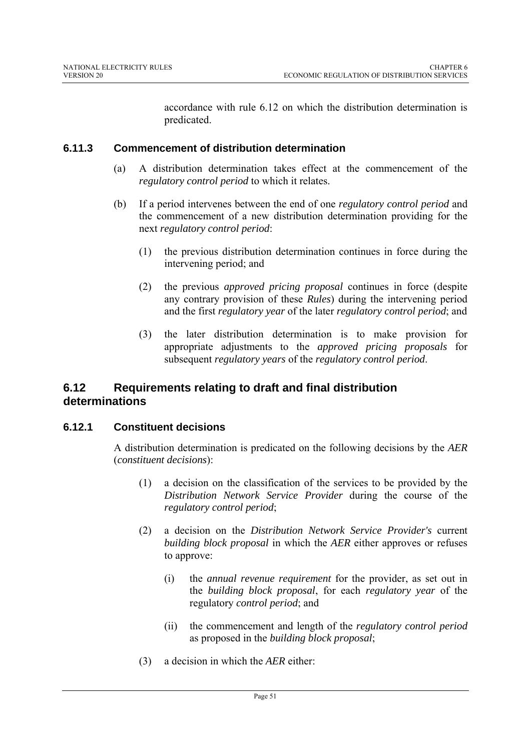accordance with rule 6.12 on which the distribution determination is predicated.

## **6.11.3 Commencement of distribution determination**

- (a) A distribution determination takes effect at the commencement of the *regulatory control period* to which it relates.
- (b) If a period intervenes between the end of one *regulatory control period* and the commencement of a new distribution determination providing for the next *regulatory control period*:
	- (1) the previous distribution determination continues in force during the intervening period; and
	- (2) the previous *approved pricing proposal* continues in force (despite any contrary provision of these *Rules*) during the intervening period and the first *regulatory year* of the later *regulatory control period*; and
	- (3) the later distribution determination is to make provision for appropriate adjustments to the *approved pricing proposals* for subsequent *regulatory years* of the *regulatory control period*.

# **6.12 Requirements relating to draft and final distribution determinations**

## **6.12.1 Constituent decisions**

A distribution determination is predicated on the following decisions by the *AER* (*constituent decisions*):

- (1) a decision on the classification of the services to be provided by the *Distribution Network Service Provider* during the course of the *regulatory control period*;
- (2) a decision on the *Distribution Network Service Provider's* current *building block proposal* in which the *AER* either approves or refuses to approve:
	- (i) the *annual revenue requirement* for the provider, as set out in the *building block proposal*, for each *regulatory year* of the regulatory *control period*; and
	- (ii) the commencement and length of the *regulatory control period* as proposed in the *building block proposal*;
- (3) a decision in which the *AER* either: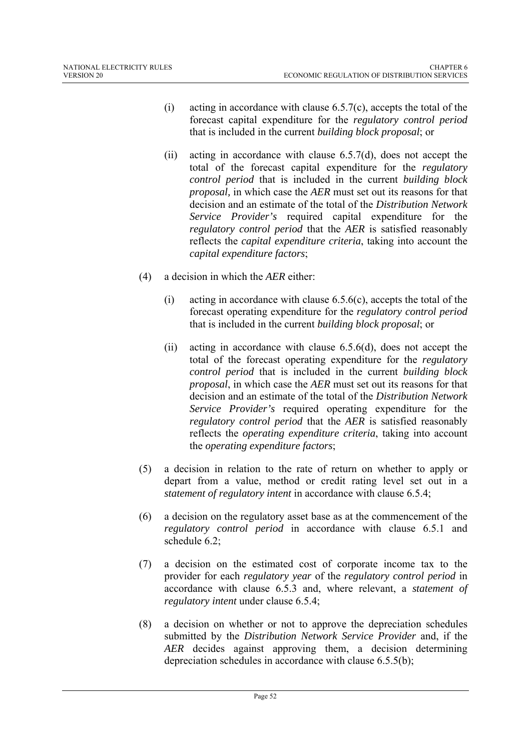- (i) acting in accordance with clause  $6.5.7(c)$ , accepts the total of the forecast capital expenditure for the *regulatory control period* that is included in the current *building block proposal*; or
- (ii) acting in accordance with clause 6.5.7(d), does not accept the total of the forecast capital expenditure for the *regulatory control period* that is included in the current *building block proposal,* in which case the *AER* must set out its reasons for that decision and an estimate of the total of the *Distribution Network Service Provider's* required capital expenditure for the *regulatory control period* that the *AER* is satisfied reasonably reflects the *capital expenditure criteria*, taking into account the *capital expenditure factors*;
- (4) a decision in which the *AER* either:
	- (i) acting in accordance with clause  $6.5.6(c)$ , accepts the total of the forecast operating expenditure for the *regulatory control period* that is included in the current *building block proposal*; or
	- (ii) acting in accordance with clause 6.5.6(d), does not accept the total of the forecast operating expenditure for the *regulatory control period* that is included in the current *building block proposal*, in which case the *AER* must set out its reasons for that decision and an estimate of the total of the *Distribution Network Service Provider's* required operating expenditure for the *regulatory control period* that the *AER* is satisfied reasonably reflects the *operating expenditure criteria*, taking into account the *operating expenditure factors*;
- (5) a decision in relation to the rate of return on whether to apply or depart from a value, method or credit rating level set out in a *statement of regulatory intent* in accordance with clause 6.5.4;
- (6) a decision on the regulatory asset base as at the commencement of the *regulatory control period* in accordance with clause 6.5.1 and schedule 6.2;
- (7) a decision on the estimated cost of corporate income tax to the provider for each *regulatory year* of the *regulatory control period* in accordance with clause 6.5.3 and, where relevant, a *statement of regulatory intent* under clause 6.5.4;
- (8) a decision on whether or not to approve the depreciation schedules submitted by the *Distribution Network Service Provider* and, if the *AER* decides against approving them, a decision determining depreciation schedules in accordance with clause 6.5.5(b);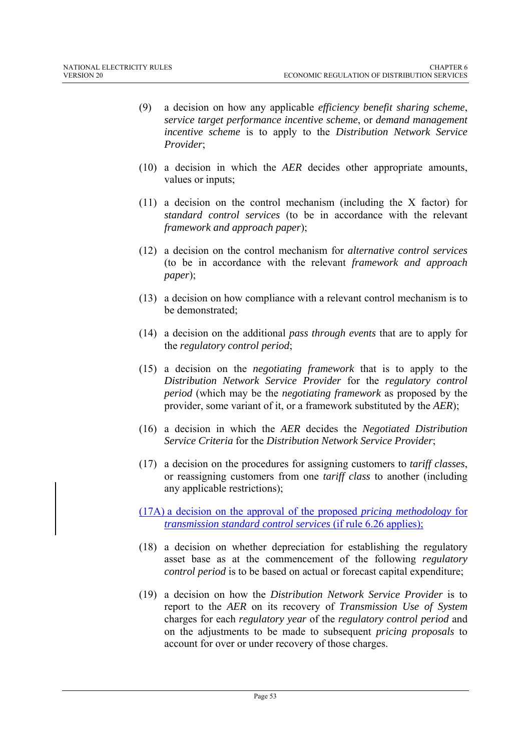- (9) a decision on how any applicable *efficiency benefit sharing scheme*, *service target performance incentive scheme*, or *demand management incentive scheme* is to apply to the *Distribution Network Service Provider*;
- (10) a decision in which the *AER* decides other appropriate amounts, values or inputs;
- (11) a decision on the control mechanism (including the X factor) for *standard control services* (to be in accordance with the relevant *framework and approach paper*);
- (12) a decision on the control mechanism for *alternative control services* (to be in accordance with the relevant *framework and approach paper*);
- (13) a decision on how compliance with a relevant control mechanism is to be demonstrated:
- (14) a decision on the additional *pass through events* that are to apply for the *regulatory control period*;
- (15) a decision on the *negotiating framework* that is to apply to the *Distribution Network Service Provider* for the *regulatory control period* (which may be the *negotiating framework* as proposed by the provider, some variant of it, or a framework substituted by the *AER*);
- (16) a decision in which the *AER* decides the *Negotiated Distribution Service Criteria* for the *Distribution Network Service Provider*;
- (17) a decision on the procedures for assigning customers to *tariff classes*, or reassigning customers from one *tariff class* to another (including any applicable restrictions);
- (17A) a decision on the approval of the proposed *pricing methodology* for *transmission standard control services* (if rule 6.26 applies);
- (18) a decision on whether depreciation for establishing the regulatory asset base as at the commencement of the following *regulatory control period* is to be based on actual or forecast capital expenditure;
- (19) a decision on how the *Distribution Network Service Provider* is to report to the *AER* on its recovery of *Transmission Use of System*  charges for each *regulatory year* of the *regulatory control period* and on the adjustments to be made to subsequent *pricing proposals* to account for over or under recovery of those charges.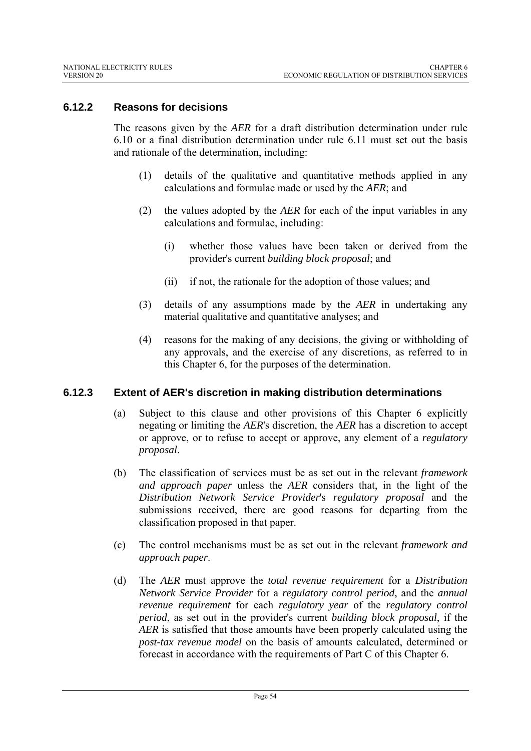### **6.12.2 Reasons for decisions**

The reasons given by the *AER* for a draft distribution determination under rule 6.10 or a final distribution determination under rule 6.11 must set out the basis and rationale of the determination, including:

- (1) details of the qualitative and quantitative methods applied in any calculations and formulae made or used by the *AER*; and
- (2) the values adopted by the *AER* for each of the input variables in any calculations and formulae, including:
	- (i) whether those values have been taken or derived from the provider's current *building block proposal*; and
	- (ii) if not, the rationale for the adoption of those values; and
- (3) details of any assumptions made by the *AER* in undertaking any material qualitative and quantitative analyses; and
- (4) reasons for the making of any decisions, the giving or withholding of any approvals, and the exercise of any discretions, as referred to in this Chapter 6, for the purposes of the determination.

#### **6.12.3 Extent of AER's discretion in making distribution determinations**

- (a) Subject to this clause and other provisions of this Chapter 6 explicitly negating or limiting the *AER*'s discretion, the *AER* has a discretion to accept or approve, or to refuse to accept or approve, any element of a *regulatory proposal*.
- (b) The classification of services must be as set out in the relevant *framework and approach paper* unless the *AER* considers that, in the light of the *Distribution Network Service Provider*'s *regulatory proposal* and the submissions received, there are good reasons for departing from the classification proposed in that paper.
- (c) The control mechanisms must be as set out in the relevant *framework and approach paper*.
- (d) The *AER* must approve the *total revenue requirement* for a *Distribution Network Service Provider* for a *regulatory control period*, and the *annual revenue requirement* for each *regulatory year* of the *regulatory control period*, as set out in the provider's current *building block proposal*, if the *AER* is satisfied that those amounts have been properly calculated using the *post-tax revenue model* on the basis of amounts calculated, determined or forecast in accordance with the requirements of Part C of this Chapter 6.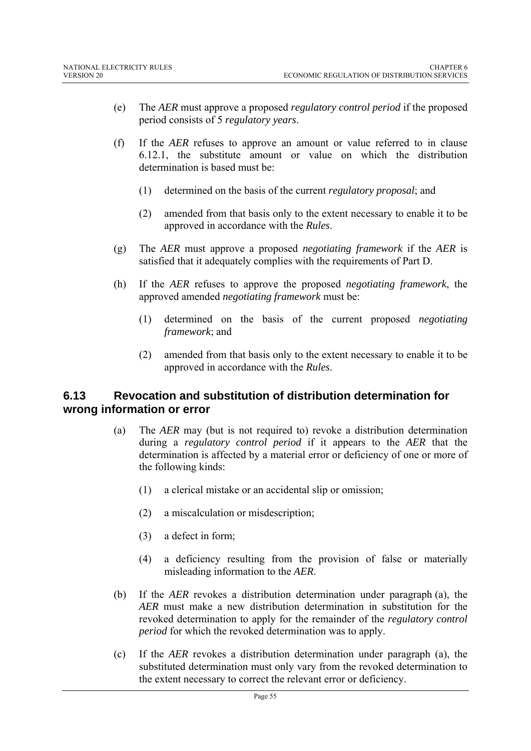- (e) The *AER* must approve a proposed *regulatory control period* if the proposed period consists of 5 *regulatory years*.
- (f) If the *AER* refuses to approve an amount or value referred to in clause 6.12.1, the substitute amount or value on which the distribution determination is based must be:
	- (1) determined on the basis of the current *regulatory proposal*; and
	- (2) amended from that basis only to the extent necessary to enable it to be approved in accordance with the *Rules*.
- (g) The *AER* must approve a proposed *negotiating framework* if the *AER* is satisfied that it adequately complies with the requirements of Part D.
- (h) If the *AER* refuses to approve the proposed *negotiating framework*, the approved amended *negotiating framework* must be:
	- (1) determined on the basis of the current proposed *negotiating framework*; and
	- (2) amended from that basis only to the extent necessary to enable it to be approved in accordance with the *Rules*.

## **6.13 Revocation and substitution of distribution determination for wrong information or error**

- (a) The *AER* may (but is not required to) revoke a distribution determination during a *regulatory control period* if it appears to the *AER* that the determination is affected by a material error or deficiency of one or more of the following kinds:
	- (1) a clerical mistake or an accidental slip or omission;
	- (2) a miscalculation or misdescription;
	- (3) a defect in form;
	- (4) a deficiency resulting from the provision of false or materially misleading information to the *AER*.
- (b) If the *AER* revokes a distribution determination under paragraph (a), the *AER* must make a new distribution determination in substitution for the revoked determination to apply for the remainder of the *regulatory control period* for which the revoked determination was to apply.
- (c) If the *AER* revokes a distribution determination under paragraph (a), the substituted determination must only vary from the revoked determination to the extent necessary to correct the relevant error or deficiency.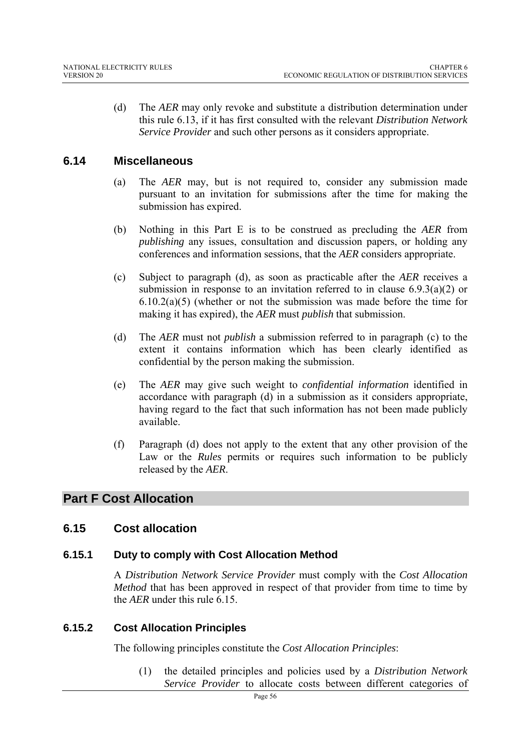(d) The *AER* may only revoke and substitute a distribution determination under this rule 6.13, if it has first consulted with the relevant *Distribution Network Service Provider* and such other persons as it considers appropriate.

## **6.14 Miscellaneous**

- (a) The *AER* may, but is not required to, consider any submission made pursuant to an invitation for submissions after the time for making the submission has expired.
- (b) Nothing in this Part E is to be construed as precluding the *AER* from *publishing* any issues, consultation and discussion papers, or holding any conferences and information sessions, that the *AER* considers appropriate.
- (c) Subject to paragraph (d), as soon as practicable after the *AER* receives a submission in response to an invitation referred to in clause  $6.9.3(a)(2)$  or 6.10.2(a)(5) (whether or not the submission was made before the time for making it has expired), the *AER* must *publish* that submission.
- (d) The *AER* must not *publish* a submission referred to in paragraph (c) to the extent it contains information which has been clearly identified as confidential by the person making the submission.
- (e) The *AER* may give such weight to *confidential information* identified in accordance with paragraph (d) in a submission as it considers appropriate, having regard to the fact that such information has not been made publicly available.
- (f) Paragraph (d) does not apply to the extent that any other provision of the Law or the *Rules* permits or requires such information to be publicly released by the *AER*.

# **Part F Cost Allocation**

## **6.15 Cost allocation**

#### **6.15.1 Duty to comply with Cost Allocation Method**

A *Distribution Network Service Provider* must comply with the *Cost Allocation Method* that has been approved in respect of that provider from time to time by the *AER* under this rule 6.15.

#### **6.15.2 Cost Allocation Principles**

The following principles constitute the *Cost Allocation Principles*:

(1) the detailed principles and policies used by a *Distribution Network Service Provider* to allocate costs between different categories of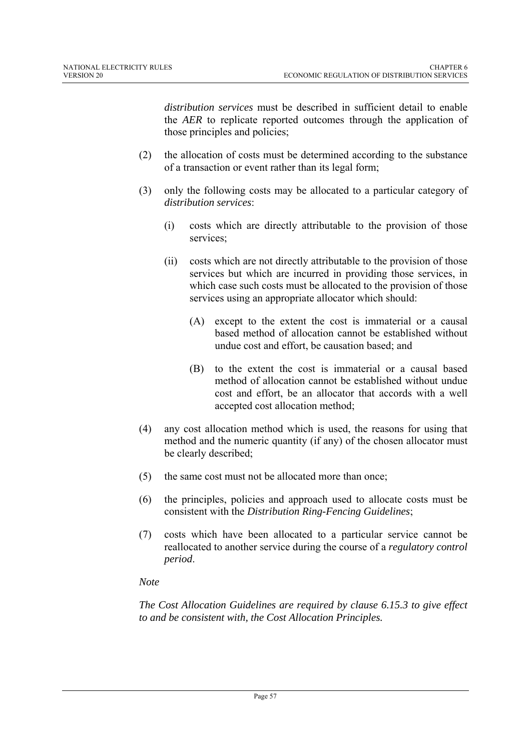*distribution services* must be described in sufficient detail to enable the *AER* to replicate reported outcomes through the application of those principles and policies;

- (2) the allocation of costs must be determined according to the substance of a transaction or event rather than its legal form;
- (3) only the following costs may be allocated to a particular category of *distribution services*:
	- (i) costs which are directly attributable to the provision of those services;
	- (ii) costs which are not directly attributable to the provision of those services but which are incurred in providing those services, in which case such costs must be allocated to the provision of those services using an appropriate allocator which should:
		- (A) except to the extent the cost is immaterial or a causal based method of allocation cannot be established without undue cost and effort, be causation based; and
		- (B) to the extent the cost is immaterial or a causal based method of allocation cannot be established without undue cost and effort, be an allocator that accords with a well accepted cost allocation method;
- (4) any cost allocation method which is used, the reasons for using that method and the numeric quantity (if any) of the chosen allocator must be clearly described;
- (5) the same cost must not be allocated more than once;
- (6) the principles, policies and approach used to allocate costs must be consistent with the *Distribution Ring-Fencing Guidelines*;
- (7) costs which have been allocated to a particular service cannot be reallocated to another service during the course of a *regulatory control period*.

## *Note*

*The Cost Allocation Guidelines are required by clause 6.15.3 to give effect to and be consistent with, the Cost Allocation Principles.*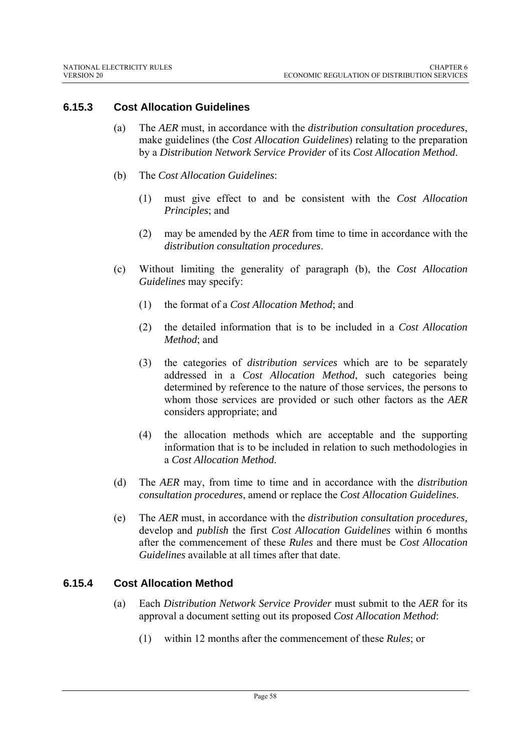## **6.15.3 Cost Allocation Guidelines**

- (a) The *AER* must, in accordance with the *distribution consultation procedures*, make guidelines (the *Cost Allocation Guidelines*) relating to the preparation by a *Distribution Network Service Provider* of its *Cost Allocation Method*.
- (b) The *Cost Allocation Guidelines*:
	- (1) must give effect to and be consistent with the *Cost Allocation Principles*; and
	- (2) may be amended by the *AER* from time to time in accordance with the *distribution consultation procedures*.
- (c) Without limiting the generality of paragraph (b), the *Cost Allocation Guidelines* may specify:
	- (1) the format of a *Cost Allocation Method*; and
	- (2) the detailed information that is to be included in a *Cost Allocation Method*; and
	- (3) the categories of *distribution services* which are to be separately addressed in a *Cost Allocation Method*, such categories being determined by reference to the nature of those services, the persons to whom those services are provided or such other factors as the *AER* considers appropriate; and
	- (4) the allocation methods which are acceptable and the supporting information that is to be included in relation to such methodologies in a *Cost Allocation Method*.
- (d) The *AER* may, from time to time and in accordance with the *distribution consultation procedures*, amend or replace the *Cost Allocation Guidelines*.
- (e) The *AER* must, in accordance with the *distribution consultation procedures,* develop and *publish* the first *Cost Allocation Guidelines* within 6 months after the commencement of these *Rules* and there must be *Cost Allocation Guidelines* available at all times after that date.

#### **6.15.4 Cost Allocation Method**

- (a) Each *Distribution Network Service Provider* must submit to the *AER* for its approval a document setting out its proposed *Cost Allocation Method*:
	- (1) within 12 months after the commencement of these *Rules*; or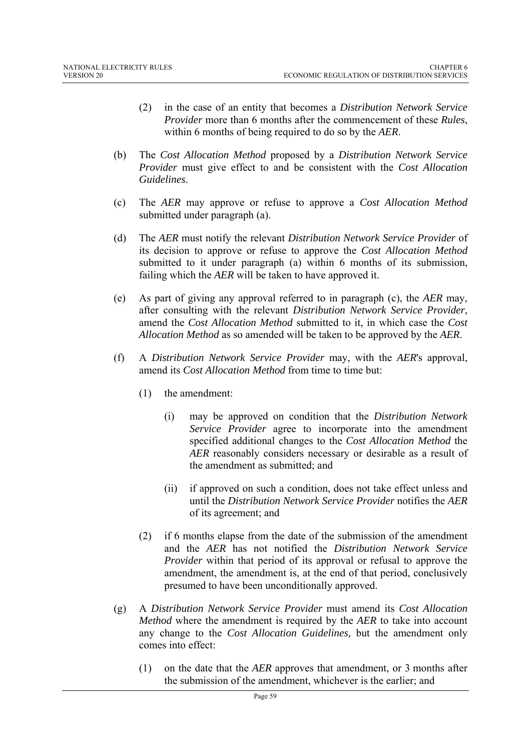- (2) in the case of an entity that becomes a *Distribution Network Service Provider* more than 6 months after the commencement of these *Rules*, within 6 months of being required to do so by the *AER*.
- (b) The *Cost Allocation Method* proposed by a *Distribution Network Service Provider* must give effect to and be consistent with the *Cost Allocation Guidelines*.
- (c) The *AER* may approve or refuse to approve a *Cost Allocation Method* submitted under paragraph (a).
- (d) The *AER* must notify the relevant *Distribution Network Service Provider* of its decision to approve or refuse to approve the *Cost Allocation Method*  submitted to it under paragraph (a) within 6 months of its submission, failing which the *AER* will be taken to have approved it.
- (e) As part of giving any approval referred to in paragraph (c), the *AER* may, after consulting with the relevant *Distribution Network Service Provider*, amend the *Cost Allocation Method* submitted to it, in which case the *Cost Allocation Method* as so amended will be taken to be approved by the *AER*.
- (f) A *Distribution Network Service Provider* may, with the *AER*'s approval, amend its *Cost Allocation Method* from time to time but:
	- (1) the amendment:
		- (i) may be approved on condition that the *Distribution Network Service Provider* agree to incorporate into the amendment specified additional changes to the *Cost Allocation Method* the *AER* reasonably considers necessary or desirable as a result of the amendment as submitted; and
		- (ii) if approved on such a condition, does not take effect unless and until the *Distribution Network Service Provider* notifies the *AER* of its agreement; and
	- (2) if 6 months elapse from the date of the submission of the amendment and the *AER* has not notified the *Distribution Network Service Provider* within that period of its approval or refusal to approve the amendment, the amendment is, at the end of that period, conclusively presumed to have been unconditionally approved.
- (g) A *Distribution Network Service Provider* must amend its *Cost Allocation Method* where the amendment is required by the *AER* to take into account any change to the *Cost Allocation Guidelines,* but the amendment only comes into effect:
	- (1) on the date that the *AER* approves that amendment, or 3 months after the submission of the amendment, whichever is the earlier; and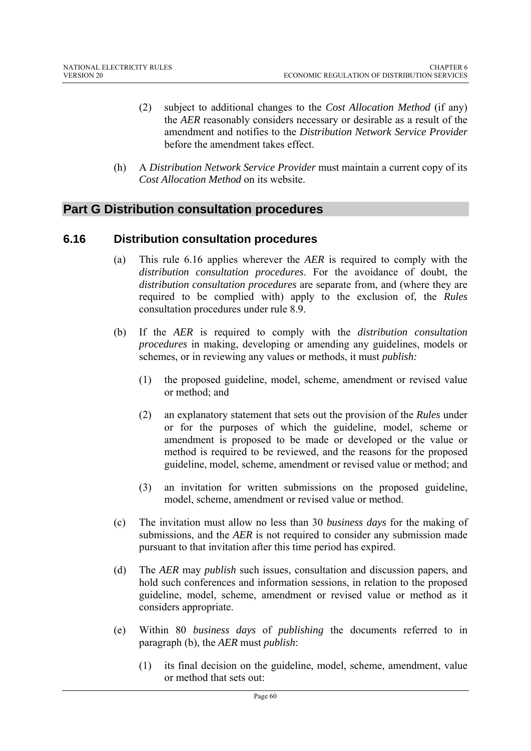- (2) subject to additional changes to the *Cost Allocation Method* (if any) the *AER* reasonably considers necessary or desirable as a result of the amendment and notifies to the *Distribution Network Service Provider* before the amendment takes effect.
- (h) A *Distribution Network Service Provider* must maintain a current copy of its *Cost Allocation Method* on its website.

## **Part G Distribution consultation procedures**

### **6.16 Distribution consultation procedures**

- (a) This rule 6.16 applies wherever the *AER* is required to comply with the *distribution consultation procedures*. For the avoidance of doubt, the *distribution consultation procedures* are separate from, and (where they are required to be complied with) apply to the exclusion of, the *Rules* consultation procedures under rule 8.9.
- (b) If the *AER* is required to comply with the *distribution consultation procedures* in making, developing or amending any guidelines, models or schemes, or in reviewing any values or methods, it must *publish:*
	- (1) the proposed guideline, model, scheme, amendment or revised value or method; and
	- (2) an explanatory statement that sets out the provision of the *Rules* under or for the purposes of which the guideline, model, scheme or amendment is proposed to be made or developed or the value or method is required to be reviewed, and the reasons for the proposed guideline, model, scheme, amendment or revised value or method; and
	- (3) an invitation for written submissions on the proposed guideline, model, scheme, amendment or revised value or method.
- (c) The invitation must allow no less than 30 *business days* for the making of submissions, and the *AER* is not required to consider any submission made pursuant to that invitation after this time period has expired.
- (d) The *AER* may *publish* such issues, consultation and discussion papers, and hold such conferences and information sessions, in relation to the proposed guideline, model, scheme, amendment or revised value or method as it considers appropriate.
- (e) Within 80 *business days* of *publishing* the documents referred to in paragraph (b), the *AER* must *publish*:
	- (1) its final decision on the guideline, model, scheme, amendment, value or method that sets out: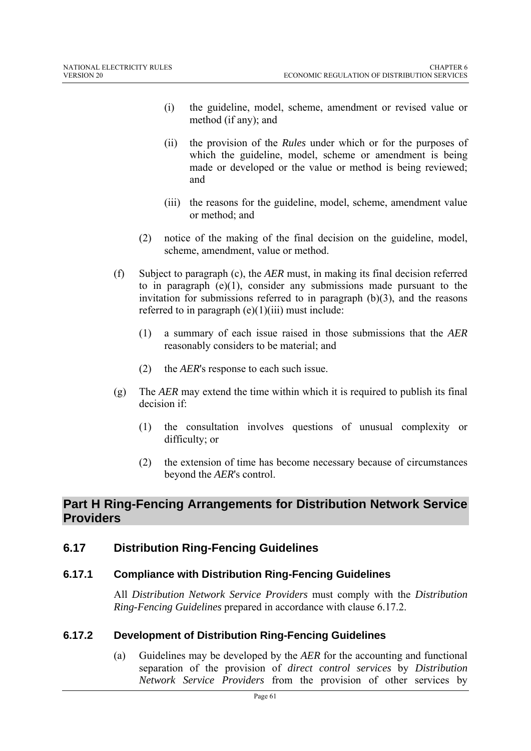- (i) the guideline, model, scheme, amendment or revised value or method (if any); and
- (ii) the provision of the *Rules* under which or for the purposes of which the guideline, model, scheme or amendment is being made or developed or the value or method is being reviewed; and
- (iii) the reasons for the guideline, model, scheme, amendment value or method; and
- (2) notice of the making of the final decision on the guideline, model, scheme, amendment, value or method.
- (f) Subject to paragraph (c), the *AER* must, in making its final decision referred to in paragraph  $(e)(1)$ , consider any submissions made pursuant to the invitation for submissions referred to in paragraph  $(b)(3)$ , and the reasons referred to in paragraph  $(e)(1)(iii)$  must include:
	- (1) a summary of each issue raised in those submissions that the *AER* reasonably considers to be material; and
	- (2) the *AER*'s response to each such issue.
- (g) The *AER* may extend the time within which it is required to publish its final decision if:
	- (1) the consultation involves questions of unusual complexity or difficulty; or
	- (2) the extension of time has become necessary because of circumstances beyond the *AER*'s control.

# **Part H Ring-Fencing Arrangements for Distribution Network Service Providers**

# **6.17 Distribution Ring-Fencing Guidelines**

## **6.17.1 Compliance with Distribution Ring-Fencing Guidelines**

All *Distribution Network Service Providers* must comply with the *Distribution Ring-Fencing Guidelines* prepared in accordance with clause 6.17.2.

## **6.17.2 Development of Distribution Ring-Fencing Guidelines**

(a) Guidelines may be developed by the *AER* for the accounting and functional separation of the provision of *direct control services* by *Distribution Network Service Providers* from the provision of other services by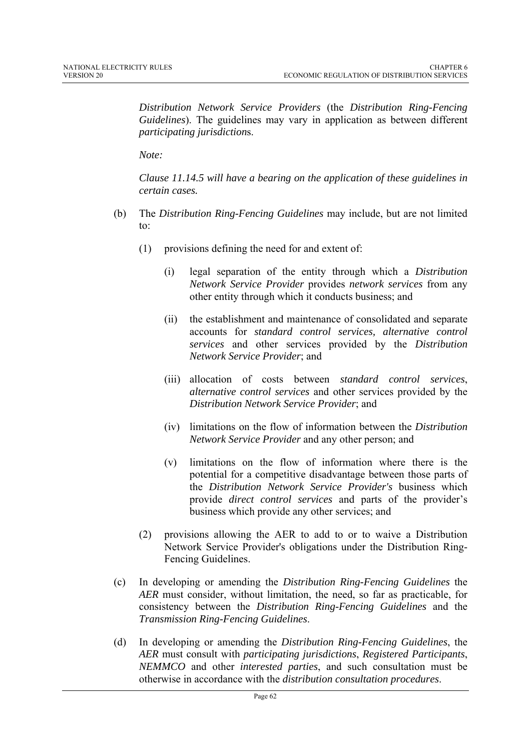*Distribution Network Service Providers* (the *Distribution Ring-Fencing Guidelines*). The guidelines may vary in application as between different *participating jurisdiction*s.

*Note:* 

*Clause 11.14.5 will have a bearing on the application of these guidelines in certain cases.* 

- (b) The *Distribution Ring-Fencing Guidelines* may include, but are not limited to:
	- (1) provisions defining the need for and extent of:
		- (i) legal separation of the entity through which a *Distribution Network Service Provider* provides *network services* from any other entity through which it conducts business; and
		- (ii) the establishment and maintenance of consolidated and separate accounts for *standard control services, alternative control services* and other services provided by the *Distribution Network Service Provider*; and
		- (iii) allocation of costs between *standard control services*, *alternative control services* and other services provided by the *Distribution Network Service Provider*; and
		- (iv) limitations on the flow of information between the *Distribution Network Service Provider* and any other person; and
		- (v) limitations on the flow of information where there is the potential for a competitive disadvantage between those parts of the *Distribution Network Service Provider's* business which provide *direct control services* and parts of the provider's business which provide any other services; and
	- (2) provisions allowing the AER to add to or to waive a Distribution Network Service Provider's obligations under the Distribution Ring-Fencing Guidelines.
- (c) In developing or amending the *Distribution Ring-Fencing Guidelines* the *AER* must consider, without limitation, the need, so far as practicable, for consistency between the *Distribution Ring-Fencing Guidelines* and the *Transmission Ring-Fencing Guidelines*.
- (d) In developing or amending the *Distribution Ring-Fencing Guidelines*, the *AER* must consult with *participating jurisdictions*, *Registered Participants*, *NEMMCO* and other *interested parties*, and such consultation must be otherwise in accordance with the *distribution consultation procedures*.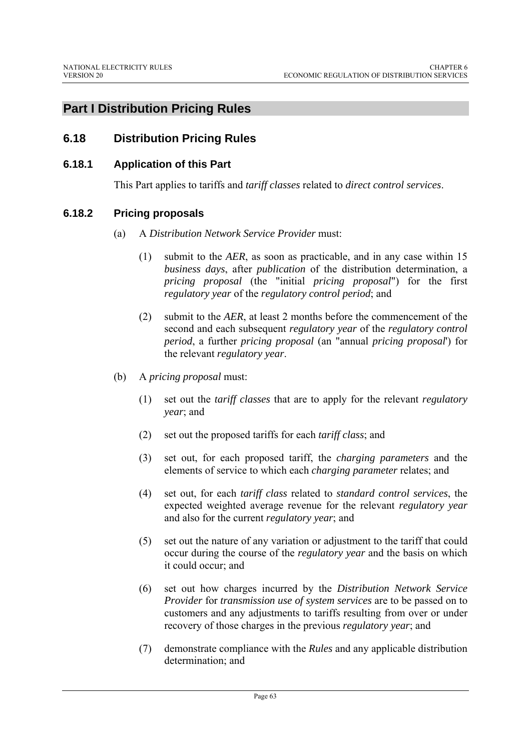# **Part I Distribution Pricing Rules**

# **6.18 Distribution Pricing Rules**

### **6.18.1 Application of this Part**

This Part applies to tariffs and *tariff classes* related to *direct control services*.

### **6.18.2 Pricing proposals**

- (a) A *Distribution Network Service Provider* must:
	- (1) submit to the *AER*, as soon as practicable, and in any case within 15 *business days*, after *publication* of the distribution determination, a *pricing proposal* (the "initial *pricing proposal*") for the first *regulatory year* of the *regulatory control period*; and
	- (2) submit to the *AER*, at least 2 months before the commencement of the second and each subsequent *regulatory year* of the *regulatory control period*, a further *pricing proposal* (an "annual *pricing proposal*') for the relevant *regulatory year*.
- (b) A *pricing proposal* must:
	- (1) set out the *tariff classes* that are to apply for the relevant *regulatory year*; and
	- (2) set out the proposed tariffs for each *tariff class*; and
	- (3) set out, for each proposed tariff, the *charging parameters* and the elements of service to which each *charging parameter* relates; and
	- (4) set out, for each *tariff class* related to *standard control services*, the expected weighted average revenue for the relevant *regulatory year* and also for the current *regulatory year*; and
	- (5) set out the nature of any variation or adjustment to the tariff that could occur during the course of the *regulatory year* and the basis on which it could occur; and
	- (6) set out how charges incurred by the *Distribution Network Service Provider* for *transmission use of system services* are to be passed on to customers and any adjustments to tariffs resulting from over or under recovery of those charges in the previous *regulatory year*; and
	- (7) demonstrate compliance with the *Rules* and any applicable distribution determination; and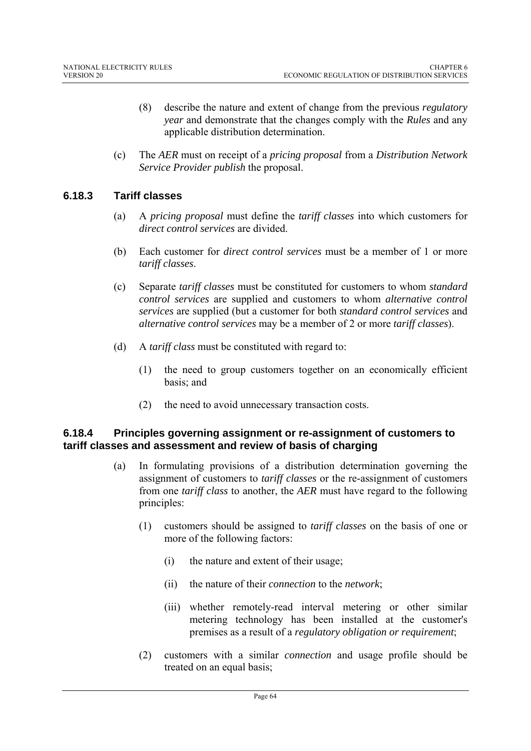- (8) describe the nature and extent of change from the previous *regulatory year* and demonstrate that the changes comply with the *Rules* and any applicable distribution determination.
- (c) The *AER* must on receipt of a *pricing proposal* from a *Distribution Network Service Provider publish* the proposal.

## **6.18.3 Tariff classes**

- (a) A *pricing proposal* must define the *tariff classes* into which customers for *direct control services* are divided.
- (b) Each customer for *direct control services* must be a member of 1 or more *tariff classes*.
- (c) Separate *tariff classes* must be constituted for customers to whom *standard control services* are supplied and customers to whom *alternative control services* are supplied (but a customer for both *standard control services* and *alternative control services* may be a member of 2 or more *tariff classes*).
- (d) A *tariff class* must be constituted with regard to:
	- (1) the need to group customers together on an economically efficient basis; and
	- (2) the need to avoid unnecessary transaction costs.

## **6.18.4 Principles governing assignment or re-assignment of customers to tariff classes and assessment and review of basis of charging**

- (a) In formulating provisions of a distribution determination governing the assignment of customers to *tariff classes* or the re-assignment of customers from one *tariff class* to another, the *AER* must have regard to the following principles:
	- (1) customers should be assigned to *tariff classes* on the basis of one or more of the following factors:
		- (i) the nature and extent of their usage;
		- (ii) the nature of their *connection* to the *network*;
		- (iii) whether remotely-read interval metering or other similar metering technology has been installed at the customer's premises as a result of a *regulatory obligation or requirement*;
	- (2) customers with a similar *connection* and usage profile should be treated on an equal basis;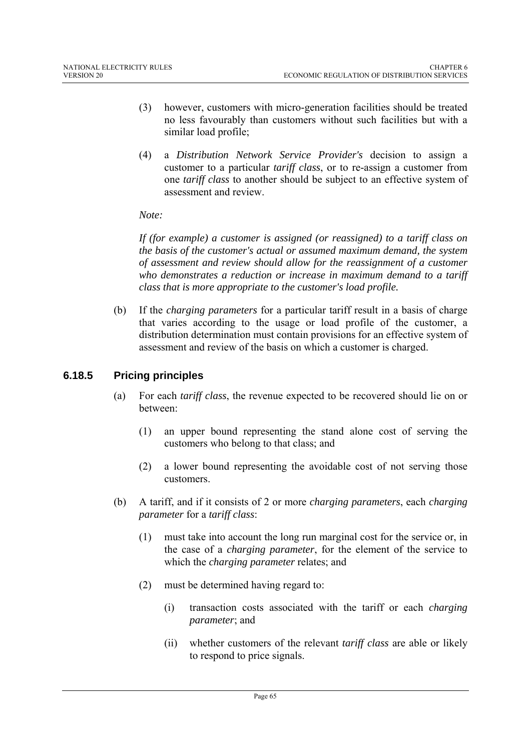- (3) however, customers with micro-generation facilities should be treated no less favourably than customers without such facilities but with a similar load profile;
- (4) a *Distribution Network Service Provider's* decision to assign a customer to a particular *tariff class*, or to re-assign a customer from one *tariff class* to another should be subject to an effective system of assessment and review.

#### *Note:*

*If (for example) a customer is assigned (or reassigned) to a tariff class on the basis of the customer's actual or assumed maximum demand, the system of assessment and review should allow for the reassignment of a customer who demonstrates a reduction or increase in maximum demand to a tariff class that is more appropriate to the customer's load profile.* 

(b) If the *charging parameters* for a particular tariff result in a basis of charge that varies according to the usage or load profile of the customer, a distribution determination must contain provisions for an effective system of assessment and review of the basis on which a customer is charged.

## **6.18.5 Pricing principles**

- (a) For each *tariff class*, the revenue expected to be recovered should lie on or between:
	- (1) an upper bound representing the stand alone cost of serving the customers who belong to that class; and
	- (2) a lower bound representing the avoidable cost of not serving those customers.
- (b) A tariff, and if it consists of 2 or more *charging parameters*, each *charging parameter* for a *tariff class*:
	- (1) must take into account the long run marginal cost for the service or, in the case of a *charging parameter*, for the element of the service to which the *charging parameter* relates; and
	- (2) must be determined having regard to:
		- (i) transaction costs associated with the tariff or each *charging parameter*; and
		- (ii) whether customers of the relevant *tariff class* are able or likely to respond to price signals.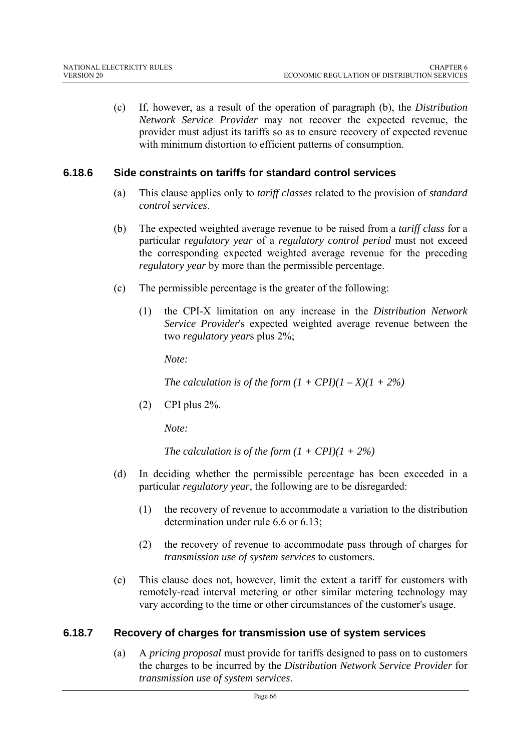(c) If, however, as a result of the operation of paragraph (b), the *Distribution Network Service Provider* may not recover the expected revenue, the provider must adjust its tariffs so as to ensure recovery of expected revenue with minimum distortion to efficient patterns of consumption.

### **6.18.6 Side constraints on tariffs for standard control services**

- (a) This clause applies only to *tariff classes* related to the provision of *standard control services*.
- (b) The expected weighted average revenue to be raised from a *tariff class* for a particular *regulatory year* of a *regulatory control period* must not exceed the corresponding expected weighted average revenue for the preceding *regulatory year* by more than the permissible percentage.
- (c) The permissible percentage is the greater of the following:
	- (1) the CPI-X limitation on any increase in the *Distribution Network Service Provider*'s expected weighted average revenue between the two *regulatory year*s plus 2%;

*Note:* 

*The calculation is of the form*  $(1 + CPI)(1 - X)(1 + 2\%)$ 

(2) CPI plus 2%.

*Note:* 

*The calculation is of the form*  $(1 + CPI)(1 + 2\%)$ 

- (d) In deciding whether the permissible percentage has been exceeded in a particular *regulatory year*, the following are to be disregarded:
	- (1) the recovery of revenue to accommodate a variation to the distribution determination under rule 6.6 or 6.13;
	- (2) the recovery of revenue to accommodate pass through of charges for *transmission use of system services* to customers.
- (e) This clause does not, however, limit the extent a tariff for customers with remotely-read interval metering or other similar metering technology may vary according to the time or other circumstances of the customer's usage.

## **6.18.7 Recovery of charges for transmission use of system services**

(a) A *pricing proposal* must provide for tariffs designed to pass on to customers the charges to be incurred by the *Distribution Network Service Provider* for *transmission use of system services*.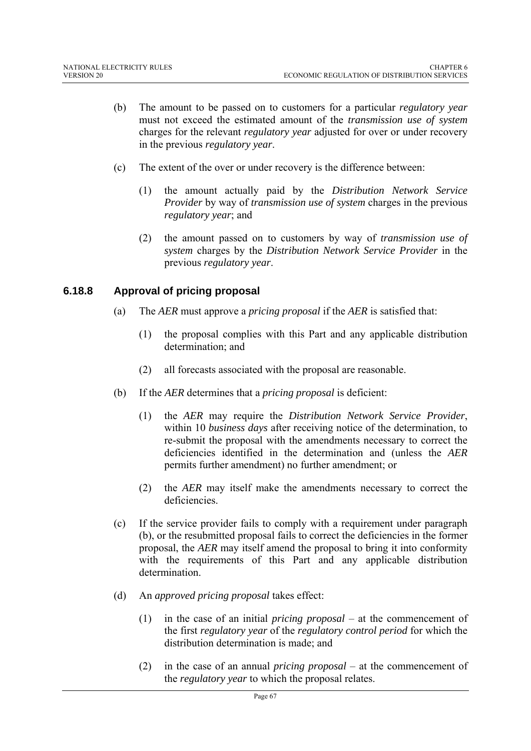- (b) The amount to be passed on to customers for a particular *regulatory year*  must not exceed the estimated amount of the *transmission use of system*  charges for the relevant *regulatory year* adjusted for over or under recovery in the previous *regulatory year*.
- (c) The extent of the over or under recovery is the difference between:
	- (1) the amount actually paid by the *Distribution Network Service Provider* by way of *transmission use of system* charges in the previous *regulatory year*; and
	- (2) the amount passed on to customers by way of *transmission use of system* charges by the *Distribution Network Service Provider* in the previous *regulatory year*.

## **6.18.8 Approval of pricing proposal**

- (a) The *AER* must approve a *pricing proposal* if the *AER* is satisfied that:
	- (1) the proposal complies with this Part and any applicable distribution determination; and
	- (2) all forecasts associated with the proposal are reasonable.
- (b) If the *AER* determines that a *pricing proposal* is deficient:
	- (1) the *AER* may require the *Distribution Network Service Provider*, within 10 *business days* after receiving notice of the determination, to re-submit the proposal with the amendments necessary to correct the deficiencies identified in the determination and (unless the *AER* permits further amendment) no further amendment; or
	- (2) the *AER* may itself make the amendments necessary to correct the deficiencies.
- (c) If the service provider fails to comply with a requirement under paragraph (b), or the resubmitted proposal fails to correct the deficiencies in the former proposal, the *AER* may itself amend the proposal to bring it into conformity with the requirements of this Part and any applicable distribution determination.
- (d) An *approved pricing proposal* takes effect:
	- (1) in the case of an initial *pricing proposal* at the commencement of the first *regulatory year* of the *regulatory control period* for which the distribution determination is made; and
	- (2) in the case of an annual *pricing proposal* at the commencement of the *regulatory year* to which the proposal relates.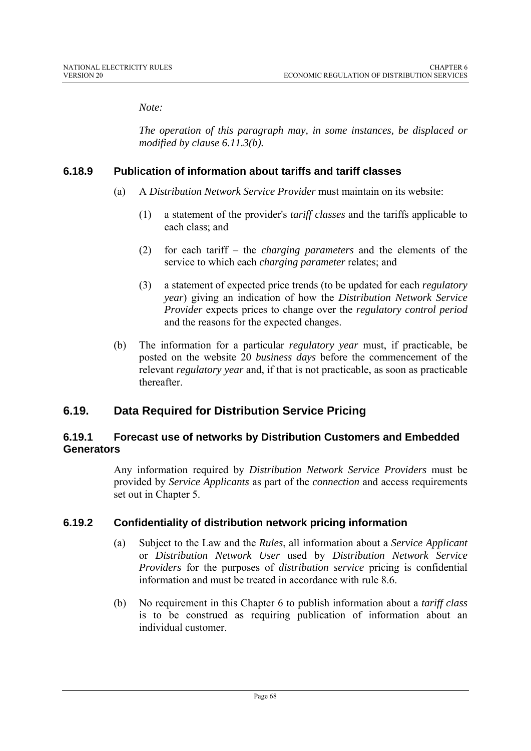*Note:* 

*The operation of this paragraph may, in some instances, be displaced or modified by clause 6.11.3(b).* 

### **6.18.9 Publication of information about tariffs and tariff classes**

- (a) A *Distribution Network Service Provider* must maintain on its website:
	- (1) a statement of the provider's *tariff classes* and the tariffs applicable to each class; and
	- (2) for each tariff the *charging parameters* and the elements of the service to which each *charging parameter* relates; and
	- (3) a statement of expected price trends (to be updated for each *regulatory year*) giving an indication of how the *Distribution Network Service Provider* expects prices to change over the *regulatory control period* and the reasons for the expected changes.
- (b) The information for a particular *regulatory year* must, if practicable, be posted on the website 20 *business days* before the commencement of the relevant *regulatory year* and, if that is not practicable, as soon as practicable thereafter.

# **6.19. Data Required for Distribution Service Pricing**

### **6.19.1 Forecast use of networks by Distribution Customers and Embedded Generators**

Any information required by *Distribution Network Service Providers* must be provided by *Service Applicants* as part of the *connection* and access requirements set out in Chapter 5.

## **6.19.2 Confidentiality of distribution network pricing information**

- (a) Subject to the Law and the *Rules*, all information about a *Service Applicant* or *Distribution Network User* used by *Distribution Network Service Providers* for the purposes of *distribution service* pricing is confidential information and must be treated in accordance with rule 8.6.
- (b) No requirement in this Chapter 6 to publish information about a *tariff class* is to be construed as requiring publication of information about an individual customer.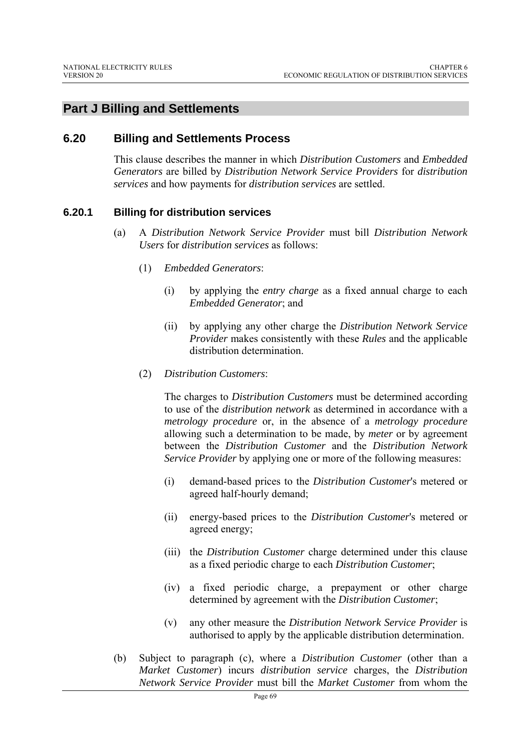# **Part J Billing and Settlements**

### **6.20 Billing and Settlements Process**

This clause describes the manner in which *Distribution Customers* and *Embedded Generators* are billed by *Distribution Network Service Providers* for *distribution services* and how payments for *distribution services* are settled.

#### **6.20.1 Billing for distribution services**

- (a) A *Distribution Network Service Provider* must bill *Distribution Network Users* for *distribution services* as follows:
	- (1) *Embedded Generators*:
		- (i) by applying the *entry charge* as a fixed annual charge to each *Embedded Generator*; and
		- (ii) by applying any other charge the *Distribution Network Service Provider* makes consistently with these *Rules* and the applicable distribution determination.
	- (2) *Distribution Customers*:

The charges to *Distribution Customers* must be determined according to use of the *distribution network* as determined in accordance with a *metrology procedure* or, in the absence of a *metrology procedure* allowing such a determination to be made, by *meter* or by agreement between the *Distribution Customer* and the *Distribution Network Service Provider* by applying one or more of the following measures:

- (i) demand-based prices to the *Distribution Customer*'s metered or agreed half-hourly demand;
- (ii) energy-based prices to the *Distribution Customer*'s metered or agreed energy;
- (iii) the *Distribution Customer* charge determined under this clause as a fixed periodic charge to each *Distribution Customer*;
- (iv) a fixed periodic charge, a prepayment or other charge determined by agreement with the *Distribution Customer*;
- (v) any other measure the *Distribution Network Service Provider* is authorised to apply by the applicable distribution determination.
- (b) Subject to paragraph (c), where a *Distribution Customer* (other than a *Market Customer*) incurs *distribution service* charges, the *Distribution Network Service Provider* must bill the *Market Customer* from whom the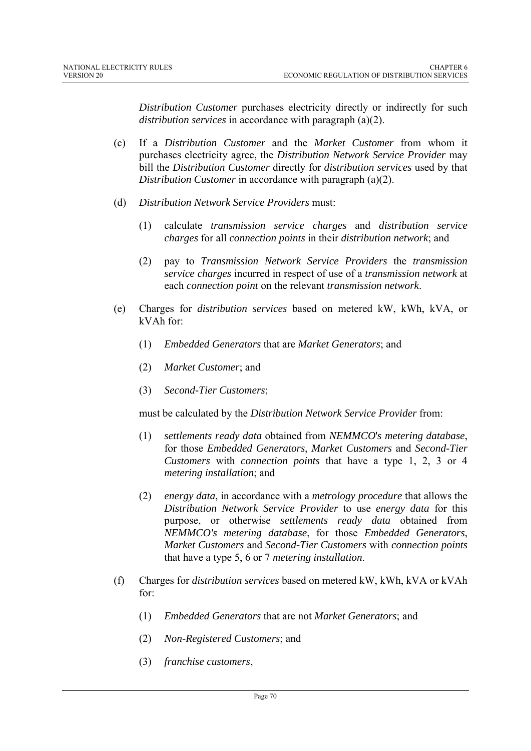*Distribution Customer* purchases electricity directly or indirectly for such *distribution services* in accordance with paragraph (a)(2).

- (c) If a *Distribution Customer* and the *Market Customer* from whom it purchases electricity agree, the *Distribution Network Service Provider* may bill the *Distribution Customer* directly for *distribution services* used by that *Distribution Customer* in accordance with paragraph (a)(2).
- (d) *Distribution Network Service Providers* must:
	- (1) calculate *transmission service charges* and *distribution service charges* for all *connection points* in their *distribution network*; and
	- (2) pay to *Transmission Network Service Providers* the *transmission service charges* incurred in respect of use of a *transmission network* at each *connection point* on the relevant *transmission network*.
- (e) Charges for *distribution services* based on metered kW, kWh, kVA, or kVAh for:
	- (1) *Embedded Generators* that are *Market Generators*; and
	- (2) *Market Customer*; and
	- (3) *Second-Tier Customers*;

must be calculated by the *Distribution Network Service Provider* from:

- (1) *settlements ready data* obtained from *NEMMCO*'*s metering database*, for those *Embedded Generators*, *Market Customers* and *Second-Tier Customers* with *connection points* that have a type 1, 2, 3 or 4 *metering installation*; and
- (2) *energy data*, in accordance with a *metrology procedure* that allows the *Distribution Network Service Provider* to use *energy data* for this purpose, or otherwise *settlements ready data* obtained from *NEMMCO's metering database*, for those *Embedded Generators*, *Market Customers* and *Second-Tier Customers* with *connection points* that have a type 5, 6 or 7 *metering installation*.
- (f) Charges for *distribution services* based on metered kW, kWh, kVA or kVAh for:
	- (1) *Embedded Generators* that are not *Market Generators*; and
	- (2) *Non-Registered Customers*; and
	- (3) *franchise customers*,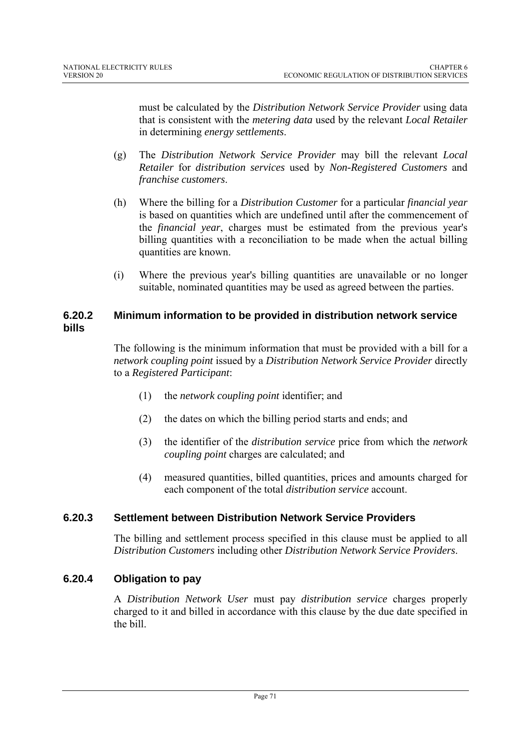must be calculated by the *Distribution Network Service Provider* using data that is consistent with the *metering data* used by the relevant *Local Retailer* in determining *energy settlements*.

- (g) The *Distribution Network Service Provider* may bill the relevant *Local Retailer* for *distribution services* used by *Non-Registered Customers* and *franchise customers*.
- (h) Where the billing for a *Distribution Customer* for a particular *financial year* is based on quantities which are undefined until after the commencement of the *financial year*, charges must be estimated from the previous year's billing quantities with a reconciliation to be made when the actual billing quantities are known.
- (i) Where the previous year's billing quantities are unavailable or no longer suitable, nominated quantities may be used as agreed between the parties.

## **6.20.2 Minimum information to be provided in distribution network service bills**

The following is the minimum information that must be provided with a bill for a *network coupling point* issued by a *Distribution Network Service Provider* directly to a *Registered Participant*:

- (1) the *network coupling point* identifier; and
- (2) the dates on which the billing period starts and ends; and
- (3) the identifier of the *distribution service* price from which the *network coupling point* charges are calculated; and
- (4) measured quantities, billed quantities, prices and amounts charged for each component of the total *distribution service* account.

# **6.20.3 Settlement between Distribution Network Service Providers**

The billing and settlement process specified in this clause must be applied to all *Distribution Customers* including other *Distribution Network Service Providers*.

## **6.20.4 Obligation to pay**

A *Distribution Network User* must pay *distribution service* charges properly charged to it and billed in accordance with this clause by the due date specified in the bill.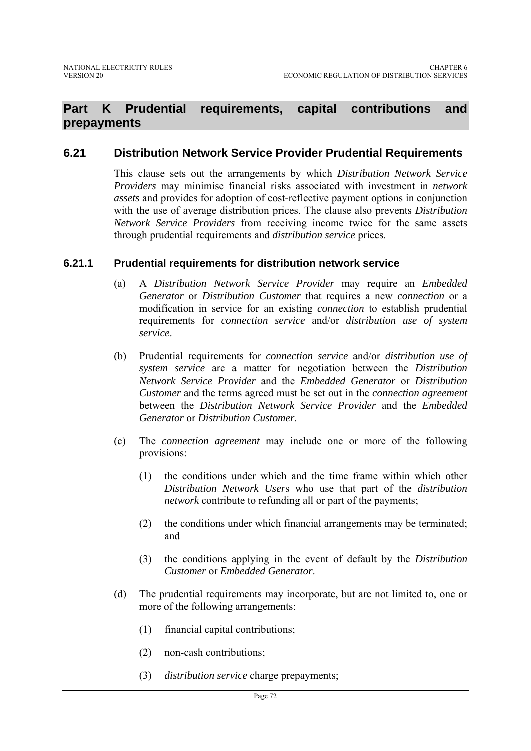## **Part K Prudential requirements, capital contributions and prepayments**

### **6.21 Distribution Network Service Provider Prudential Requirements**

This clause sets out the arrangements by which *Distribution Network Service Providers* may minimise financial risks associated with investment in *network assets* and provides for adoption of cost-reflective payment options in conjunction with the use of average distribution prices. The clause also prevents *Distribution Network Service Providers* from receiving income twice for the same assets through prudential requirements and *distribution service* prices.

#### **6.21.1 Prudential requirements for distribution network service**

- (a) A *Distribution Network Service Provider* may require an *Embedded Generator* or *Distribution Customer* that requires a new *connection* or a modification in service for an existing *connection* to establish prudential requirements for *connection service* and/or *distribution use of system service*.
- (b) Prudential requirements for *connection service* and/or *distribution use of system service* are a matter for negotiation between the *Distribution Network Service Provider* and the *Embedded Generator* or *Distribution Customer* and the terms agreed must be set out in the *connection agreement* between the *Distribution Network Service Provider* and the *Embedded Generator* or *Distribution Customer*.
- (c) The *connection agreement* may include one or more of the following provisions:
	- (1) the conditions under which and the time frame within which other *Distribution Network User*s who use that part of the *distribution network* contribute to refunding all or part of the payments;
	- (2) the conditions under which financial arrangements may be terminated; and
	- (3) the conditions applying in the event of default by the *Distribution Customer* or *Embedded Generator*.
- (d) The prudential requirements may incorporate, but are not limited to, one or more of the following arrangements:
	- (1) financial capital contributions;
	- (2) non-cash contributions;
	- (3) *distribution service* charge prepayments;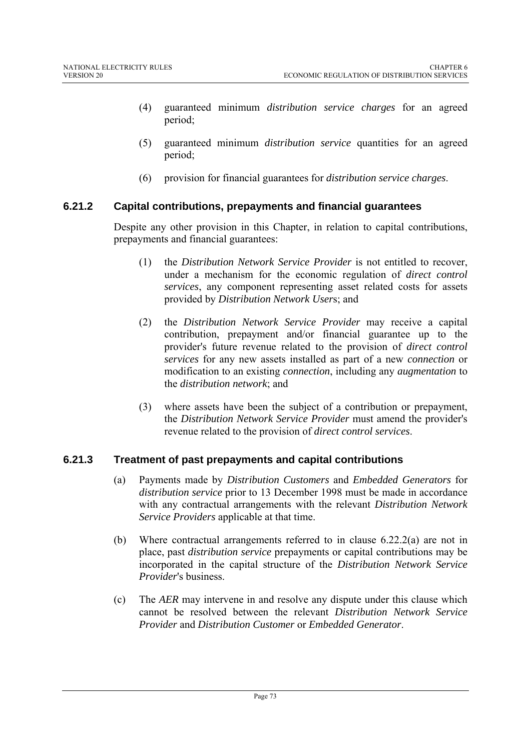- (4) guaranteed minimum *distribution service charges* for an agreed period;
- (5) guaranteed minimum *distribution service* quantities for an agreed period;
- (6) provision for financial guarantees for *distribution service charges*.

### **6.21.2 Capital contributions, prepayments and financial guarantees**

Despite any other provision in this Chapter, in relation to capital contributions, prepayments and financial guarantees:

- (1) the *Distribution Network Service Provider* is not entitled to recover, under a mechanism for the economic regulation of *direct control services*, any component representing asset related costs for assets provided by *Distribution Network User*s; and
- (2) the *Distribution Network Service Provider* may receive a capital contribution, prepayment and/or financial guarantee up to the provider's future revenue related to the provision of *direct control services* for any new assets installed as part of a new *connection* or modification to an existing *connection*, including any *augmentation* to the *distribution network*; and
- (3) where assets have been the subject of a contribution or prepayment, the *Distribution Network Service Provider* must amend the provider's revenue related to the provision of *direct control services*.

### **6.21.3 Treatment of past prepayments and capital contributions**

- (a) Payments made by *Distribution Customers* and *Embedded Generators* for *distribution service* prior to 13 December 1998 must be made in accordance with any contractual arrangements with the relevant *Distribution Network Service Providers* applicable at that time.
- (b) Where contractual arrangements referred to in clause 6.22.2(a) are not in place, past *distribution service* prepayments or capital contributions may be incorporated in the capital structure of the *Distribution Network Service Provider*'s business.
- (c) The *AER* may intervene in and resolve any dispute under this clause which cannot be resolved between the relevant *Distribution Network Service Provider* and *Distribution Customer* or *Embedded Generator*.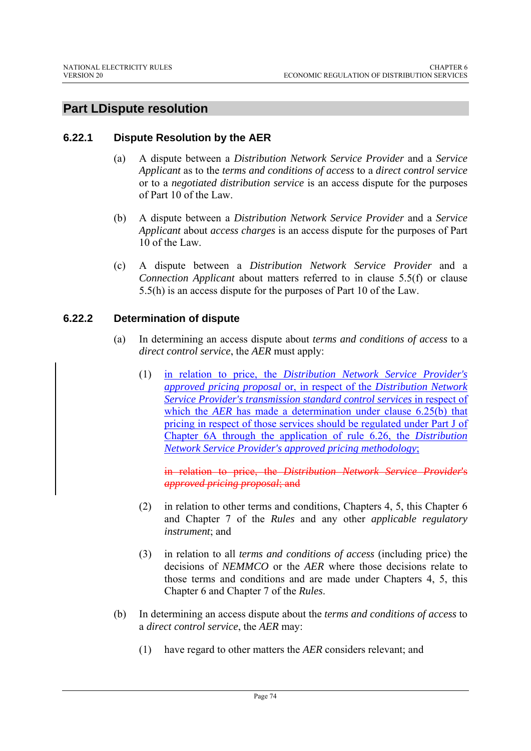## **Part LDispute resolution**

### **6.22.1 Dispute Resolution by the AER**

- (a) A dispute between a *Distribution Network Service Provider* and a *Service Applicant* as to the *terms and conditions of access* to a *direct control service* or to a *negotiated distribution service* is an access dispute for the purposes of Part 10 of the Law.
- (b) A dispute between a *Distribution Network Service Provider* and a *Service Applicant* about *access charges* is an access dispute for the purposes of Part 10 of the Law.
- (c) A dispute between a *Distribution Network Service Provider* and a *Connection Applicant* about matters referred to in clause 5.5(f) or clause 5.5(h) is an access dispute for the purposes of Part 10 of the Law.

### **6.22.2 Determination of dispute**

- (a) In determining an access dispute about *terms and conditions of access* to a *direct control service*, the *AER* must apply:
	- (1) in relation to price, the *Distribution Network Service Provider's approved pricing proposal* or, in respect of the *Distribution Network Service Provider's transmission standard control services* in respect of which the *AER* has made a determination under clause 6.25(b) that pricing in respect of those services should be regulated under Part J of Chapter 6A through the application of rule 6.26, the *Distribution Network Service Provider's approved pricing methodology*;

in relation to price, the *Distribution Network Service Provider*'s *approved pricing proposal*; and

- (2) in relation to other terms and conditions, Chapters 4, 5, this Chapter 6 and Chapter 7 of the *Rules* and any other *applicable regulatory instrument*; and
- (3) in relation to all *terms and conditions of access* (including price) the decisions of *NEMMCO* or the *AER* where those decisions relate to those terms and conditions and are made under Chapters 4, 5, this Chapter 6 and Chapter 7 of the *Rules*.
- (b) In determining an access dispute about the *terms and conditions of access* to a *direct control service*, the *AER* may:
	- (1) have regard to other matters the *AER* considers relevant; and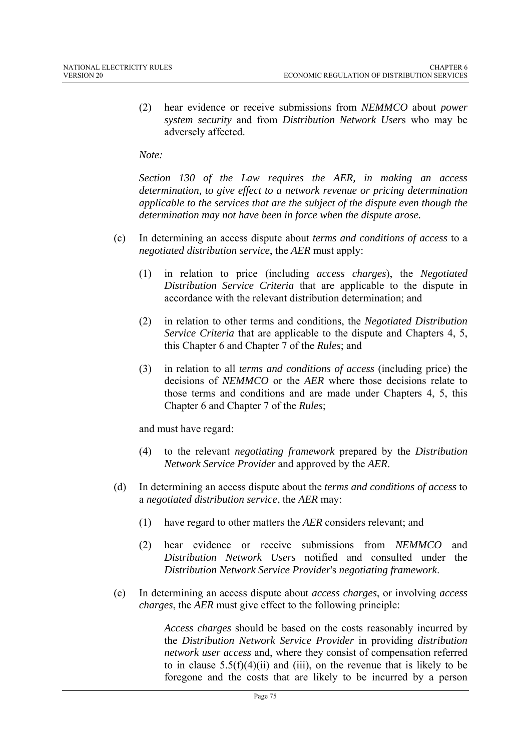(2) hear evidence or receive submissions from *NEMMCO* about *power system security* and from *Distribution Network User*s who may be adversely affected.

#### *Note:*

*Section 130 of the Law requires the AER, in making an access determination, to give effect to a network revenue or pricing determination applicable to the services that are the subject of the dispute even though the determination may not have been in force when the dispute arose.* 

- (c) In determining an access dispute about *terms and conditions of access* to a *negotiated distribution service*, the *AER* must apply:
	- (1) in relation to price (including *access charges*), the *Negotiated Distribution Service Criteria* that are applicable to the dispute in accordance with the relevant distribution determination; and
	- (2) in relation to other terms and conditions, the *Negotiated Distribution Service Criteria* that are applicable to the dispute and Chapters 4, 5, this Chapter 6 and Chapter 7 of the *Rules*; and
	- (3) in relation to all *terms and conditions of access* (including price) the decisions of *NEMMCO* or the *AER* where those decisions relate to those terms and conditions and are made under Chapters 4, 5, this Chapter 6 and Chapter 7 of the *Rules*;

and must have regard:

- (4) to the relevant *negotiating framework* prepared by the *Distribution Network Service Provider* and approved by the *AER*.
- (d) In determining an access dispute about the *terms and conditions of access* to a *negotiated distribution service*, the *AER* may:
	- (1) have regard to other matters the *AER* considers relevant; and
	- (2) hear evidence or receive submissions from *NEMMCO* and *Distribution Network Users* notified and consulted under the *Distribution Network Service Provider*'s *negotiating framework*.
- (e) In determining an access dispute about *access charges*, or involving *access charges*, the *AER* must give effect to the following principle:

*Access charges* should be based on the costs reasonably incurred by the *Distribution Network Service Provider* in providing *distribution network user access* and, where they consist of compensation referred to in clause  $5.5(f)(4)(ii)$  and (iii), on the revenue that is likely to be foregone and the costs that are likely to be incurred by a person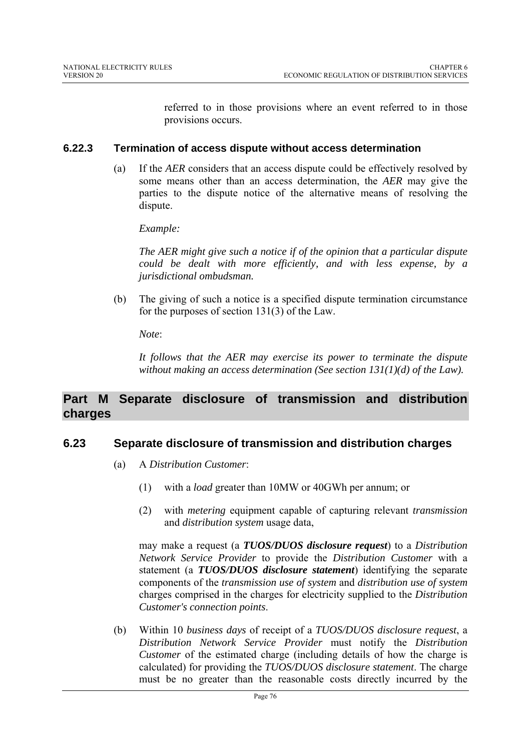referred to in those provisions where an event referred to in those provisions occurs.

### **6.22.3 Termination of access dispute without access determination**

(a) If the *AER* considers that an access dispute could be effectively resolved by some means other than an access determination, the *AER* may give the parties to the dispute notice of the alternative means of resolving the dispute.

*Example:* 

*The AER might give such a notice if of the opinion that a particular dispute could be dealt with more efficiently, and with less expense, by a jurisdictional ombudsman.* 

(b) The giving of such a notice is a specified dispute termination circumstance for the purposes of section 131(3) of the Law.

*Note*:

*It follows that the AER may exercise its power to terminate the dispute without making an access determination (See section 131(1)(d) of the Law).* 

## **Part M Separate disclosure of transmission and distribution charges**

### **6.23 Separate disclosure of transmission and distribution charges**

- (a) A *Distribution Customer*:
	- (1) with a *load* greater than 10MW or 40GWh per annum; or
	- (2) with *metering* equipment capable of capturing relevant *transmission* and *distribution system* usage data,

may make a request (a *TUOS/DUOS disclosure request*) to a *Distribution Network Service Provider* to provide the *Distribution Customer* with a statement (a *TUOS/DUOS disclosure statement*) identifying the separate components of the *transmission use of system* and *distribution use of system* charges comprised in the charges for electricity supplied to the *Distribution Customer's connection points*.

(b) Within 10 *business days* of receipt of a *TUOS/DUOS disclosure request*, a *Distribution Network Service Provider* must notify the *Distribution Customer* of the estimated charge (including details of how the charge is calculated) for providing the *TUOS/DUOS disclosure statement*. The charge must be no greater than the reasonable costs directly incurred by the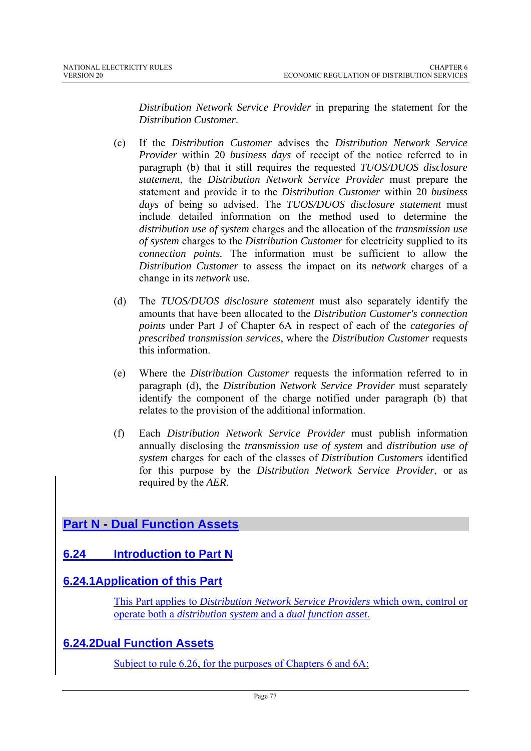*Distribution Network Service Provider* in preparing the statement for the *Distribution Customer*.

- (c) If the *Distribution Customer* advises the *Distribution Network Service Provider* within 20 *business days* of receipt of the notice referred to in paragraph (b) that it still requires the requested *TUOS/DUOS disclosure statement*, the *Distribution Network Service Provider* must prepare the statement and provide it to the *Distribution Customer* within 20 *business days* of being so advised. The *TUOS/DUOS disclosure statement* must include detailed information on the method used to determine the *distribution use of system* charges and the allocation of the *transmission use of system* charges to the *Distribution Customer* for electricity supplied to its *connection points.* The information must be sufficient to allow the *Distribution Customer* to assess the impact on its *network* charges of a change in its *network* use.
- (d) The *TUOS/DUOS disclosure statement* must also separately identify the amounts that have been allocated to the *Distribution Customer's connection points* under Part J of Chapter 6A in respect of each of the *categories of prescribed transmission services*, where the *Distribution Customer* requests this information.
- (e) Where the *Distribution Customer* requests the information referred to in paragraph (d), the *Distribution Network Service Provider* must separately identify the component of the charge notified under paragraph (b) that relates to the provision of the additional information.
- (f) Each *Distribution Network Service Provider* must publish information annually disclosing the *transmission use of system* and *distribution use of system* charges for each of the classes of *Distribution Customers* identified for this purpose by the *Distribution Network Service Provider*, or as required by the *AER*.

## **Part N - Dual Function Assets**

## **6.24 Introduction to Part N**

## **6.24.1Application of this Part**

This Part applies to *Distribution Network Service Providers* which own, control or operate both a *distribution system* and a *dual function asset*.

## **6.24.2Dual Function Assets**

Subject to rule 6.26, for the purposes of Chapters 6 and 6A: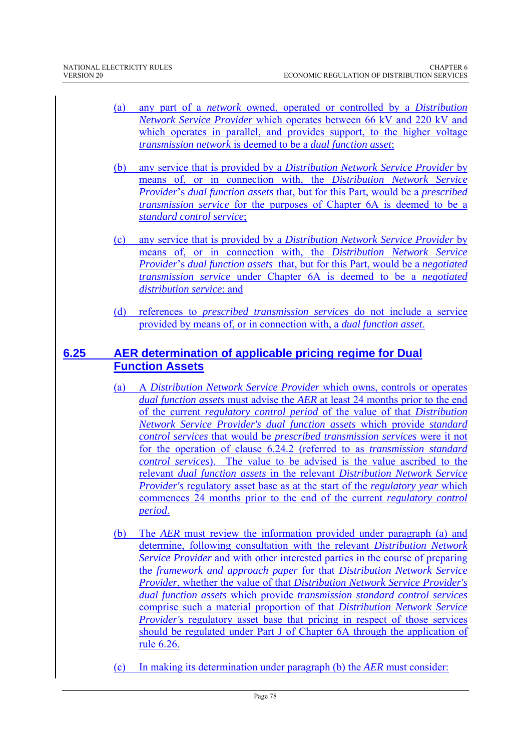- (a) any part of a *network* owned, operated or controlled by a *Distribution Network Service Provider* which operates between 66 kV and 220 kV and which operates in parallel, and provides support, to the higher voltage *transmission network* is deemed to be a *dual function asset*;
- (b) any service that is provided by a *Distribution Network Service Provider* by means of, or in connection with, the *Distribution Network Service Provider*'s *dual function assets* that, but for this Part, would be a *prescribed transmission service* for the purposes of Chapter 6A is deemed to be a *standard control service*;
- (c) any service that is provided by a *Distribution Network Service Provider* by means of, or in connection with, the *Distribution Network Service Provider*'s *dual function assets* that, but for this Part, would be a *negotiated transmission service* under Chapter 6A is deemed to be a *negotiated distribution service*; and
- (d) references to *prescribed transmission services* do not include a service provided by means of, or in connection with, a *dual function asset*.

### **6.25 AER determination of applicable pricing regime for Dual Function Assets**

- (a) A *Distribution Network Service Provider* which owns, controls or operates *dual function assets* must advise the *AER* at least 24 months prior to the end of the current *regulatory control period* of the value of that *Distribution Network Service Provider's dual function assets* which provide *standard control services* that would be *prescribed transmission services* were it not for the operation of clause 6.24.2 (referred to as *transmission standard control services*). The value to be advised is the value ascribed to the relevant *dual function assets* in the relevant *Distribution Network Service Provider's* regulatory asset base as at the start of the *regulatory year* which commences 24 months prior to the end of the current *regulatory control period*.
- (b) The *AER* must review the information provided under paragraph (a) and determine, following consultation with the relevant *Distribution Network Service Provider* and with other interested parties in the course of preparing the *framework and approach paper* for that *Distribution Network Service Provider*, whether the value of that *Distribution Network Service Provider's dual function assets* which provide *transmission standard control services* comprise such a material proportion of that *Distribution Network Service Provider's* regulatory asset base that pricing in respect of those services should be regulated under Part J of Chapter 6A through the application of rule 6.26.
- (c) In making its determination under paragraph (b) the *AER* must consider: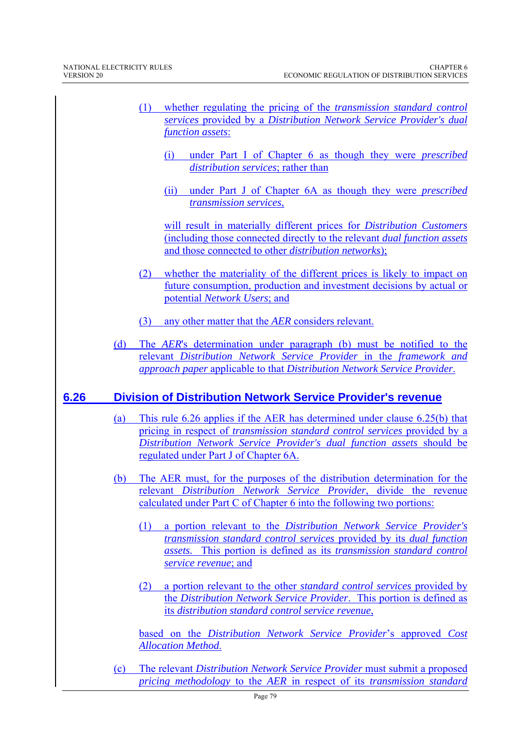- (1) whether regulating the pricing of the *transmission standard control services* provided by a *Distribution Network Service Provider's dual function assets*:
	- (i) under Part I of Chapter 6 as though they were *prescribed distribution services*; rather than
	- (ii) under Part J of Chapter 6A as though they were *prescribed transmission services*,

will result in materially different prices for *Distribution Customers*  (including those connected directly to the relevant *dual function assets* and those connected to other *distribution networks*);

- (2) whether the materiality of the different prices is likely to impact on future consumption, production and investment decisions by actual or potential *Network Users*; and
- (3) any other matter that the *AER* considers relevant.
- (d) The *AER*'s determination under paragraph (b) must be notified to the relevant *Distribution Network Service Provider* in the *framework and approach paper* applicable to that *Distribution Network Service Provider*.

### **6.26 Division of Distribution Network Service Provider's revenue**

- (a) This rule 6.26 applies if the AER has determined under clause 6.25(b) that pricing in respect of *transmission standard control services* provided by a *Distribution Network Service Provider's dual function assets* should be regulated under Part J of Chapter 6A.
- (b) The AER must, for the purposes of the distribution determination for the relevant *Distribution Network Service Provider*, divide the revenue calculated under Part C of Chapter 6 into the following two portions:
	- (1) a portion relevant to the *Distribution Network Service Provider's transmission standard control services* provided by its *dual function assets.* This portion is defined as its *transmission standard control service revenue*; and
	- (2) a portion relevant to the other *standard control services* provided by the *Distribution Network Service Provider*. This portion is defined as its *distribution standard control service revenue*,

based on the *Distribution Network Service Provider*'s approved *Cost Allocation Method*.

(c) The relevant *Distribution Network Service Provider* must submit a proposed *pricing methodology* to the *AER* in respect of its *transmission standard*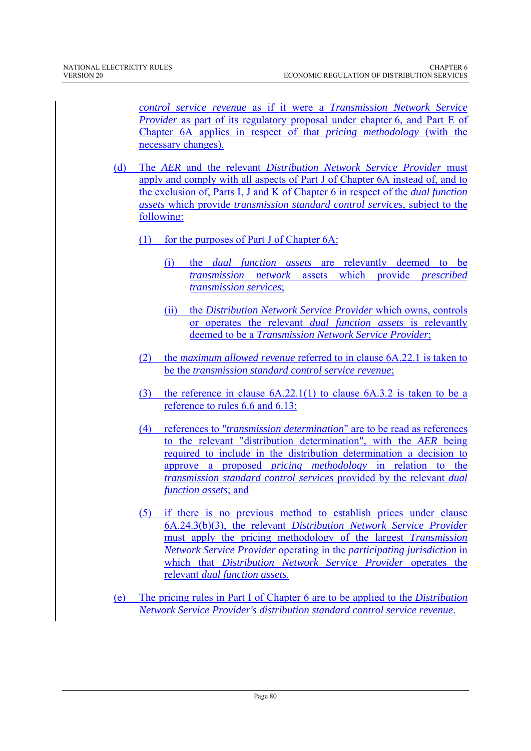*control service revenue* as if it were a *Transmission Network Service Provider* as part of its regulatory proposal under chapter 6, and Part E of Chapter 6A applies in respect of that *pricing methodology* (with the necessary changes).

- (d) The *AER* and the relevant *Distribution Network Service Provider* must apply and comply with all aspects of Part J of Chapter 6A instead of, and to the exclusion of, Parts I, J and K of Chapter 6 in respect of the *dual function assets* which provide *transmission standard control services*, subject to the following:
	- (1) for the purposes of Part J of Chapter 6A:
		- (i) the *dual function assets* are relevantly deemed to be *transmission network* assets which provide *prescribed transmission services*;
		- (ii) the *Distribution Network Service Provider* which owns, controls or operates the relevant *dual function assets* is relevantly deemed to be a *Transmission Network Service Provider*;
	- (2) the *maximum allowed revenue* referred to in clause 6A.22.1 is taken to be the *transmission standard control service revenue*;
	- (3) the reference in clause 6A.22.1(1) to clause 6A.3.2 is taken to be a reference to rules 6.6 and 6.13;
	- (4) references to "*transmission determination*" are to be read as references to the relevant "distribution determination", with the *AER* being required to include in the distribution determination a decision to approve a proposed *pricing methodology* in relation to the *transmission standard control services* provided by the relevant *dual function assets*; and
	- (5) if there is no previous method to establish prices under clause 6A.24.3(b)(3), the relevant *Distribution Network Service Provider* must apply the pricing methodology of the largest *Transmission Network Service Provider* operating in the *participating jurisdiction* in which that *Distribution Network Service Provider* operates the relevant *dual function assets*.
- (e) The pricing rules in Part I of Chapter 6 are to be applied to the *Distribution Network Service Provider's distribution standard control service revenue*.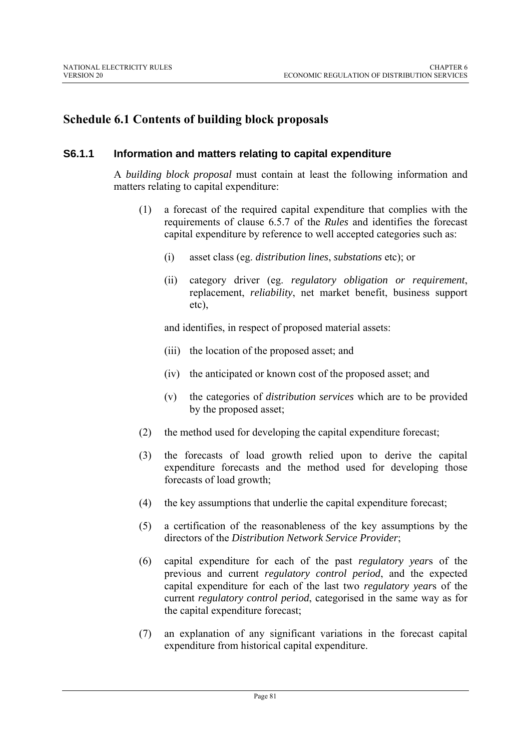## **Schedule 6.1 Contents of building block proposals**

#### **S6.1.1 Information and matters relating to capital expenditure**

A *building block proposal* must contain at least the following information and matters relating to capital expenditure:

- (1) a forecast of the required capital expenditure that complies with the requirements of clause 6.5.7 of the *Rules* and identifies the forecast capital expenditure by reference to well accepted categories such as:
	- (i) asset class (eg. *distribution lines*, *substations* etc); or
	- (ii) category driver (eg. *regulatory obligation or requirement*, replacement, *reliability*, net market benefit, business support etc),

and identifies, in respect of proposed material assets:

- (iii) the location of the proposed asset; and
- (iv) the anticipated or known cost of the proposed asset; and
- (v) the categories of *distribution services* which are to be provided by the proposed asset;
- (2) the method used for developing the capital expenditure forecast;
- (3) the forecasts of load growth relied upon to derive the capital expenditure forecasts and the method used for developing those forecasts of load growth;
- (4) the key assumptions that underlie the capital expenditure forecast;
- (5) a certification of the reasonableness of the key assumptions by the directors of the *Distribution Network Service Provider*;
- (6) capital expenditure for each of the past *regulatory year*s of the previous and current *regulatory control period*, and the expected capital expenditure for each of the last two *regulatory year*s of the current *regulatory control period*, categorised in the same way as for the capital expenditure forecast;
- (7) an explanation of any significant variations in the forecast capital expenditure from historical capital expenditure.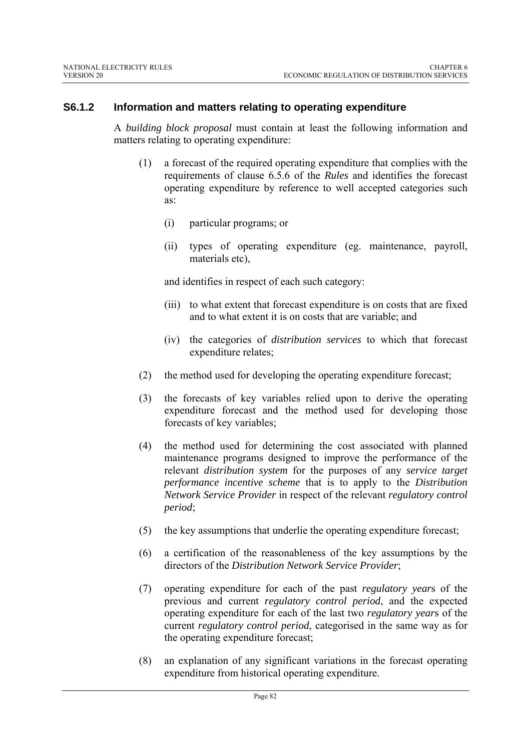#### **S6.1.2 Information and matters relating to operating expenditure**

A *building block proposal* must contain at least the following information and matters relating to operating expenditure:

- (1) a forecast of the required operating expenditure that complies with the requirements of clause 6.5.6 of the *Rules* and identifies the forecast operating expenditure by reference to well accepted categories such as:
	- (i) particular programs; or
	- (ii) types of operating expenditure (eg. maintenance, payroll, materials etc),

and identifies in respect of each such category:

- (iii) to what extent that forecast expenditure is on costs that are fixed and to what extent it is on costs that are variable; and
- (iv) the categories of *distribution services* to which that forecast expenditure relates;
- (2) the method used for developing the operating expenditure forecast;
- (3) the forecasts of key variables relied upon to derive the operating expenditure forecast and the method used for developing those forecasts of key variables;
- (4) the method used for determining the cost associated with planned maintenance programs designed to improve the performance of the relevant *distribution system* for the purposes of any *service target performance incentive scheme* that is to apply to the *Distribution Network Service Provider* in respect of the relevant *regulatory control period*;
- (5) the key assumptions that underlie the operating expenditure forecast;
- (6) a certification of the reasonableness of the key assumptions by the directors of the *Distribution Network Service Provider*;
- (7) operating expenditure for each of the past *regulatory year*s of the previous and current *regulatory control period*, and the expected operating expenditure for each of the last two *regulatory year*s of the current *regulatory control period*, categorised in the same way as for the operating expenditure forecast;
- (8) an explanation of any significant variations in the forecast operating expenditure from historical operating expenditure.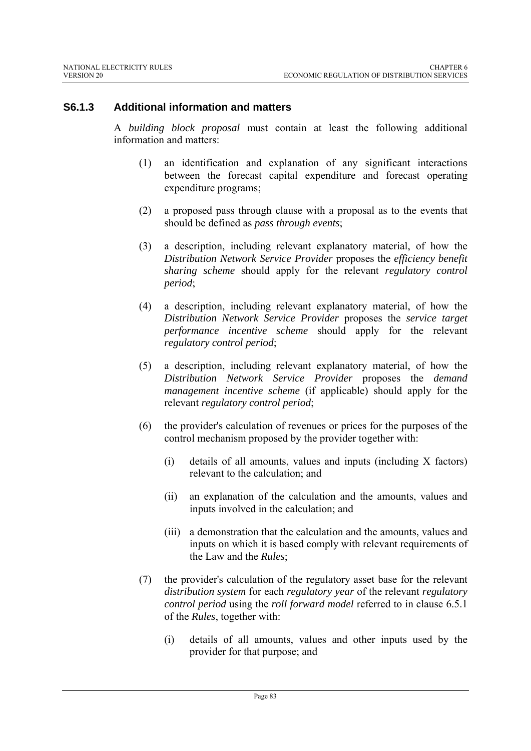### **S6.1.3 Additional information and matters**

A *building block proposal* must contain at least the following additional information and matters:

- (1) an identification and explanation of any significant interactions between the forecast capital expenditure and forecast operating expenditure programs;
- (2) a proposed pass through clause with a proposal as to the events that should be defined as *pass through events*;
- (3) a description, including relevant explanatory material, of how the *Distribution Network Service Provider* proposes the *efficiency benefit sharing scheme* should apply for the relevant *regulatory control period*;
- (4) a description, including relevant explanatory material, of how the *Distribution Network Service Provider* proposes the *service target performance incentive scheme* should apply for the relevant *regulatory control period*;
- (5) a description, including relevant explanatory material, of how the *Distribution Network Service Provider* proposes the *demand management incentive scheme* (if applicable) should apply for the relevant *regulatory control period*;
- (6) the provider's calculation of revenues or prices for the purposes of the control mechanism proposed by the provider together with:
	- (i) details of all amounts, values and inputs (including X factors) relevant to the calculation; and
	- (ii) an explanation of the calculation and the amounts, values and inputs involved in the calculation; and
	- (iii) a demonstration that the calculation and the amounts, values and inputs on which it is based comply with relevant requirements of the Law and the *Rules*;
- (7) the provider's calculation of the regulatory asset base for the relevant *distribution system* for each *regulatory year* of the relevant *regulatory control period* using the *roll forward model* referred to in clause 6.5.1 of the *Rules*, together with:
	- (i) details of all amounts, values and other inputs used by the provider for that purpose; and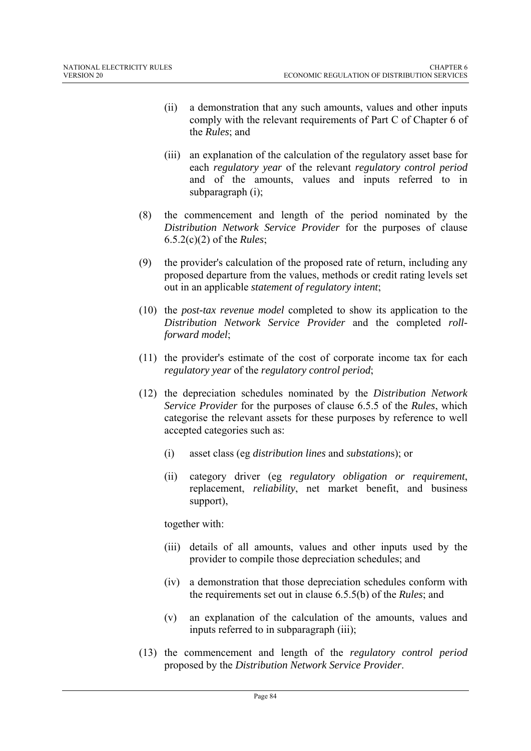- (ii) a demonstration that any such amounts, values and other inputs comply with the relevant requirements of Part C of Chapter 6 of the *Rules*; and
- (iii) an explanation of the calculation of the regulatory asset base for each *regulatory year* of the relevant *regulatory control period* and of the amounts, values and inputs referred to in subparagraph (i);
- (8) the commencement and length of the period nominated by the *Distribution Network Service Provider* for the purposes of clause 6.5.2(c)(2) of the *Rules*;
- (9) the provider's calculation of the proposed rate of return, including any proposed departure from the values, methods or credit rating levels set out in an applicable *statement of regulatory intent*;
- (10) the *post-tax revenue model* completed to show its application to the *Distribution Network Service Provider* and the completed *rollforward model*;
- (11) the provider's estimate of the cost of corporate income tax for each *regulatory year* of the *regulatory control period*;
- (12) the depreciation schedules nominated by the *Distribution Network Service Provider* for the purposes of clause 6.5.5 of the *Rules*, which categorise the relevant assets for these purposes by reference to well accepted categories such as:
	- (i) asset class (eg *distribution lines* and *substation*s); or
	- (ii) category driver (eg *regulatory obligation or requirement*, replacement, *reliability*, net market benefit, and business support),

together with:

- (iii) details of all amounts, values and other inputs used by the provider to compile those depreciation schedules; and
- (iv) a demonstration that those depreciation schedules conform with the requirements set out in clause 6.5.5(b) of the *Rules*; and
- (v) an explanation of the calculation of the amounts, values and inputs referred to in subparagraph (iii);
- (13) the commencement and length of the *regulatory control period* proposed by the *Distribution Network Service Provider*.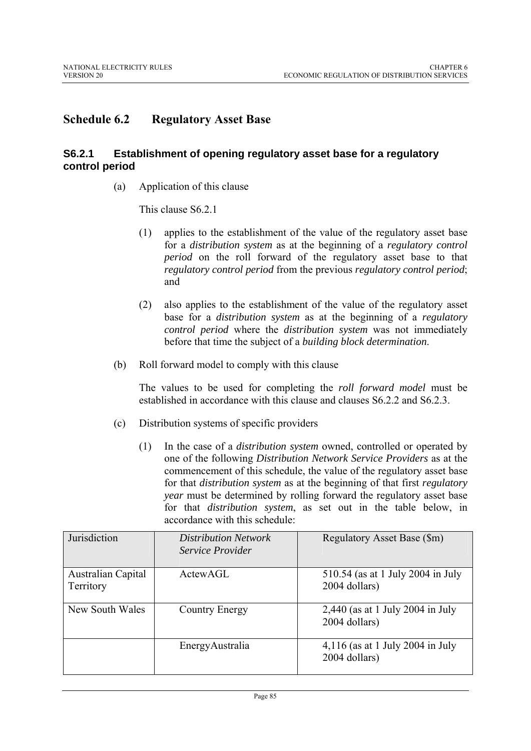### **Schedule 6.2 Regulatory Asset Base**

#### **S6.2.1 Establishment of opening regulatory asset base for a regulatory control period**

(a) Application of this clause

This clause S6.2.1

- (1) applies to the establishment of the value of the regulatory asset base for a *distribution system* as at the beginning of a *regulatory control period* on the roll forward of the regulatory asset base to that *regulatory control period* from the previous *regulatory control period*; and
- (2) also applies to the establishment of the value of the regulatory asset base for a *distribution system* as at the beginning of a *regulatory control period* where the *distribution system* was not immediately before that time the subject of a *building block determination*.
- (b) Roll forward model to comply with this clause

The values to be used for completing the *roll forward model* must be established in accordance with this clause and clauses S6.2.2 and S6.2.3.

- (c) Distribution systems of specific providers
	- (1) In the case of a *distribution system* owned, controlled or operated by one of the following *Distribution Network Service Providers* as at the commencement of this schedule, the value of the regulatory asset base for that *distribution system* as at the beginning of that first *regulatory year* must be determined by rolling forward the regulatory asset base for that *distribution system*, as set out in the table below, in accordance with this schedule:

| Jurisdiction                    | <b>Distribution Network</b><br><i>Service Provider</i> | Regulatory Asset Base (\$m)                         |
|---------------------------------|--------------------------------------------------------|-----------------------------------------------------|
| Australian Capital<br>Territory | ActewAGL                                               | 510.54 (as at 1 July 2004 in July<br>2004 dollars)  |
| New South Wales                 | Country Energy                                         | $2,440$ (as at 1 July 2004 in July<br>2004 dollars) |
|                                 | EnergyAustralia                                        | $4,116$ (as at 1 July 2004 in July<br>2004 dollars) |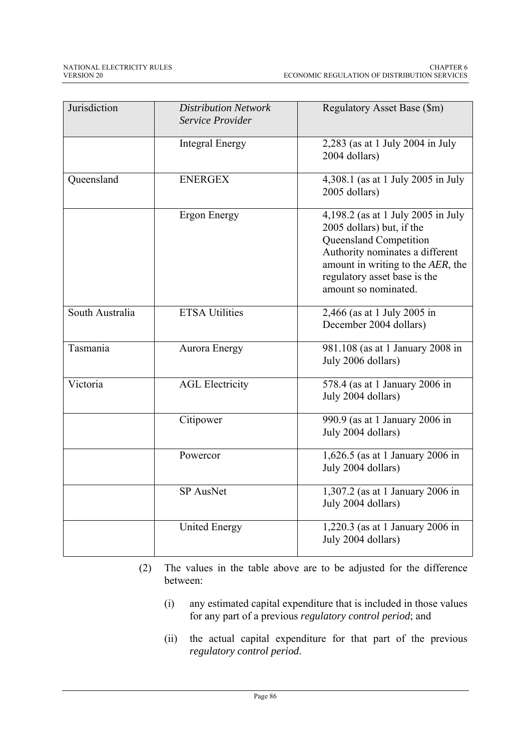| Jurisdiction    | <b>Distribution Network</b><br>Service Provider | Regulatory Asset Base (\$m)                                                                                                                                                                                               |
|-----------------|-------------------------------------------------|---------------------------------------------------------------------------------------------------------------------------------------------------------------------------------------------------------------------------|
|                 | <b>Integral Energy</b>                          | 2,283 (as at 1 July 2004 in July<br>2004 dollars)                                                                                                                                                                         |
| Queensland      | <b>ENERGEX</b>                                  | 4,308.1 (as at 1 July 2005 in July<br>2005 dollars)                                                                                                                                                                       |
|                 | <b>Ergon Energy</b>                             | 4,198.2 (as at 1 July 2005 in July<br>2005 dollars) but, if the<br>Queensland Competition<br>Authority nominates a different<br>amount in writing to the AER, the<br>regulatory asset base is the<br>amount so nominated. |
| South Australia | <b>ETSA Utilities</b>                           | 2,466 (as at 1 July 2005 in<br>December 2004 dollars)                                                                                                                                                                     |
| Tasmania        | <b>Aurora Energy</b>                            | 981.108 (as at 1 January 2008 in<br>July 2006 dollars)                                                                                                                                                                    |
| Victoria        | <b>AGL Electricity</b>                          | 578.4 (as at 1 January 2006 in<br>July 2004 dollars)                                                                                                                                                                      |
|                 | Citipower                                       | 990.9 (as at 1 January 2006 in<br>July 2004 dollars)                                                                                                                                                                      |
|                 | Powercor                                        | 1,626.5 (as at 1 January 2006 in<br>July 2004 dollars)                                                                                                                                                                    |
|                 | <b>SP AusNet</b>                                | 1,307.2 (as at 1 January 2006 in<br>July 2004 dollars)                                                                                                                                                                    |
|                 | <b>United Energy</b>                            | 1,220.3 (as at 1 January 2006 in<br>July 2004 dollars)                                                                                                                                                                    |

- (2) The values in the table above are to be adjusted for the difference between:
	- (i) any estimated capital expenditure that is included in those values for any part of a previous *regulatory control period*; and
	- (ii) the actual capital expenditure for that part of the previous *regulatory control period*.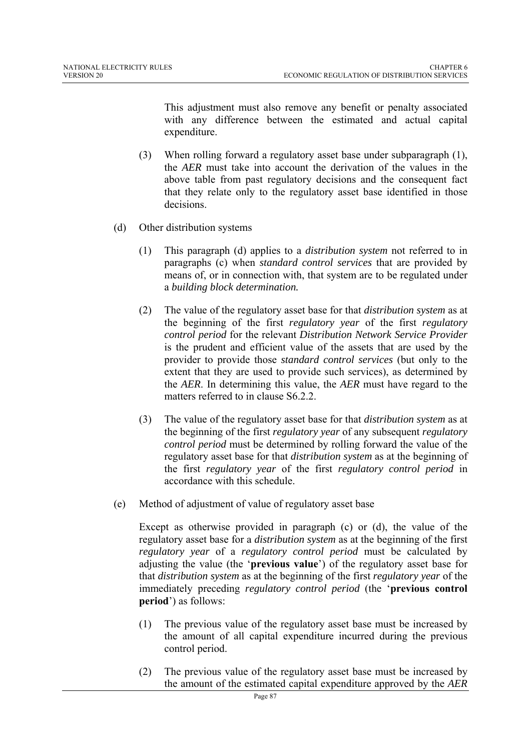This adjustment must also remove any benefit or penalty associated with any difference between the estimated and actual capital expenditure.

- (3) When rolling forward a regulatory asset base under subparagraph (1), the *AER* must take into account the derivation of the values in the above table from past regulatory decisions and the consequent fact that they relate only to the regulatory asset base identified in those decisions.
- (d) Other distribution systems
	- (1) This paragraph (d) applies to a *distribution system* not referred to in paragraphs (c) when *standard control services* that are provided by means of, or in connection with, that system are to be regulated under a *building block determination.*
	- (2) The value of the regulatory asset base for that *distribution system* as at the beginning of the first *regulatory year* of the first *regulatory control period* for the relevant *Distribution Network Service Provider*  is the prudent and efficient value of the assets that are used by the provider to provide those *standard control services* (but only to the extent that they are used to provide such services), as determined by the *AER*. In determining this value, the *AER* must have regard to the matters referred to in clause S6.2.2.
	- (3) The value of the regulatory asset base for that *distribution system* as at the beginning of the first *regulatory year* of any subsequent *regulatory control period* must be determined by rolling forward the value of the regulatory asset base for that *distribution system* as at the beginning of the first *regulatory year* of the first *regulatory control period* in accordance with this schedule.
- (e) Method of adjustment of value of regulatory asset base

Except as otherwise provided in paragraph (c) or (d), the value of the regulatory asset base for a *distribution system* as at the beginning of the first *regulatory year* of a *regulatory control period* must be calculated by adjusting the value (the '**previous value**') of the regulatory asset base for that *distribution system* as at the beginning of the first *regulatory year* of the immediately preceding *regulatory control period* (the '**previous control period**') as follows:

- (1) The previous value of the regulatory asset base must be increased by the amount of all capital expenditure incurred during the previous control period.
- (2) The previous value of the regulatory asset base must be increased by the amount of the estimated capital expenditure approved by the *AER*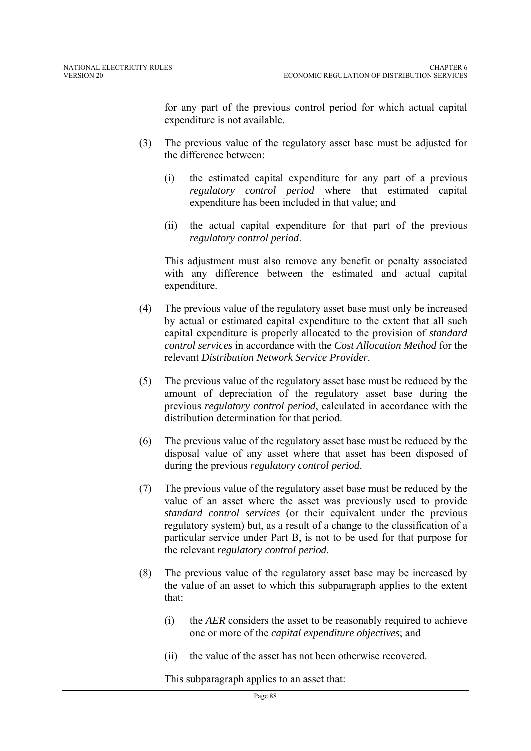for any part of the previous control period for which actual capital expenditure is not available.

- (3) The previous value of the regulatory asset base must be adjusted for the difference between:
	- (i) the estimated capital expenditure for any part of a previous *regulatory control period* where that estimated capital expenditure has been included in that value; and
	- (ii) the actual capital expenditure for that part of the previous *regulatory control period*.

This adjustment must also remove any benefit or penalty associated with any difference between the estimated and actual capital expenditure.

- (4) The previous value of the regulatory asset base must only be increased by actual or estimated capital expenditure to the extent that all such capital expenditure is properly allocated to the provision of *standard control services* in accordance with the *Cost Allocation Method* for the relevant *Distribution Network Service Provider*.
- (5) The previous value of the regulatory asset base must be reduced by the amount of depreciation of the regulatory asset base during the previous *regulatory control period*, calculated in accordance with the distribution determination for that period.
- (6) The previous value of the regulatory asset base must be reduced by the disposal value of any asset where that asset has been disposed of during the previous *regulatory control period*.
- (7) The previous value of the regulatory asset base must be reduced by the value of an asset where the asset was previously used to provide *standard control services* (or their equivalent under the previous regulatory system) but, as a result of a change to the classification of a particular service under Part B, is not to be used for that purpose for the relevant *regulatory control period*.
- (8) The previous value of the regulatory asset base may be increased by the value of an asset to which this subparagraph applies to the extent that:
	- (i) the *AER* considers the asset to be reasonably required to achieve one or more of the *capital expenditure objectives*; and
	- (ii) the value of the asset has not been otherwise recovered.

This subparagraph applies to an asset that: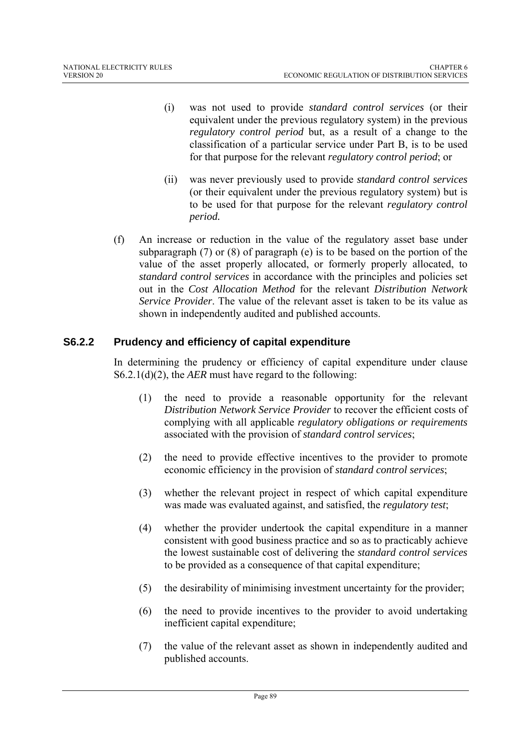- (i) was not used to provide *standard control services* (or their equivalent under the previous regulatory system) in the previous *regulatory control period* but, as a result of a change to the classification of a particular service under Part B, is to be used for that purpose for the relevant *regulatory control period*; or
- (ii) was never previously used to provide *standard control services* (or their equivalent under the previous regulatory system) but is to be used for that purpose for the relevant *regulatory control period.*
- (f) An increase or reduction in the value of the regulatory asset base under subparagraph (7) or (8) of paragraph (e) is to be based on the portion of the value of the asset properly allocated, or formerly properly allocated, to *standard control services* in accordance with the principles and policies set out in the *Cost Allocation Method* for the relevant *Distribution Network Service Provider*. The value of the relevant asset is taken to be its value as shown in independently audited and published accounts.

### **S6.2.2 Prudency and efficiency of capital expenditure**

In determining the prudency or efficiency of capital expenditure under clause S6.2.1(d)(2), the *AER* must have regard to the following:

- (1) the need to provide a reasonable opportunity for the relevant *Distribution Network Service Provider* to recover the efficient costs of complying with all applicable *regulatory obligations or requirements* associated with the provision of *standard control services*;
- (2) the need to provide effective incentives to the provider to promote economic efficiency in the provision of *standard control services*;
- (3) whether the relevant project in respect of which capital expenditure was made was evaluated against, and satisfied, the *regulatory test*;
- (4) whether the provider undertook the capital expenditure in a manner consistent with good business practice and so as to practicably achieve the lowest sustainable cost of delivering the *standard control services* to be provided as a consequence of that capital expenditure;
- (5) the desirability of minimising investment uncertainty for the provider;
- (6) the need to provide incentives to the provider to avoid undertaking inefficient capital expenditure;
- (7) the value of the relevant asset as shown in independently audited and published accounts.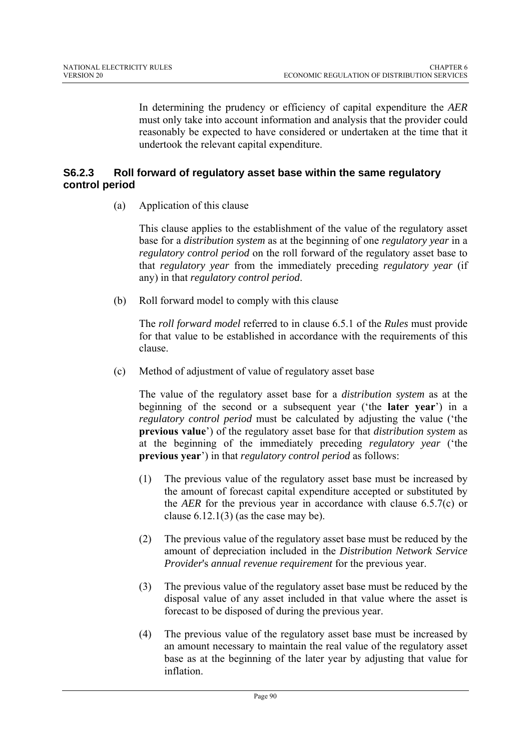In determining the prudency or efficiency of capital expenditure the *AER* must only take into account information and analysis that the provider could reasonably be expected to have considered or undertaken at the time that it undertook the relevant capital expenditure.

### **S6.2.3 Roll forward of regulatory asset base within the same regulatory control period**

(a) Application of this clause

This clause applies to the establishment of the value of the regulatory asset base for a *distribution system* as at the beginning of one *regulatory year* in a *regulatory control period* on the roll forward of the regulatory asset base to that *regulatory year* from the immediately preceding *regulatory year* (if any) in that *regulatory control period*.

(b) Roll forward model to comply with this clause

The *roll forward model* referred to in clause 6.5.1 of the *Rules* must provide for that value to be established in accordance with the requirements of this clause.

(c) Method of adjustment of value of regulatory asset base

The value of the regulatory asset base for a *distribution system* as at the beginning of the second or a subsequent year ('the **later year**') in a *regulatory control period* must be calculated by adjusting the value ('the **previous value**') of the regulatory asset base for that *distribution system* as at the beginning of the immediately preceding *regulatory year* ('the **previous year**') in that *regulatory control period* as follows:

- (1) The previous value of the regulatory asset base must be increased by the amount of forecast capital expenditure accepted or substituted by the *AER* for the previous year in accordance with clause 6.5.7(c) or clause  $6.12.1(3)$  (as the case may be).
- (2) The previous value of the regulatory asset base must be reduced by the amount of depreciation included in the *Distribution Network Service Provider*'s *annual revenue requirement* for the previous year.
- (3) The previous value of the regulatory asset base must be reduced by the disposal value of any asset included in that value where the asset is forecast to be disposed of during the previous year.
- (4) The previous value of the regulatory asset base must be increased by an amount necessary to maintain the real value of the regulatory asset base as at the beginning of the later year by adjusting that value for inflation.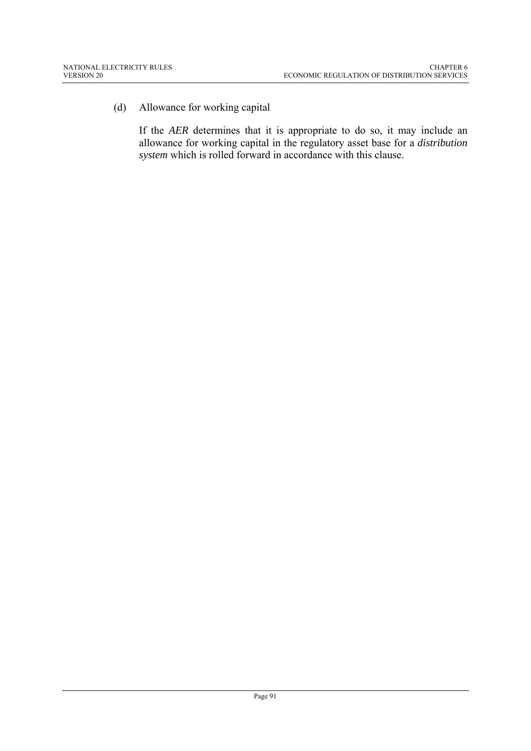(d) Allowance for working capital

If the *AER* determines that it is appropriate to do so, it may include an allowance for working capital in the regulatory asset base for a *distribution system* which is rolled forward in accordance with this clause.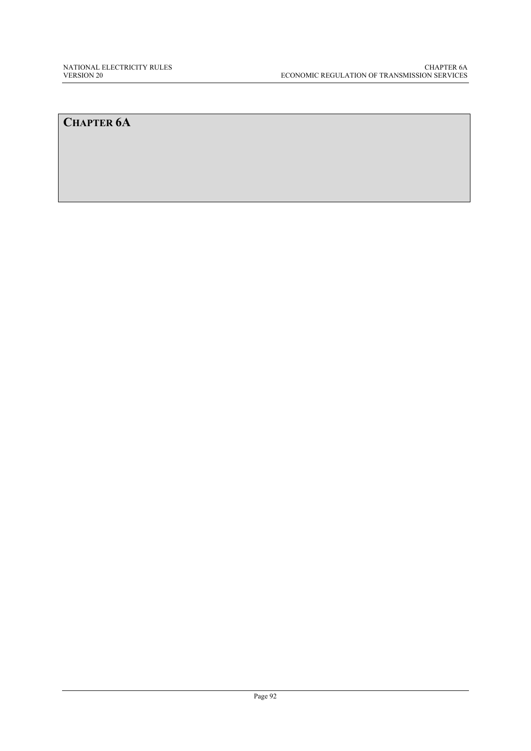## **CHAPTER 6A**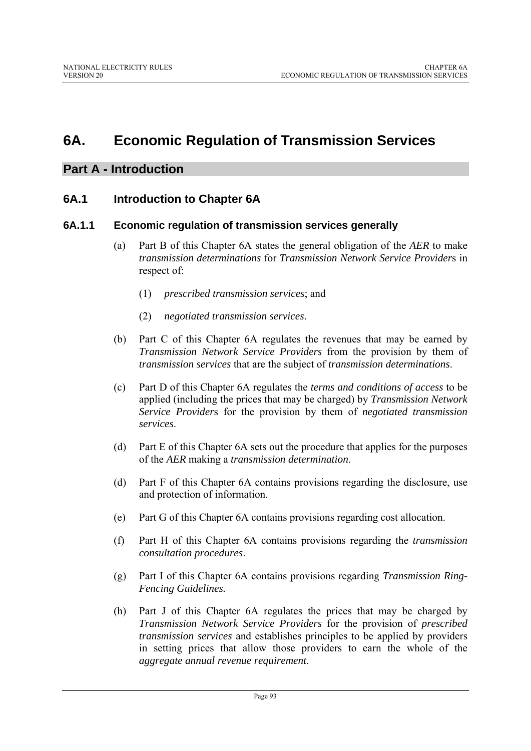# **6A. Economic Regulation of Transmission Services**

### **Part A - Introduction**

### **6A.1 Introduction to Chapter 6A**

#### **6A.1.1 Economic regulation of transmission services generally**

- (a) Part B of this Chapter 6A states the general obligation of the *AER* to make *transmission determinations* for *Transmission Network Service Provider*s in respect of:
	- (1) *prescribed transmission services*; and
	- (2) *negotiated transmission services*.
- (b) Part C of this Chapter 6A regulates the revenues that may be earned by *Transmission Network Service Providers* from the provision by them of *transmission services* that are the subject of *transmission determinations*.
- (c) Part D of this Chapter 6A regulates the *terms and conditions of access* to be applied (including the prices that may be charged) by *Transmission Network Service Provider*s for the provision by them of *negotiated transmission services*.
- (d) Part E of this Chapter 6A sets out the procedure that applies for the purposes of the *AER* making a *transmission determination*.
- (d) Part F of this Chapter 6A contains provisions regarding the disclosure, use and protection of information.
- (e) Part G of this Chapter 6A contains provisions regarding cost allocation.
- (f) Part H of this Chapter 6A contains provisions regarding the *transmission consultation procedures*.
- (g) Part I of this Chapter 6A contains provisions regarding *Transmission Ring-Fencing Guidelines.*
- (h) Part J of this Chapter 6A regulates the prices that may be charged by *Transmission Network Service Providers* for the provision of *prescribed transmission services* and establishes principles to be applied by providers in setting prices that allow those providers to earn the whole of the *aggregate annual revenue requirement*.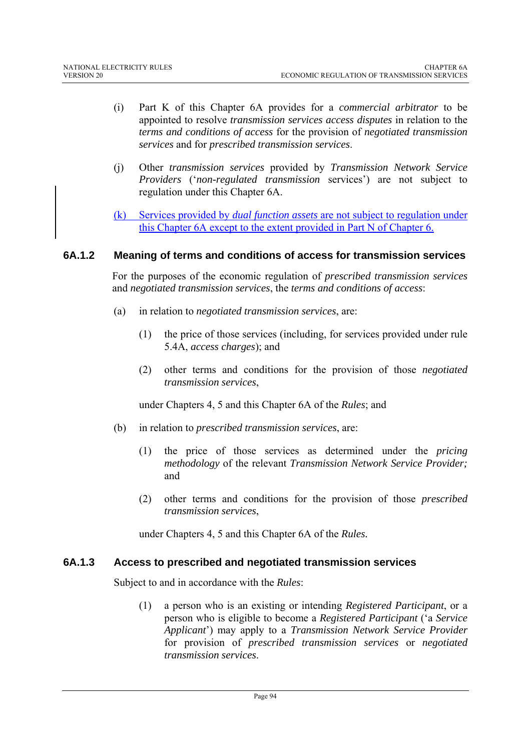- (i) Part K of this Chapter 6A provides for a *commercial arbitrator* to be appointed to resolve *transmission services access disputes* in relation to the *terms and conditions of access* for the provision of *negotiated transmission services* and for *prescribed transmission services*.
- (j) Other *transmission services* provided by *Transmission Network Service Providers* ('*non-regulated transmission* services') are not subject to regulation under this Chapter 6A.
- (k) Services provided by *dual function assets* are not subject to regulation under this Chapter 6A except to the extent provided in Part N of Chapter 6.

#### **6A.1.2 Meaning of terms and conditions of access for transmission services**

For the purposes of the economic regulation of *prescribed transmission services* and *negotiated transmission services*, the *terms and conditions of access*:

- (a) in relation to *negotiated transmission services*, are:
	- (1) the price of those services (including, for services provided under rule 5.4A, *access charges*); and
	- (2) other terms and conditions for the provision of those *negotiated transmission services*,

under Chapters 4, 5 and this Chapter 6A of the *Rules*; and

- (b) in relation to *prescribed transmission services*, are:
	- (1) the price of those services as determined under the *pricing methodology* of the relevant *Transmission Network Service Provider;*  and
	- (2) other terms and conditions for the provision of those *prescribed transmission services*,

under Chapters 4, 5 and this Chapter 6A of the *Rules.*

#### **6A.1.3 Access to prescribed and negotiated transmission services**

Subject to and in accordance with the *Rules*:

(1) a person who is an existing or intending *Registered Participant*, or a person who is eligible to become a *Registered Participant* ('a *Service Applicant*') may apply to a *Transmission Network Service Provider* for provision of *prescribed transmission services* or *negotiated transmission services*.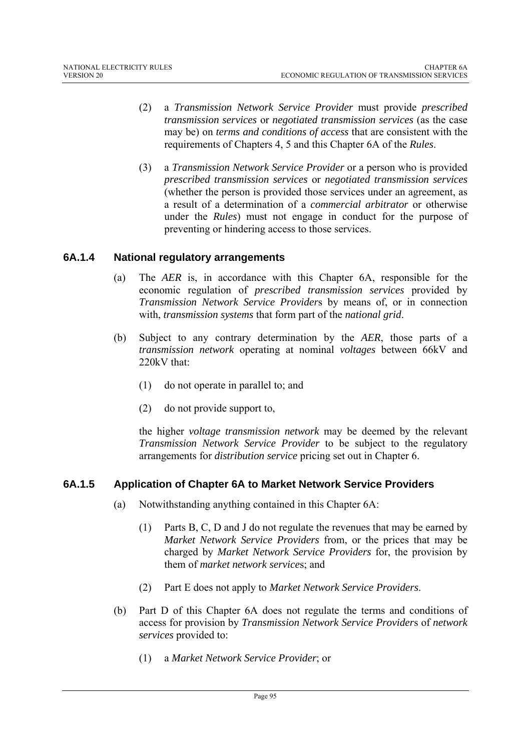- (2) a *Transmission Network Service Provider* must provide *prescribed transmission services* or *negotiated transmission services* (as the case may be) on *terms and conditions of access* that are consistent with the requirements of Chapters 4, 5 and this Chapter 6A of the *Rules*.
- (3) a *Transmission Network Service Provider* or a person who is provided *prescribed transmission services* or *negotiated transmission services* (whether the person is provided those services under an agreement, as a result of a determination of a *commercial arbitrator* or otherwise under the *Rules*) must not engage in conduct for the purpose of preventing or hindering access to those services.

### **6A.1.4 National regulatory arrangements**

- (a) The *AER* is, in accordance with this Chapter 6A, responsible for the economic regulation of *prescribed transmission services* provided by *Transmission Network Service Provider*s by means of, or in connection with, *transmission systems* that form part of the *national grid*.
- (b) Subject to any contrary determination by the *AER*, those parts of a *transmission network* operating at nominal *voltages* between 66kV and 220kV that:
	- (1) do not operate in parallel to; and
	- (2) do not provide support to,

the higher *voltage transmission network* may be deemed by the relevant *Transmission Network Service Provider* to be subject to the regulatory arrangements for *distribution service* pricing set out in Chapter 6.

### **6A.1.5 Application of Chapter 6A to Market Network Service Providers**

- (a) Notwithstanding anything contained in this Chapter 6A:
	- (1) Parts B, C, D and J do not regulate the revenues that may be earned by *Market Network Service Providers* from, or the prices that may be charged by *Market Network Service Providers* for, the provision by them of *market network service*s; and
	- (2) Part E does not apply to *Market Network Service Providers*.
- (b) Part D of this Chapter 6A does not regulate the terms and conditions of access for provision by *Transmission Network Service Provider*s of *network services* provided to:
	- (1) a *Market Network Service Provider*; or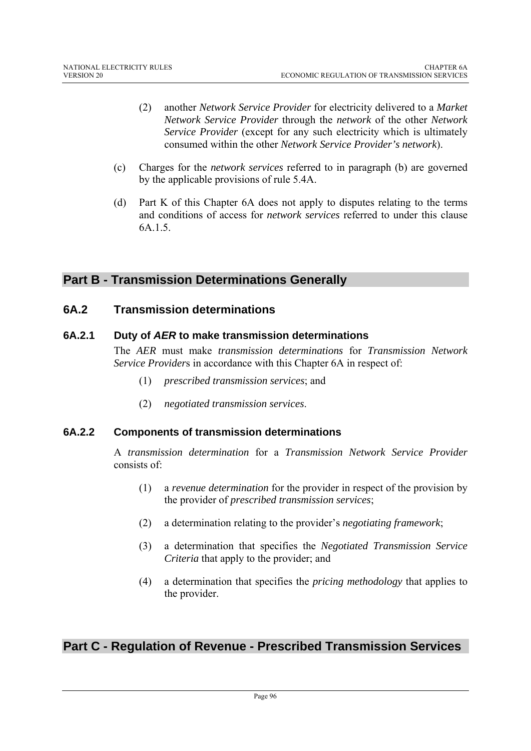- (2) another *Network Service Provider* for electricity delivered to a *Market Network Service Provider* through the *network* of the other *Network Service Provider* (except for any such electricity which is ultimately consumed within the other *Network Service Provider's network*).
- (c) Charges for the *network services* referred to in paragraph (b) are governed by the applicable provisions of rule 5.4A.
- (d) Part K of this Chapter 6A does not apply to disputes relating to the terms and conditions of access for *network services* referred to under this clause 6A.1.5.

## **Part B - Transmission Determinations Generally**

### **6A.2 Transmission determinations**

### **6A.2.1 Duty of** *AER* **to make transmission determinations**

The *AER* must make *transmission determinations* for *Transmission Network Service Provider*s in accordance with this Chapter 6A in respect of:

- (1) *prescribed transmission services*; and
- (2) *negotiated transmission services*.

### **6A.2.2 Components of transmission determinations**

A *transmission determination* for a *Transmission Network Service Provider* consists of:

- (1) a *revenue determination* for the provider in respect of the provision by the provider of *prescribed transmission services*;
- (2) a determination relating to the provider's *negotiating framework*;
- (3) a determination that specifies the *Negotiated Transmission Service Criteria* that apply to the provider; and
- (4) a determination that specifies the *pricing methodology* that applies to the provider.

## **Part C - Regulation of Revenue - Prescribed Transmission Services**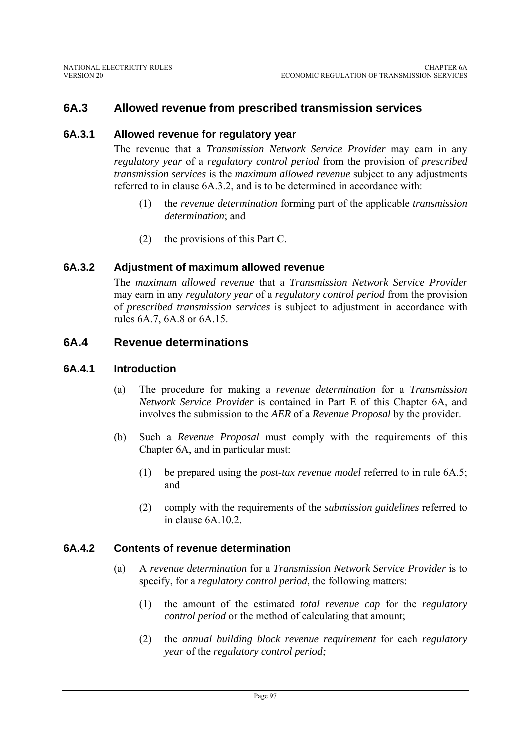### **6A.3 Allowed revenue from prescribed transmission services**

### **6A.3.1 Allowed revenue for regulatory year**

The revenue that a *Transmission Network Service Provider* may earn in any *regulatory year* of a *regulatory control period* from the provision of *prescribed transmission services* is the *maximum allowed revenue* subject to any adjustments referred to in clause 6A.3.2, and is to be determined in accordance with:

- (1) the *revenue determination* forming part of the applicable *transmission determination*; and
- (2) the provisions of this Part C.

#### **6A.3.2 Adjustment of maximum allowed revenue**

The *maximum allowed revenue* that a *Transmission Network Service Provider* may earn in any *regulatory year* of a *regulatory control period* from the provision of *prescribed transmission services* is subject to adjustment in accordance with rules 6A.7, 6A.8 or 6A.15.

### **6A.4 Revenue determinations**

#### **6A.4.1 Introduction**

- (a) The procedure for making a *revenue determination* for a *Transmission Network Service Provider* is contained in Part E of this Chapter 6A, and involves the submission to the *AER* of a *Revenue Proposal* by the provider.
- (b) Such a *Revenue Proposal* must comply with the requirements of this Chapter 6A, and in particular must:
	- (1) be prepared using the *post-tax revenue model* referred to in rule 6A.5; and
	- (2) comply with the requirements of the *submission guidelines* referred to in clause 6A.10.2.

#### **6A.4.2 Contents of revenue determination**

- (a) A *revenue determination* for a *Transmission Network Service Provider* is to specify, for a *regulatory control period*, the following matters:
	- (1) the amount of the estimated *total revenue cap* for the *regulatory control period* or the method of calculating that amount;
	- (2) the *annual building block revenue requirement* for each *regulatory year* of the *regulatory control period;*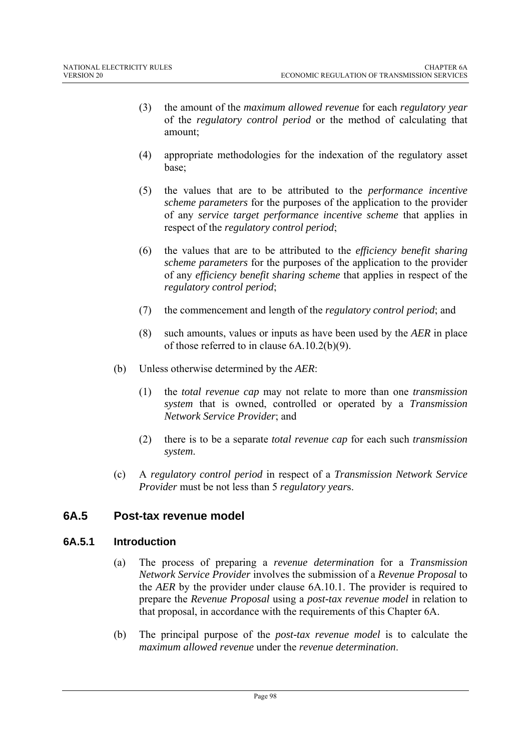- (3) the amount of the *maximum allowed revenue* for each *regulatory year* of the *regulatory control period* or the method of calculating that amount;
- (4) appropriate methodologies for the indexation of the regulatory asset base;
- (5) the values that are to be attributed to the *performance incentive scheme parameters* for the purposes of the application to the provider of any *service target performance incentive scheme* that applies in respect of the *regulatory control period*;
- (6) the values that are to be attributed to the *efficiency benefit sharing scheme parameters* for the purposes of the application to the provider of any *efficiency benefit sharing scheme* that applies in respect of the *regulatory control period*;
- (7) the commencement and length of the *regulatory control period*; and
- (8) such amounts, values or inputs as have been used by the *AER* in place of those referred to in clause 6A.10.2(b)(9).
- (b) Unless otherwise determined by the *AER*:
	- (1) the *total revenue cap* may not relate to more than one *transmission system* that is owned, controlled or operated by a *Transmission Network Service Provider*; and
	- (2) there is to be a separate *total revenue cap* for each such *transmission system*.
- (c) A *regulatory control period* in respect of a *Transmission Network Service Provider* must be not less than 5 *regulatory year*s.

### **6A.5 Post-tax revenue model**

### **6A.5.1 Introduction**

- (a) The process of preparing a *revenue determination* for a *Transmission Network Service Provider* involves the submission of a *Revenue Proposal* to the *AER* by the provider under clause 6A.10.1. The provider is required to prepare the *Revenue Proposal* using a *post-tax revenue model* in relation to that proposal, in accordance with the requirements of this Chapter 6A.
- (b) The principal purpose of the *post-tax revenue model* is to calculate the *maximum allowed revenue* under the *revenue determination*.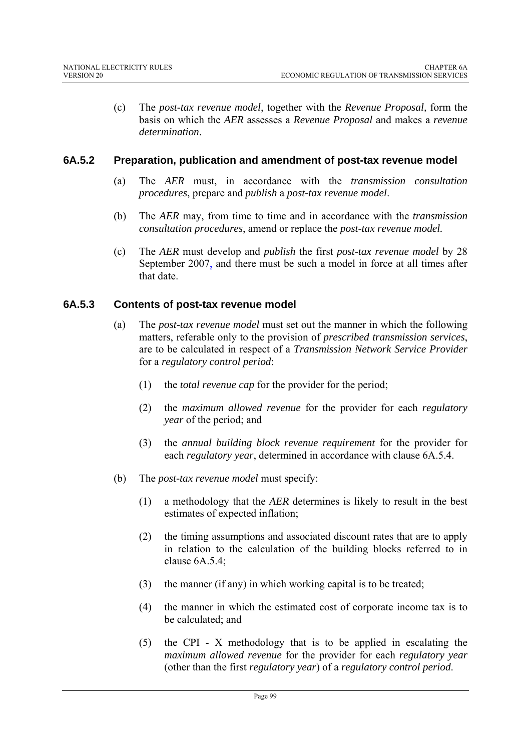(c) The *post-tax revenue model*, together with the *Revenue Proposal,* form the basis on which the *AER* assesses a *Revenue Proposal* and makes a *revenue determination*.

### **6A.5.2 Preparation, publication and amendment of post-tax revenue model**

- (a) The *AER* must, in accordance with the *transmission consultation procedures*, prepare and *publish* a *post-tax revenue model*.
- (b) The *AER* may, from time to time and in accordance with the *transmission consultation procedures*, amend or replace the *post-tax revenue model.*
- (c) The *AER* must develop and *publish* the first *post-tax revenue model* by 28 September 2007, and there must be such a model in force at all times after that date.

### **6A.5.3 Contents of post-tax revenue model**

- (a) The *post-tax revenue model* must set out the manner in which the following matters, referable only to the provision of *prescribed transmission services*, are to be calculated in respect of a *Transmission Network Service Provider* for a *regulatory control period*:
	- (1) the *total revenue cap* for the provider for the period;
	- (2) the *maximum allowed revenue* for the provider for each *regulatory year* of the period; and
	- (3) the *annual building block revenue requirement* for the provider for each *regulatory year*, determined in accordance with clause 6A.5.4.
- (b) The *post-tax revenue model* must specify:
	- (1) a methodology that the *AER* determines is likely to result in the best estimates of expected inflation;
	- (2) the timing assumptions and associated discount rates that are to apply in relation to the calculation of the building blocks referred to in clause 6A.5.4;
	- (3) the manner (if any) in which working capital is to be treated;
	- (4) the manner in which the estimated cost of corporate income tax is to be calculated; and
	- (5) the CPI X methodology that is to be applied in escalating the *maximum allowed revenue* for the provider for each *regulatory year* (other than the first *regulatory year*) of a *regulatory control period*.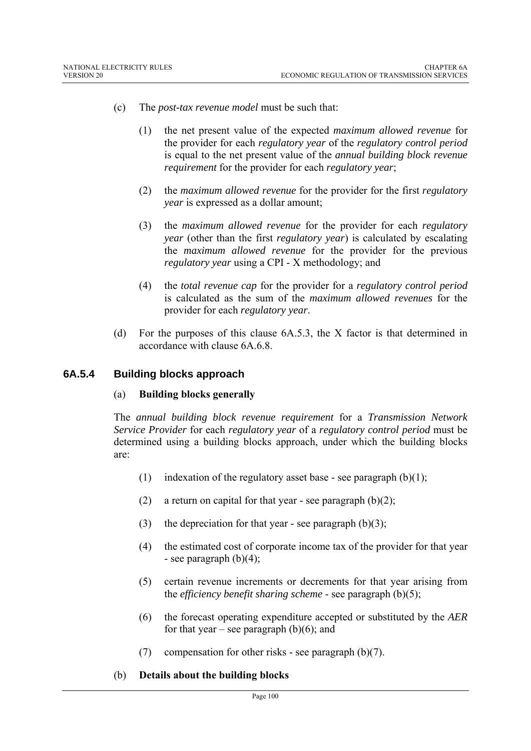- (c) The *post-tax revenue model* must be such that:
	- (1) the net present value of the expected *maximum allowed revenue* for the provider for each *regulatory year* of the *regulatory control period* is equal to the net present value of the *annual building block revenue requirement* for the provider for each *regulatory year*;
	- (2) the *maximum allowed revenue* for the provider for the first *regulatory year* is expressed as a dollar amount;
	- (3) the *maximum allowed revenue* for the provider for each *regulatory year* (other than the first *regulatory year*) is calculated by escalating the *maximum allowed revenue* for the provider for the previous *regulatory year* using a CPI - X methodology; and
	- (4) the *total revenue cap* for the provider for a *regulatory control period* is calculated as the sum of the *maximum allowed revenues* for the provider for each *regulatory year*.
- (d) For the purposes of this clause 6A.5.3, the X factor is that determined in accordance with clause 6A.6.8.

#### **6A.5.4 Building blocks approach**

#### (a) **Building blocks generally**

The *annual building block revenue requirement* for a *Transmission Network Service Provider* for each *regulatory year* of a *regulatory control period* must be determined using a building blocks approach, under which the building blocks are:

- (1) indexation of the regulatory asset base see paragraph  $(b)(1)$ ;
- (2) a return on capital for that year see paragraph  $(b)(2)$ ;
- (3) the depreciation for that year see paragraph  $(b)(3)$ ;
- (4) the estimated cost of corporate income tax of the provider for that year - see paragraph  $(b)(4)$ ;
- (5) certain revenue increments or decrements for that year arising from the *efficiency benefit sharing scheme* - see paragraph (b)(5);
- (6) the forecast operating expenditure accepted or substituted by the *AER* for that year – see paragraph  $(b)(6)$ ; and
- (7) compensation for other risks see paragraph (b)(7).

#### (b) **Details about the building blocks**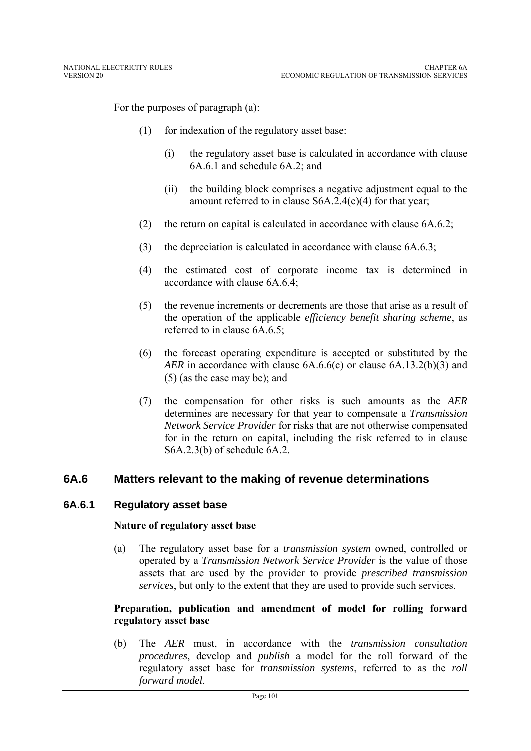For the purposes of paragraph (a):

- (1) for indexation of the regulatory asset base:
	- (i) the regulatory asset base is calculated in accordance with clause 6A.6.1 and schedule 6A.2; and
	- (ii) the building block comprises a negative adjustment equal to the amount referred to in clause S6A.2.4(c)(4) for that year;
- (2) the return on capital is calculated in accordance with clause 6A.6.2;
- (3) the depreciation is calculated in accordance with clause 6A.6.3;
- (4) the estimated cost of corporate income tax is determined in accordance with clause 6A.6.4;
- (5) the revenue increments or decrements are those that arise as a result of the operation of the applicable *efficiency benefit sharing scheme*, as referred to in clause 6A.6.5;
- (6) the forecast operating expenditure is accepted or substituted by the *AER* in accordance with clause 6A.6.6(c) or clause 6A.13.2(b)(3) and (5) (as the case may be); and
- (7) the compensation for other risks is such amounts as the *AER* determines are necessary for that year to compensate a *Transmission Network Service Provider* for risks that are not otherwise compensated for in the return on capital, including the risk referred to in clause S6A.2.3(b) of schedule 6A.2.

### **6A.6 Matters relevant to the making of revenue determinations**

#### **6A.6.1 Regulatory asset base**

#### **Nature of regulatory asset base**

(a) The regulatory asset base for a *transmission system* owned, controlled or operated by a *Transmission Network Service Provider* is the value of those assets that are used by the provider to provide *prescribed transmission services*, but only to the extent that they are used to provide such services.

#### **Preparation, publication and amendment of model for rolling forward regulatory asset base**

(b) The *AER* must, in accordance with the *transmission consultation procedures*, develop and *publish* a model for the roll forward of the regulatory asset base for *transmission systems*, referred to as the *roll forward model*.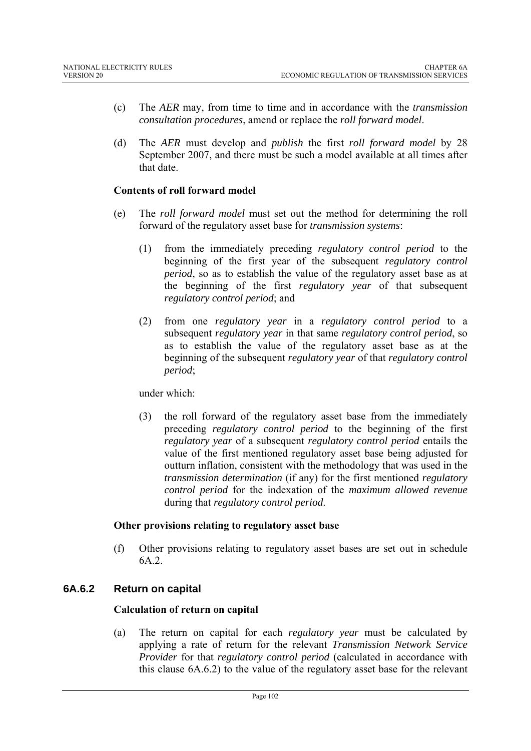- (c) The *AER* may, from time to time and in accordance with the *transmission consultation procedures*, amend or replace the *roll forward model*.
- (d) The *AER* must develop and *publish* the first *roll forward model* by 28 September 2007, and there must be such a model available at all times after that date.

#### **Contents of roll forward model**

- (e) The *roll forward model* must set out the method for determining the roll forward of the regulatory asset base for *transmission systems*:
	- (1) from the immediately preceding *regulatory control period* to the beginning of the first year of the subsequent *regulatory control period*, so as to establish the value of the regulatory asset base as at the beginning of the first *regulatory year* of that subsequent *regulatory control period*; and
	- (2) from one *regulatory year* in a *regulatory control period* to a subsequent *regulatory year* in that same *regulatory control period*, so as to establish the value of the regulatory asset base as at the beginning of the subsequent *regulatory year* of that *regulatory control period*;

under which:

(3) the roll forward of the regulatory asset base from the immediately preceding *regulatory control period* to the beginning of the first *regulatory year* of a subsequent *regulatory control period* entails the value of the first mentioned regulatory asset base being adjusted for outturn inflation, consistent with the methodology that was used in the *transmission determination* (if any) for the first mentioned *regulatory control period* for the indexation of the *maximum allowed revenue* during that *regulatory control period*.

#### **Other provisions relating to regulatory asset base**

(f) Other provisions relating to regulatory asset bases are set out in schedule 6A.2.

### **6A.6.2 Return on capital**

#### **Calculation of return on capital**

(a) The return on capital for each *regulatory year* must be calculated by applying a rate of return for the relevant *Transmission Network Service Provider* for that *regulatory control period* (calculated in accordance with this clause 6A.6.2) to the value of the regulatory asset base for the relevant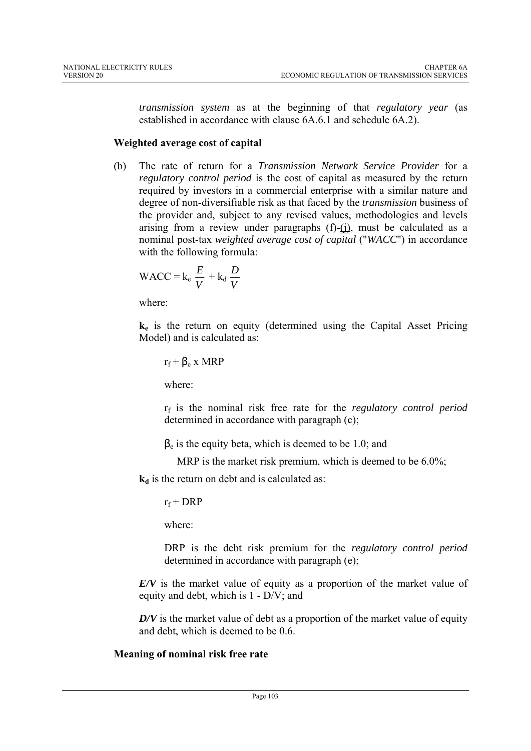*transmission system* as at the beginning of that *regulatory year* (as established in accordance with clause 6A.6.1 and schedule 6A.2).

#### **Weighted average cost of capital**

(b) The rate of return for a *Transmission Network Service Provider* for a *regulatory control period* is the cost of capital as measured by the return required by investors in a commercial enterprise with a similar nature and degree of non-diversifiable risk as that faced by the *transmission* business of the provider and, subject to any revised values, methodologies and levels arising from a review under paragraphs  $(f)-(i)$ , must be calculated as a nominal post-tax *weighted average cost of capital* ("*WACC*") in accordance with the following formula:

$$
WACC = k_e \frac{E}{V} + k_d \frac{D}{V}
$$

where:

**ke** is the return on equity (determined using the Capital Asset Pricing Model) and is calculated as:

$$
r_f + \beta_e \: x \: MRP
$$

where:

rf is the nominal risk free rate for the *regulatory control period* determined in accordance with paragraph (c);

 $\beta_e$  is the equity beta, which is deemed to be 1.0; and

MRP is the market risk premium, which is deemed to be 6.0%;

 $k_d$  is the return on debt and is calculated as:

 $r_f$  + DRP

where:

DRP is the debt risk premium for the *regulatory control period* determined in accordance with paragraph (e);

*E/V* is the market value of equity as a proportion of the market value of equity and debt, which is 1 - D/V; and

*D/V* is the market value of debt as a proportion of the market value of equity and debt, which is deemed to be 0.6.

#### **Meaning of nominal risk free rate**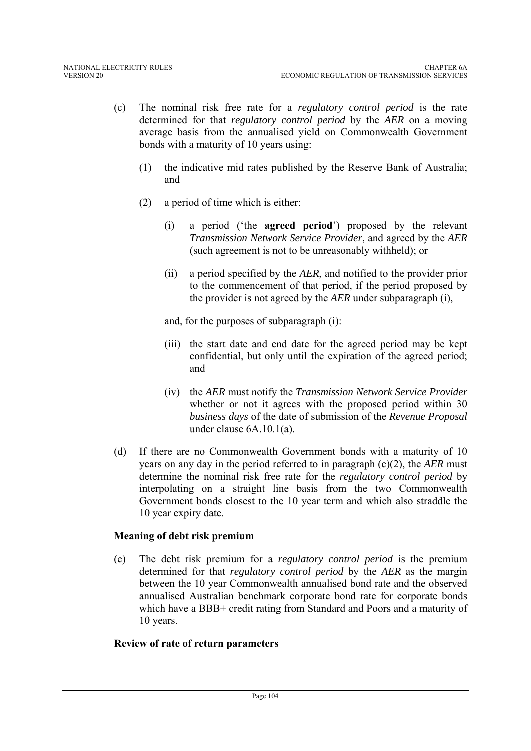- (c) The nominal risk free rate for a *regulatory control period* is the rate determined for that *regulatory control period* by the *AER* on a moving average basis from the annualised yield on Commonwealth Government bonds with a maturity of 10 years using:
	- (1) the indicative mid rates published by the Reserve Bank of Australia; and
	- (2) a period of time which is either:
		- (i) a period ('the **agreed period**') proposed by the relevant *Transmission Network Service Provider*, and agreed by the *AER*  (such agreement is not to be unreasonably withheld); or
		- (ii) a period specified by the *AER*, and notified to the provider prior to the commencement of that period, if the period proposed by the provider is not agreed by the *AER* under subparagraph (i),

and, for the purposes of subparagraph (i):

- (iii) the start date and end date for the agreed period may be kept confidential, but only until the expiration of the agreed period; and
- (iv) the *AER* must notify the *Transmission Network Service Provider*  whether or not it agrees with the proposed period within 30 *business days* of the date of submission of the *Revenue Proposal* under clause 6A.10.1(a).
- (d) If there are no Commonwealth Government bonds with a maturity of 10 years on any day in the period referred to in paragraph (c)(2), the *AER* must determine the nominal risk free rate for the *regulatory control period* by interpolating on a straight line basis from the two Commonwealth Government bonds closest to the 10 year term and which also straddle the 10 year expiry date.

### **Meaning of debt risk premium**

(e) The debt risk premium for a *regulatory control period* is the premium determined for that *regulatory control period* by the *AER* as the margin between the 10 year Commonwealth annualised bond rate and the observed annualised Australian benchmark corporate bond rate for corporate bonds which have a BBB+ credit rating from Standard and Poors and a maturity of 10 years.

### **Review of rate of return parameters**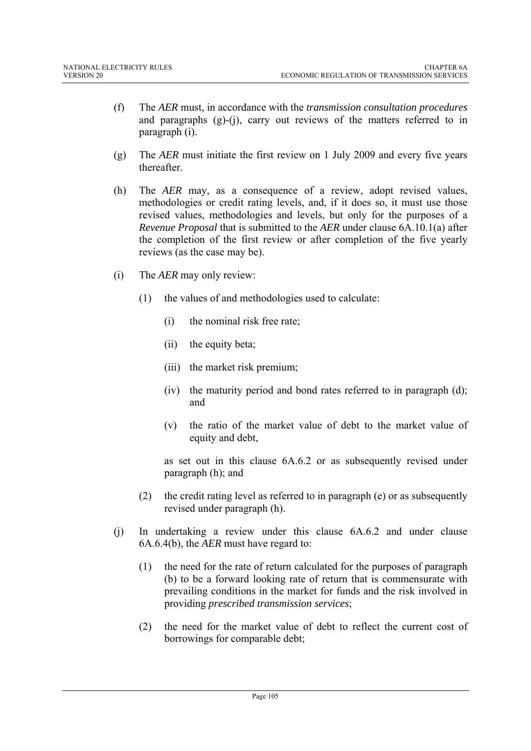- (f) The *AER* must, in accordance with the *transmission consultation procedures* and paragraphs  $(g)-(i)$ , carry out reviews of the matters referred to in paragraph (i).
- (g) The *AER* must initiate the first review on 1 July 2009 and every five years thereafter.
- (h) The *AER* may, as a consequence of a review, adopt revised values, methodologies or credit rating levels, and, if it does so, it must use those revised values, methodologies and levels, but only for the purposes of a *Revenue Proposal* that is submitted to the *AER* under clause 6A.10.1(a) after the completion of the first review or after completion of the five yearly reviews (as the case may be).
- (i) The *AER* may only review:
	- (1) the values of and methodologies used to calculate:
		- (i) the nominal risk free rate;
		- (ii) the equity beta;
		- (iii) the market risk premium;
		- (iv) the maturity period and bond rates referred to in paragraph (d); and
		- (v) the ratio of the market value of debt to the market value of equity and debt,

as set out in this clause 6A.6.2 or as subsequently revised under paragraph (h); and

- (2) the credit rating level as referred to in paragraph (e) or as subsequently revised under paragraph (h).
- (j) In undertaking a review under this clause 6A.6.2 and under clause 6A.6.4(b), the *AER* must have regard to:
	- (1) the need for the rate of return calculated for the purposes of paragraph (b) to be a forward looking rate of return that is commensurate with prevailing conditions in the market for funds and the risk involved in providing *prescribed transmission services*;
	- (2) the need for the market value of debt to reflect the current cost of borrowings for comparable debt;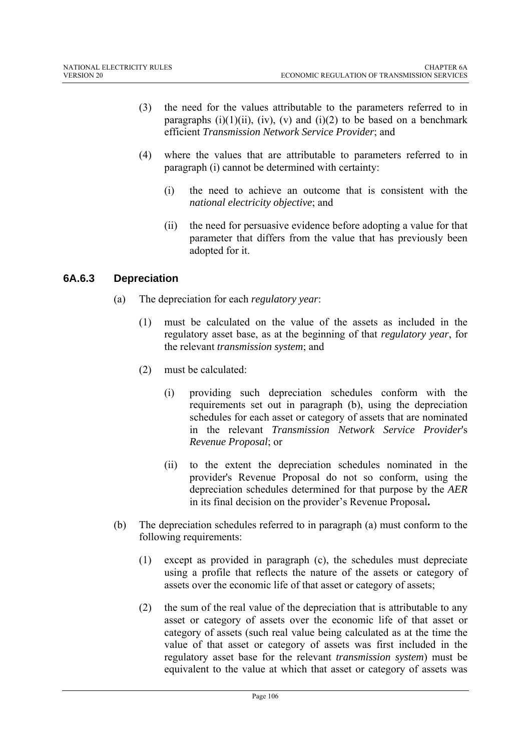- (3) the need for the values attributable to the parameters referred to in paragraphs  $(i)(1)(ii)$ ,  $(iv)$ ,  $(v)$  and  $(i)(2)$  to be based on a benchmark efficient *Transmission Network Service Provider*; and
- (4) where the values that are attributable to parameters referred to in paragraph (i) cannot be determined with certainty:
	- (i) the need to achieve an outcome that is consistent with the *national electricity objective*; and
	- (ii) the need for persuasive evidence before adopting a value for that parameter that differs from the value that has previously been adopted for it.

### **6A.6.3 Depreciation**

- (a) The depreciation for each *regulatory year*:
	- (1) must be calculated on the value of the assets as included in the regulatory asset base, as at the beginning of that *regulatory year*, for the relevant *transmission system*; and
	- (2) must be calculated:
		- (i) providing such depreciation schedules conform with the requirements set out in paragraph (b), using the depreciation schedules for each asset or category of assets that are nominated in the relevant *Transmission Network Service Provider*'s *Revenue Proposal*; or
		- (ii) to the extent the depreciation schedules nominated in the provider's Revenue Proposal do not so conform, using the depreciation schedules determined for that purpose by the *AER* in its final decision on the provider's Revenue Proposal**.**
- (b) The depreciation schedules referred to in paragraph (a) must conform to the following requirements:
	- (1) except as provided in paragraph (c), the schedules must depreciate using a profile that reflects the nature of the assets or category of assets over the economic life of that asset or category of assets;
	- (2) the sum of the real value of the depreciation that is attributable to any asset or category of assets over the economic life of that asset or category of assets (such real value being calculated as at the time the value of that asset or category of assets was first included in the regulatory asset base for the relevant *transmission system*) must be equivalent to the value at which that asset or category of assets was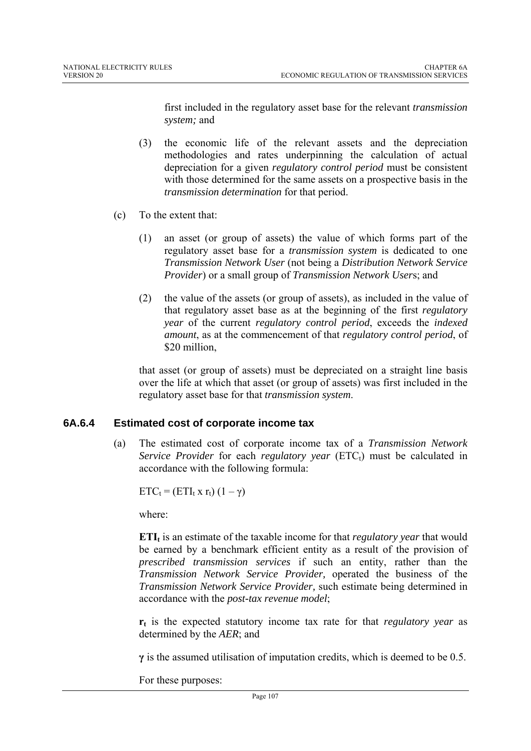first included in the regulatory asset base for the relevant *transmission system;* and

- (3) the economic life of the relevant assets and the depreciation methodologies and rates underpinning the calculation of actual depreciation for a given *regulatory control period* must be consistent with those determined for the same assets on a prospective basis in the *transmission determination* for that period.
- (c) To the extent that:
	- (1) an asset (or group of assets) the value of which forms part of the regulatory asset base for a *transmission system* is dedicated to one *Transmission Network User* (not being a *Distribution Network Service Provider*) or a small group of *Transmission Network User*s; and
	- (2) the value of the assets (or group of assets), as included in the value of that regulatory asset base as at the beginning of the first *regulatory year* of the current *regulatory control period*, exceeds the *indexed amount*, as at the commencement of that *regulatory control period*, of \$20 million.

that asset (or group of assets) must be depreciated on a straight line basis over the life at which that asset (or group of assets) was first included in the regulatory asset base for that *transmission system*.

### **6A.6.4 Estimated cost of corporate income tax**

(a) The estimated cost of corporate income tax of a *Transmission Network Service Provider* for each *regulatory year* (ETC<sub>t</sub>) must be calculated in accordance with the following formula:

 $ETC_t = (ETI_t \times r_t) (1 - \gamma)$ 

where:

**ETI**<sub>t</sub> is an estimate of the taxable income for that *regulatory year* that would be earned by a benchmark efficient entity as a result of the provision of *prescribed transmission services* if such an entity, rather than the *Transmission Network Service Provider,* operated the business of the *Transmission Network Service Provider,* such estimate being determined in accordance with the *post-tax revenue model*;

**rt** is the expected statutory income tax rate for that *regulatory year* as determined by the *AER*; and

**γ** is the assumed utilisation of imputation credits, which is deemed to be 0.5.

For these purposes: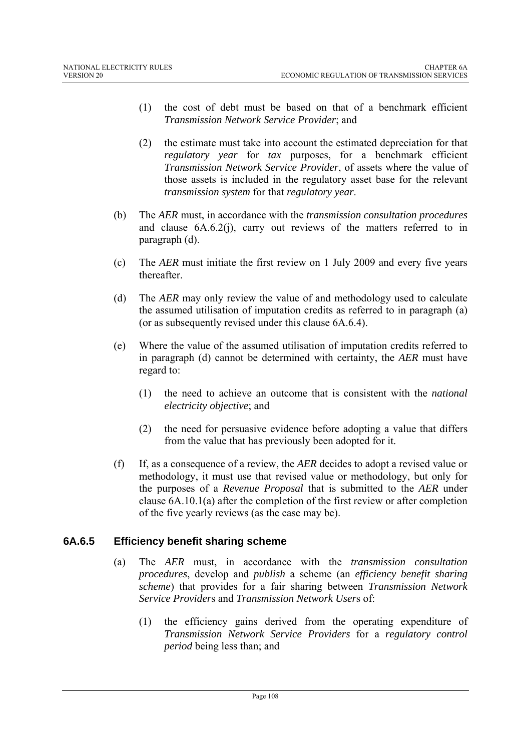- (1) the cost of debt must be based on that of a benchmark efficient *Transmission Network Service Provider*; and
- (2) the estimate must take into account the estimated depreciation for that *regulatory year* for *tax* purposes, for a benchmark efficient *Transmission Network Service Provider*, of assets where the value of those assets is included in the regulatory asset base for the relevant *transmission system* for that *regulatory year*.
- (b) The *AER* must, in accordance with the *transmission consultation procedures* and clause 6A.6.2(j), carry out reviews of the matters referred to in paragraph (d).
- (c) The *AER* must initiate the first review on 1 July 2009 and every five years thereafter.
- (d) The *AER* may only review the value of and methodology used to calculate the assumed utilisation of imputation credits as referred to in paragraph (a) (or as subsequently revised under this clause 6A.6.4).
- (e) Where the value of the assumed utilisation of imputation credits referred to in paragraph (d) cannot be determined with certainty, the *AER* must have regard to:
	- (1) the need to achieve an outcome that is consistent with the *national electricity objective*; and
	- (2) the need for persuasive evidence before adopting a value that differs from the value that has previously been adopted for it.
- (f) If, as a consequence of a review, the *AER* decides to adopt a revised value or methodology, it must use that revised value or methodology, but only for the purposes of a *Revenue Proposal* that is submitted to the *AER* under clause 6A.10.1(a) after the completion of the first review or after completion of the five yearly reviews (as the case may be).

#### **6A.6.5 Efficiency benefit sharing scheme**

- (a) The *AER* must, in accordance with the *transmission consultation procedures*, develop and *publish* a scheme (an *efficiency benefit sharing scheme*) that provides for a fair sharing between *Transmission Network Service Provider*s and *Transmission Network User*s of:
	- (1) the efficiency gains derived from the operating expenditure of *Transmission Network Service Providers* for a *regulatory control period* being less than; and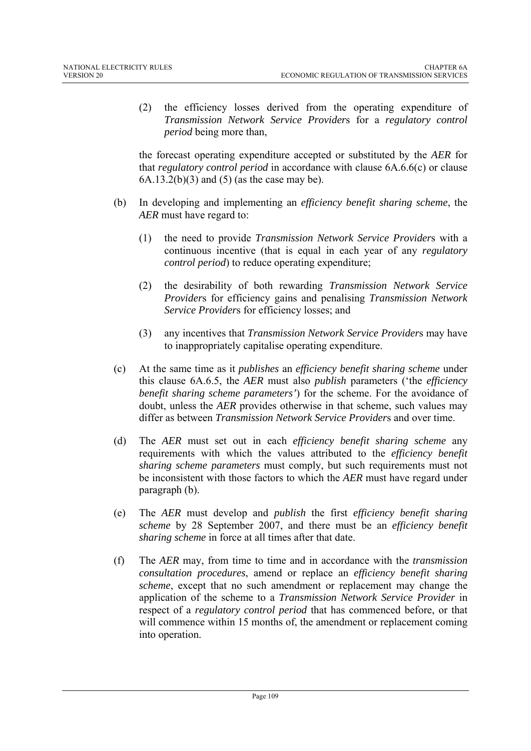(2) the efficiency losses derived from the operating expenditure of *Transmission Network Service Provider*s for a *regulatory control period* being more than,

the forecast operating expenditure accepted or substituted by the *AER* for that *regulatory control period* in accordance with clause 6A.6.6(c) or clause  $6A.13.2(b)(3)$  and  $(5)$  (as the case may be).

- (b) In developing and implementing an *efficiency benefit sharing scheme*, the *AER* must have regard to:
	- (1) the need to provide *Transmission Network Service Provider*s with a continuous incentive (that is equal in each year of any *regulatory control period*) to reduce operating expenditure;
	- (2) the desirability of both rewarding *Transmission Network Service Provider*s for efficiency gains and penalising *Transmission Network Service Provider*s for efficiency losses; and
	- (3) any incentives that *Transmission Network Service Provider*s may have to inappropriately capitalise operating expenditure.
- (c) At the same time as it *publishes* an *efficiency benefit sharing scheme* under this clause 6A.6.5, the *AER* must also *publish* parameters ('the *efficiency benefit sharing scheme parameters'*) for the scheme. For the avoidance of doubt, unless the *AER* provides otherwise in that scheme, such values may differ as between *Transmission Network Service Provider*s and over time.
- (d) The *AER* must set out in each *efficiency benefit sharing scheme* any requirements with which the values attributed to the *efficiency benefit sharing scheme parameters* must comply, but such requirements must not be inconsistent with those factors to which the *AER* must have regard under paragraph (b).
- (e) The *AER* must develop and *publish* the first *efficiency benefit sharing scheme* by 28 September 2007, and there must be an *efficiency benefit sharing scheme* in force at all times after that date.
- (f) The *AER* may, from time to time and in accordance with the *transmission consultation procedures*, amend or replace an *efficiency benefit sharing scheme*, except that no such amendment or replacement may change the application of the scheme to a *Transmission Network Service Provider* in respect of a *regulatory control period* that has commenced before, or that will commence within 15 months of, the amendment or replacement coming into operation.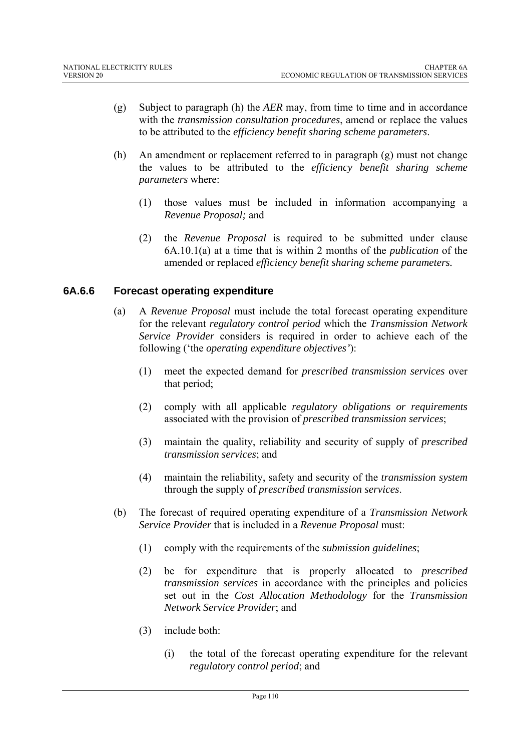- (g) Subject to paragraph (h) the *AER* may, from time to time and in accordance with the *transmission consultation procedures*, amend or replace the values to be attributed to the *efficiency benefit sharing scheme parameters*.
- (h) An amendment or replacement referred to in paragraph (g) must not change the values to be attributed to the *efficiency benefit sharing scheme parameters* where:
	- (1) those values must be included in information accompanying a *Revenue Proposal;* and
	- (2) the *Revenue Proposal* is required to be submitted under clause 6A.10.1(a) at a time that is within 2 months of the *publication* of the amended or replaced *efficiency benefit sharing scheme parameters.*

## **6A.6.6 Forecast operating expenditure**

- (a) A *Revenue Proposal* must include the total forecast operating expenditure for the relevant *regulatory control period* which the *Transmission Network Service Provider* considers is required in order to achieve each of the following ('the *operating expenditure objectives'*):
	- (1) meet the expected demand for *prescribed transmission services* over that period;
	- (2) comply with all applicable *regulatory obligations or requirements* associated with the provision of *prescribed transmission services*;
	- (3) maintain the quality, reliability and security of supply of *prescribed transmission services*; and
	- (4) maintain the reliability, safety and security of the *transmission system* through the supply of *prescribed transmission services*.
- (b) The forecast of required operating expenditure of a *Transmission Network Service Provider* that is included in a *Revenue Proposal* must:
	- (1) comply with the requirements of the *submission guidelines*;
	- (2) be for expenditure that is properly allocated to *prescribed transmission services* in accordance with the principles and policies set out in the *Cost Allocation Methodology* for the *Transmission Network Service Provider*; and
	- (3) include both:
		- (i) the total of the forecast operating expenditure for the relevant *regulatory control period*; and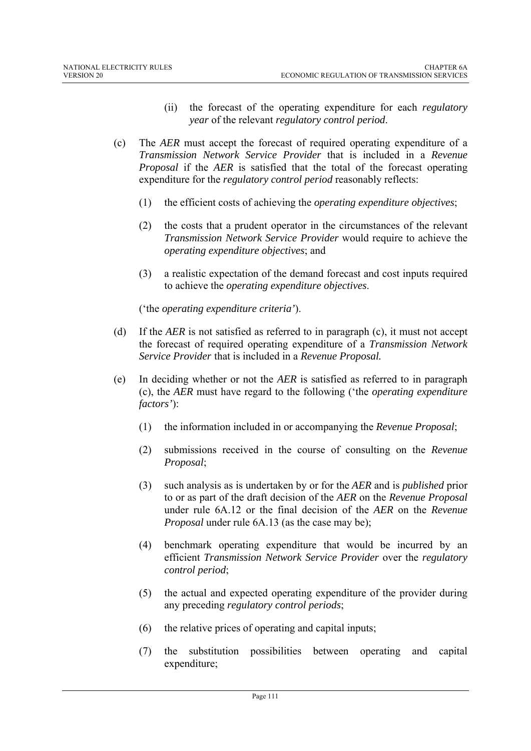- (ii) the forecast of the operating expenditure for each *regulatory year* of the relevant *regulatory control period*.
- (c) The *AER* must accept the forecast of required operating expenditure of a *Transmission Network Service Provider* that is included in a *Revenue Proposal* if the *AER* is satisfied that the total of the forecast operating expenditure for the *regulatory control period* reasonably reflects:
	- (1) the efficient costs of achieving the *operating expenditure objectives*;
	- (2) the costs that a prudent operator in the circumstances of the relevant *Transmission Network Service Provider* would require to achieve the *operating expenditure objectives*; and
	- (3) a realistic expectation of the demand forecast and cost inputs required to achieve the *operating expenditure objectives*.

('the *operating expenditure criteria'*).

- (d) If the *AER* is not satisfied as referred to in paragraph (c), it must not accept the forecast of required operating expenditure of a *Transmission Network Service Provider* that is included in a *Revenue Proposal.*
- (e) In deciding whether or not the *AER* is satisfied as referred to in paragraph (c), the *AER* must have regard to the following ('the *operating expenditure factors'*):
	- (1) the information included in or accompanying the *Revenue Proposal*;
	- (2) submissions received in the course of consulting on the *Revenue Proposal*;
	- (3) such analysis as is undertaken by or for the *AER* and is *published* prior to or as part of the draft decision of the *AER* on the *Revenue Proposal* under rule 6A.12 or the final decision of the *AER* on the *Revenue Proposal* under rule 6A.13 (as the case may be);
	- (4) benchmark operating expenditure that would be incurred by an efficient *Transmission Network Service Provider* over the *regulatory control period*;
	- (5) the actual and expected operating expenditure of the provider during any preceding *regulatory control periods*;
	- (6) the relative prices of operating and capital inputs;
	- (7) the substitution possibilities between operating and capital expenditure;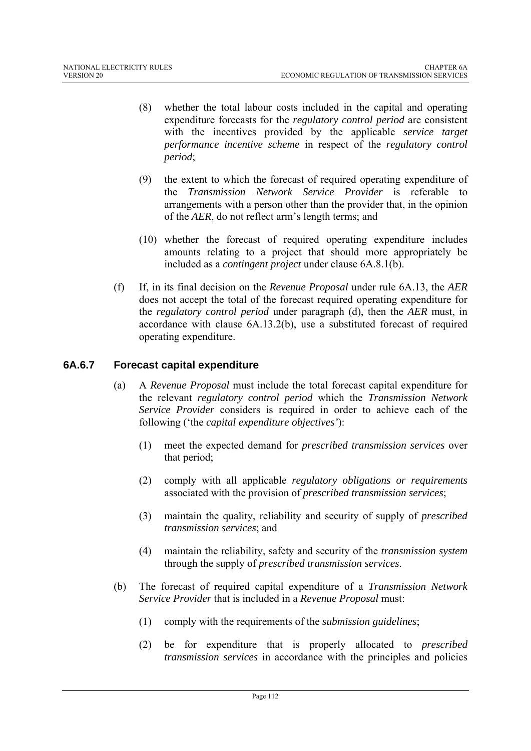- (8) whether the total labour costs included in the capital and operating expenditure forecasts for the *regulatory control period* are consistent with the incentives provided by the applicable *service target performance incentive scheme* in respect of the *regulatory control period*;
- (9) the extent to which the forecast of required operating expenditure of the *Transmission Network Service Provider* is referable to arrangements with a person other than the provider that, in the opinion of the *AER*, do not reflect arm's length terms; and
- (10) whether the forecast of required operating expenditure includes amounts relating to a project that should more appropriately be included as a *contingent project* under clause 6A.8.1(b).
- (f) If, in its final decision on the *Revenue Proposal* under rule 6A.13, the *AER*  does not accept the total of the forecast required operating expenditure for the *regulatory control period* under paragraph (d), then the *AER* must, in accordance with clause 6A.13.2(b), use a substituted forecast of required operating expenditure.

## **6A.6.7 Forecast capital expenditure**

- (a) A *Revenue Proposal* must include the total forecast capital expenditure for the relevant *regulatory control period* which the *Transmission Network Service Provider* considers is required in order to achieve each of the following ('the *capital expenditure objectives'*):
	- (1) meet the expected demand for *prescribed transmission services* over that period;
	- (2) comply with all applicable *regulatory obligations or requirements* associated with the provision of *prescribed transmission services*;
	- (3) maintain the quality, reliability and security of supply of *prescribed transmission services*; and
	- (4) maintain the reliability, safety and security of the *transmission system* through the supply of *prescribed transmission services*.
- (b) The forecast of required capital expenditure of a *Transmission Network Service Provider* that is included in a *Revenue Proposal* must:
	- (1) comply with the requirements of the *submission guidelines*;
	- (2) be for expenditure that is properly allocated to *prescribed transmission services* in accordance with the principles and policies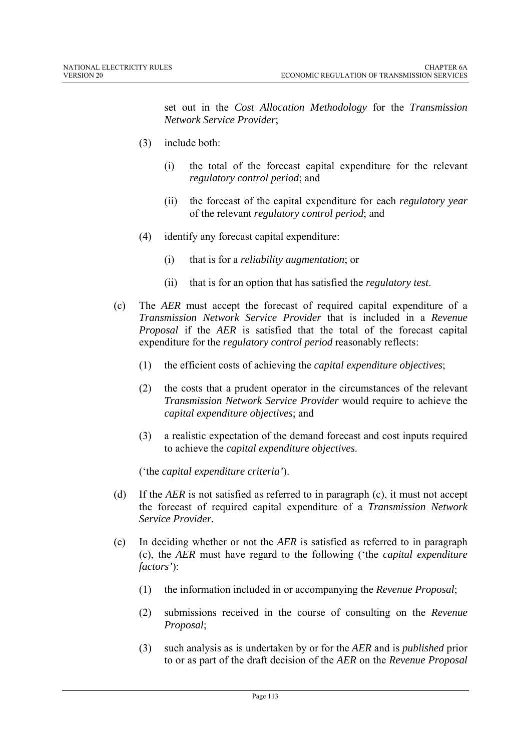set out in the *Cost Allocation Methodology* for the *Transmission Network Service Provider*;

- (3) include both:
	- (i) the total of the forecast capital expenditure for the relevant *regulatory control period*; and
	- (ii) the forecast of the capital expenditure for each *regulatory year* of the relevant *regulatory control period*; and
- (4) identify any forecast capital expenditure:
	- (i) that is for a *reliability augmentation*; or
	- (ii) that is for an option that has satisfied the *regulatory test*.
- (c) The *AER* must accept the forecast of required capital expenditure of a *Transmission Network Service Provider* that is included in a *Revenue Proposal* if the *AER* is satisfied that the total of the forecast capital expenditure for the *regulatory control period* reasonably reflects:
	- (1) the efficient costs of achieving the *capital expenditure objectives*;
	- (2) the costs that a prudent operator in the circumstances of the relevant *Transmission Network Service Provider* would require to achieve the *capital expenditure objectives*; and
	- (3) a realistic expectation of the demand forecast and cost inputs required to achieve the *capital expenditure objectives*.

('the *capital expenditure criteria'*).

- (d) If the *AER* is not satisfied as referred to in paragraph (c), it must not accept the forecast of required capital expenditure of a *Transmission Network Service Provider.*
- (e) In deciding whether or not the *AER* is satisfied as referred to in paragraph (c), the *AER* must have regard to the following ('the *capital expenditure factors'*):
	- (1) the information included in or accompanying the *Revenue Proposal*;
	- (2) submissions received in the course of consulting on the *Revenue Proposal*;
	- (3) such analysis as is undertaken by or for the *AER* and is *published* prior to or as part of the draft decision of the *AER* on the *Revenue Proposal*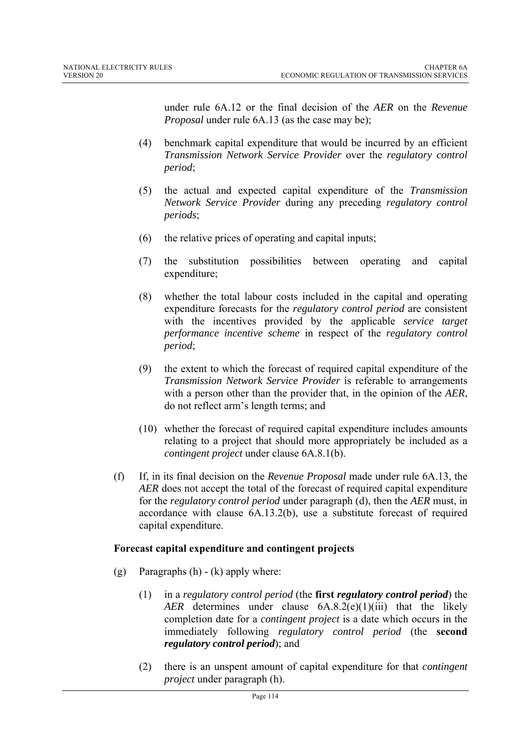under rule 6A.12 or the final decision of the *AER* on the *Revenue Proposal* under rule 6A.13 (as the case may be);

- (4) benchmark capital expenditure that would be incurred by an efficient *Transmission Network Service Provider* over the *regulatory control period*;
- (5) the actual and expected capital expenditure of the *Transmission Network Service Provider* during any preceding *regulatory control periods*;
- (6) the relative prices of operating and capital inputs;
- (7) the substitution possibilities between operating and capital expenditure;
- (8) whether the total labour costs included in the capital and operating expenditure forecasts for the *regulatory control period* are consistent with the incentives provided by the applicable *service target performance incentive scheme* in respect of the *regulatory control period*;
- (9) the extent to which the forecast of required capital expenditure of the *Transmission Network Service Provider* is referable to arrangements with a person other than the provider that, in the opinion of the *AER*, do not reflect arm's length terms; and
- (10) whether the forecast of required capital expenditure includes amounts relating to a project that should more appropriately be included as a *contingent project* under clause 6A.8.1(b).
- (f) If, in its final decision on the *Revenue Proposal* made under rule 6A.13, the *AER* does not accept the total of the forecast of required capital expenditure for the *regulatory control period* under paragraph (d), then the *AER* must, in accordance with clause 6A.13.2(b), use a substitute forecast of required capital expenditure.

#### **Forecast capital expenditure and contingent projects**

- (g) Paragraphs  $(h) (k)$  apply where:
	- (1) in a *regulatory control period* (the **first** *regulatory control period*) the *AER* determines under clause 6A.8.2(e)(1)(iii) that the likely completion date for a *contingent project* is a date which occurs in the immediately following *regulatory control period* (the **second**  *regulatory control period*); and
	- (2) there is an unspent amount of capital expenditure for that *contingent project* under paragraph (h).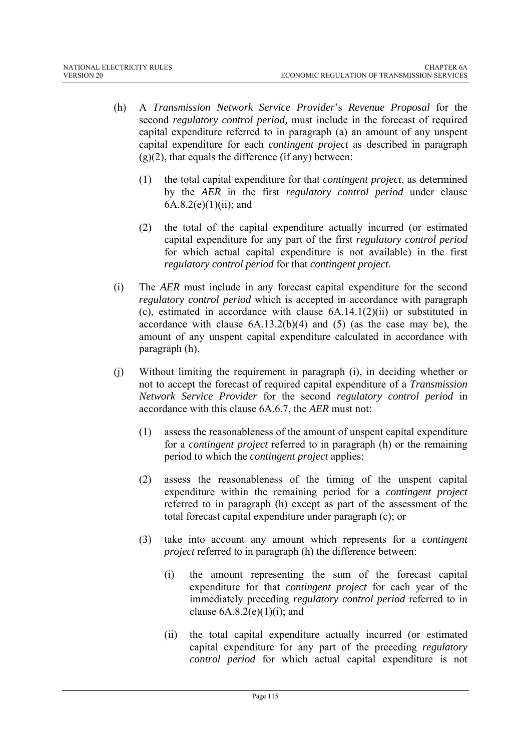- (h) A *Transmission Network Service Provider*'s *Revenue Proposal* for the second *regulatory control period,* must include in the forecast of required capital expenditure referred to in paragraph (a) an amount of any unspent capital expenditure for each *contingent project* as described in paragraph  $(g)(2)$ , that equals the difference (if any) between:
	- (1) the total capital expenditure for that *contingent project*, as determined by the *AER* in the first *regulatory control period* under clause  $6A.8.2(e)(1)(ii)$ ; and
	- (2) the total of the capital expenditure actually incurred (or estimated capital expenditure for any part of the first *regulatory control period*  for which actual capital expenditure is not available) in the first *regulatory control period* for that *contingent project*.
- (i) The *AER* must include in any forecast capital expenditure for the second *regulatory control period* which is accepted in accordance with paragraph (c), estimated in accordance with clause 6A.14.1(2)(ii) or substituted in accordance with clause  $6A.13.2(b)(4)$  and  $(5)$  (as the case may be), the amount of any unspent capital expenditure calculated in accordance with paragraph (h).
- (j) Without limiting the requirement in paragraph (i), in deciding whether or not to accept the forecast of required capital expenditure of a *Transmission Network Service Provider* for the second *regulatory control period* in accordance with this clause 6A.6.7, the *AER* must not:
	- (1) assess the reasonableness of the amount of unspent capital expenditure for a *contingent project* referred to in paragraph (h) or the remaining period to which the *contingent project* applies;
	- (2) assess the reasonableness of the timing of the unspent capital expenditure within the remaining period for a *contingent project* referred to in paragraph (h) except as part of the assessment of the total forecast capital expenditure under paragraph (c); or
	- (3) take into account any amount which represents for a *contingent project* referred to in paragraph (h) the difference between:
		- (i) the amount representing the sum of the forecast capital expenditure for that *contingent project* for each year of the immediately preceding *regulatory control period* referred to in clause  $6A.8.2(e)(1)(i)$ ; and
		- (ii) the total capital expenditure actually incurred (or estimated capital expenditure for any part of the preceding *regulatory control period* for which actual capital expenditure is not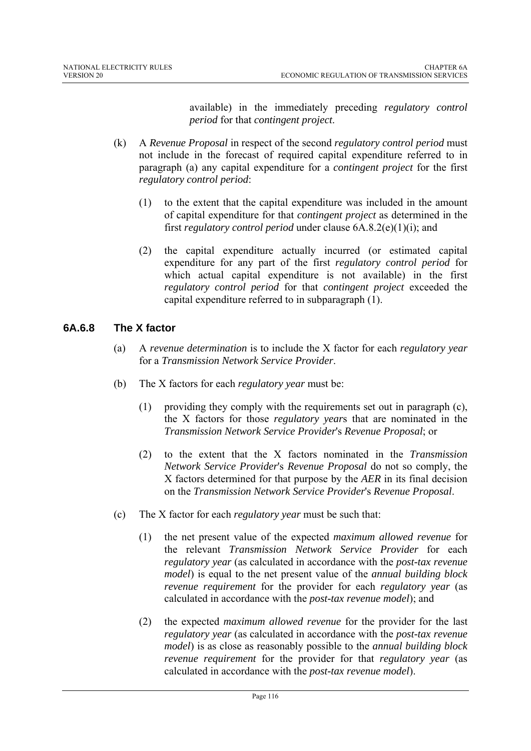available) in the immediately preceding *regulatory control period* for that *contingent project*.

- (k) A *Revenue Proposal* in respect of the second *regulatory control period* must not include in the forecast of required capital expenditure referred to in paragraph (a) any capital expenditure for a *contingent project* for the first *regulatory control period*:
	- (1) to the extent that the capital expenditure was included in the amount of capital expenditure for that *contingent project* as determined in the first *regulatory control period* under clause 6A.8.2(e)(1)(i); and
	- (2) the capital expenditure actually incurred (or estimated capital expenditure for any part of the first *regulatory control period* for which actual capital expenditure is not available) in the first *regulatory control period* for that *contingent project* exceeded the capital expenditure referred to in subparagraph (1).

## **6A.6.8 The X factor**

- (a) A *revenue determination* is to include the X factor for each *regulatory year* for a *Transmission Network Service Provider*.
- (b) The X factors for each *regulatory year* must be:
	- (1) providing they comply with the requirements set out in paragraph (c), the X factors for those *regulatory year*s that are nominated in the *Transmission Network Service Provider*'s *Revenue Proposal*; or
	- (2) to the extent that the X factors nominated in the *Transmission Network Service Provider*'s *Revenue Proposal* do not so comply, the X factors determined for that purpose by the *AER* in its final decision on the *Transmission Network Service Provider*'s *Revenue Proposal*.
- (c) The X factor for each *regulatory year* must be such that:
	- (1) the net present value of the expected *maximum allowed revenue* for the relevant *Transmission Network Service Provider* for each *regulatory year* (as calculated in accordance with the *post-tax revenue model*) is equal to the net present value of the *annual building block revenue requirement* for the provider for each *regulatory year* (as calculated in accordance with the *post-tax revenue model*); and
	- (2) the expected *maximum allowed revenue* for the provider for the last *regulatory year* (as calculated in accordance with the *post-tax revenue model*) is as close as reasonably possible to the *annual building block revenue requirement* for the provider for that *regulatory year* (as calculated in accordance with the *post-tax revenue model*).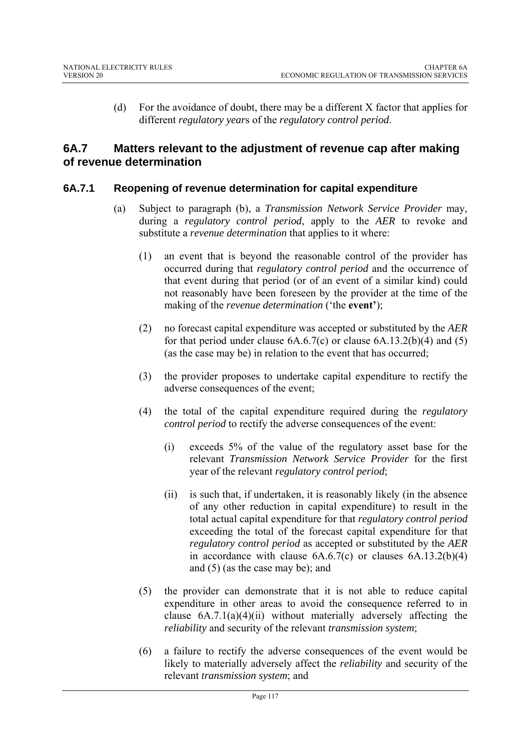(d) For the avoidance of doubt, there may be a different X factor that applies for different *regulatory year*s of the *regulatory control period*.

## **6A.7 Matters relevant to the adjustment of revenue cap after making of revenue determination**

## **6A.7.1 Reopening of revenue determination for capital expenditure**

- (a) Subject to paragraph (b), a *Transmission Network Service Provider* may, during a *regulatory control period*, apply to the *AER* to revoke and substitute a *revenue determination* that applies to it where:
	- (1) an event that is beyond the reasonable control of the provider has occurred during that *regulatory control period* and the occurrence of that event during that period (or of an event of a similar kind) could not reasonably have been foreseen by the provider at the time of the making of the *revenue determination* ('the **event'**);
	- (2) no forecast capital expenditure was accepted or substituted by the *AER* for that period under clause  $6A.6.7(c)$  or clause  $6A.13.2(b)(4)$  and  $(5)$ (as the case may be) in relation to the event that has occurred;
	- (3) the provider proposes to undertake capital expenditure to rectify the adverse consequences of the event;
	- (4) the total of the capital expenditure required during the *regulatory control period* to rectify the adverse consequences of the event:
		- (i) exceeds 5% of the value of the regulatory asset base for the relevant *Transmission Network Service Provider* for the first year of the relevant *regulatory control period*;
		- (ii) is such that, if undertaken, it is reasonably likely (in the absence of any other reduction in capital expenditure) to result in the total actual capital expenditure for that *regulatory control period*  exceeding the total of the forecast capital expenditure for that *regulatory control period* as accepted or substituted by the *AER* in accordance with clause  $6A.6.7(c)$  or clauses  $6A.13.2(b)(4)$ and (5) (as the case may be); and
	- (5) the provider can demonstrate that it is not able to reduce capital expenditure in other areas to avoid the consequence referred to in clause  $6A.7.1(a)(4)(ii)$  without materially adversely affecting the *reliability* and security of the relevant *transmission system*;
	- (6) a failure to rectify the adverse consequences of the event would be likely to materially adversely affect the *reliability* and security of the relevant *transmission system*; and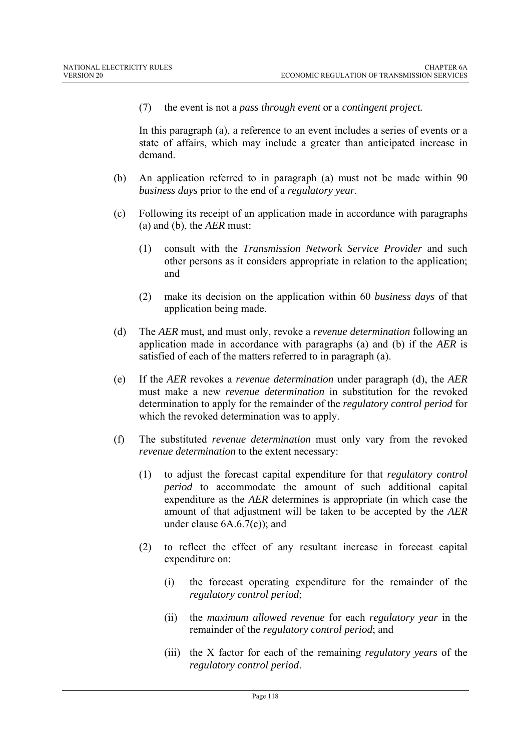(7) the event is not a *pass through event* or a *contingent project.*

In this paragraph (a), a reference to an event includes a series of events or a state of affairs, which may include a greater than anticipated increase in demand.

- (b) An application referred to in paragraph (a) must not be made within 90 *business days* prior to the end of a *regulatory year*.
- (c) Following its receipt of an application made in accordance with paragraphs (a) and (b), the *AER* must:
	- (1) consult with the *Transmission Network Service Provider* and such other persons as it considers appropriate in relation to the application; and
	- (2) make its decision on the application within 60 *business days* of that application being made.
- (d) The *AER* must, and must only, revoke a *revenue determination* following an application made in accordance with paragraphs (a) and (b) if the *AER* is satisfied of each of the matters referred to in paragraph (a).
- (e) If the *AER* revokes a *revenue determination* under paragraph (d), the *AER* must make a new *revenue determination* in substitution for the revoked determination to apply for the remainder of the *regulatory control period* for which the revoked determination was to apply.
- (f) The substituted *revenue determination* must only vary from the revoked *revenue determination* to the extent necessary:
	- (1) to adjust the forecast capital expenditure for that *regulatory control period* to accommodate the amount of such additional capital expenditure as the *AER* determines is appropriate (in which case the amount of that adjustment will be taken to be accepted by the *AER* under clause 6A.6.7(c)); and
	- (2) to reflect the effect of any resultant increase in forecast capital expenditure on:
		- (i) the forecast operating expenditure for the remainder of the *regulatory control period*;
		- (ii) the *maximum allowed revenue* for each *regulatory year* in the remainder of the *regulatory control period*; and
		- (iii) the X factor for each of the remaining *regulatory years* of the *regulatory control period*.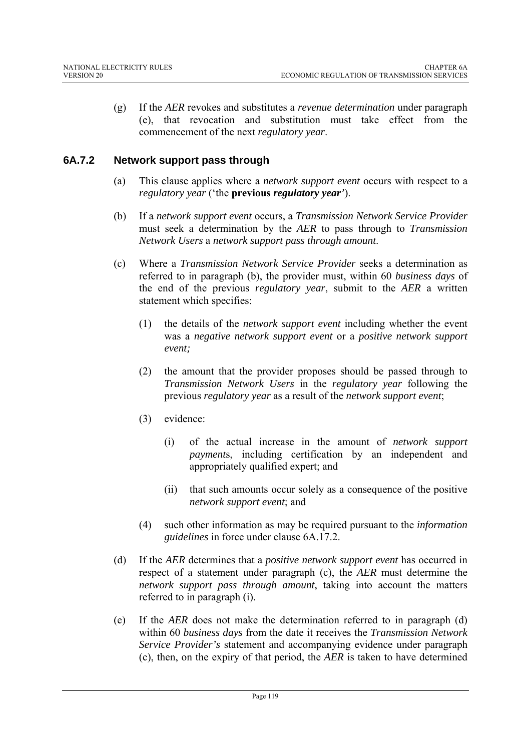(g) If the *AER* revokes and substitutes a *revenue determination* under paragraph (e), that revocation and substitution must take effect from the commencement of the next *regulatory year*.

### **6A.7.2 Network support pass through**

- (a) This clause applies where a *network support event* occurs with respect to a *regulatory year* ('the **previous** *regulatory year'*).
- (b) If a *network support event* occurs, a *Transmission Network Service Provider* must seek a determination by the *AER* to pass through to *Transmission Network Users* a *network support pass through amount*.
- (c) Where a *Transmission Network Service Provider* seeks a determination as referred to in paragraph (b), the provider must, within 60 *business days* of the end of the previous *regulatory year*, submit to the *AER* a written statement which specifies:
	- (1) the details of the *network support event* including whether the event was a *negative network support event* or a *positive network support event;*
	- (2) the amount that the provider proposes should be passed through to *Transmission Network Users* in the *regulatory year* following the previous *regulatory year* as a result of the *network support event*;
	- (3) evidence:
		- (i) of the actual increase in the amount of *network support payment*s, including certification by an independent and appropriately qualified expert; and
		- (ii) that such amounts occur solely as a consequence of the positive *network support event*; and
	- (4) such other information as may be required pursuant to the *information guidelines* in force under clause 6A.17.2.
- (d) If the *AER* determines that a *positive network support event* has occurred in respect of a statement under paragraph (c), the *AER* must determine the *network support pass through amount*, taking into account the matters referred to in paragraph (i).
- (e) If the *AER* does not make the determination referred to in paragraph (d) within 60 *business days* from the date it receives the *Transmission Network Service Provider's* statement and accompanying evidence under paragraph (c), then, on the expiry of that period, the *AER* is taken to have determined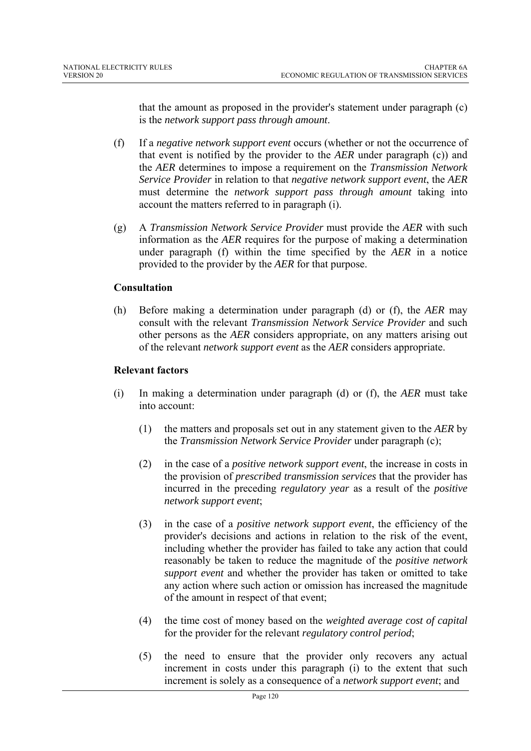that the amount as proposed in the provider's statement under paragraph (c) is the *network support pass through amount*.

- (f) If a *negative network support event* occurs (whether or not the occurrence of that event is notified by the provider to the *AER* under paragraph (c)) and the *AER* determines to impose a requirement on the *Transmission Network Service Provider* in relation to that *negative network support event*, the *AER* must determine the *network support pass through amount* taking into account the matters referred to in paragraph (i).
- (g) A *Transmission Network Service Provider* must provide the *AER* with such information as the *AER* requires for the purpose of making a determination under paragraph (f) within the time specified by the *AER* in a notice provided to the provider by the *AER* for that purpose.

### **Consultation**

(h) Before making a determination under paragraph (d) or (f), the *AER* may consult with the relevant *Transmission Network Service Provider* and such other persons as the *AER* considers appropriate, on any matters arising out of the relevant *network support event* as the *AER* considers appropriate.

### **Relevant factors**

- (i) In making a determination under paragraph (d) or (f), the *AER* must take into account:
	- (1) the matters and proposals set out in any statement given to the *AER* by the *Transmission Network Service Provider* under paragraph (c);
	- (2) in the case of a *positive network support event*, the increase in costs in the provision of *prescribed transmission services* that the provider has incurred in the preceding *regulatory year* as a result of the *positive network support event*;
	- (3) in the case of a *positive network support event*, the efficiency of the provider's decisions and actions in relation to the risk of the event, including whether the provider has failed to take any action that could reasonably be taken to reduce the magnitude of the *positive network support event* and whether the provider has taken or omitted to take any action where such action or omission has increased the magnitude of the amount in respect of that event;
	- (4) the time cost of money based on the *weighted average cost of capital* for the provider for the relevant *regulatory control period*;
	- (5) the need to ensure that the provider only recovers any actual increment in costs under this paragraph (i) to the extent that such increment is solely as a consequence of a *network support event*; and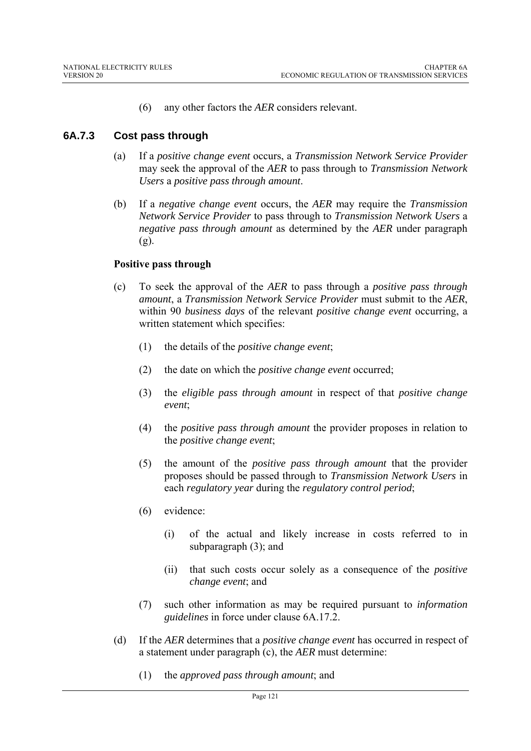(6) any other factors the *AER* considers relevant.

## **6A.7.3 Cost pass through**

- (a) If a *positive change event* occurs, a *Transmission Network Service Provider* may seek the approval of the *AER* to pass through to *Transmission Network Users* a *positive pass through amount*.
- (b) If a *negative change event* occurs, the *AER* may require the *Transmission Network Service Provider* to pass through to *Transmission Network Users* a *negative pass through amount* as determined by the *AER* under paragraph (g).

### **Positive pass through**

- (c) To seek the approval of the *AER* to pass through a *positive pass through amount*, a *Transmission Network Service Provider* must submit to the *AER*, within 90 *business days* of the relevant *positive change event* occurring, a written statement which specifies:
	- (1) the details of the *positive change event*;
	- (2) the date on which the *positive change event* occurred;
	- (3) the *eligible pass through amount* in respect of that *positive change event*;
	- (4) the *positive pass through amount* the provider proposes in relation to the *positive change event*;
	- (5) the amount of the *positive pass through amount* that the provider proposes should be passed through to *Transmission Network Users* in each *regulatory year* during the *regulatory control period*;
	- (6) evidence:
		- (i) of the actual and likely increase in costs referred to in subparagraph (3); and
		- (ii) that such costs occur solely as a consequence of the *positive change event*; and
	- (7) such other information as may be required pursuant to *information guidelines* in force under clause 6A.17.2.
- (d) If the *AER* determines that a *positive change event* has occurred in respect of a statement under paragraph (c), the *AER* must determine:
	- (1) the *approved pass through amount*; and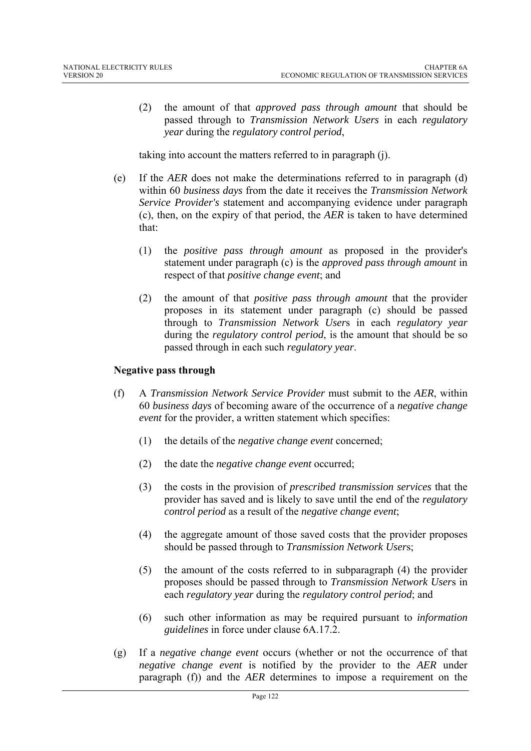(2) the amount of that *approved pass through amount* that should be passed through to *Transmission Network Users* in each *regulatory year* during the *regulatory control period*,

taking into account the matters referred to in paragraph (j).

- (e) If the *AER* does not make the determinations referred to in paragraph (d) within 60 *business days* from the date it receives the *Transmission Network Service Provider's* statement and accompanying evidence under paragraph (c), then, on the expiry of that period, the *AER* is taken to have determined that:
	- (1) the *positive pass through amount* as proposed in the provider's statement under paragraph (c) is the *approved pass through amount* in respect of that *positive change event*; and
	- (2) the amount of that *positive pass through amount* that the provider proposes in its statement under paragraph (c) should be passed through to *Transmission Network User*s in each *regulatory year* during the *regulatory control period*, is the amount that should be so passed through in each such *regulatory year*.

### **Negative pass through**

- (f) A *Transmission Network Service Provider* must submit to the *AER*, within 60 *business days* of becoming aware of the occurrence of a *negative change event* for the provider, a written statement which specifies:
	- (1) the details of the *negative change event* concerned;
	- (2) the date the *negative change event* occurred;
	- (3) the costs in the provision of *prescribed transmission services* that the provider has saved and is likely to save until the end of the *regulatory control period* as a result of the *negative change event*;
	- (4) the aggregate amount of those saved costs that the provider proposes should be passed through to *Transmission Network User*s;
	- (5) the amount of the costs referred to in subparagraph (4) the provider proposes should be passed through to *Transmission Network User*s in each *regulatory year* during the *regulatory control period*; and
	- (6) such other information as may be required pursuant to *information guidelines* in force under clause 6A.17.2.
- (g) If a *negative change event* occurs (whether or not the occurrence of that *negative change event* is notified by the provider to the *AER* under paragraph (f)) and the *AER* determines to impose a requirement on the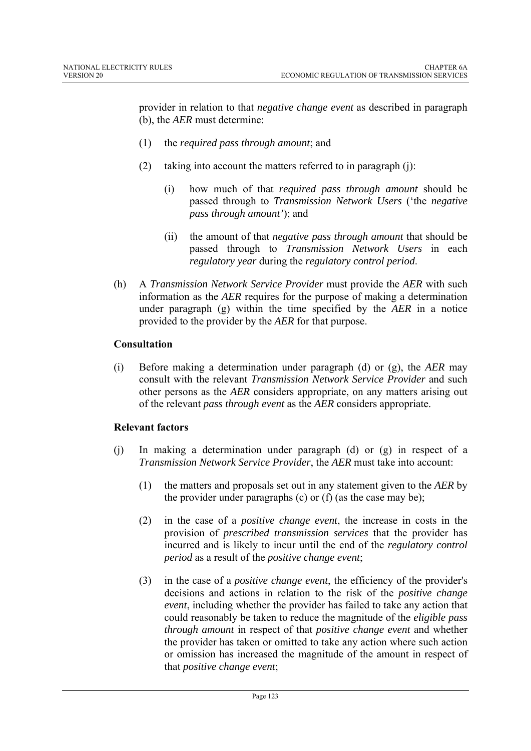provider in relation to that *negative change event* as described in paragraph (b), the *AER* must determine:

- (1) the *required pass through amount*; and
- (2) taking into account the matters referred to in paragraph (j):
	- (i) how much of that *required pass through amount* should be passed through to *Transmission Network Users* ('the *negative pass through amount'*); and
	- (ii) the amount of that *negative pass through amount* that should be passed through to *Transmission Network Users* in each *regulatory year* during the *regulatory control period*.
- (h) A *Transmission Network Service Provider* must provide the *AER* with such information as the *AER* requires for the purpose of making a determination under paragraph (g) within the time specified by the *AER* in a notice provided to the provider by the *AER* for that purpose.

### **Consultation**

(i) Before making a determination under paragraph (d) or (g), the *AER* may consult with the relevant *Transmission Network Service Provider* and such other persons as the *AER* considers appropriate, on any matters arising out of the relevant *pass through event* as the *AER* considers appropriate.

#### **Relevant factors**

- (j) In making a determination under paragraph (d) or (g) in respect of a *Transmission Network Service Provider*, the *AER* must take into account:
	- (1) the matters and proposals set out in any statement given to the *AER* by the provider under paragraphs (c) or (f) (as the case may be);
	- (2) in the case of a *positive change event*, the increase in costs in the provision of *prescribed transmission services* that the provider has incurred and is likely to incur until the end of the *regulatory control period* as a result of the *positive change event*;
	- (3) in the case of a *positive change event*, the efficiency of the provider's decisions and actions in relation to the risk of the *positive change event*, including whether the provider has failed to take any action that could reasonably be taken to reduce the magnitude of the *eligible pass through amount* in respect of that *positive change event* and whether the provider has taken or omitted to take any action where such action or omission has increased the magnitude of the amount in respect of that *positive change event*;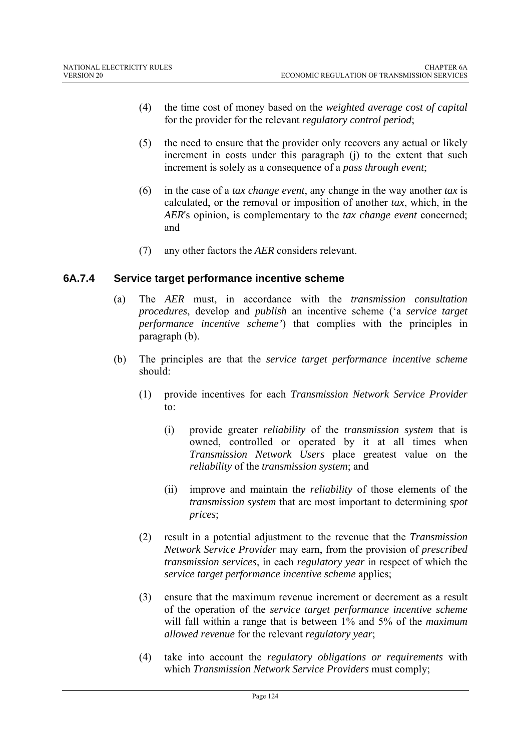- (4) the time cost of money based on the *weighted average cost of capital* for the provider for the relevant *regulatory control period*;
- (5) the need to ensure that the provider only recovers any actual or likely increment in costs under this paragraph (j) to the extent that such increment is solely as a consequence of a *pass through event*;
- (6) in the case of a *tax change event*, any change in the way another *tax* is calculated, or the removal or imposition of another *tax*, which, in the *AER*'s opinion, is complementary to the *tax change event* concerned; and
- (7) any other factors the *AER* considers relevant.

### **6A.7.4 Service target performance incentive scheme**

- (a) The *AER* must, in accordance with the *transmission consultation procedures*, develop and *publish* an incentive scheme ('a *service target performance incentive scheme'*) that complies with the principles in paragraph (b).
- (b) The principles are that the *service target performance incentive scheme* should:
	- (1) provide incentives for each *Transmission Network Service Provider*  $\mathsf{to}$ :
		- (i) provide greater *reliability* of the *transmission system* that is owned, controlled or operated by it at all times when *Transmission Network Users* place greatest value on the *reliability* of the *transmission system*; and
		- (ii) improve and maintain the *reliability* of those elements of the *transmission system* that are most important to determining *spot prices*;
	- (2) result in a potential adjustment to the revenue that the *Transmission Network Service Provider* may earn, from the provision of *prescribed transmission services*, in each *regulatory year* in respect of which the *service target performance incentive scheme* applies;
	- (3) ensure that the maximum revenue increment or decrement as a result of the operation of the *service target performance incentive scheme* will fall within a range that is between 1% and 5% of the *maximum allowed revenue* for the relevant *regulatory year*;
	- (4) take into account the *regulatory obligations or requirements* with which *Transmission Network Service Providers* must comply;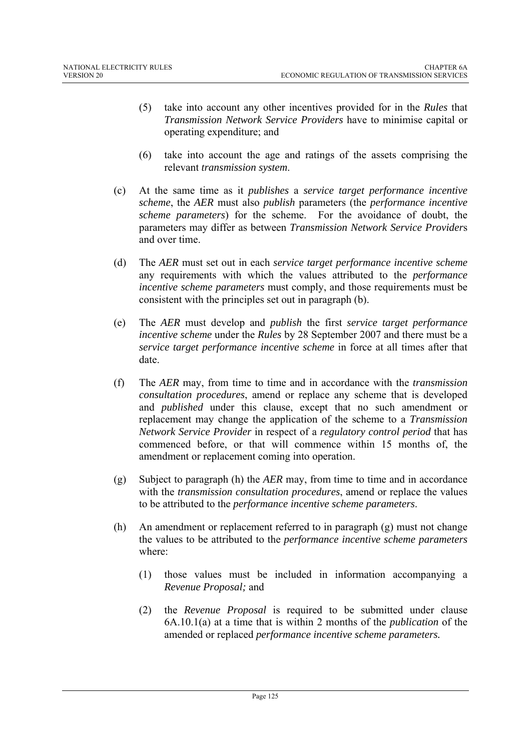- (5) take into account any other incentives provided for in the *Rules* that *Transmission Network Service Providers* have to minimise capital or operating expenditure; and
- (6) take into account the age and ratings of the assets comprising the relevant *transmission system*.
- (c) At the same time as it *publishes* a *service target performance incentive scheme*, the *AER* must also *publish* parameters (the *performance incentive scheme parameters*) for the scheme. For the avoidance of doubt, the parameters may differ as between *Transmission Network Service Provider*s and over time.
- (d) The *AER* must set out in each *service target performance incentive scheme* any requirements with which the values attributed to the *performance incentive scheme parameters* must comply, and those requirements must be consistent with the principles set out in paragraph (b).
- (e) The *AER* must develop and *publish* the first *service target performance incentive scheme* under the *Rules* by 28 September 2007 and there must be a *service target performance incentive scheme* in force at all times after that date.
- (f) The *AER* may, from time to time and in accordance with the *transmission consultation procedures*, amend or replace any scheme that is developed and *published* under this clause, except that no such amendment or replacement may change the application of the scheme to a *Transmission Network Service Provider* in respect of a *regulatory control period* that has commenced before, or that will commence within 15 months of, the amendment or replacement coming into operation.
- (g) Subject to paragraph (h) the *AER* may, from time to time and in accordance with the *transmission consultation procedures*, amend or replace the values to be attributed to the *performance incentive scheme parameters*.
- (h) An amendment or replacement referred to in paragraph (g) must not change the values to be attributed to the *performance incentive scheme parameters*  where:
	- (1) those values must be included in information accompanying a *Revenue Proposal;* and
	- (2) the *Revenue Proposal* is required to be submitted under clause 6A.10.1(a) at a time that is within 2 months of the *publication* of the amended or replaced *performance incentive scheme parameters.*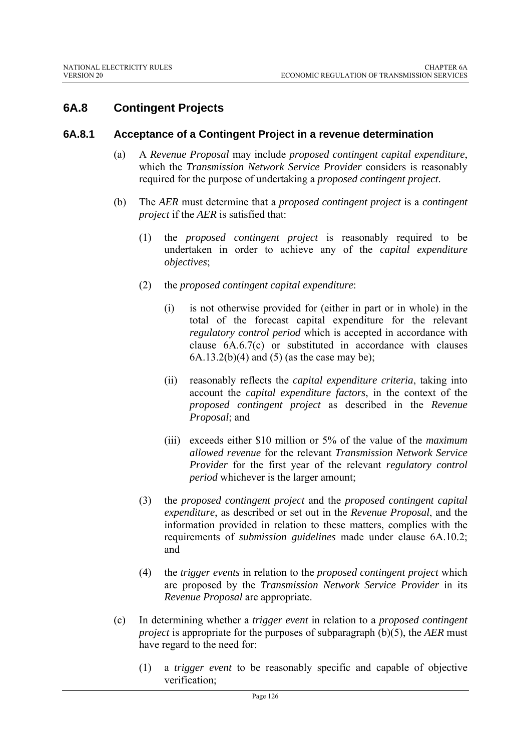# **6A.8 Contingent Projects**

#### **6A.8.1 Acceptance of a Contingent Project in a revenue determination**

- (a) A *Revenue Proposal* may include *proposed contingent capital expenditure*, which the *Transmission Network Service Provider* considers is reasonably required for the purpose of undertaking a *proposed contingent project*.
- (b) The *AER* must determine that a *proposed contingent project* is a *contingent project* if the *AER* is satisfied that:
	- (1) the *proposed contingent project* is reasonably required to be undertaken in order to achieve any of the *capital expenditure objectives*;
	- (2) the *proposed contingent capital expenditure*:
		- (i) is not otherwise provided for (either in part or in whole) in the total of the forecast capital expenditure for the relevant *regulatory control period* which is accepted in accordance with clause 6A.6.7(c) or substituted in accordance with clauses  $6A.13.2(b)(4)$  and  $(5)$  (as the case may be);
		- (ii) reasonably reflects the *capital expenditure criteria*, taking into account the *capital expenditure factors*, in the context of the *proposed contingent project* as described in the *Revenue Proposal*; and
		- (iii) exceeds either \$10 million or 5% of the value of the *maximum allowed revenue* for the relevant *Transmission Network Service Provider* for the first year of the relevant *regulatory control period* whichever is the larger amount;
	- (3) the *proposed contingent project* and the *proposed contingent capital expenditure*, as described or set out in the *Revenue Proposal*, and the information provided in relation to these matters, complies with the requirements of *submission guidelines* made under clause 6A.10.2; and
	- (4) the *trigger events* in relation to the *proposed contingent project* which are proposed by the *Transmission Network Service Provider* in its *Revenue Proposal* are appropriate.
- (c) In determining whether a *trigger event* in relation to a *proposed contingent project* is appropriate for the purposes of subparagraph (b)(5), the *AER* must have regard to the need for:
	- (1) a *trigger event* to be reasonably specific and capable of objective verification;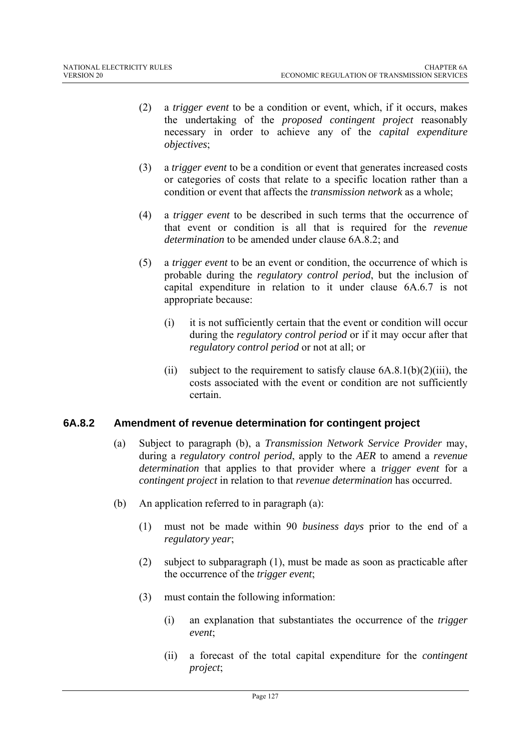- (2) a *trigger event* to be a condition or event, which, if it occurs, makes the undertaking of the *proposed contingent project* reasonably necessary in order to achieve any of the *capital expenditure objectives*;
- (3) a *trigger event* to be a condition or event that generates increased costs or categories of costs that relate to a specific location rather than a condition or event that affects the *transmission network* as a whole;
- (4) a *trigger event* to be described in such terms that the occurrence of that event or condition is all that is required for the *revenue determination* to be amended under clause 6A.8.2; and
- (5) a *trigger event* to be an event or condition, the occurrence of which is probable during the *regulatory control period*, but the inclusion of capital expenditure in relation to it under clause 6A.6.7 is not appropriate because:
	- (i) it is not sufficiently certain that the event or condition will occur during the *regulatory control period* or if it may occur after that *regulatory control period* or not at all; or
	- (ii) subject to the requirement to satisfy clause  $6A.8.1(b)(2)(iii)$ , the costs associated with the event or condition are not sufficiently certain.

## **6A.8.2 Amendment of revenue determination for contingent project**

- (a) Subject to paragraph (b), a *Transmission Network Service Provider* may, during a *regulatory control period*, apply to the *AER* to amend a *revenue determination* that applies to that provider where a *trigger event* for a *contingent project* in relation to that *revenue determination* has occurred.
- (b) An application referred to in paragraph (a):
	- (1) must not be made within 90 *business days* prior to the end of a *regulatory year*;
	- (2) subject to subparagraph (1), must be made as soon as practicable after the occurrence of the *trigger event*;
	- (3) must contain the following information:
		- (i) an explanation that substantiates the occurrence of the *trigger event*;
		- (ii) a forecast of the total capital expenditure for the *contingent project*;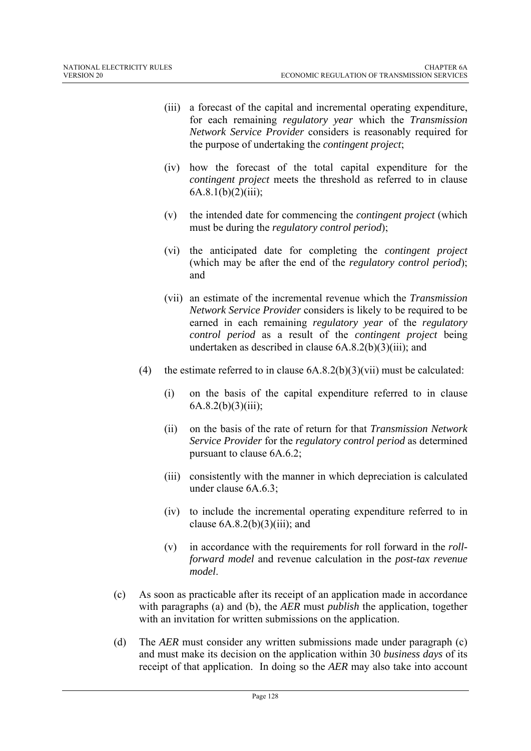- (iii) a forecast of the capital and incremental operating expenditure, for each remaining *regulatory year* which the *Transmission Network Service Provider* considers is reasonably required for the purpose of undertaking the *contingent project*;
- (iv) how the forecast of the total capital expenditure for the *contingent project* meets the threshold as referred to in clause  $6A.8.1(b)(2)(iii)$ ;
- (v) the intended date for commencing the *contingent project* (which must be during the *regulatory control period*);
- (vi) the anticipated date for completing the *contingent project* (which may be after the end of the *regulatory control period*); and
- (vii) an estimate of the incremental revenue which the *Transmission Network Service Provider* considers is likely to be required to be earned in each remaining *regulatory year* of the *regulatory control period* as a result of the *contingent project* being undertaken as described in clause 6A.8.2(b)(3)(iii); and
- (4) the estimate referred to in clause  $(6A.8.2(b)(3)(vi))$  must be calculated:
	- (i) on the basis of the capital expenditure referred to in clause  $6A.8.2(b)(3)(iii);$
	- (ii) on the basis of the rate of return for that *Transmission Network Service Provider* for the *regulatory control period* as determined pursuant to clause 6A.6.2;
	- (iii) consistently with the manner in which depreciation is calculated under clause 6A.6.3;
	- (iv) to include the incremental operating expenditure referred to in clause  $6A.8.2(b)(3)(iii)$ ; and
	- (v) in accordance with the requirements for roll forward in the *rollforward model* and revenue calculation in the *post-tax revenue model*.
- (c) As soon as practicable after its receipt of an application made in accordance with paragraphs (a) and (b), the *AER* must *publish* the application, together with an invitation for written submissions on the application.
- (d) The *AER* must consider any written submissions made under paragraph (c) and must make its decision on the application within 30 *business days* of its receipt of that application. In doing so the *AER* may also take into account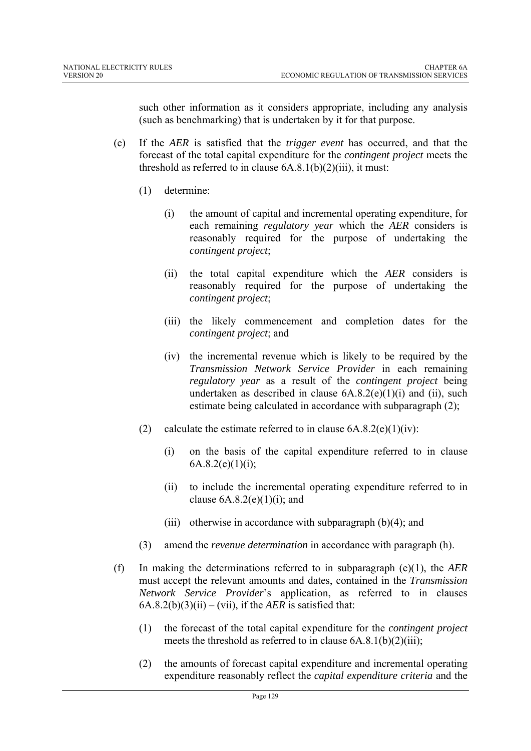such other information as it considers appropriate, including any analysis (such as benchmarking) that is undertaken by it for that purpose.

- (e) If the *AER* is satisfied that the *trigger event* has occurred, and that the forecast of the total capital expenditure for the *contingent project* meets the threshold as referred to in clause  $6A.8.1(b)(2)(iii)$ , it must:
	- (1) determine:
		- (i) the amount of capital and incremental operating expenditure, for each remaining *regulatory year* which the *AER* considers is reasonably required for the purpose of undertaking the *contingent project*;
		- (ii) the total capital expenditure which the *AER* considers is reasonably required for the purpose of undertaking the *contingent project*;
		- (iii) the likely commencement and completion dates for the *contingent project*; and
		- (iv) the incremental revenue which is likely to be required by the *Transmission Network Service Provider* in each remaining *regulatory year* as a result of the *contingent project* being undertaken as described in clause  $6A.8.2(e)(1)(i)$  and (ii), such estimate being calculated in accordance with subparagraph (2);
	- (2) calculate the estimate referred to in clause  $6A.8.2(e)(1)(iv)$ :
		- (i) on the basis of the capital expenditure referred to in clause  $6A.8.2(e)(1)(i)$ ;
		- (ii) to include the incremental operating expenditure referred to in clause  $6A.8.2(e)(1)(i)$ ; and
		- (iii) otherwise in accordance with subparagraph  $(b)(4)$ ; and
	- (3) amend the *revenue determination* in accordance with paragraph (h).
- (f) In making the determinations referred to in subparagraph (e)(1), the *AER* must accept the relevant amounts and dates, contained in the *Transmission Network Service Provider*'s application, as referred to in clauses  $6A.8.2(b)(3)(ii) - (vii)$ , if the *AER* is satisfied that:
	- (1) the forecast of the total capital expenditure for the *contingent project* meets the threshold as referred to in clause 6A.8.1(b)(2)(iii);
	- (2) the amounts of forecast capital expenditure and incremental operating expenditure reasonably reflect the *capital expenditure criteria* and the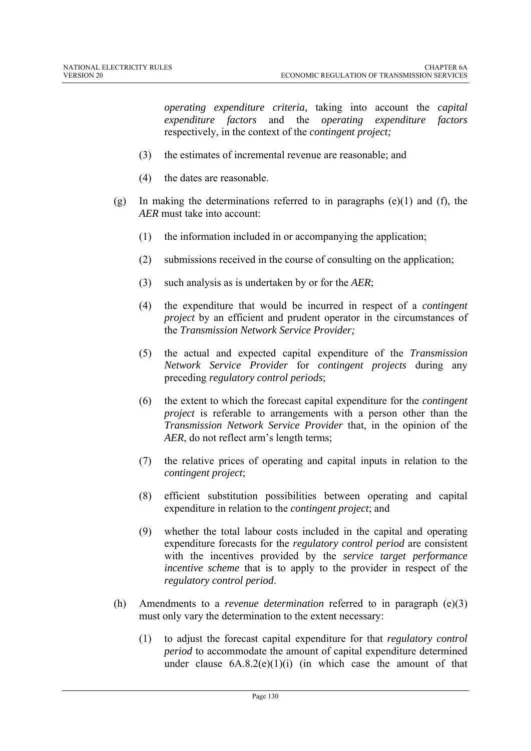*operating expenditure criteria,* taking into account the *capital expenditure factors* and the *operating expenditure factors* respectively, in the context of the *contingent project;*

- (3) the estimates of incremental revenue are reasonable; and
- (4) the dates are reasonable.
- (g) In making the determinations referred to in paragraphs  $(e)(1)$  and  $(f)$ , the *AER* must take into account:
	- (1) the information included in or accompanying the application;
	- (2) submissions received in the course of consulting on the application;
	- (3) such analysis as is undertaken by or for the *AER*;
	- (4) the expenditure that would be incurred in respect of a *contingent project* by an efficient and prudent operator in the circumstances of the *Transmission Network Service Provider;*
	- (5) the actual and expected capital expenditure of the *Transmission Network Service Provider* for *contingent projects* during any preceding *regulatory control periods*;
	- (6) the extent to which the forecast capital expenditure for the *contingent project* is referable to arrangements with a person other than the *Transmission Network Service Provider* that, in the opinion of the *AER*, do not reflect arm's length terms;
	- (7) the relative prices of operating and capital inputs in relation to the *contingent project*;
	- (8) efficient substitution possibilities between operating and capital expenditure in relation to the *contingent project*; and
	- (9) whether the total labour costs included in the capital and operating expenditure forecasts for the *regulatory control period* are consistent with the incentives provided by the *service target performance incentive scheme* that is to apply to the provider in respect of the *regulatory control period*.
- (h) Amendments to a *revenue determination* referred to in paragraph (e)(3) must only vary the determination to the extent necessary:
	- (1) to adjust the forecast capital expenditure for that *regulatory control period* to accommodate the amount of capital expenditure determined under clause  $6A.8.2(e)(1)(i)$  (in which case the amount of that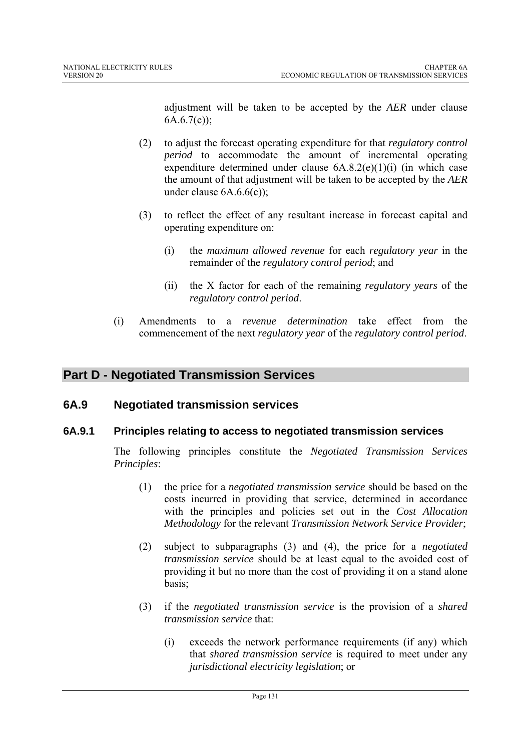adjustment will be taken to be accepted by the *AER* under clause  $6A.6.7(c)$ ;

- (2) to adjust the forecast operating expenditure for that *regulatory control period* to accommodate the amount of incremental operating expenditure determined under clause  $6A.8.2(e)(1)(i)$  (in which case the amount of that adjustment will be taken to be accepted by the *AER* under clause 6A.6.6(c));
- (3) to reflect the effect of any resultant increase in forecast capital and operating expenditure on:
	- (i) the *maximum allowed revenue* for each *regulatory year* in the remainder of the *regulatory control period*; and
	- (ii) the X factor for each of the remaining *regulatory years* of the *regulatory control period*.
- (i) Amendments to a *revenue determination* take effect from the commencement of the next *regulatory year* of the *regulatory control period*.

# **Part D - Negotiated Transmission Services**

## **6A.9 Negotiated transmission services**

## **6A.9.1 Principles relating to access to negotiated transmission services**

The following principles constitute the *Negotiated Transmission Services Principles*:

- (1) the price for a *negotiated transmission service* should be based on the costs incurred in providing that service, determined in accordance with the principles and policies set out in the *Cost Allocation Methodology* for the relevant *Transmission Network Service Provider*;
- (2) subject to subparagraphs (3) and (4), the price for a *negotiated transmission service* should be at least equal to the avoided cost of providing it but no more than the cost of providing it on a stand alone basis;
- (3) if the *negotiated transmission service* is the provision of a *shared transmission service* that:
	- (i) exceeds the network performance requirements (if any) which that *shared transmission service* is required to meet under any *jurisdictional electricity legislation*; or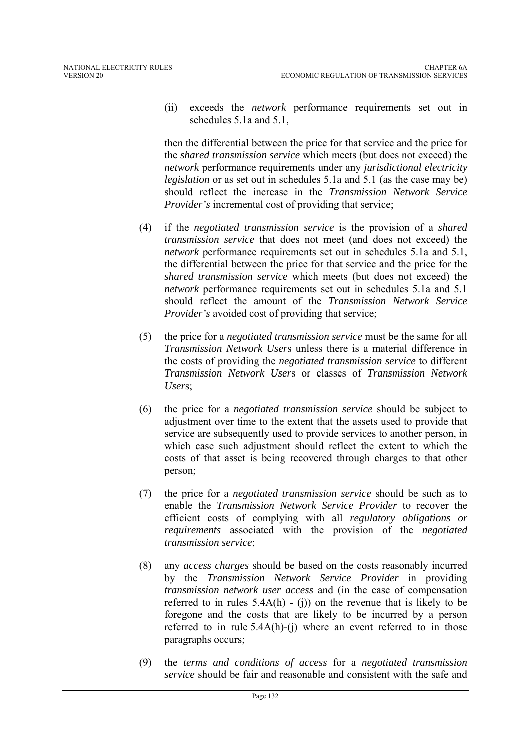(ii) exceeds the *network* performance requirements set out in schedules 5.1a and 5.1,

then the differential between the price for that service and the price for the *shared transmission service* which meets (but does not exceed) the *network* performance requirements under any *jurisdictional electricity legislation* or as set out in schedules 5.1a and 5.1 (as the case may be) should reflect the increase in the *Transmission Network Service Provider's* incremental cost of providing that service;

- (4) if the *negotiated transmission service* is the provision of a *shared transmission service* that does not meet (and does not exceed) the *network* performance requirements set out in schedules 5.1a and 5.1, the differential between the price for that service and the price for the *shared transmission service* which meets (but does not exceed) the *network* performance requirements set out in schedules 5.1a and 5.1 should reflect the amount of the *Transmission Network Service Provider's* avoided cost of providing that service;
- (5) the price for a *negotiated transmission service* must be the same for all *Transmission Network User*s unless there is a material difference in the costs of providing the *negotiated transmission service* to different *Transmission Network User*s or classes of *Transmission Network User*s;
- (6) the price for a *negotiated transmission service* should be subject to adjustment over time to the extent that the assets used to provide that service are subsequently used to provide services to another person, in which case such adjustment should reflect the extent to which the costs of that asset is being recovered through charges to that other person;
- (7) the price for a *negotiated transmission service* should be such as to enable the *Transmission Network Service Provider* to recover the efficient costs of complying with all *regulatory obligations or requirements* associated with the provision of the *negotiated transmission service*;
- (8) any *access charges* should be based on the costs reasonably incurred by the *Transmission Network Service Provider* in providing *transmission network user access* and (in the case of compensation referred to in rules  $5.4A(h) - (i)$  on the revenue that is likely to be foregone and the costs that are likely to be incurred by a person referred to in rule 5.4A(h)-(j) where an event referred to in those paragraphs occurs;
- (9) the *terms and conditions of access* for a *negotiated transmission service* should be fair and reasonable and consistent with the safe and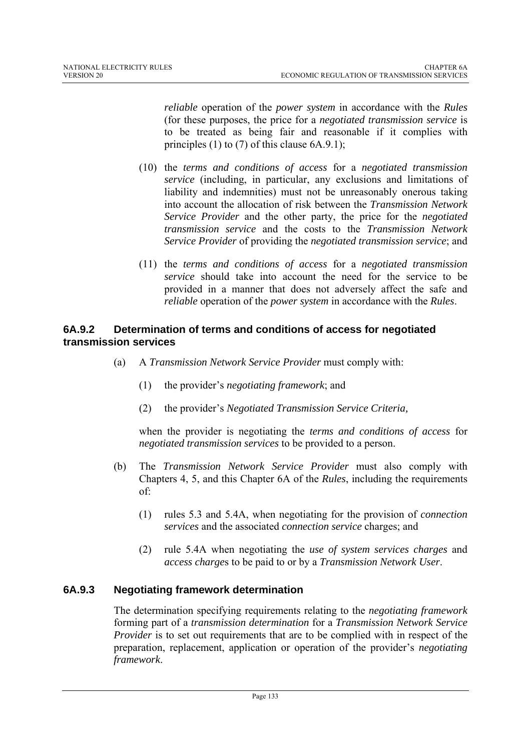*reliable* operation of the *power system* in accordance with the *Rules* (for these purposes, the price for a *negotiated transmission service* is to be treated as being fair and reasonable if it complies with principles (1) to (7) of this clause 6A.9.1);

- (10) the *terms and conditions of access* for a *negotiated transmission service* (including, in particular, any exclusions and limitations of liability and indemnities) must not be unreasonably onerous taking into account the allocation of risk between the *Transmission Network Service Provider* and the other party, the price for the *negotiated transmission service* and the costs to the *Transmission Network Service Provider* of providing the *negotiated transmission service*; and
- (11) the *terms and conditions of access* for a *negotiated transmission service* should take into account the need for the service to be provided in a manner that does not adversely affect the safe and *reliable* operation of the *power system* in accordance with the *Rules*.

## **6A.9.2 Determination of terms and conditions of access for negotiated transmission services**

- (a) A *Transmission Network Service Provider* must comply with:
	- (1) the provider's *negotiating framework*; and
	- (2) the provider's *Negotiated Transmission Service Criteria,*

when the provider is negotiating the *terms and conditions of access* for *negotiated transmission services* to be provided to a person.

- (b) The *Transmission Network Service Provider* must also comply with Chapters 4, 5, and this Chapter 6A of the *Rules*, including the requirements of:
	- (1) rules 5.3 and 5.4A, when negotiating for the provision of *connection services* and the associated *connection service* charges; and
	- (2) rule 5.4A when negotiating the *use of system services charges* and *access charge*s to be paid to or by a *Transmission Network User*.

# **6A.9.3 Negotiating framework determination**

The determination specifying requirements relating to the *negotiating framework* forming part of a *transmission determination* for a *Transmission Network Service Provider* is to set out requirements that are to be complied with in respect of the preparation, replacement, application or operation of the provider's *negotiating framework*.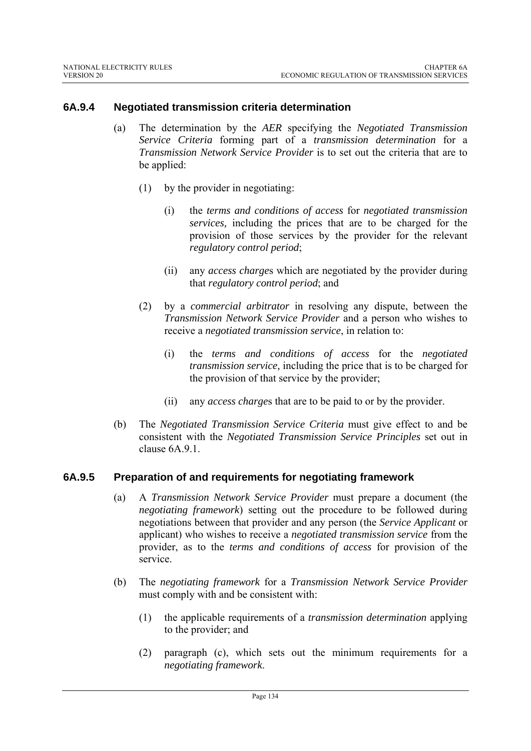### **6A.9.4 Negotiated transmission criteria determination**

- (a) The determination by the *AER* specifying the *Negotiated Transmission Service Criteria* forming part of a *transmission determination* for a *Transmission Network Service Provider* is to set out the criteria that are to be applied:
	- (1) by the provider in negotiating:
		- (i) the *terms and conditions of access* for *negotiated transmission services,* including the prices that are to be charged for the provision of those services by the provider for the relevant *regulatory control period*;
		- (ii) any *access charge*s which are negotiated by the provider during that *regulatory control period*; and
	- (2) by a *commercial arbitrator* in resolving any dispute, between the *Transmission Network Service Provider* and a person who wishes to receive a *negotiated transmission service*, in relation to:
		- (i) the *terms and conditions of access* for the *negotiated transmission service,* including the price that is to be charged for the provision of that service by the provider;
		- (ii) any *access charge*s that are to be paid to or by the provider.
- (b) The *Negotiated Transmission Service Criteria* must give effect to and be consistent with the *Negotiated Transmission Service Principles* set out in clause 6A.9.1.

## **6A.9.5 Preparation of and requirements for negotiating framework**

- (a) A *Transmission Network Service Provider* must prepare a document (the *negotiating framework*) setting out the procedure to be followed during negotiations between that provider and any person (the *Service Applicant* or applicant) who wishes to receive a *negotiated transmission service* from the provider, as to the *terms and conditions of access* for provision of the service.
- (b) The *negotiating framework* for a *Transmission Network Service Provider* must comply with and be consistent with:
	- (1) the applicable requirements of a *transmission determination* applying to the provider; and
	- (2) paragraph (c), which sets out the minimum requirements for a *negotiating framework*.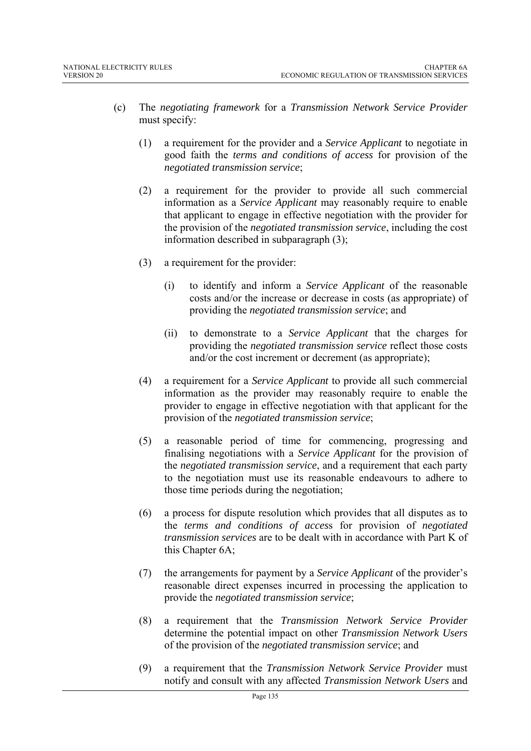- (c) The *negotiating framework* for a *Transmission Network Service Provider* must specify:
	- (1) a requirement for the provider and a *Service Applicant* to negotiate in good faith the *terms and conditions of access* for provision of the *negotiated transmission service*;
	- (2) a requirement for the provider to provide all such commercial information as a *Service Applicant* may reasonably require to enable that applicant to engage in effective negotiation with the provider for the provision of the *negotiated transmission service*, including the cost information described in subparagraph (3);
	- (3) a requirement for the provider:
		- (i) to identify and inform a *Service Applicant* of the reasonable costs and/or the increase or decrease in costs (as appropriate) of providing the *negotiated transmission service*; and
		- (ii) to demonstrate to a *Service Applicant* that the charges for providing the *negotiated transmission service* reflect those costs and/or the cost increment or decrement (as appropriate);
	- (4) a requirement for a *Service Applicant* to provide all such commercial information as the provider may reasonably require to enable the provider to engage in effective negotiation with that applicant for the provision of the *negotiated transmission service*;
	- (5) a reasonable period of time for commencing, progressing and finalising negotiations with a *Service Applicant* for the provision of the *negotiated transmission service*, and a requirement that each party to the negotiation must use its reasonable endeavours to adhere to those time periods during the negotiation;
	- (6) a process for dispute resolution which provides that all disputes as to the *terms and conditions of acces*s for provision of *negotiated transmission services* are to be dealt with in accordance with Part K of this Chapter 6A;
	- (7) the arrangements for payment by a *Service Applicant* of the provider's reasonable direct expenses incurred in processing the application to provide the *negotiated transmission service*;
	- (8) a requirement that the *Transmission Network Service Provider* determine the potential impact on other *Transmission Network Users* of the provision of the *negotiated transmission service*; and
	- (9) a requirement that the *Transmission Network Service Provider* must notify and consult with any affected *Transmission Network Users* and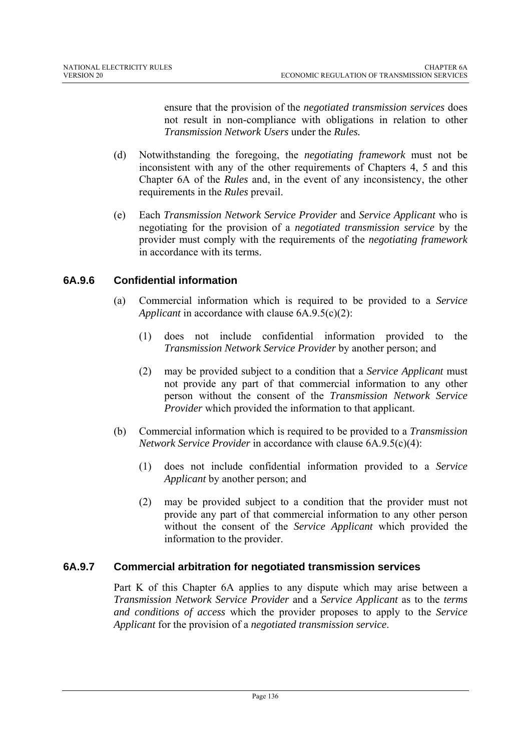ensure that the provision of the *negotiated transmission services* does not result in non-compliance with obligations in relation to other *Transmission Network Users* under the *Rules.* 

- (d) Notwithstanding the foregoing, the *negotiating framework* must not be inconsistent with any of the other requirements of Chapters 4, 5 and this Chapter 6A of the *Rules* and, in the event of any inconsistency, the other requirements in the *Rules* prevail.
- (e) Each *Transmission Network Service Provider* and *Service Applicant* who is negotiating for the provision of a *negotiated transmission service* by the provider must comply with the requirements of the *negotiating framework* in accordance with its terms.

## **6A.9.6 Confidential information**

- (a) Commercial information which is required to be provided to a *Service Applicant* in accordance with clause 6A.9.5(c)(2):
	- (1) does not include confidential information provided to the *Transmission Network Service Provider* by another person; and
	- (2) may be provided subject to a condition that a *Service Applicant* must not provide any part of that commercial information to any other person without the consent of the *Transmission Network Service Provider* which provided the information to that applicant.
- (b) Commercial information which is required to be provided to a *Transmission Network Service Provider* in accordance with clause 6A.9.5(c)(4):
	- (1) does not include confidential information provided to a *Service Applicant* by another person; and
	- (2) may be provided subject to a condition that the provider must not provide any part of that commercial information to any other person without the consent of the *Service Applicant* which provided the information to the provider.

## **6A.9.7 Commercial arbitration for negotiated transmission services**

Part K of this Chapter 6A applies to any dispute which may arise between a *Transmission Network Service Provider* and a *Service Applicant* as to the *terms and conditions of access* which the provider proposes to apply to the *Service Applicant* for the provision of a *negotiated transmission service*.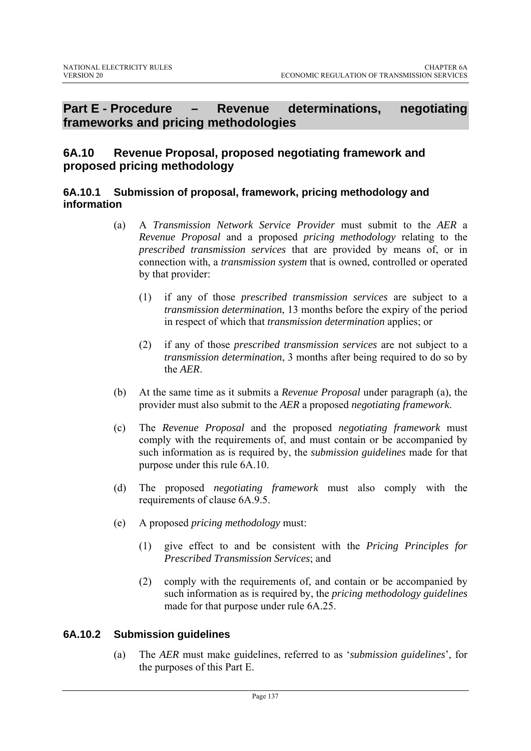# **Part E - Procedure – Revenue determinations, negotiating frameworks and pricing methodologies**

# **6A.10 Revenue Proposal, proposed negotiating framework and proposed pricing methodology**

### **6A.10.1 Submission of proposal, framework, pricing methodology and information**

- (a) A *Transmission Network Service Provider* must submit to the *AER* a *Revenue Proposal* and a proposed *pricing methodology* relating to the *prescribed transmission services* that are provided by means of, or in connection with, a *transmission system* that is owned, controlled or operated by that provider:
	- (1) if any of those *prescribed transmission services* are subject to a *transmission determination*, 13 months before the expiry of the period in respect of which that *transmission determination* applies; or
	- (2) if any of those *prescribed transmission services* are not subject to a *transmission determination*, 3 months after being required to do so by the *AER*.
- (b) At the same time as it submits a *Revenue Proposal* under paragraph (a), the provider must also submit to the *AER* a proposed *negotiating framework*.
- (c) The *Revenue Proposal* and the proposed *negotiating framework* must comply with the requirements of, and must contain or be accompanied by such information as is required by, the *submission guidelines* made for that purpose under this rule 6A.10.
- (d) The proposed *negotiating framework* must also comply with the requirements of clause 6A.9.5.
- (e) A proposed *pricing methodology* must:
	- (1) give effect to and be consistent with the *Pricing Principles for Prescribed Transmission Services*; and
	- (2) comply with the requirements of, and contain or be accompanied by such information as is required by, the *pricing methodology guidelines* made for that purpose under rule 6A.25.

# **6A.10.2 Submission guidelines**

(a) The *AER* must make guidelines, referred to as '*submission guidelines*', for the purposes of this Part E.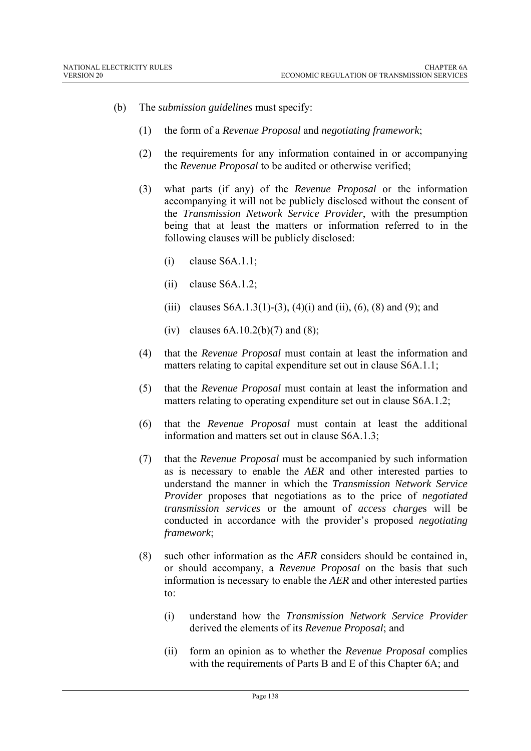- (b) The *submission guidelines* must specify:
	- (1) the form of a *Revenue Proposal* and *negotiating framework*;
	- (2) the requirements for any information contained in or accompanying the *Revenue Proposal* to be audited or otherwise verified;
	- (3) what parts (if any) of the *Revenue Proposal* or the information accompanying it will not be publicly disclosed without the consent of the *Transmission Network Service Provider*, with the presumption being that at least the matters or information referred to in the following clauses will be publicly disclosed:
		- (i) clause S6A.1.1;
		- $(ii)$  clause S6A.1.2;
		- (iii) clauses S6A.1.3(1)-(3), (4)(i) and (ii), (6), (8) and (9); and
		- (iv) clauses  $6A.10.2(b)(7)$  and  $(8)$ ;
	- (4) that the *Revenue Proposal* must contain at least the information and matters relating to capital expenditure set out in clause S6A.1.1;
	- (5) that the *Revenue Proposal* must contain at least the information and matters relating to operating expenditure set out in clause S6A.1.2;
	- (6) that the *Revenue Proposal* must contain at least the additional information and matters set out in clause S6A.1.3;
	- (7) that the *Revenue Proposal* must be accompanied by such information as is necessary to enable the *AER* and other interested parties to understand the manner in which the *Transmission Network Service Provider* proposes that negotiations as to the price of *negotiated transmission services* or the amount of *access charge*s will be conducted in accordance with the provider's proposed *negotiating framework*;
	- (8) such other information as the *AER* considers should be contained in, or should accompany, a *Revenue Proposal* on the basis that such information is necessary to enable the *AER* and other interested parties to:
		- (i) understand how the *Transmission Network Service Provider* derived the elements of its *Revenue Proposal*; and
		- (ii) form an opinion as to whether the *Revenue Proposal* complies with the requirements of Parts B and E of this Chapter 6A; and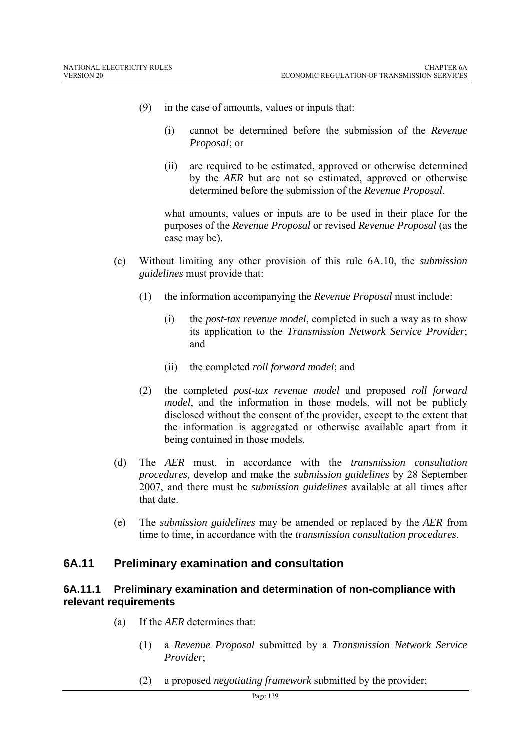- (9) in the case of amounts, values or inputs that:
	- (i) cannot be determined before the submission of the *Revenue Proposal*; or
	- (ii) are required to be estimated, approved or otherwise determined by the *AER* but are not so estimated, approved or otherwise determined before the submission of the *Revenue Proposal*,

what amounts, values or inputs are to be used in their place for the purposes of the *Revenue Proposal* or revised *Revenue Proposal* (as the case may be).

- (c) Without limiting any other provision of this rule 6A.10, the *submission guidelines* must provide that:
	- (1) the information accompanying the *Revenue Proposal* must include:
		- (i) the *post-tax revenue model*, completed in such a way as to show its application to the *Transmission Network Service Provider*; and
		- (ii) the completed *roll forward model*; and
	- (2) the completed *post-tax revenue model* and proposed *roll forward model*, and the information in those models, will not be publicly disclosed without the consent of the provider, except to the extent that the information is aggregated or otherwise available apart from it being contained in those models.
- (d) The *AER* must, in accordance with the *transmission consultation procedures,* develop and make the *submission guidelines* by 28 September 2007, and there must be *submission guidelines* available at all times after that date.
- (e) The *submission guidelines* may be amended or replaced by the *AER* from time to time, in accordance with the *transmission consultation procedures*.

## **6A.11 Preliminary examination and consultation**

#### **6A.11.1 Preliminary examination and determination of non-compliance with relevant requirements**

- (a) If the *AER* determines that:
	- (1) a *Revenue Proposal* submitted by a *Transmission Network Service Provider*;
	- (2) a proposed *negotiating framework* submitted by the provider;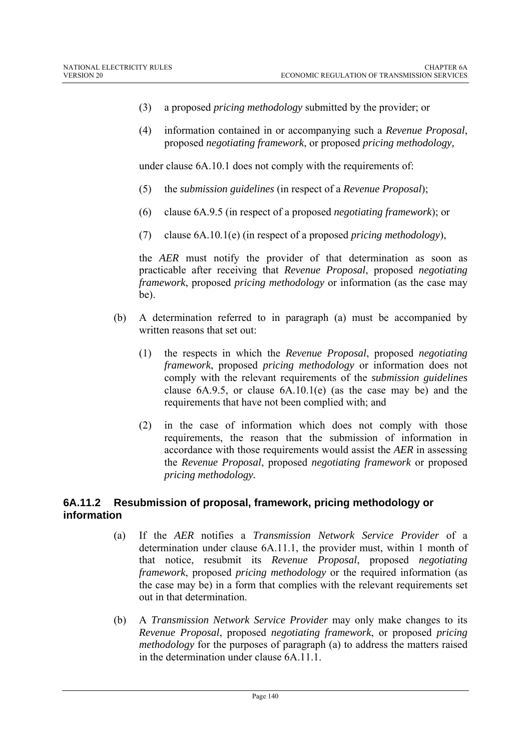- (3) a proposed *pricing methodology* submitted by the provider; or
- (4) information contained in or accompanying such a *Revenue Proposal*, proposed *negotiating framework*, or proposed *pricing methodology,*

under clause 6A.10.1 does not comply with the requirements of:

- (5) the *submission guidelines* (in respect of a *Revenue Proposal*);
- (6) clause 6A.9.5 (in respect of a proposed *negotiating framework*); or
- (7) clause 6A.10.1(e) (in respect of a proposed *pricing methodology*),

the *AER* must notify the provider of that determination as soon as practicable after receiving that *Revenue Proposal*, proposed *negotiating framework*, proposed *pricing methodology* or information (as the case may be).

- (b) A determination referred to in paragraph (a) must be accompanied by written reasons that set out:
	- (1) the respects in which the *Revenue Proposal*, proposed *negotiating framework*, proposed *pricing methodology* or information does not comply with the relevant requirements of the *submission guidelines* clause 6A.9.5, or clause 6A.10.1(e) (as the case may be) and the requirements that have not been complied with; and
	- (2) in the case of information which does not comply with those requirements, the reason that the submission of information in accordance with those requirements would assist the *AER* in assessing the *Revenue Proposal*, proposed *negotiating framework* or proposed *pricing methodology.*

### **6A.11.2 Resubmission of proposal, framework, pricing methodology or information**

- (a) If the *AER* notifies a *Transmission Network Service Provider* of a determination under clause 6A.11.1, the provider must, within 1 month of that notice, resubmit its *Revenue Proposal*, proposed *negotiating framework*, proposed *pricing methodology* or the required information (as the case may be) in a form that complies with the relevant requirements set out in that determination.
- (b) A *Transmission Network Service Provider* may only make changes to its *Revenue Proposal*, proposed *negotiating framework*, or proposed *pricing methodology* for the purposes of paragraph (a) to address the matters raised in the determination under clause 6A.11.1.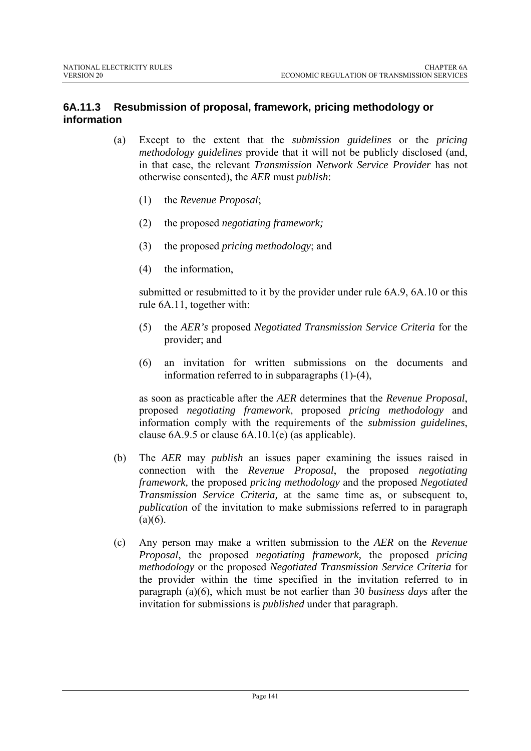## **6A.11.3 Resubmission of proposal, framework, pricing methodology or information**

- (a) Except to the extent that the *submission guidelines* or the *pricing methodology guidelines* provide that it will not be publicly disclosed (and, in that case, the relevant *Transmission Network Service Provider* has not otherwise consented), the *AER* must *publish*:
	- (1) the *Revenue Proposal*;
	- (2) the proposed *negotiating framework;*
	- (3) the proposed *pricing methodology*; and
	- (4) the information,

submitted or resubmitted to it by the provider under rule 6A.9, 6A.10 or this rule 6A.11, together with:

- (5) the *AER's* proposed *Negotiated Transmission Service Criteria* for the provider; and
- (6) an invitation for written submissions on the documents and information referred to in subparagraphs (1)-(4),

as soon as practicable after the *AER* determines that the *Revenue Proposal*, proposed *negotiating framework*, proposed *pricing methodology* and information comply with the requirements of the *submission guidelines*, clause 6A.9.5 or clause 6A.10.1(e) (as applicable).

- (b) The *AER* may *publish* an issues paper examining the issues raised in connection with the *Revenue Proposal*, the proposed *negotiating framework,* the proposed *pricing methodology* and the proposed *Negotiated Transmission Service Criteria,* at the same time as, or subsequent to, *publication* of the invitation to make submissions referred to in paragraph  $(a)(6)$ .
- (c) Any person may make a written submission to the *AER* on the *Revenue Proposal*, the proposed *negotiating framework,* the proposed *pricing methodology* or the proposed *Negotiated Transmission Service Criteria* for the provider within the time specified in the invitation referred to in paragraph (a)(6), which must be not earlier than 30 *business days* after the invitation for submissions is *published* under that paragraph.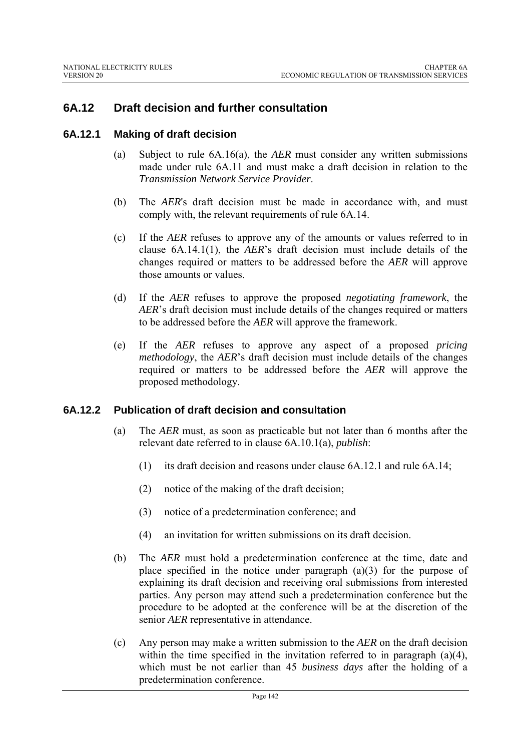## **6A.12 Draft decision and further consultation**

#### **6A.12.1 Making of draft decision**

- (a) Subject to rule 6A.16(a), the *AER* must consider any written submissions made under rule 6A.11 and must make a draft decision in relation to the *Transmission Network Service Provider*.
- (b) The *AER*'s draft decision must be made in accordance with, and must comply with, the relevant requirements of rule 6A.14.
- (c) If the *AER* refuses to approve any of the amounts or values referred to in clause 6A.14.1(1), the *AER*'s draft decision must include details of the changes required or matters to be addressed before the *AER* will approve those amounts or values.
- (d) If the *AER* refuses to approve the proposed *negotiating framework*, the *AER*'s draft decision must include details of the changes required or matters to be addressed before the *AER* will approve the framework.
- (e) If the *AER* refuses to approve any aspect of a proposed *pricing methodology*, the *AER*'s draft decision must include details of the changes required or matters to be addressed before the *AER* will approve the proposed methodology.

#### **6A.12.2 Publication of draft decision and consultation**

- (a) The *AER* must, as soon as practicable but not later than 6 months after the relevant date referred to in clause 6A.10.1(a), *publish*:
	- (1) its draft decision and reasons under clause 6A.12.1 and rule 6A.14;
	- (2) notice of the making of the draft decision;
	- (3) notice of a predetermination conference; and
	- (4) an invitation for written submissions on its draft decision.
- (b) The *AER* must hold a predetermination conference at the time, date and place specified in the notice under paragraph  $(a)(3)$  for the purpose of explaining its draft decision and receiving oral submissions from interested parties. Any person may attend such a predetermination conference but the procedure to be adopted at the conference will be at the discretion of the senior *AER* representative in attendance.
- (c) Any person may make a written submission to the *AER* on the draft decision within the time specified in the invitation referred to in paragraph (a)(4), which must be not earlier than 45 *business days* after the holding of a predetermination conference.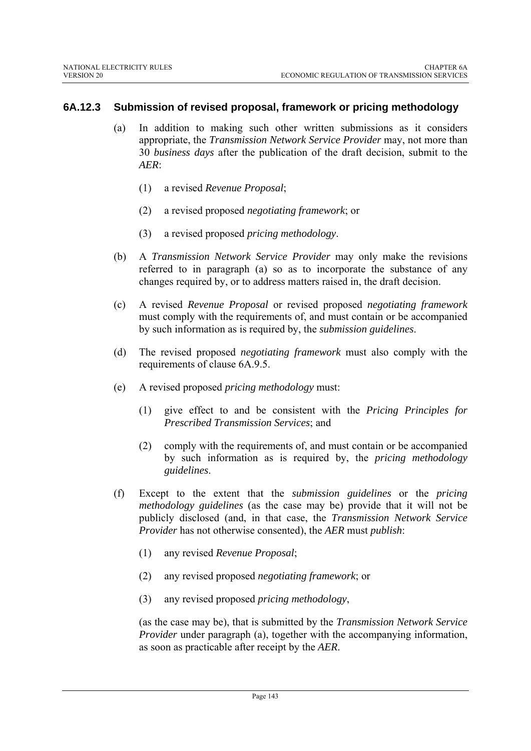### **6A.12.3 Submission of revised proposal, framework or pricing methodology**

- (a) In addition to making such other written submissions as it considers appropriate, the *Transmission Network Service Provider* may, not more than 30 *business days* after the publication of the draft decision, submit to the *AER*:
	- (1) a revised *Revenue Proposal*;
	- (2) a revised proposed *negotiating framework*; or
	- (3) a revised proposed *pricing methodology*.
- (b) A *Transmission Network Service Provider* may only make the revisions referred to in paragraph (a) so as to incorporate the substance of any changes required by, or to address matters raised in, the draft decision.
- (c) A revised *Revenue Proposal* or revised proposed *negotiating framework*  must comply with the requirements of, and must contain or be accompanied by such information as is required by, the *submission guidelines*.
- (d) The revised proposed *negotiating framework* must also comply with the requirements of clause 6A.9.5.
- (e) A revised proposed *pricing methodology* must:
	- (1) give effect to and be consistent with the *Pricing Principles for Prescribed Transmission Services*; and
	- (2) comply with the requirements of, and must contain or be accompanied by such information as is required by, the *pricing methodology guidelines*.
- (f) Except to the extent that the *submission guidelines* or the *pricing methodology guidelines* (as the case may be) provide that it will not be publicly disclosed (and, in that case, the *Transmission Network Service Provider* has not otherwise consented), the *AER* must *publish*:
	- (1) any revised *Revenue Proposal*;
	- (2) any revised proposed *negotiating framework*; or
	- (3) any revised proposed *pricing methodology*,

(as the case may be), that is submitted by the *Transmission Network Service Provider* under paragraph (a), together with the accompanying information, as soon as practicable after receipt by the *AER*.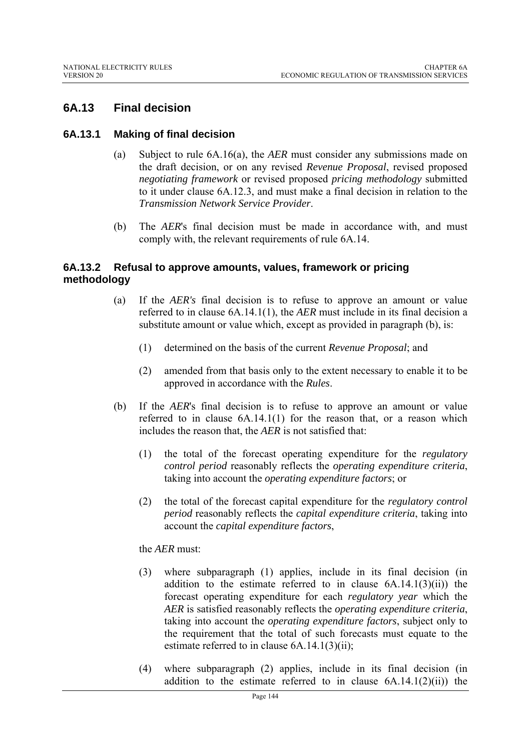# **6A.13 Final decision**

#### **6A.13.1 Making of final decision**

- (a) Subject to rule 6A.16(a), the *AER* must consider any submissions made on the draft decision, or on any revised *Revenue Proposal*, revised proposed *negotiating framework* or revised proposed *pricing methodology* submitted to it under clause 6A.12.3, and must make a final decision in relation to the *Transmission Network Service Provider*.
- (b) The *AER*'s final decision must be made in accordance with, and must comply with, the relevant requirements of rule 6A.14.

#### **6A.13.2 Refusal to approve amounts, values, framework or pricing methodology**

- (a) If the *AER's* final decision is to refuse to approve an amount or value referred to in clause 6A.14.1(1), the *AER* must include in its final decision a substitute amount or value which, except as provided in paragraph (b), is:
	- (1) determined on the basis of the current *Revenue Proposal*; and
	- (2) amended from that basis only to the extent necessary to enable it to be approved in accordance with the *Rules*.
- (b) If the *AER*'s final decision is to refuse to approve an amount or value referred to in clause  $6A.14.1(1)$  for the reason that, or a reason which includes the reason that, the *AER* is not satisfied that:
	- (1) the total of the forecast operating expenditure for the *regulatory control period* reasonably reflects the *operating expenditure criteria*, taking into account the *operating expenditure factors*; or
	- (2) the total of the forecast capital expenditure for the *regulatory control period* reasonably reflects the *capital expenditure criteria*, taking into account the *capital expenditure factors*,

#### the *AER* must:

- (3) where subparagraph (1) applies, include in its final decision (in addition to the estimate referred to in clause  $6A.14.1(3)(ii)$  the forecast operating expenditure for each *regulatory year* which the *AER* is satisfied reasonably reflects the *operating expenditure criteria*, taking into account the *operating expenditure factors*, subject only to the requirement that the total of such forecasts must equate to the estimate referred to in clause 6A.14.1(3)(ii);
- (4) where subparagraph (2) applies, include in its final decision (in addition to the estimate referred to in clause  $6A.14.1(2)(ii)$  the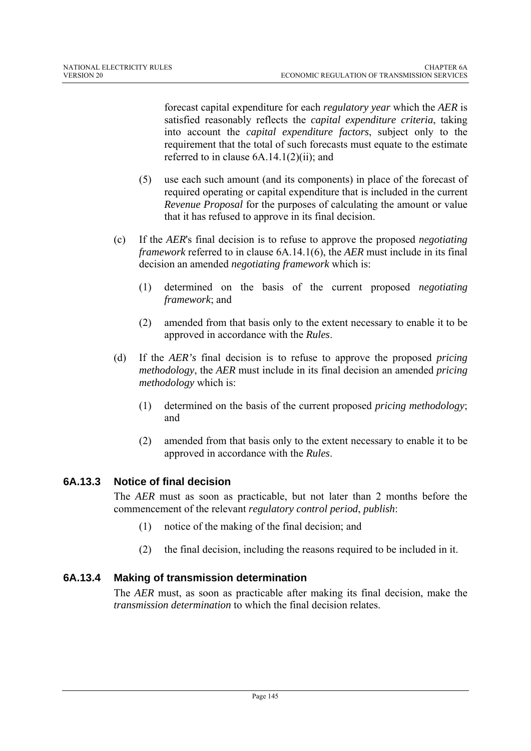forecast capital expenditure for each *regulatory year* which the *AER* is satisfied reasonably reflects the *capital expenditure criteria*, taking into account the *capital expenditure factors*, subject only to the requirement that the total of such forecasts must equate to the estimate referred to in clause 6A.14.1(2)(ii); and

- (5) use each such amount (and its components) in place of the forecast of required operating or capital expenditure that is included in the current *Revenue Proposal* for the purposes of calculating the amount or value that it has refused to approve in its final decision.
- (c) If the *AER*'s final decision is to refuse to approve the proposed *negotiating framework* referred to in clause 6A.14.1(6), the *AER* must include in its final decision an amended *negotiating framework* which is:
	- (1) determined on the basis of the current proposed *negotiating framework*; and
	- (2) amended from that basis only to the extent necessary to enable it to be approved in accordance with the *Rules*.
- (d) If the *AER's* final decision is to refuse to approve the proposed *pricing methodology*, the *AER* must include in its final decision an amended *pricing methodology* which is:
	- (1) determined on the basis of the current proposed *pricing methodology*; and
	- (2) amended from that basis only to the extent necessary to enable it to be approved in accordance with the *Rules*.

## **6A.13.3 Notice of final decision**

The *AER* must as soon as practicable, but not later than 2 months before the commencement of the relevant *regulatory control period*, *publish*:

- (1) notice of the making of the final decision; and
- (2) the final decision, including the reasons required to be included in it.

## **6A.13.4 Making of transmission determination**

The *AER* must, as soon as practicable after making its final decision, make the *transmission determination* to which the final decision relates.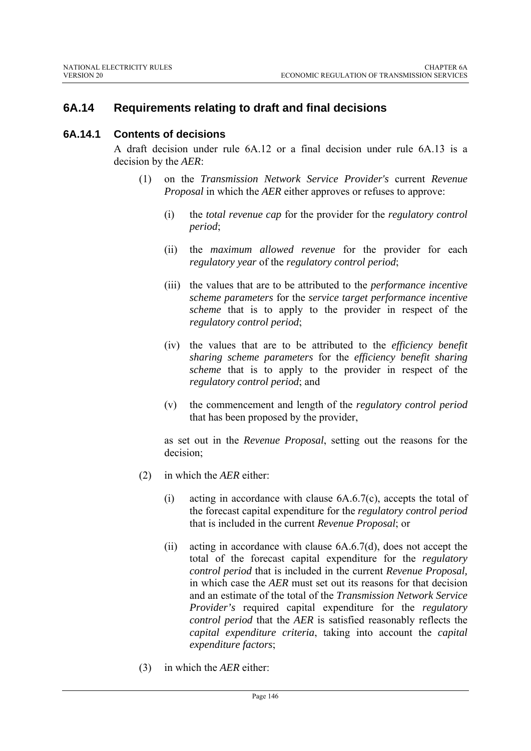# **6A.14 Requirements relating to draft and final decisions**

#### **6A.14.1 Contents of decisions**

A draft decision under rule 6A.12 or a final decision under rule 6A.13 is a decision by the *AER*:

- (1) on the *Transmission Network Service Provider's* current *Revenue Proposal* in which the *AER* either approves or refuses to approve:
	- (i) the *total revenue cap* for the provider for the *regulatory control period*;
	- (ii) the *maximum allowed revenue* for the provider for each *regulatory year* of the *regulatory control period*;
	- (iii) the values that are to be attributed to the *performance incentive scheme parameters* for the *service target performance incentive scheme* that is to apply to the provider in respect of the *regulatory control period*;
	- (iv) the values that are to be attributed to the *efficiency benefit sharing scheme parameters* for the *efficiency benefit sharing scheme* that is to apply to the provider in respect of the *regulatory control period*; and
	- (v) the commencement and length of the *regulatory control period* that has been proposed by the provider,

as set out in the *Revenue Proposal*, setting out the reasons for the decision;

- (2) in which the *AER* either:
	- (i) acting in accordance with clause 6A.6.7(c), accepts the total of the forecast capital expenditure for the *regulatory control period* that is included in the current *Revenue Proposal*; or
	- (ii) acting in accordance with clause 6A.6.7(d), does not accept the total of the forecast capital expenditure for the *regulatory control period* that is included in the current *Revenue Proposal,*  in which case the *AER* must set out its reasons for that decision and an estimate of the total of the *Transmission Network Service Provider's* required capital expenditure for the *regulatory control period* that the *AER* is satisfied reasonably reflects the *capital expenditure criteria*, taking into account the *capital expenditure factors*;
- (3) in which the *AER* either: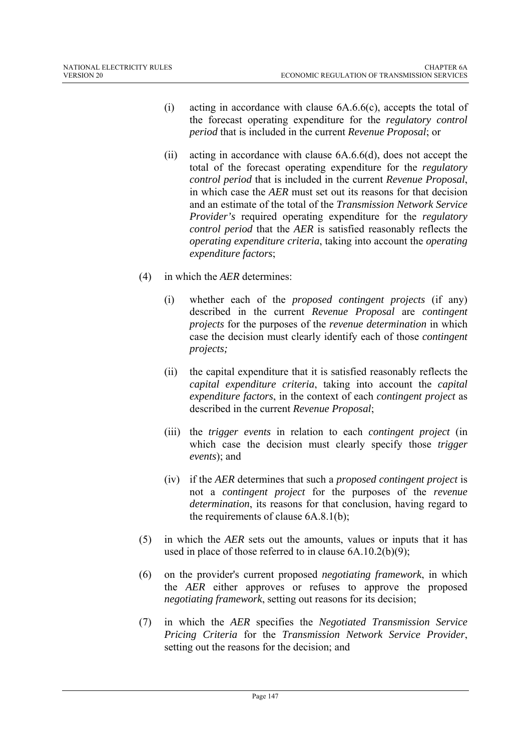- (i) acting in accordance with clause 6A.6.6(c), accepts the total of the forecast operating expenditure for the *regulatory control period* that is included in the current *Revenue Proposal*; or
- (ii) acting in accordance with clause 6A.6.6(d), does not accept the total of the forecast operating expenditure for the *regulatory control period* that is included in the current *Revenue Proposal*, in which case the *AER* must set out its reasons for that decision and an estimate of the total of the *Transmission Network Service Provider's* required operating expenditure for the *regulatory control period* that the *AER* is satisfied reasonably reflects the *operating expenditure criteria*, taking into account the *operating expenditure factors*;
- (4) in which the *AER* determines:
	- (i) whether each of the *proposed contingent projects* (if any) described in the current *Revenue Proposal* are *contingent projects* for the purposes of the *revenue determination* in which case the decision must clearly identify each of those *contingent projects;*
	- (ii) the capital expenditure that it is satisfied reasonably reflects the *capital expenditure criteria*, taking into account the *capital expenditure factors*, in the context of each *contingent project* as described in the current *Revenue Proposal*;
	- (iii) the *trigger events* in relation to each *contingent project* (in which case the decision must clearly specify those *trigger events*); and
	- (iv) if the *AER* determines that such a *proposed contingent project* is not a *contingent project* for the purposes of the *revenue determination*, its reasons for that conclusion, having regard to the requirements of clause 6A.8.1(b);
- (5) in which the *AER* sets out the amounts, values or inputs that it has used in place of those referred to in clause 6A.10.2(b)(9);
- (6) on the provider's current proposed *negotiating framework*, in which the *AER* either approves or refuses to approve the proposed *negotiating framework*, setting out reasons for its decision;
- (7) in which the *AER* specifies the *Negotiated Transmission Service Pricing Criteria* for the *Transmission Network Service Provider*, setting out the reasons for the decision; and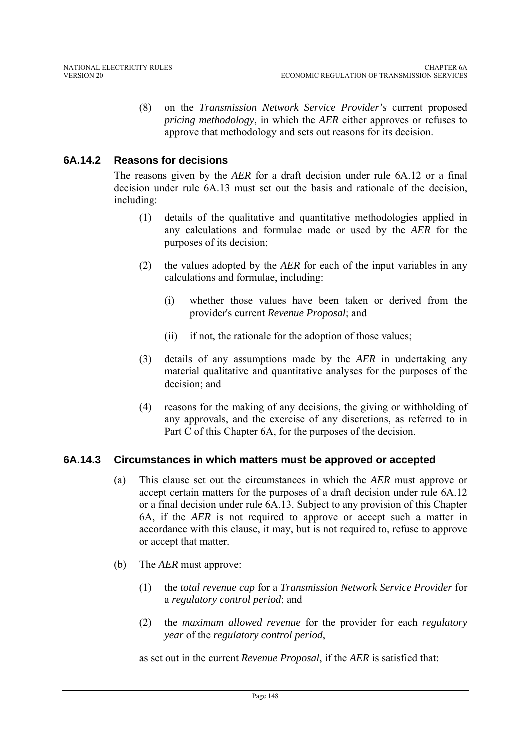(8) on the *Transmission Network Service Provider's* current proposed *pricing methodology*, in which the *AER* either approves or refuses to approve that methodology and sets out reasons for its decision.

# **6A.14.2 Reasons for decisions**

The reasons given by the *AER* for a draft decision under rule 6A.12 or a final decision under rule 6A.13 must set out the basis and rationale of the decision, including:

- (1) details of the qualitative and quantitative methodologies applied in any calculations and formulae made or used by the *AER* for the purposes of its decision;
- (2) the values adopted by the *AER* for each of the input variables in any calculations and formulae, including:
	- (i) whether those values have been taken or derived from the provider's current *Revenue Proposal*; and
	- (ii) if not, the rationale for the adoption of those values;
- (3) details of any assumptions made by the *AER* in undertaking any material qualitative and quantitative analyses for the purposes of the decision; and
- (4) reasons for the making of any decisions, the giving or withholding of any approvals, and the exercise of any discretions, as referred to in Part C of this Chapter 6A, for the purposes of the decision.

## **6A.14.3 Circumstances in which matters must be approved or accepted**

- (a) This clause set out the circumstances in which the *AER* must approve or accept certain matters for the purposes of a draft decision under rule 6A.12 or a final decision under rule 6A.13. Subject to any provision of this Chapter 6A, if the *AER* is not required to approve or accept such a matter in accordance with this clause, it may, but is not required to, refuse to approve or accept that matter.
- (b) The *AER* must approve:
	- (1) the *total revenue cap* for a *Transmission Network Service Provider* for a *regulatory control period*; and
	- (2) the *maximum allowed revenue* for the provider for each *regulatory year* of the *regulatory control period*,

as set out in the current *Revenue Proposal*, if the *AER* is satisfied that: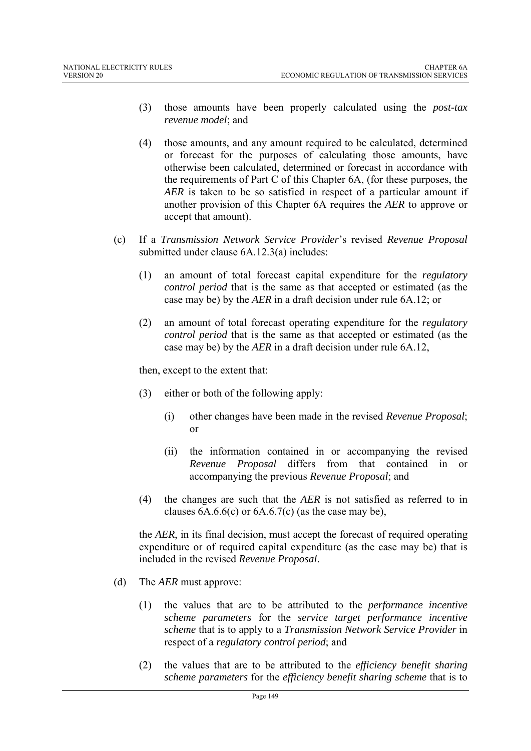- (3) those amounts have been properly calculated using the *post-tax revenue model*; and
- (4) those amounts, and any amount required to be calculated, determined or forecast for the purposes of calculating those amounts, have otherwise been calculated, determined or forecast in accordance with the requirements of Part C of this Chapter 6A, (for these purposes, the *AER* is taken to be so satisfied in respect of a particular amount if another provision of this Chapter 6A requires the *AER* to approve or accept that amount).
- (c) If a *Transmission Network Service Provider*'s revised *Revenue Proposal* submitted under clause 6A.12.3(a) includes:
	- (1) an amount of total forecast capital expenditure for the *regulatory control period* that is the same as that accepted or estimated (as the case may be) by the *AER* in a draft decision under rule 6A.12; or
	- (2) an amount of total forecast operating expenditure for the *regulatory control period* that is the same as that accepted or estimated (as the case may be) by the *AER* in a draft decision under rule 6A.12,

then, except to the extent that:

- (3) either or both of the following apply:
	- (i) other changes have been made in the revised *Revenue Proposal*; or
	- (ii) the information contained in or accompanying the revised *Revenue Proposal* differs from that contained in or accompanying the previous *Revenue Proposal*; and
- (4) the changes are such that the *AER* is not satisfied as referred to in clauses  $6A.6.6(c)$  or  $6A.6.7(c)$  (as the case may be),

the *AER*, in its final decision, must accept the forecast of required operating expenditure or of required capital expenditure (as the case may be) that is included in the revised *Revenue Proposal*.

- (d) The *AER* must approve:
	- (1) the values that are to be attributed to the *performance incentive scheme parameters* for the *service target performance incentive scheme* that is to apply to a *Transmission Network Service Provider* in respect of a *regulatory control period*; and
	- (2) the values that are to be attributed to the *efficiency benefit sharing scheme parameters* for the *efficiency benefit sharing scheme* that is to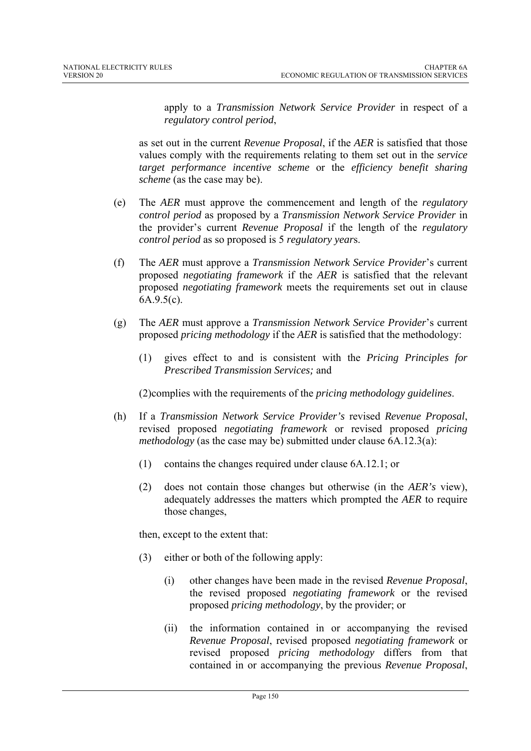apply to a *Transmission Network Service Provider* in respect of a *regulatory control period*,

as set out in the current *Revenue Proposal*, if the *AER* is satisfied that those values comply with the requirements relating to them set out in the *service target performance incentive scheme* or the *efficiency benefit sharing scheme* (as the case may be).

- (e) The *AER* must approve the commencement and length of the *regulatory control period* as proposed by a *Transmission Network Service Provider* in the provider's current *Revenue Proposal* if the length of the *regulatory control period* as so proposed is 5 *regulatory year*s.
- (f) The *AER* must approve a *Transmission Network Service Provider*'s current proposed *negotiating framework* if the *AER* is satisfied that the relevant proposed *negotiating framework* meets the requirements set out in clause 6A.9.5(c).
- (g) The *AER* must approve a *Transmission Network Service Provider*'s current proposed *pricing methodology* if the *AER* is satisfied that the methodology:
	- (1) gives effect to and is consistent with the *Pricing Principles for Prescribed Transmission Services;* and

(2)complies with the requirements of the *pricing methodology guidelines*.

- (h) If a *Transmission Network Service Provider's* revised *Revenue Proposal*, revised proposed *negotiating framework* or revised proposed *pricing methodology* (as the case may be) submitted under clause 6A.12.3(a):
	- (1) contains the changes required under clause 6A.12.1; or
	- (2) does not contain those changes but otherwise (in the *AER's* view), adequately addresses the matters which prompted the *AER* to require those changes,

then, except to the extent that:

- (3) either or both of the following apply:
	- (i) other changes have been made in the revised *Revenue Proposal*, the revised proposed *negotiating framework* or the revised proposed *pricing methodology*, by the provider; or
	- (ii) the information contained in or accompanying the revised *Revenue Proposal*, revised proposed *negotiating framework* or revised proposed *pricing methodology* differs from that contained in or accompanying the previous *Revenue Proposal*,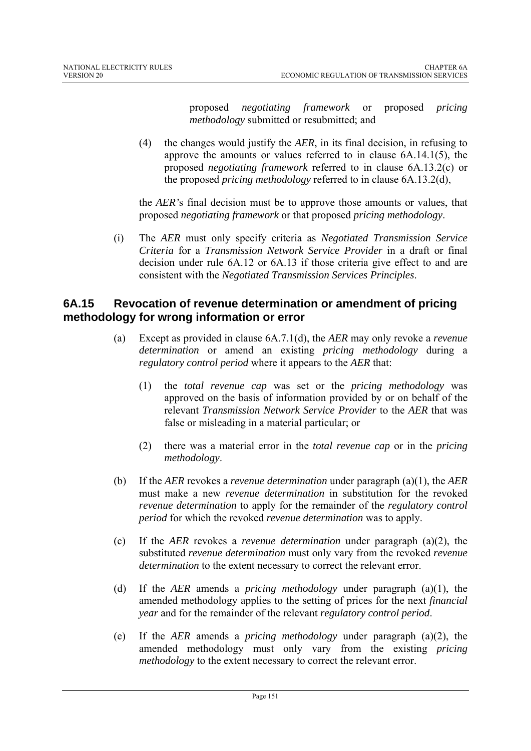proposed *negotiating framework* or proposed *pricing methodology* submitted or resubmitted; and

(4) the changes would justify the *AER*, in its final decision, in refusing to approve the amounts or values referred to in clause 6A.14.1(5), the proposed *negotiating framework* referred to in clause 6A.13.2(c) or the proposed *pricing methodology* referred to in clause 6A.13.2(d),

the *AER'*s final decision must be to approve those amounts or values, that proposed *negotiating framework* or that proposed *pricing methodology*.

(i) The *AER* must only specify criteria as *Negotiated Transmission Service Criteria* for a *Transmission Network Service Provider* in a draft or final decision under rule 6A.12 or 6A.13 if those criteria give effect to and are consistent with the *Negotiated Transmission Services Principles*.

# **6A.15 Revocation of revenue determination or amendment of pricing methodology for wrong information or error**

- (a) Except as provided in clause 6A.7.1(d), the *AER* may only revoke a *revenue determination* or amend an existing *pricing methodology* during a *regulatory control period* where it appears to the *AER* that:
	- (1) the *total revenue cap* was set or the *pricing methodology* was approved on the basis of information provided by or on behalf of the relevant *Transmission Network Service Provider* to the *AER* that was false or misleading in a material particular; or
	- (2) there was a material error in the *total revenue cap* or in the *pricing methodology*.
- (b) If the *AER* revokes a *revenue determination* under paragraph (a)(1), the *AER* must make a new *revenue determination* in substitution for the revoked *revenue determination* to apply for the remainder of the *regulatory control period* for which the revoked *revenue determination* was to apply.
- (c) If the *AER* revokes a *revenue determination* under paragraph (a)(2), the substituted *revenue determination* must only vary from the revoked *revenue determination* to the extent necessary to correct the relevant error.
- (d) If the *AER* amends a *pricing methodology* under paragraph (a)(1), the amended methodology applies to the setting of prices for the next *financial year* and for the remainder of the relevant *regulatory control period*.
- (e) If the *AER* amends a *pricing methodology* under paragraph (a)(2), the amended methodology must only vary from the existing *pricing methodology* to the extent necessary to correct the relevant error.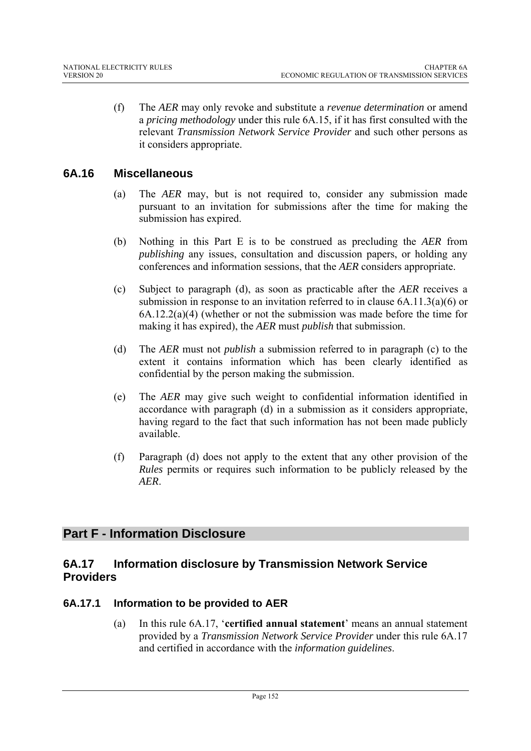(f) The *AER* may only revoke and substitute a *revenue determination* or amend a *pricing methodology* under this rule 6A.15, if it has first consulted with the relevant *Transmission Network Service Provider* and such other persons as it considers appropriate.

# **6A.16 Miscellaneous**

- (a) The *AER* may, but is not required to, consider any submission made pursuant to an invitation for submissions after the time for making the submission has expired.
- (b) Nothing in this Part E is to be construed as precluding the *AER* from *publishing* any issues, consultation and discussion papers, or holding any conferences and information sessions, that the *AER* considers appropriate.
- (c) Subject to paragraph (d), as soon as practicable after the *AER* receives a submission in response to an invitation referred to in clause 6A.11.3(a)(6) or 6A.12.2(a)(4) (whether or not the submission was made before the time for making it has expired), the *AER* must *publish* that submission.
- (d) The *AER* must not *publish* a submission referred to in paragraph (c) to the extent it contains information which has been clearly identified as confidential by the person making the submission.
- (e) The *AER* may give such weight to confidential information identified in accordance with paragraph (d) in a submission as it considers appropriate, having regard to the fact that such information has not been made publicly available.
- (f) Paragraph (d) does not apply to the extent that any other provision of the *Rules* permits or requires such information to be publicly released by the *AER*.

# **Part F - Information Disclosure**

# **6A.17 Information disclosure by Transmission Network Service Providers**

## **6A.17.1 Information to be provided to AER**

(a) In this rule 6A.17, '**certified annual statement**' means an annual statement provided by a *Transmission Network Service Provider* under this rule 6A.17 and certified in accordance with the *information guidelines*.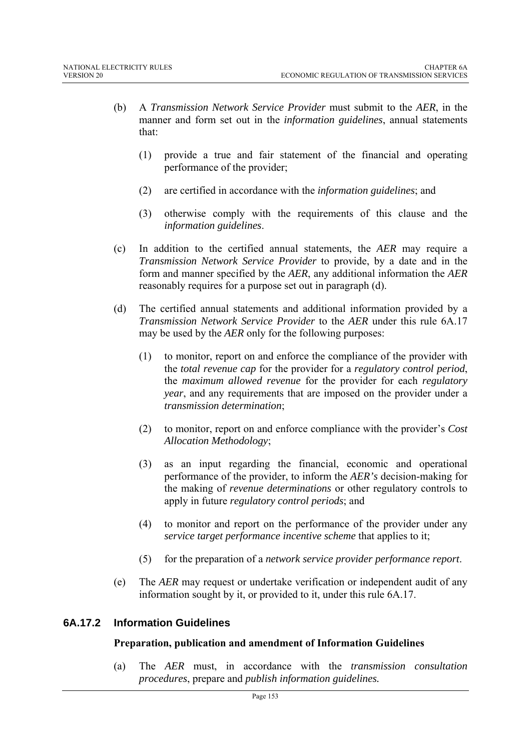- (b) A *Transmission Network Service Provider* must submit to the *AER*, in the manner and form set out in the *information guidelines*, annual statements that:
	- (1) provide a true and fair statement of the financial and operating performance of the provider;
	- (2) are certified in accordance with the *information guidelines*; and
	- (3) otherwise comply with the requirements of this clause and the *information guidelines*.
- (c) In addition to the certified annual statements, the *AER* may require a *Transmission Network Service Provider* to provide, by a date and in the form and manner specified by the *AER*, any additional information the *AER* reasonably requires for a purpose set out in paragraph (d).
- (d) The certified annual statements and additional information provided by a *Transmission Network Service Provider* to the *AER* under this rule 6A.17 may be used by the *AER* only for the following purposes:
	- (1) to monitor, report on and enforce the compliance of the provider with the *total revenue cap* for the provider for a *regulatory control period*, the *maximum allowed revenue* for the provider for each *regulatory year*, and any requirements that are imposed on the provider under a *transmission determination*;
	- (2) to monitor, report on and enforce compliance with the provider's *Cost Allocation Methodology*;
	- (3) as an input regarding the financial, economic and operational performance of the provider, to inform the *AER's* decision-making for the making of *revenue determinations* or other regulatory controls to apply in future *regulatory control periods*; and
	- (4) to monitor and report on the performance of the provider under any *service target performance incentive scheme* that applies to it;
	- (5) for the preparation of a *network service provider performance report*.
- (e) The *AER* may request or undertake verification or independent audit of any information sought by it, or provided to it, under this rule 6A.17.

## **6A.17.2 Information Guidelines**

## **Preparation, publication and amendment of Information Guidelines**

(a) The *AER* must, in accordance with the *transmission consultation procedures*, prepare and *publish information guidelines.*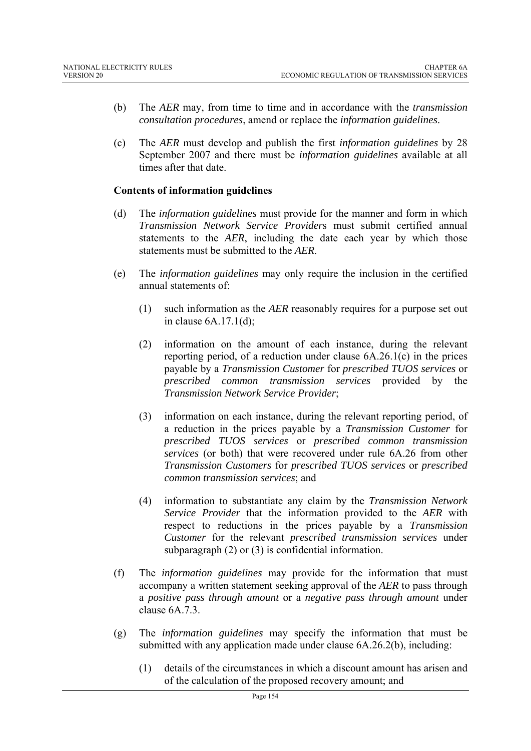- (b) The *AER* may, from time to time and in accordance with the *transmission consultation procedures*, amend or replace the *information guidelines*.
- (c) The *AER* must develop and publish the first *information guidelines* by 28 September 2007 and there must be *information guidelines* available at all times after that date.

#### **Contents of information guidelines**

- (d) The *information guidelines* must provide for the manner and form in which *Transmission Network Service Provider*s must submit certified annual statements to the *AER*, including the date each year by which those statements must be submitted to the *AER*.
- (e) The *information guidelines* may only require the inclusion in the certified annual statements of:
	- (1) such information as the *AER* reasonably requires for a purpose set out in clause 6A.17.1(d);
	- (2) information on the amount of each instance, during the relevant reporting period, of a reduction under clause 6A.26.1(c) in the prices payable by a *Transmission Customer* for *prescribed TUOS services* or *prescribed common transmission services* provided by the *Transmission Network Service Provider*;
	- (3) information on each instance, during the relevant reporting period, of a reduction in the prices payable by a *Transmission Customer* for *prescribed TUOS services* or *prescribed common transmission services* (or both) that were recovered under rule 6A.26 from other *Transmission Customers* for *prescribed TUOS services* or *prescribed common transmission services*; and
	- (4) information to substantiate any claim by the *Transmission Network Service Provider* that the information provided to the *AER* with respect to reductions in the prices payable by a *Transmission Customer* for the relevant *prescribed transmission services* under subparagraph (2) or (3) is confidential information.
- (f) The *information guidelines* may provide for the information that must accompany a written statement seeking approval of the *AER* to pass through a *positive pass through amount* or a *negative pass through amount* under clause 6A.7.3.
- (g) The *information guidelines* may specify the information that must be submitted with any application made under clause 6A.26.2(b), including:
	- (1) details of the circumstances in which a discount amount has arisen and of the calculation of the proposed recovery amount; and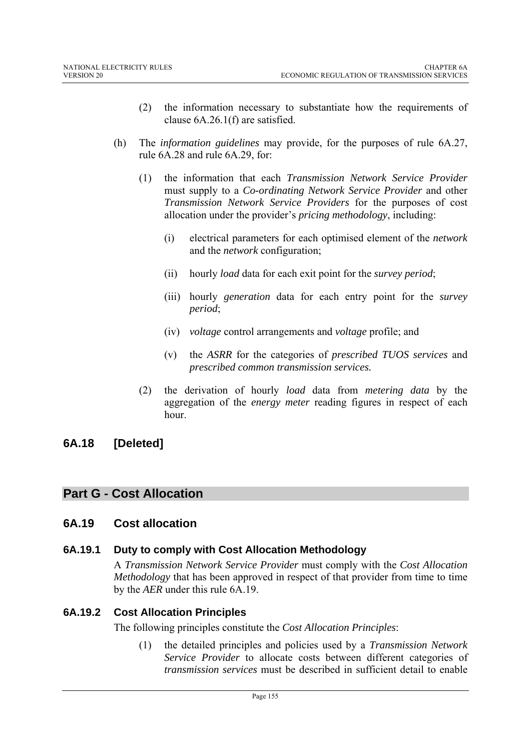- (2) the information necessary to substantiate how the requirements of clause 6A.26.1(f) are satisfied.
- (h) The *information guidelines* may provide, for the purposes of rule 6A.27, rule 6A.28 and rule 6A.29, for:
	- (1) the information that each *Transmission Network Service Provider*  must supply to a *Co-ordinating Network Service Provider* and other *Transmission Network Service Providers* for the purposes of cost allocation under the provider's *pricing methodology*, including:
		- (i) electrical parameters for each optimised element of the *network* and the *network* configuration;
		- (ii) hourly *load* data for each exit point for the *survey period*;
		- (iii) hourly *generation* data for each entry point for the *survey period*;
		- (iv) *voltage* control arrangements and *voltage* profile; and
		- (v) the *ASRR* for the categories of *prescribed TUOS services* and *prescribed common transmission services.*
	- (2) the derivation of hourly *load* data from *metering data* by the aggregation of the *energy meter* reading figures in respect of each hour.

# **6A.18 [Deleted]**

# **Part G - Cost Allocation**

# **6A.19 Cost allocation**

## **6A.19.1 Duty to comply with Cost Allocation Methodology**

A *Transmission Network Service Provider* must comply with the *Cost Allocation Methodology* that has been approved in respect of that provider from time to time by the *AER* under this rule 6A.19.

## **6A.19.2 Cost Allocation Principles**

The following principles constitute the *Cost Allocation Principles*:

(1) the detailed principles and policies used by a *Transmission Network Service Provider* to allocate costs between different categories of *transmission services* must be described in sufficient detail to enable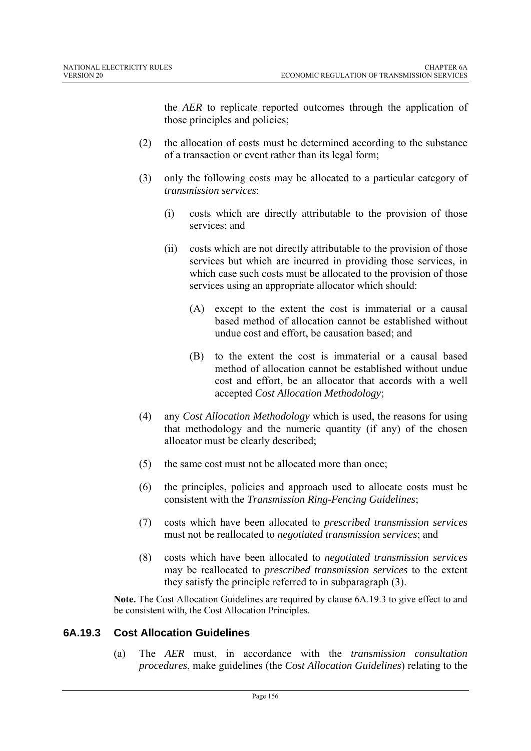the *AER* to replicate reported outcomes through the application of those principles and policies;

- (2) the allocation of costs must be determined according to the substance of a transaction or event rather than its legal form;
- (3) only the following costs may be allocated to a particular category of *transmission services*:
	- (i) costs which are directly attributable to the provision of those services; and
	- (ii) costs which are not directly attributable to the provision of those services but which are incurred in providing those services, in which case such costs must be allocated to the provision of those services using an appropriate allocator which should:
		- (A) except to the extent the cost is immaterial or a causal based method of allocation cannot be established without undue cost and effort, be causation based; and
		- (B) to the extent the cost is immaterial or a causal based method of allocation cannot be established without undue cost and effort, be an allocator that accords with a well accepted *Cost Allocation Methodology*;
- (4) any *Cost Allocation Methodology* which is used, the reasons for using that methodology and the numeric quantity (if any) of the chosen allocator must be clearly described;
- (5) the same cost must not be allocated more than once;
- (6) the principles, policies and approach used to allocate costs must be consistent with the *Transmission Ring-Fencing Guidelines*;
- (7) costs which have been allocated to *prescribed transmission services* must not be reallocated to *negotiated transmission services*; and
- (8) costs which have been allocated to *negotiated transmission services* may be reallocated to *prescribed transmission services* to the extent they satisfy the principle referred to in subparagraph (3).

**Note.** The Cost Allocation Guidelines are required by clause 6A.19.3 to give effect to and be consistent with, the Cost Allocation Principles.

## **6A.19.3 Cost Allocation Guidelines**

(a) The *AER* must, in accordance with the *transmission consultation procedures*, make guidelines (the *Cost Allocation Guidelines*) relating to the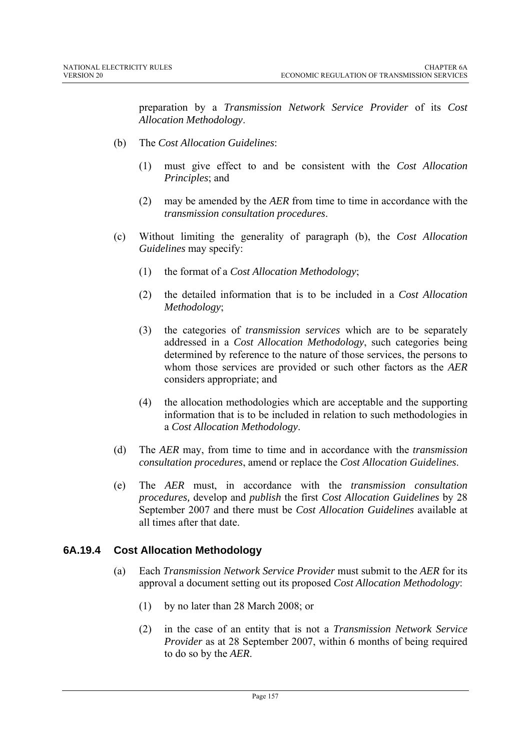preparation by a *Transmission Network Service Provider* of its *Cost Allocation Methodology*.

- (b) The *Cost Allocation Guidelines*:
	- (1) must give effect to and be consistent with the *Cost Allocation Principles*; and
	- (2) may be amended by the *AER* from time to time in accordance with the *transmission consultation procedures*.
- (c) Without limiting the generality of paragraph (b), the *Cost Allocation Guidelines* may specify:
	- (1) the format of a *Cost Allocation Methodology*;
	- (2) the detailed information that is to be included in a *Cost Allocation Methodology*;
	- (3) the categories of *transmission services* which are to be separately addressed in a *Cost Allocation Methodology*, such categories being determined by reference to the nature of those services, the persons to whom those services are provided or such other factors as the *AER* considers appropriate; and
	- (4) the allocation methodologies which are acceptable and the supporting information that is to be included in relation to such methodologies in a *Cost Allocation Methodology*.
- (d) The *AER* may, from time to time and in accordance with the *transmission consultation procedures*, amend or replace the *Cost Allocation Guidelines*.
- (e) The *AER* must, in accordance with the *transmission consultation procedures,* develop and *publish* the first *Cost Allocation Guidelines* by 28 September 2007 and there must be *Cost Allocation Guidelines* available at all times after that date.

## **6A.19.4 Cost Allocation Methodology**

- (a) Each *Transmission Network Service Provider* must submit to the *AER* for its approval a document setting out its proposed *Cost Allocation Methodology*:
	- (1) by no later than 28 March 2008; or
	- (2) in the case of an entity that is not a *Transmission Network Service Provider* as at 28 September 2007, within 6 months of being required to do so by the *AER*.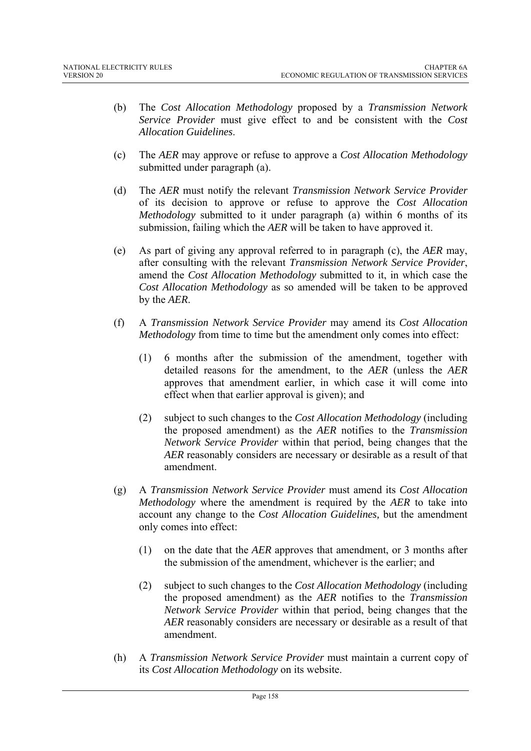- (b) The *Cost Allocation Methodology* proposed by a *Transmission Network Service Provider* must give effect to and be consistent with the *Cost Allocation Guidelines*.
- (c) The *AER* may approve or refuse to approve a *Cost Allocation Methodology* submitted under paragraph (a).
- (d) The *AER* must notify the relevant *Transmission Network Service Provider* of its decision to approve or refuse to approve the *Cost Allocation Methodology* submitted to it under paragraph (a) within 6 months of its submission, failing which the *AER* will be taken to have approved it.
- (e) As part of giving any approval referred to in paragraph (c), the *AER* may, after consulting with the relevant *Transmission Network Service Provider*, amend the *Cost Allocation Methodology* submitted to it, in which case the *Cost Allocation Methodology* as so amended will be taken to be approved by the *AER*.
- (f) A *Transmission Network Service Provider* may amend its *Cost Allocation Methodology* from time to time but the amendment only comes into effect:
	- (1) 6 months after the submission of the amendment, together with detailed reasons for the amendment, to the *AER* (unless the *AER* approves that amendment earlier, in which case it will come into effect when that earlier approval is given); and
	- (2) subject to such changes to the *Cost Allocation Methodology* (including the proposed amendment) as the *AER* notifies to the *Transmission Network Service Provider* within that period, being changes that the *AER* reasonably considers are necessary or desirable as a result of that amendment.
- (g) A *Transmission Network Service Provider* must amend its *Cost Allocation Methodology* where the amendment is required by the *AER* to take into account any change to the *Cost Allocation Guidelines,* but the amendment only comes into effect:
	- (1) on the date that the *AER* approves that amendment, or 3 months after the submission of the amendment, whichever is the earlier; and
	- (2) subject to such changes to the *Cost Allocation Methodology* (including the proposed amendment) as the *AER* notifies to the *Transmission Network Service Provider* within that period, being changes that the *AER* reasonably considers are necessary or desirable as a result of that amendment.
- (h) A *Transmission Network Service Provider* must maintain a current copy of its *Cost Allocation Methodology* on its website.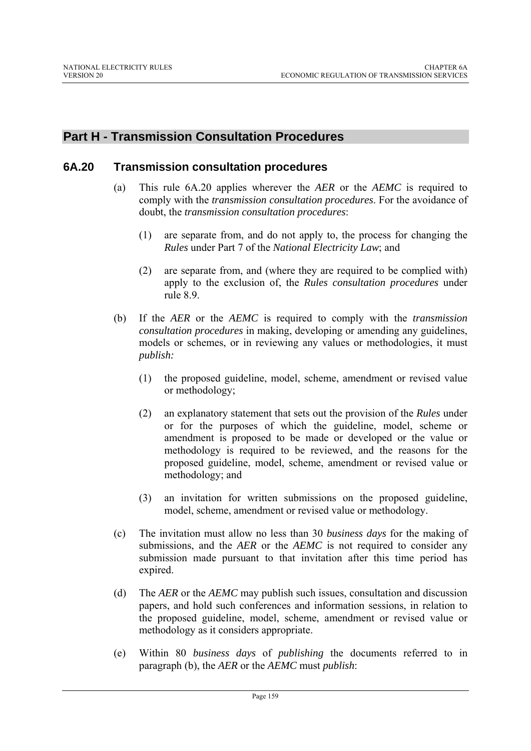# **Part H - Transmission Consultation Procedures**

## **6A.20 Transmission consultation procedures**

- (a) This rule 6A.20 applies wherever the *AER* or the *AEMC* is required to comply with the *transmission consultation procedures*. For the avoidance of doubt, the *transmission consultation procedures*:
	- (1) are separate from, and do not apply to, the process for changing the *Rules* under Part 7 of the *National Electricity Law*; and
	- (2) are separate from, and (where they are required to be complied with) apply to the exclusion of, the *Rules consultation procedures* under rule 8.9.
- (b) If the *AER* or the *AEMC* is required to comply with the *transmission consultation procedures* in making, developing or amending any guidelines, models or schemes, or in reviewing any values or methodologies, it must *publish:*
	- (1) the proposed guideline, model, scheme, amendment or revised value or methodology;
	- (2) an explanatory statement that sets out the provision of the *Rules* under or for the purposes of which the guideline, model, scheme or amendment is proposed to be made or developed or the value or methodology is required to be reviewed, and the reasons for the proposed guideline, model, scheme, amendment or revised value or methodology; and
	- (3) an invitation for written submissions on the proposed guideline, model, scheme, amendment or revised value or methodology.
- (c) The invitation must allow no less than 30 *business days* for the making of submissions, and the *AER* or the *AEMC* is not required to consider any submission made pursuant to that invitation after this time period has expired.
- (d) The *AER* or the *AEMC* may publish such issues, consultation and discussion papers, and hold such conferences and information sessions, in relation to the proposed guideline, model, scheme, amendment or revised value or methodology as it considers appropriate.
- (e) Within 80 *business days* of *publishing* the documents referred to in paragraph (b), the *AER* or the *AEMC* must *publish*: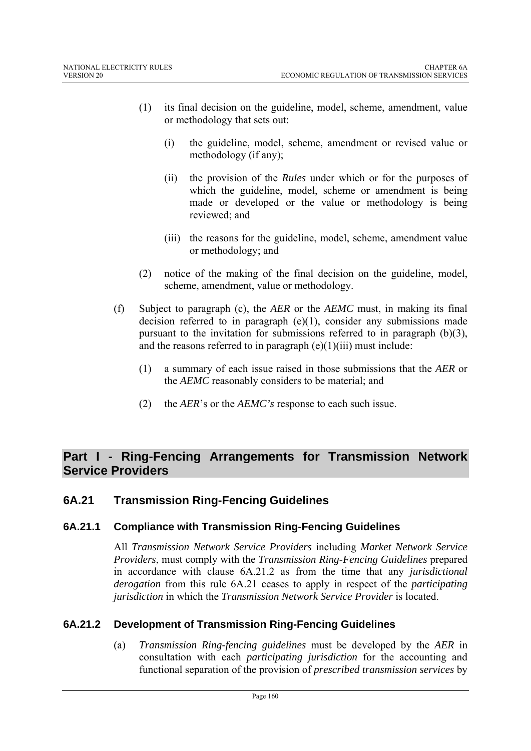- (1) its final decision on the guideline, model, scheme, amendment, value or methodology that sets out:
	- (i) the guideline, model, scheme, amendment or revised value or methodology (if any);
	- (ii) the provision of the *Rules* under which or for the purposes of which the guideline, model, scheme or amendment is being made or developed or the value or methodology is being reviewed; and
	- (iii) the reasons for the guideline, model, scheme, amendment value or methodology; and
- (2) notice of the making of the final decision on the guideline, model, scheme, amendment, value or methodology.
- (f) Subject to paragraph (c), the *AER* or the *AEMC* must, in making its final decision referred to in paragraph  $(e)(1)$ , consider any submissions made pursuant to the invitation for submissions referred to in paragraph (b)(3), and the reasons referred to in paragraph  $(e)(1)(iii)$  must include:
	- (1) a summary of each issue raised in those submissions that the *AER* or the *AEMC* reasonably considers to be material; and
	- (2) the *AER*'s or the *AEMC's* response to each such issue.

# **Part I - Ring-Fencing Arrangements for Transmission Network Service Providers**

# **6A.21 Transmission Ring-Fencing Guidelines**

## **6A.21.1 Compliance with Transmission Ring-Fencing Guidelines**

All *Transmission Network Service Providers* including *Market Network Service Providers*, must comply with the *Transmission Ring-Fencing Guidelines* prepared in accordance with clause 6A.21.2 as from the time that any *jurisdictional derogation* from this rule 6A.21 ceases to apply in respect of the *participating jurisdiction* in which the *Transmission Network Service Provider* is located.

## **6A.21.2 Development of Transmission Ring-Fencing Guidelines**

(a) *Transmission Ring-fencing guidelines* must be developed by the *AER* in consultation with each *participating jurisdiction* for the accounting and functional separation of the provision of *prescribed transmission services* by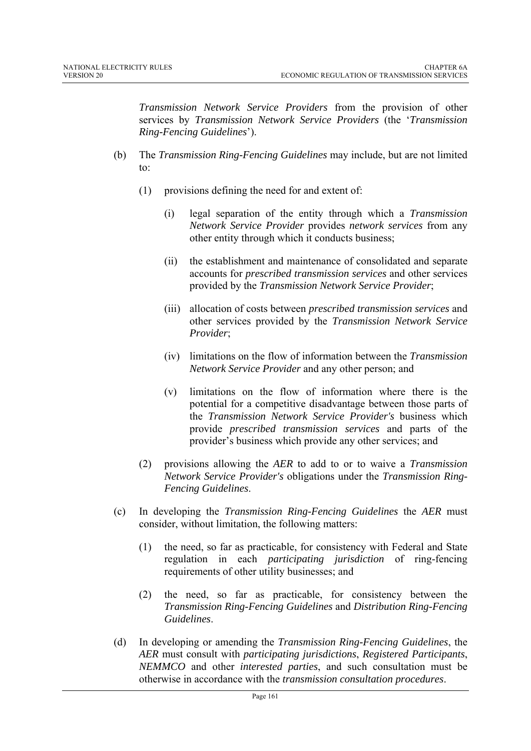*Transmission Network Service Providers* from the provision of other services by *Transmission Network Service Providers* (the '*Transmission Ring-Fencing Guidelines*').

- (b) The *Transmission Ring-Fencing Guidelines* may include, but are not limited to:
	- (1) provisions defining the need for and extent of:
		- (i) legal separation of the entity through which a *Transmission Network Service Provider* provides *network services* from any other entity through which it conducts business;
		- (ii) the establishment and maintenance of consolidated and separate accounts for *prescribed transmission services* and other services provided by the *Transmission Network Service Provider*;
		- (iii) allocation of costs between *prescribed transmission services* and other services provided by the *Transmission Network Service Provider*;
		- (iv) limitations on the flow of information between the *Transmission Network Service Provider* and any other person; and
		- (v) limitations on the flow of information where there is the potential for a competitive disadvantage between those parts of the *Transmission Network Service Provider's* business which provide *prescribed transmission services* and parts of the provider's business which provide any other services; and
	- (2) provisions allowing the *AER* to add to or to waive a *Transmission Network Service Provider's* obligations under the *Transmission Ring-Fencing Guidelines*.
- (c) In developing the *Transmission Ring-Fencing Guidelines* the *AER* must consider, without limitation, the following matters:
	- (1) the need, so far as practicable, for consistency with Federal and State regulation in each *participating jurisdiction* of ring-fencing requirements of other utility businesses; and
	- (2) the need, so far as practicable, for consistency between the *Transmission Ring-Fencing Guidelines* and *Distribution Ring-Fencing Guidelines*.
- (d) In developing or amending the *Transmission Ring-Fencing Guidelines*, the *AER* must consult with *participating jurisdictions*, *Registered Participants*, *NEMMCO* and other *interested parties*, and such consultation must be otherwise in accordance with the *transmission consultation procedures*.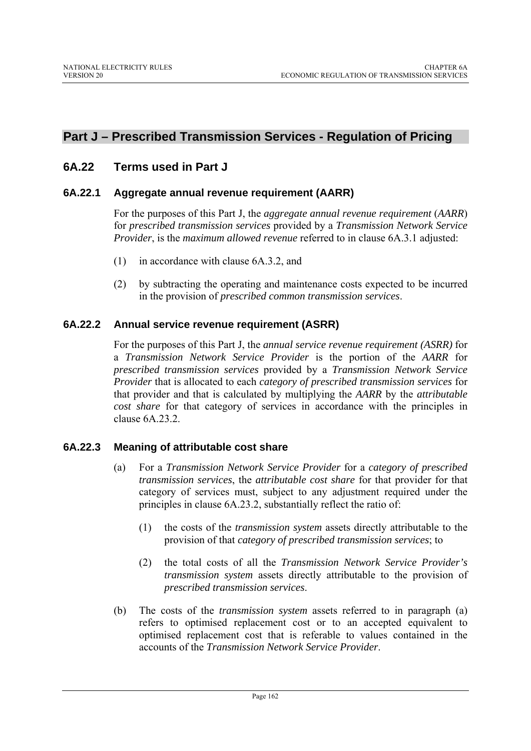# **Part J – Prescribed Transmission Services - Regulation of Pricing**

# **6A.22 Terms used in Part J**

#### **6A.22.1 Aggregate annual revenue requirement (AARR)**

For the purposes of this Part J, the *aggregate annual revenue requirement* (*AARR*) for *prescribed transmission services* provided by a *Transmission Network Service Provider*, is the *maximum allowed revenue* referred to in clause 6A.3.1 adjusted:

- (1) in accordance with clause 6A.3.2, and
- (2) by subtracting the operating and maintenance costs expected to be incurred in the provision of *prescribed common transmission services*.

#### **6A.22.2 Annual service revenue requirement (ASRR)**

For the purposes of this Part J, the *annual service revenue requirement (ASRR)* for a *Transmission Network Service Provider* is the portion of the *AARR* for *prescribed transmission services* provided by a *Transmission Network Service Provider* that is allocated to each *category of prescribed transmission services* for that provider and that is calculated by multiplying the *AARR* by the *attributable cost share* for that category of services in accordance with the principles in clause 6A.23.2.

## **6A.22.3 Meaning of attributable cost share**

- (a) For a *Transmission Network Service Provider* for a *category of prescribed transmission services*, the *attributable cost share* for that provider for that category of services must, subject to any adjustment required under the principles in clause 6A.23.2, substantially reflect the ratio of:
	- (1) the costs of the *transmission system* assets directly attributable to the provision of that *category of prescribed transmission services*; to
	- (2) the total costs of all the *Transmission Network Service Provider's transmission system* assets directly attributable to the provision of *prescribed transmission services*.
- (b) The costs of the *transmission system* assets referred to in paragraph (a) refers to optimised replacement cost or to an accepted equivalent to optimised replacement cost that is referable to values contained in the accounts of the *Transmission Network Service Provider*.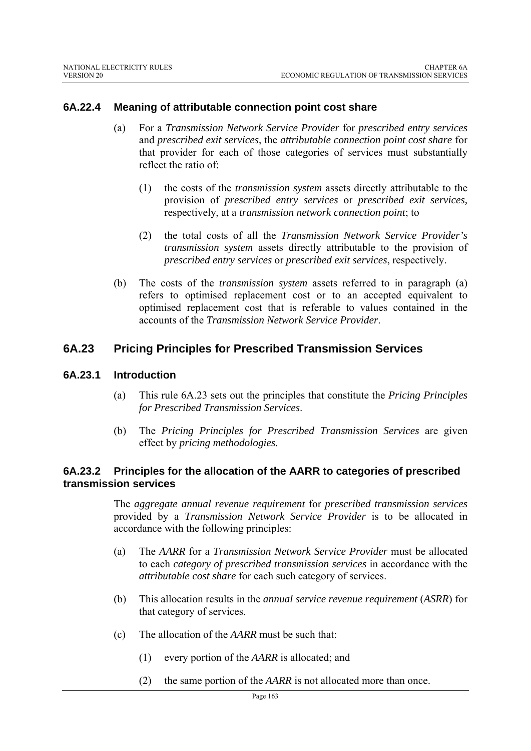#### **6A.22.4 Meaning of attributable connection point cost share**

- (a) For a *Transmission Network Service Provider* for *prescribed entry services*  and *prescribed exit services*, the *attributable connection point cost share* for that provider for each of those categories of services must substantially reflect the ratio of:
	- (1) the costs of the *transmission system* assets directly attributable to the provision of *prescribed entry services* or *prescribed exit services,* respectively, at a *transmission network connection point*; to
	- (2) the total costs of all the *Transmission Network Service Provider's transmission system* assets directly attributable to the provision of *prescribed entry services* or *prescribed exit services*, respectively.
- (b) The costs of the *transmission system* assets referred to in paragraph (a) refers to optimised replacement cost or to an accepted equivalent to optimised replacement cost that is referable to values contained in the accounts of the *Transmission Network Service Provider*.

#### **6A.23 Pricing Principles for Prescribed Transmission Services**

#### **6A.23.1 Introduction**

- (a) This rule 6A.23 sets out the principles that constitute the *Pricing Principles for Prescribed Transmission Services*.
- (b) The *Pricing Principles for Prescribed Transmission Services* are given effect by *pricing methodologies.*

#### **6A.23.2 Principles for the allocation of the AARR to categories of prescribed transmission services**

The *aggregate annual revenue requirement* for *prescribed transmission services*  provided by a *Transmission Network Service Provider* is to be allocated in accordance with the following principles:

- (a) The *AARR* for a *Transmission Network Service Provider* must be allocated to each *category of prescribed transmission services* in accordance with the *attributable cost share* for each such category of services.
- (b) This allocation results in the *annual service revenue requirement* (*ASRR*) for that category of services.
- (c) The allocation of the *AARR* must be such that:
	- (1) every portion of the *AARR* is allocated; and
	- (2) the same portion of the *AARR* is not allocated more than once.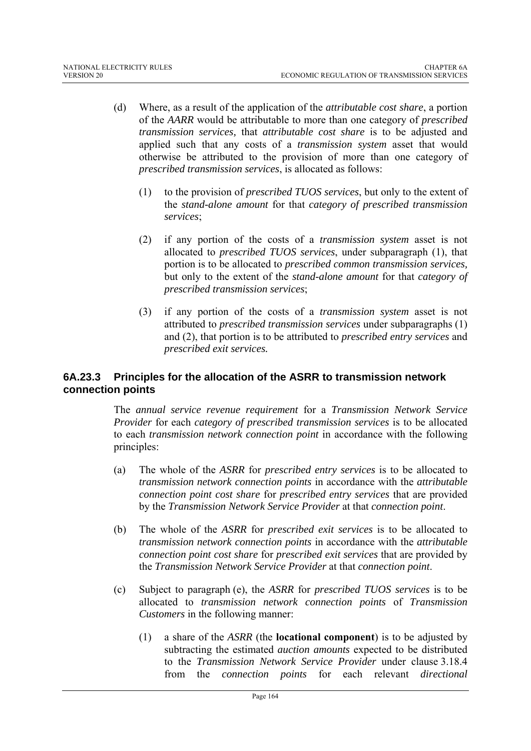- (d) Where, as a result of the application of the *attributable cost share*, a portion of the *AARR* would be attributable to more than one category of *prescribed transmission services,* that *attributable cost share* is to be adjusted and applied such that any costs of a *transmission system* asset that would otherwise be attributed to the provision of more than one category of *prescribed transmission services*, is allocated as follows:
	- (1) to the provision of *prescribed TUOS services*, but only to the extent of the *stand-alone amount* for that *category of prescribed transmission services*;
	- (2) if any portion of the costs of a *transmission system* asset is not allocated to *prescribed TUOS services*, under subparagraph (1), that portion is to be allocated to *prescribed common transmission services,* but only to the extent of the *stand-alone amount* for that *category of prescribed transmission services*;
	- (3) if any portion of the costs of a *transmission system* asset is not attributed to *prescribed transmission services* under subparagraphs (1) and (2), that portion is to be attributed to *prescribed entry services* and *prescribed exit services.*

#### **6A.23.3 Principles for the allocation of the ASRR to transmission network connection points**

The *annual service revenue requirement* for a *Transmission Network Service Provider* for each *category of prescribed transmission services* is to be allocated to each *transmission network connection point* in accordance with the following principles:

- (a) The whole of the *ASRR* for *prescribed entry services* is to be allocated to *transmission network connection points* in accordance with the *attributable connection point cost share* for *prescribed entry services* that are provided by the *Transmission Network Service Provider* at that *connection point*.
- (b) The whole of the *ASRR* for *prescribed exit services* is to be allocated to *transmission network connection points* in accordance with the *attributable connection point cost share* for *prescribed exit services* that are provided by the *Transmission Network Service Provider* at that *connection point*.
- (c) Subject to paragraph (e), the *ASRR* for *prescribed TUOS services* is to be allocated to *transmission network connection points* of *Transmission Customers* in the following manner:
	- (1) a share of the *ASRR* (the **locational component**) is to be adjusted by subtracting the estimated *auction amounts* expected to be distributed to the *Transmission Network Service Provider* under clause 3.18.4 from the *connection points* for each relevant *directional*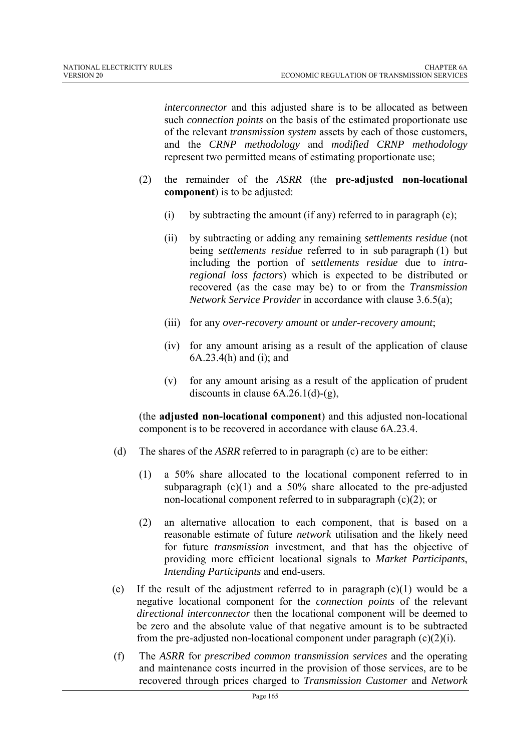*interconnector* and this adjusted share is to be allocated as between such *connection points* on the basis of the estimated proportionate use of the relevant *transmission system* assets by each of those customers, and the *CRNP methodology* and *modified CRNP methodology* represent two permitted means of estimating proportionate use;

- (2) the remainder of the *ASRR* (the **pre-adjusted non-locational component**) is to be adjusted:
	- (i) by subtracting the amount (if any) referred to in paragraph (e);
	- (ii) by subtracting or adding any remaining *settlements residue* (not being *settlements residue* referred to in sub paragraph (1) but including the portion of *settlements residue* due to *intraregional loss factors*) which is expected to be distributed or recovered (as the case may be) to or from the *Transmission Network Service Provider* in accordance with clause 3.6.5(a);
	- (iii) for any *over-recovery amount* or *under-recovery amount*;
	- (iv) for any amount arising as a result of the application of clause 6A.23.4(h) and (i); and
	- (v) for any amount arising as a result of the application of prudent discounts in clause  $6A.26.1(d)-(g)$ ,

(the **adjusted non-locational component**) and this adjusted non-locational component is to be recovered in accordance with clause 6A.23.4.

- (d) The shares of the *ASRR* referred to in paragraph (c) are to be either:
	- (1) a 50% share allocated to the locational component referred to in subparagraph  $(c)(1)$  and a 50% share allocated to the pre-adjusted non-locational component referred to in subparagraph (c)(2); or
	- (2) an alternative allocation to each component, that is based on a reasonable estimate of future *network* utilisation and the likely need for future *transmission* investment, and that has the objective of providing more efficient locational signals to *Market Participants*, *Intending Participants* and end-users.
- (e) If the result of the adjustment referred to in paragraph  $(c)(1)$  would be a negative locational component for the *connection points* of the relevant *directional interconnector* then the locational component will be deemed to be zero and the absolute value of that negative amount is to be subtracted from the pre-adjusted non-locational component under paragraph  $(c)(2)(i)$ .
- (f) The *ASRR* for *prescribed common transmission services* and the operating and maintenance costs incurred in the provision of those services, are to be recovered through prices charged to *Transmission Customer* and *Network*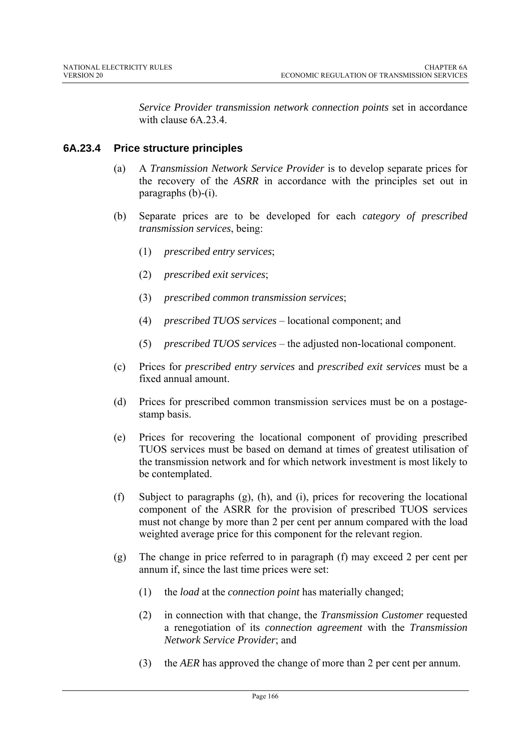*Service Provider transmission network connection points* set in accordance with clause 6A.23.4.

# **6A.23.4 Price structure principles**

- (a) A *Transmission Network Service Provider* is to develop separate prices for the recovery of the *ASRR* in accordance with the principles set out in paragraphs (b)-(i).
- (b) Separate prices are to be developed for each *category of prescribed transmission services*, being:
	- (1) *prescribed entry services*;
	- (2) *prescribed exit services*;
	- (3) *prescribed common transmission services*;
	- (4) *prescribed TUOS services* locational component; and
	- (5) *prescribed TUOS services* the adjusted non-locational component.
- (c) Prices for *prescribed entry services* and *prescribed exit services* must be a fixed annual amount.
- (d) Prices for prescribed common transmission services must be on a postagestamp basis.
- (e) Prices for recovering the locational component of providing prescribed TUOS services must be based on demand at times of greatest utilisation of the transmission network and for which network investment is most likely to be contemplated.
- (f) Subject to paragraphs (g), (h), and (i), prices for recovering the locational component of the ASRR for the provision of prescribed TUOS services must not change by more than 2 per cent per annum compared with the load weighted average price for this component for the relevant region.
- (g) The change in price referred to in paragraph (f) may exceed 2 per cent per annum if, since the last time prices were set:
	- (1) the *load* at the *connection point* has materially changed;
	- (2) in connection with that change, the *Transmission Customer* requested a renegotiation of its *connection agreement* with the *Transmission Network Service Provider*; and
	- (3) the *AER* has approved the change of more than 2 per cent per annum.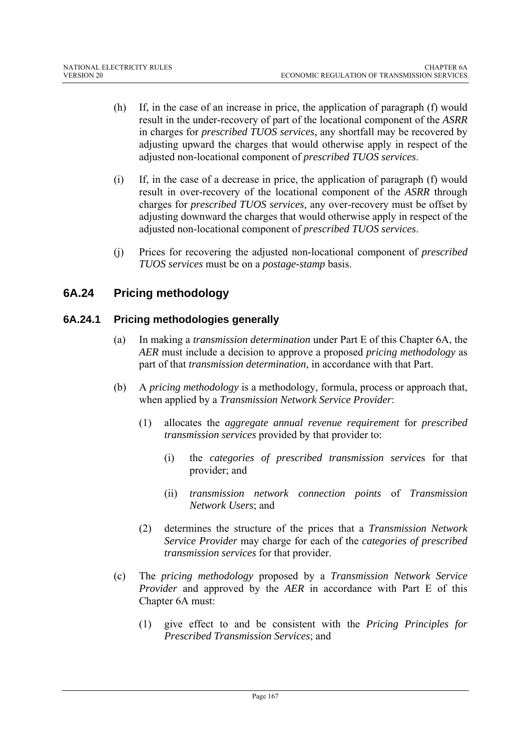- (h) If, in the case of an increase in price, the application of paragraph (f) would result in the under-recovery of part of the locational component of the *ASRR* in charges for *prescribed TUOS services,* any shortfall may be recovered by adjusting upward the charges that would otherwise apply in respect of the adjusted non-locational component of *prescribed TUOS services*.
- (i) If, in the case of a decrease in price, the application of paragraph (f) would result in over-recovery of the locational component of the *ASRR* through charges for *prescribed TUOS services,* any over-recovery must be offset by adjusting downward the charges that would otherwise apply in respect of the adjusted non-locational component of *prescribed TUOS services*.
- (j) Prices for recovering the adjusted non-locational component of *prescribed TUOS services* must be on a *postage-stamp* basis.

# **6A.24 Pricing methodology**

# **6A.24.1 Pricing methodologies generally**

- (a) In making a *transmission determination* under Part E of this Chapter 6A, the *AER* must include a decision to approve a proposed *pricing methodology* as part of that *transmission determination*, in accordance with that Part.
- (b) A *pricing methodology* is a methodology, formula, process or approach that, when applied by a *Transmission Network Service Provider*:
	- (1) allocates the *aggregate annual revenue requirement* for *prescribed transmission services* provided by that provider to:
		- (i) the *categories of prescribed transmission servic*es for that provider; and
		- (ii) *transmission network connection points* of *Transmission Network Users*; and
	- (2) determines the structure of the prices that a *Transmission Network Service Provider* may charge for each of the *categories of prescribed transmission services* for that provider.
- (c) The *pricing methodology* proposed by a *Transmission Network Service Provider* and approved by the *AER* in accordance with Part E of this Chapter 6A must:
	- (1) give effect to and be consistent with the *Pricing Principles for Prescribed Transmission Services*; and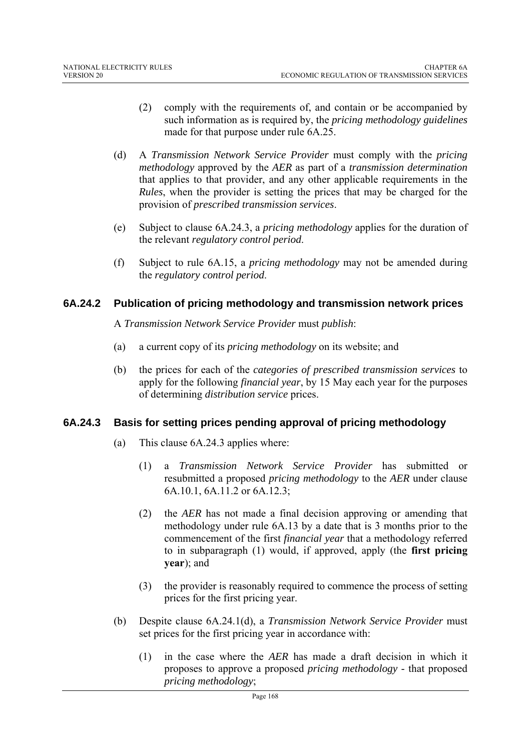- (2) comply with the requirements of, and contain or be accompanied by such information as is required by, the *pricing methodology guidelines* made for that purpose under rule 6A.25.
- (d) A *Transmission Network Service Provider* must comply with the *pricing methodology* approved by the *AER* as part of a *transmission determination*  that applies to that provider, and any other applicable requirements in the *Rules*, when the provider is setting the prices that may be charged for the provision of *prescribed transmission services*.
- (e) Subject to clause 6A.24.3, a *pricing methodology* applies for the duration of the relevant *regulatory control period*.
- (f) Subject to rule 6A.15, a *pricing methodology* may not be amended during the *regulatory control period*.

## **6A.24.2 Publication of pricing methodology and transmission network prices**

A *Transmission Network Service Provider* must *publish*:

- (a) a current copy of its *pricing methodology* on its website; and
- (b) the prices for each of the *categories of prescribed transmission services* to apply for the following *financial year*, by 15 May each year for the purposes of determining *distribution service* prices.

## **6A.24.3 Basis for setting prices pending approval of pricing methodology**

- (a) This clause 6A.24.3 applies where:
	- (1) a *Transmission Network Service Provider* has submitted or resubmitted a proposed *pricing methodology* to the *AER* under clause 6A.10.1, 6A.11.2 or 6A.12.3;
	- (2) the *AER* has not made a final decision approving or amending that methodology under rule 6A.13 by a date that is 3 months prior to the commencement of the first *financial year* that a methodology referred to in subparagraph (1) would, if approved, apply (the **first pricing year**); and
	- (3) the provider is reasonably required to commence the process of setting prices for the first pricing year.
- (b) Despite clause 6A.24.1(d), a *Transmission Network Service Provider* must set prices for the first pricing year in accordance with:
	- (1) in the case where the *AER* has made a draft decision in which it proposes to approve a proposed *pricing methodology* - that proposed *pricing methodology*;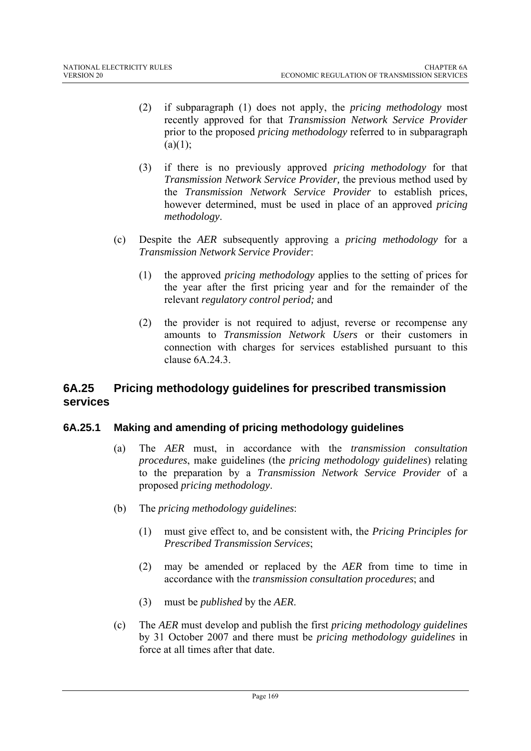- (2) if subparagraph (1) does not apply, the *pricing methodology* most recently approved for that *Transmission Network Service Provider*  prior to the proposed *pricing methodology* referred to in subparagraph  $(a)(1)$ ;
- (3) if there is no previously approved *pricing methodology* for that *Transmission Network Service Provider,* the previous method used by the *Transmission Network Service Provider* to establish prices, however determined, must be used in place of an approved *pricing methodology*.
- (c) Despite the *AER* subsequently approving a *pricing methodology* for a *Transmission Network Service Provider*:
	- (1) the approved *pricing methodology* applies to the setting of prices for the year after the first pricing year and for the remainder of the relevant *regulatory control period;* and
	- (2) the provider is not required to adjust, reverse or recompense any amounts to *Transmission Network Users* or their customers in connection with charges for services established pursuant to this clause 6A.24.3.

# **6A.25 Pricing methodology guidelines for prescribed transmission services**

## **6A.25.1 Making and amending of pricing methodology guidelines**

- (a) The *AER* must, in accordance with the *transmission consultation procedures*, make guidelines (the *pricing methodology guidelines*) relating to the preparation by a *Transmission Network Service Provider* of a proposed *pricing methodology*.
- (b) The *pricing methodology guidelines*:
	- (1) must give effect to, and be consistent with, the *Pricing Principles for Prescribed Transmission Services*;
	- (2) may be amended or replaced by the *AER* from time to time in accordance with the *transmission consultation procedures*; and
	- (3) must be *published* by the *AER*.
- (c) The *AER* must develop and publish the first *pricing methodology guidelines*  by 31 October 2007 and there must be *pricing methodology guidelines* in force at all times after that date.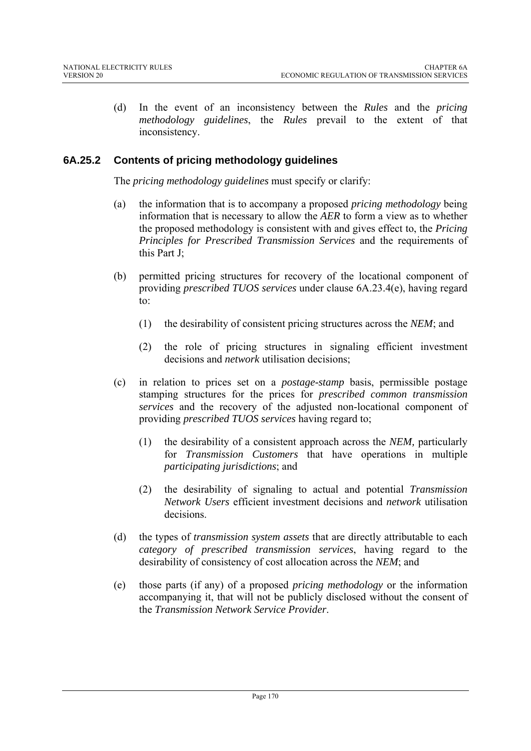(d) In the event of an inconsistency between the *Rules* and the *pricing methodology guidelines*, the *Rules* prevail to the extent of that inconsistency.

# **6A.25.2 Contents of pricing methodology guidelines**

The *pricing methodology guidelines* must specify or clarify:

- (a) the information that is to accompany a proposed *pricing methodology* being information that is necessary to allow the *AER* to form a view as to whether the proposed methodology is consistent with and gives effect to, the *Pricing Principles for Prescribed Transmission Services* and the requirements of this Part J;
- (b) permitted pricing structures for recovery of the locational component of providing *prescribed TUOS services* under clause 6A.23.4(e), having regard to:
	- (1) the desirability of consistent pricing structures across the *NEM*; and
	- (2) the role of pricing structures in signaling efficient investment decisions and *network* utilisation decisions;
- (c) in relation to prices set on a *postage-stamp* basis, permissible postage stamping structures for the prices for *prescribed common transmission services* and the recovery of the adjusted non-locational component of providing *prescribed TUOS services* having regard to;
	- (1) the desirability of a consistent approach across the *NEM,* particularly for *Transmission Customers* that have operations in multiple *participating jurisdictions*; and
	- (2) the desirability of signaling to actual and potential *Transmission Network Users* efficient investment decisions and *network* utilisation decisions.
- (d) the types of *transmission system assets* that are directly attributable to each *category of prescribed transmission services*, having regard to the desirability of consistency of cost allocation across the *NEM*; and
- (e) those parts (if any) of a proposed *pricing methodology* or the information accompanying it, that will not be publicly disclosed without the consent of the *Transmission Network Service Provider*.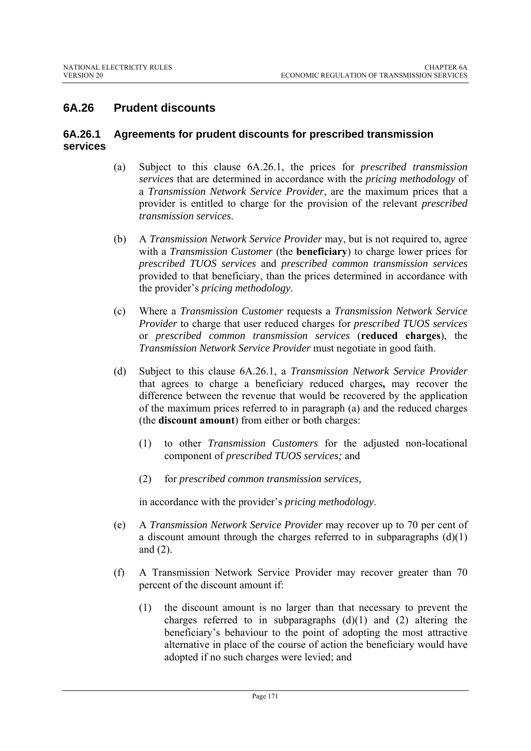# **6A.26 Prudent discounts**

#### **6A.26.1 Agreements for prudent discounts for prescribed transmission services**

- (a) Subject to this clause 6A.26.1, the prices for *prescribed transmission services* that are determined in accordance with the *pricing methodology* of a *Transmission Network Service Provider*, are the maximum prices that a provider is entitled to charge for the provision of the relevant *prescribed transmission services*.
- (b) A *Transmission Network Service Provider* may, but is not required to, agree with a *Transmission Customer* (the **beneficiary**) to charge lower prices for *prescribed TUOS services* and *prescribed common transmission services* provided to that beneficiary, than the prices determined in accordance with the provider's *pricing methodology*.
- (c) Where a *Transmission Customer* requests a *Transmission Network Service Provider* to charge that user reduced charges for *prescribed TUOS services*  or *prescribed common transmission services* (**reduced charges**), the *Transmission Network Service Provider* must negotiate in good faith.
- (d) Subject to this clause 6A.26.1, a *Transmission Network Service Provider* that agrees to charge a beneficiary reduced charges**,** may recover the difference between the revenue that would be recovered by the application of the maximum prices referred to in paragraph (a) and the reduced charges (the **discount amount**) from either or both charges:
	- (1) to other *Transmission Customers* for the adjusted non-locational component of *prescribed TUOS services;* and
	- (2) for *prescribed common transmission services,*

in accordance with the provider's *pricing methodology*.

- (e) A *Transmission Network Service Provider* may recover up to 70 per cent of a discount amount through the charges referred to in subparagraphs  $(d)(1)$ and (2).
- (f) A Transmission Network Service Provider may recover greater than 70 percent of the discount amount if:
	- (1) the discount amount is no larger than that necessary to prevent the charges referred to in subparagraphs  $(d)(1)$  and  $(2)$  altering the beneficiary's behaviour to the point of adopting the most attractive alternative in place of the course of action the beneficiary would have adopted if no such charges were levied; and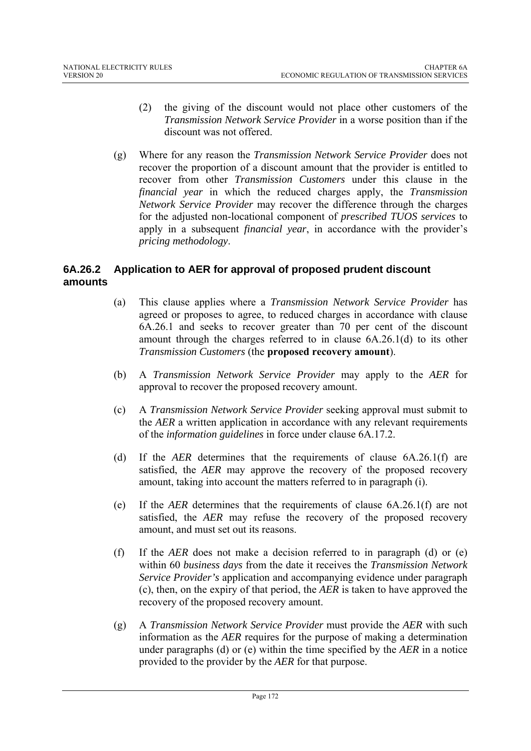- (2) the giving of the discount would not place other customers of the *Transmission Network Service Provider* in a worse position than if the discount was not offered.
- (g) Where for any reason the *Transmission Network Service Provider* does not recover the proportion of a discount amount that the provider is entitled to recover from other *Transmission Customers* under this clause in the *financial year* in which the reduced charges apply, the *Transmission Network Service Provider* may recover the difference through the charges for the adjusted non-locational component of *prescribed TUOS services* to apply in a subsequent *financial year*, in accordance with the provider's *pricing methodology*.

# **6A.26.2 Application to AER for approval of proposed prudent discount amounts**

- (a) This clause applies where a *Transmission Network Service Provider* has agreed or proposes to agree, to reduced charges in accordance with clause 6A.26.1 and seeks to recover greater than 70 per cent of the discount amount through the charges referred to in clause 6A.26.1(d) to its other *Transmission Customers* (the **proposed recovery amount**).
- (b) A *Transmission Network Service Provider* may apply to the *AER* for approval to recover the proposed recovery amount.
- (c) A *Transmission Network Service Provider* seeking approval must submit to the *AER* a written application in accordance with any relevant requirements of the *information guidelines* in force under clause 6A.17.2.
- (d) If the *AER* determines that the requirements of clause 6A.26.1(f) are satisfied, the *AER* may approve the recovery of the proposed recovery amount, taking into account the matters referred to in paragraph (i).
- (e) If the *AER* determines that the requirements of clause 6A.26.1(f) are not satisfied, the *AER* may refuse the recovery of the proposed recovery amount, and must set out its reasons.
- (f) If the *AER* does not make a decision referred to in paragraph (d) or (e) within 60 *business days* from the date it receives the *Transmission Network Service Provider's* application and accompanying evidence under paragraph (c), then, on the expiry of that period, the *AER* is taken to have approved the recovery of the proposed recovery amount.
- (g) A *Transmission Network Service Provider* must provide the *AER* with such information as the *AER* requires for the purpose of making a determination under paragraphs (d) or (e) within the time specified by the *AER* in a notice provided to the provider by the *AER* for that purpose.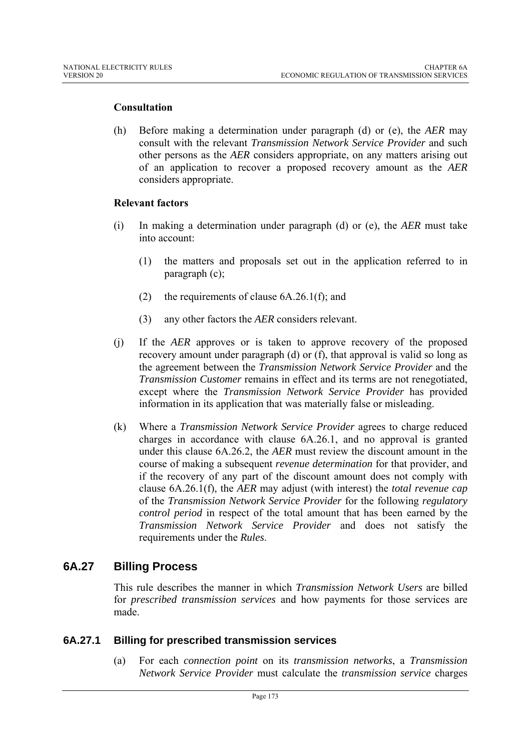#### **Consultation**

(h) Before making a determination under paragraph (d) or (e), the *AER* may consult with the relevant *Transmission Network Service Provider* and such other persons as the *AER* considers appropriate, on any matters arising out of an application to recover a proposed recovery amount as the *AER* considers appropriate.

#### **Relevant factors**

- (i) In making a determination under paragraph (d) or (e), the *AER* must take into account:
	- (1) the matters and proposals set out in the application referred to in paragraph (c);
	- (2) the requirements of clause 6A.26.1(f); and
	- (3) any other factors the *AER* considers relevant.
- (j) If the *AER* approves or is taken to approve recovery of the proposed recovery amount under paragraph (d) or (f), that approval is valid so long as the agreement between the *Transmission Network Service Provider* and the *Transmission Customer* remains in effect and its terms are not renegotiated, except where the *Transmission Network Service Provider* has provided information in its application that was materially false or misleading.
- (k) Where a *Transmission Network Service Provider* agrees to charge reduced charges in accordance with clause 6A.26.1, and no approval is granted under this clause 6A.26.2, the *AER* must review the discount amount in the course of making a subsequent *revenue determination* for that provider, and if the recovery of any part of the discount amount does not comply with clause 6A.26.1(f), the *AER* may adjust (with interest) the *total revenue cap* of the *Transmission Network Service Provider* for the following *regulatory control period* in respect of the total amount that has been earned by the *Transmission Network Service Provider* and does not satisfy the requirements under the *Rules*.

# **6A.27 Billing Process**

This rule describes the manner in which *Transmission Network Users* are billed for *prescribed transmission services* and how payments for those services are made.

#### **6A.27.1 Billing for prescribed transmission services**

(a) For each *connection point* on its *transmission networks*, a *Transmission Network Service Provider* must calculate the *transmission service* charges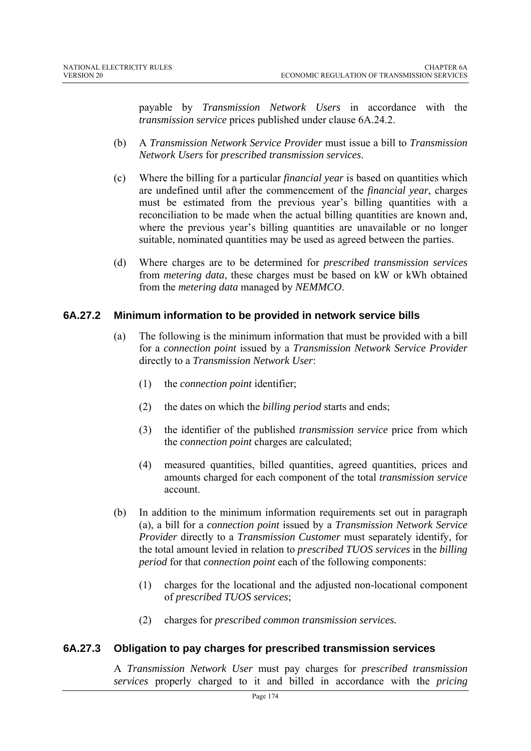payable by *Transmission Network Users* in accordance with the *transmission service* prices published under clause 6A.24.2.

- (b) A *Transmission Network Service Provider* must issue a bill to *Transmission Network Users* for *prescribed transmission services*.
- (c) Where the billing for a particular *financial year* is based on quantities which are undefined until after the commencement of the *financial year*, charges must be estimated from the previous year's billing quantities with a reconciliation to be made when the actual billing quantities are known and, where the previous year's billing quantities are unavailable or no longer suitable, nominated quantities may be used as agreed between the parties.
- (d) Where charges are to be determined for *prescribed transmission services* from *metering data*, these charges must be based on kW or kWh obtained from the *metering data* managed by *NEMMCO*.

## **6A.27.2 Minimum information to be provided in network service bills**

- (a) The following is the minimum information that must be provided with a bill for a *connection point* issued by a *Transmission Network Service Provider* directly to a *Transmission Network User*:
	- (1) the *connection point* identifier;
	- (2) the dates on which the *billing period* starts and ends;
	- (3) the identifier of the published *transmission service* price from which the *connection point* charges are calculated;
	- (4) measured quantities, billed quantities, agreed quantities, prices and amounts charged for each component of the total *transmission service* account.
- (b) In addition to the minimum information requirements set out in paragraph (a), a bill for a *connection point* issued by a *Transmission Network Service Provider* directly to a *Transmission Customer* must separately identify, for the total amount levied in relation to *prescribed TUOS services* in the *billing period* for that *connection point* each of the following components:
	- (1) charges for the locational and the adjusted non-locational component of *prescribed TUOS services*;
	- (2) charges for *prescribed common transmission services.*

## **6A.27.3 Obligation to pay charges for prescribed transmission services**

A *Transmission Network User* must pay charges for *prescribed transmission services* properly charged to it and billed in accordance with the *pricing*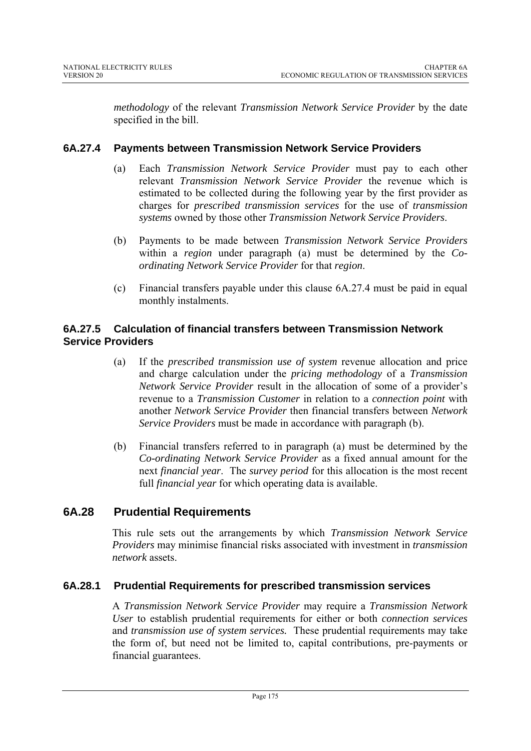*methodology* of the relevant *Transmission Network Service Provider* by the date specified in the bill.

# **6A.27.4 Payments between Transmission Network Service Providers**

- (a) Each *Transmission Network Service Provider* must pay to each other relevant *Transmission Network Service Provider* the revenue which is estimated to be collected during the following year by the first provider as charges for *prescribed transmission services* for the use of *transmission systems* owned by those other *Transmission Network Service Providers*.
- (b) Payments to be made between *Transmission Network Service Providers* within a *region* under paragraph (a) must be determined by the *Coordinating Network Service Provider* for that *region*.
- (c) Financial transfers payable under this clause  $6A.27.4$  must be paid in equal monthly instalments.

# **6A.27.5 Calculation of financial transfers between Transmission Network Service Providers**

- (a) If the *prescribed transmission use of system* revenue allocation and price and charge calculation under the *pricing methodology* of a *Transmission Network Service Provider* result in the allocation of some of a provider's revenue to a *Transmission Customer* in relation to a *connection point* with another *Network Service Provider* then financial transfers between *Network Service Providers* must be made in accordance with paragraph (b).
- (b) Financial transfers referred to in paragraph (a) must be determined by the *Co-ordinating Network Service Provider* as a fixed annual amount for the next *financial year*. The *survey period* for this allocation is the most recent full *financial year* for which operating data is available.

# **6A.28 Prudential Requirements**

This rule sets out the arrangements by which *Transmission Network Service Providers* may minimise financial risks associated with investment in *transmission network* assets.

## **6A.28.1 Prudential Requirements for prescribed transmission services**

A *Transmission Network Service Provider* may require a *Transmission Network User* to establish prudential requirements for either or both *connection services*  and *transmission use of system services.* These prudential requirements may take the form of, but need not be limited to, capital contributions, pre-payments or financial guarantees.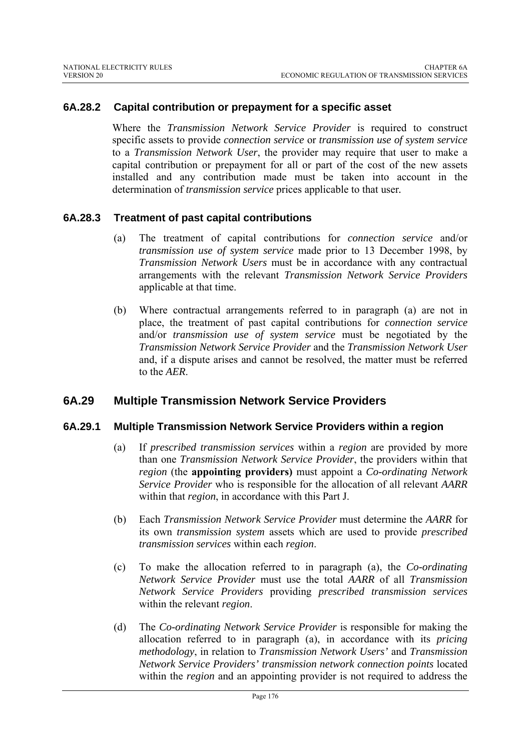#### **6A.28.2 Capital contribution or prepayment for a specific asset**

Where the *Transmission Network Service Provider* is required to construct specific assets to provide *connection service* or *transmission use of system service* to a *Transmission Network User*, the provider may require that user to make a capital contribution or prepayment for all or part of the cost of the new assets installed and any contribution made must be taken into account in the determination of *transmission service* prices applicable to that user*.*

#### **6A.28.3 Treatment of past capital contributions**

- (a) The treatment of capital contributions for *connection service* and/or *transmission use of system service* made prior to 13 December 1998, by *Transmission Network Users* must be in accordance with any contractual arrangements with the relevant *Transmission Network Service Providers* applicable at that time.
- (b) Where contractual arrangements referred to in paragraph (a) are not in place, the treatment of past capital contributions for *connection service* and/or *transmission use of system service* must be negotiated by the *Transmission Network Service Provider* and the *Transmission Network User*  and, if a dispute arises and cannot be resolved, the matter must be referred to the *AER*.

## **6A.29 Multiple Transmission Network Service Providers**

#### **6A.29.1 Multiple Transmission Network Service Providers within a region**

- (a) If *prescribed transmission services* within a *region* are provided by more than one *Transmission Network Service Provider*, the providers within that *region* (the **appointing providers)** must appoint a *Co-ordinating Network Service Provider* who is responsible for the allocation of all relevant *AARR*  within that *region*, in accordance with this Part J.
- (b) Each *Transmission Network Service Provider* must determine the *AARR* for its own *transmission system* assets which are used to provide *prescribed transmission services* within each *region*.
- (c) To make the allocation referred to in paragraph (a), the *Co-ordinating Network Service Provider* must use the total *AARR* of all *Transmission Network Service Providers* providing *prescribed transmission services* within the relevant *region*.
- (d) The *Co-ordinating Network Service Provider* is responsible for making the allocation referred to in paragraph (a), in accordance with its *pricing methodology*, in relation to *Transmission Network Users'* and *Transmission Network Service Providers' transmission network connection points* located within the *region* and an appointing provider is not required to address the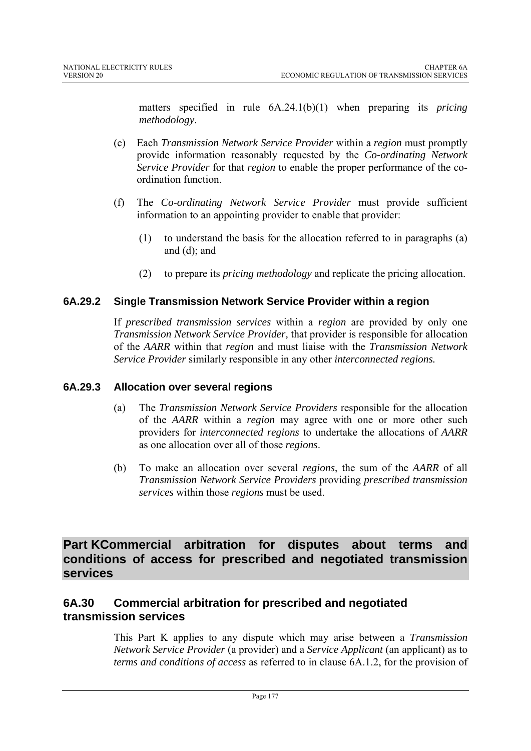matters specified in rule 6A.24.1(b)(1) when preparing its *pricing methodology*.

- (e) Each *Transmission Network Service Provider* within a *region* must promptly provide information reasonably requested by the *Co-ordinating Network Service Provider* for that *region* to enable the proper performance of the coordination function.
- (f) The *Co-ordinating Network Service Provider* must provide sufficient information to an appointing provider to enable that provider:
	- (1) to understand the basis for the allocation referred to in paragraphs (a) and (d); and
	- (2) to prepare its *pricing methodology* and replicate the pricing allocation.

# **6A.29.2 Single Transmission Network Service Provider within a region**

If *prescribed transmission services* within a *region* are provided by only one *Transmission Network Service Provider,* that provider is responsible for allocation of the *AARR* within that *region* and must liaise with the *Transmission Network Service Provider* similarly responsible in any other *interconnected regions.*

## **6A.29.3 Allocation over several regions**

- (a) The *Transmission Network Service Providers* responsible for the allocation of the *AARR* within a *region* may agree with one or more other such providers for *interconnected regions* to undertake the allocations of *AARR*  as one allocation over all of those *regions*.
- (b) To make an allocation over several *regions*, the sum of the *AARR* of all *Transmission Network Service Providers* providing *prescribed transmission services* within those *regions* must be used.

**Part KCommercial arbitration for disputes about terms and conditions of access for prescribed and negotiated transmission services** 

# **6A.30 Commercial arbitration for prescribed and negotiated transmission services**

This Part K applies to any dispute which may arise between a *Transmission Network Service Provider* (a provider) and a *Service Applicant* (an applicant) as to *terms and conditions of access* as referred to in clause 6A.1.2, for the provision of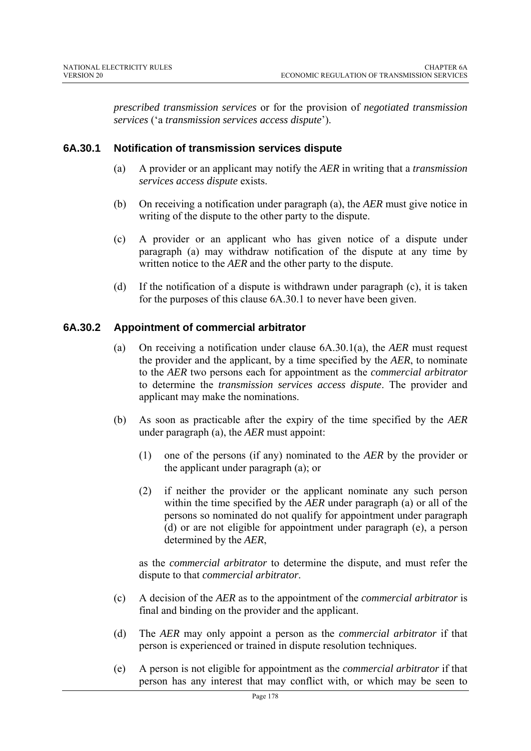*prescribed transmission services* or for the provision of *negotiated transmission services* ('a *transmission services access dispute*').

## **6A.30.1 Notification of transmission services dispute**

- (a) A provider or an applicant may notify the *AER* in writing that a *transmission services access dispute* exists.
- (b) On receiving a notification under paragraph (a), the *AER* must give notice in writing of the dispute to the other party to the dispute.
- (c) A provider or an applicant who has given notice of a dispute under paragraph (a) may withdraw notification of the dispute at any time by written notice to the *AER* and the other party to the dispute.
- (d) If the notification of a dispute is withdrawn under paragraph (c), it is taken for the purposes of this clause 6A.30.1 to never have been given.

## **6A.30.2 Appointment of commercial arbitrator**

- (a) On receiving a notification under clause 6A.30.1(a), the *AER* must request the provider and the applicant, by a time specified by the *AER*, to nominate to the *AER* two persons each for appointment as the *commercial arbitrator* to determine the *transmission services access dispute*. The provider and applicant may make the nominations.
- (b) As soon as practicable after the expiry of the time specified by the *AER* under paragraph (a), the *AER* must appoint:
	- (1) one of the persons (if any) nominated to the *AER* by the provider or the applicant under paragraph (a); or
	- (2) if neither the provider or the applicant nominate any such person within the time specified by the *AER* under paragraph (a) or all of the persons so nominated do not qualify for appointment under paragraph (d) or are not eligible for appointment under paragraph (e), a person determined by the *AER*,

as the *commercial arbitrator* to determine the dispute, and must refer the dispute to that *commercial arbitrator*.

- (c) A decision of the *AER* as to the appointment of the *commercial arbitrator* is final and binding on the provider and the applicant.
- (d) The *AER* may only appoint a person as the *commercial arbitrator* if that person is experienced or trained in dispute resolution techniques.
- (e) A person is not eligible for appointment as the *commercial arbitrator* if that person has any interest that may conflict with, or which may be seen to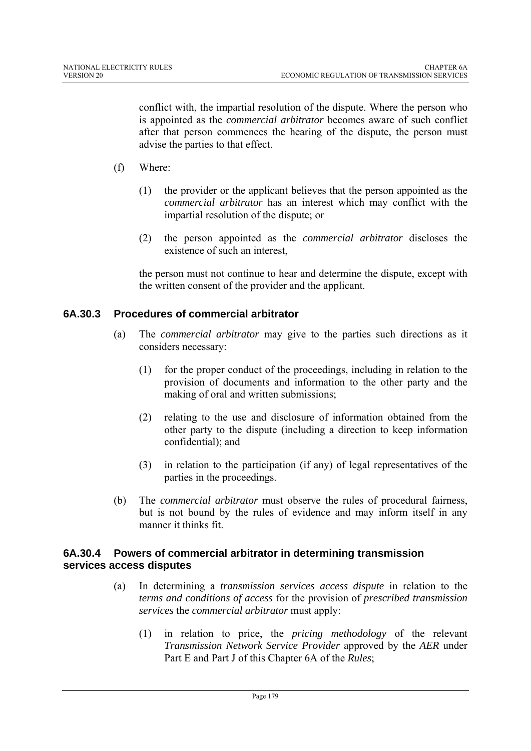conflict with, the impartial resolution of the dispute. Where the person who is appointed as the *commercial arbitrator* becomes aware of such conflict after that person commences the hearing of the dispute, the person must advise the parties to that effect.

- (f) Where:
	- (1) the provider or the applicant believes that the person appointed as the *commercial arbitrator* has an interest which may conflict with the impartial resolution of the dispute; or
	- (2) the person appointed as the *commercial arbitrator* discloses the existence of such an interest

the person must not continue to hear and determine the dispute, except with the written consent of the provider and the applicant.

#### **6A.30.3 Procedures of commercial arbitrator**

- (a) The *commercial arbitrator* may give to the parties such directions as it considers necessary:
	- (1) for the proper conduct of the proceedings, including in relation to the provision of documents and information to the other party and the making of oral and written submissions;
	- (2) relating to the use and disclosure of information obtained from the other party to the dispute (including a direction to keep information confidential); and
	- (3) in relation to the participation (if any) of legal representatives of the parties in the proceedings.
- (b) The *commercial arbitrator* must observe the rules of procedural fairness, but is not bound by the rules of evidence and may inform itself in any manner it thinks fit.

#### **6A.30.4 Powers of commercial arbitrator in determining transmission services access disputes**

- (a) In determining a *transmission services access dispute* in relation to the *terms and conditions of access* for the provision of *prescribed transmission services* the *commercial arbitrator* must apply:
	- (1) in relation to price, the *pricing methodology* of the relevant *Transmission Network Service Provider* approved by the *AER* under Part E and Part J of this Chapter 6A of the *Rules*;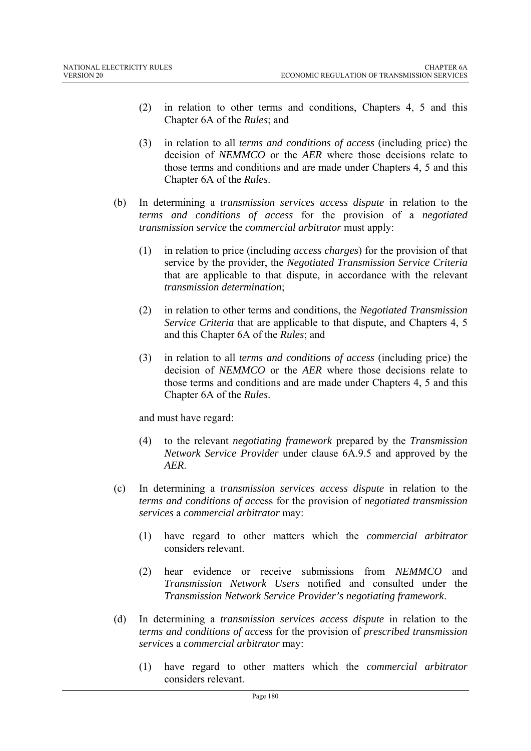- (2) in relation to other terms and conditions, Chapters 4, 5 and this Chapter 6A of the *Rules*; and
- (3) in relation to all *terms and conditions of access* (including price) the decision of *NEMMCO* or the *AER* where those decisions relate to those terms and conditions and are made under Chapters 4, 5 and this Chapter 6A of the *Rules*.
- (b) In determining a *transmission services access dispute* in relation to the *terms and conditions of access* for the provision of a *negotiated transmission service* the *commercial arbitrator* must apply:
	- (1) in relation to price (including *access charges*) for the provision of that service by the provider, the *Negotiated Transmission Service Criteria* that are applicable to that dispute, in accordance with the relevant *transmission determination*;
	- (2) in relation to other terms and conditions, the *Negotiated Transmission Service Criteria* that are applicable to that dispute, and Chapters 4, 5 and this Chapter 6A of the *Rules*; and
	- (3) in relation to all *terms and conditions of access* (including price) the decision of *NEMMCO* or the *AER* where those decisions relate to those terms and conditions and are made under Chapters 4, 5 and this Chapter 6A of the *Rules*.

and must have regard:

- (4) to the relevant *negotiating framework* prepared by the *Transmission Network Service Provider* under clause 6A.9.5 and approved by the *AER*.
- (c) In determining a *transmission services access dispute* in relation to the *terms and conditions of acc*ess for the provision of *negotiated transmission services* a *commercial arbitrator* may:
	- (1) have regard to other matters which the *commercial arbitrator* considers relevant.
	- (2) hear evidence or receive submissions from *NEMMCO* and *Transmission Network Users* notified and consulted under the *Transmission Network Service Provider's negotiating framework*.
- (d) In determining a *transmission services access dispute* in relation to the *terms and conditions of acc*ess for the provision of *prescribed transmission services* a *commercial arbitrator* may:
	- (1) have regard to other matters which the *commercial arbitrator* considers relevant.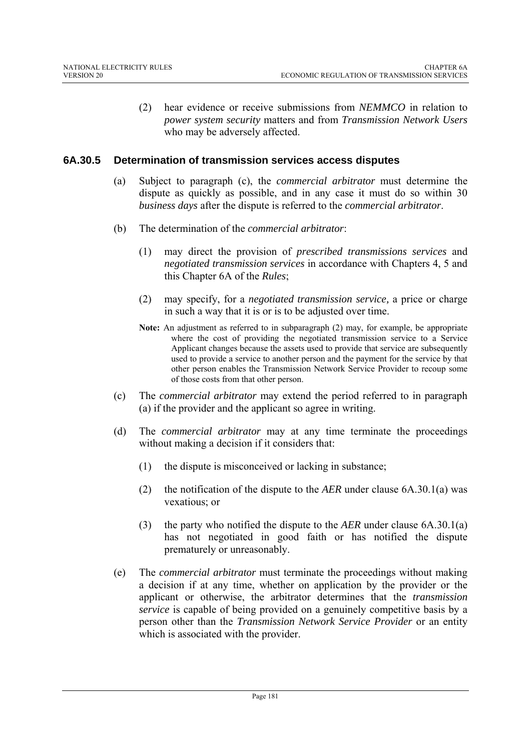(2) hear evidence or receive submissions from *NEMMCO* in relation to *power system security* matters and from *Transmission Network Users* who may be adversely affected.

# **6A.30.5 Determination of transmission services access disputes**

- (a) Subject to paragraph (c), the *commercial arbitrator* must determine the dispute as quickly as possible, and in any case it must do so within 30 *business days* after the dispute is referred to the *commercial arbitrator*.
- (b) The determination of the *commercial arbitrator*:
	- (1) may direct the provision of *prescribed transmissions services* and *negotiated transmission services* in accordance with Chapters 4, 5 and this Chapter 6A of the *Rules*;
	- (2) may specify, for a *negotiated transmission service,* a price or charge in such a way that it is or is to be adjusted over time.
	- **Note:** An adjustment as referred to in subparagraph (2) may, for example, be appropriate where the cost of providing the negotiated transmission service to a Service Applicant changes because the assets used to provide that service are subsequently used to provide a service to another person and the payment for the service by that other person enables the Transmission Network Service Provider to recoup some of those costs from that other person.
- (c) The *commercial arbitrator* may extend the period referred to in paragraph (a) if the provider and the applicant so agree in writing.
- (d) The *commercial arbitrator* may at any time terminate the proceedings without making a decision if it considers that:
	- (1) the dispute is misconceived or lacking in substance;
	- (2) the notification of the dispute to the *AER* under clause 6A.30.1(a) was vexatious; or
	- (3) the party who notified the dispute to the *AER* under clause 6A.30.1(a) has not negotiated in good faith or has notified the dispute prematurely or unreasonably.
- (e) The *commercial arbitrator* must terminate the proceedings without making a decision if at any time, whether on application by the provider or the applicant or otherwise, the arbitrator determines that the *transmission service* is capable of being provided on a genuinely competitive basis by a person other than the *Transmission Network Service Provider* or an entity which is associated with the provider.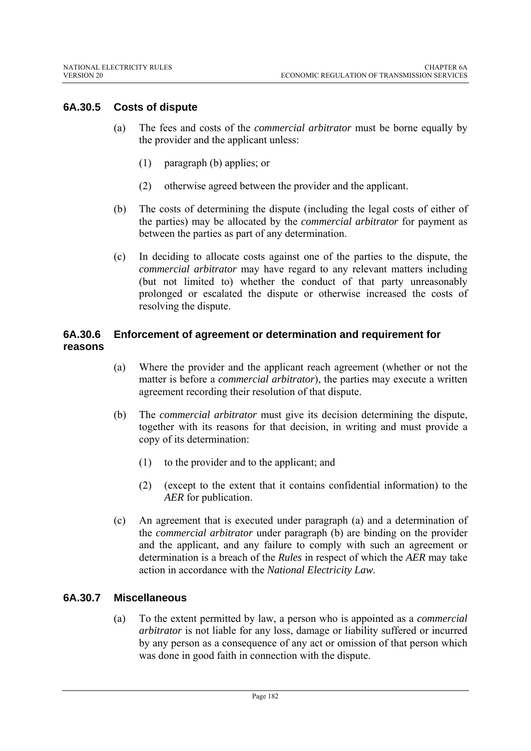# **6A.30.5 Costs of dispute**

- (a) The fees and costs of the *commercial arbitrator* must be borne equally by the provider and the applicant unless:
	- (1) paragraph (b) applies; or
	- (2) otherwise agreed between the provider and the applicant.
- (b) The costs of determining the dispute (including the legal costs of either of the parties) may be allocated by the *commercial arbitrator* for payment as between the parties as part of any determination.
- (c) In deciding to allocate costs against one of the parties to the dispute, the *commercial arbitrator* may have regard to any relevant matters including (but not limited to) whether the conduct of that party unreasonably prolonged or escalated the dispute or otherwise increased the costs of resolving the dispute.

# **6A.30.6 Enforcement of agreement or determination and requirement for reasons**

- (a) Where the provider and the applicant reach agreement (whether or not the matter is before a *commercial arbitrator*), the parties may execute a written agreement recording their resolution of that dispute.
- (b) The *commercial arbitrator* must give its decision determining the dispute, together with its reasons for that decision, in writing and must provide a copy of its determination:
	- (1) to the provider and to the applicant; and
	- (2) (except to the extent that it contains confidential information) to the *AER* for publication.
- (c) An agreement that is executed under paragraph (a) and a determination of the *commercial arbitrator* under paragraph (b) are binding on the provider and the applicant, and any failure to comply with such an agreement or determination is a breach of the *Rules* in respect of which the *AER* may take action in accordance with the *National Electricity Law*.

# **6A.30.7 Miscellaneous**

(a) To the extent permitted by law, a person who is appointed as a *commercial arbitrator* is not liable for any loss, damage or liability suffered or incurred by any person as a consequence of any act or omission of that person which was done in good faith in connection with the dispute.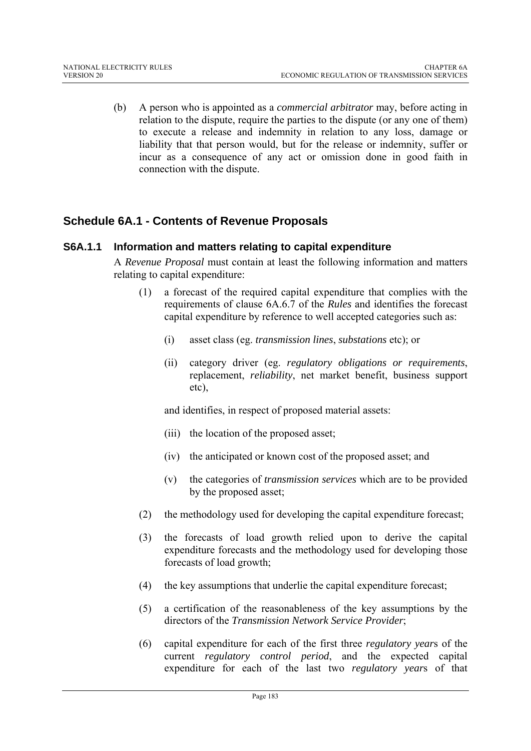(b) A person who is appointed as a *commercial arbitrator* may, before acting in relation to the dispute, require the parties to the dispute (or any one of them) to execute a release and indemnity in relation to any loss, damage or liability that that person would, but for the release or indemnity, suffer or incur as a consequence of any act or omission done in good faith in connection with the dispute.

# **Schedule 6A.1 - Contents of Revenue Proposals**

# **S6A.1.1 Information and matters relating to capital expenditure**

A *Revenue Proposal* must contain at least the following information and matters relating to capital expenditure:

- (1) a forecast of the required capital expenditure that complies with the requirements of clause 6A.6.7 of the *Rules* and identifies the forecast capital expenditure by reference to well accepted categories such as:
	- (i) asset class (eg. *transmission lines*, *substations* etc); or
	- (ii) category driver (eg. *regulatory obligations or requirements*, replacement, *reliability*, net market benefit, business support etc),

and identifies, in respect of proposed material assets:

- (iii) the location of the proposed asset;
- (iv) the anticipated or known cost of the proposed asset; and
- (v) the categories of *transmission services* which are to be provided by the proposed asset;
- (2) the methodology used for developing the capital expenditure forecast;
- (3) the forecasts of load growth relied upon to derive the capital expenditure forecasts and the methodology used for developing those forecasts of load growth;
- (4) the key assumptions that underlie the capital expenditure forecast;
- (5) a certification of the reasonableness of the key assumptions by the directors of the *Transmission Network Service Provider*;
- (6) capital expenditure for each of the first three *regulatory year*s of the current *regulatory control period*, and the expected capital expenditure for each of the last two *regulatory year*s of that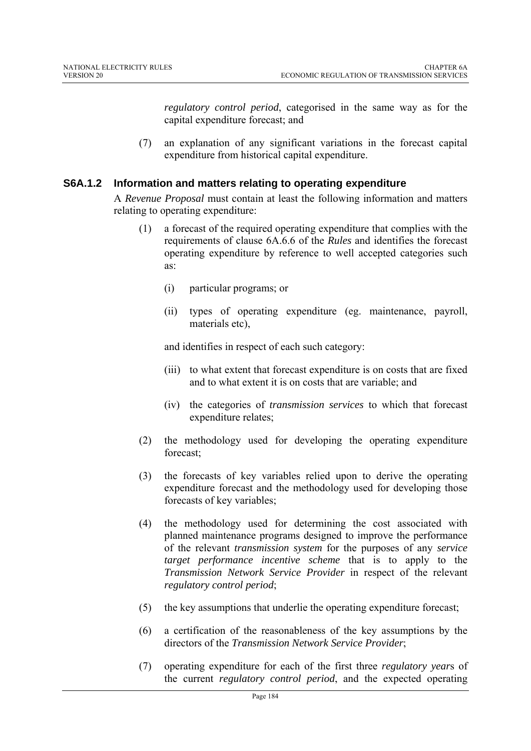*regulatory control period*, categorised in the same way as for the capital expenditure forecast; and

(7) an explanation of any significant variations in the forecast capital expenditure from historical capital expenditure.

# **S6A.1.2 Information and matters relating to operating expenditure**

A *Revenue Proposal* must contain at least the following information and matters relating to operating expenditure:

- (1) a forecast of the required operating expenditure that complies with the requirements of clause 6A.6.6 of the *Rules* and identifies the forecast operating expenditure by reference to well accepted categories such as:
	- (i) particular programs; or
	- (ii) types of operating expenditure (eg. maintenance, payroll, materials etc),

and identifies in respect of each such category:

- (iii) to what extent that forecast expenditure is on costs that are fixed and to what extent it is on costs that are variable; and
- (iv) the categories of *transmission services* to which that forecast expenditure relates;
- (2) the methodology used for developing the operating expenditure forecast;
- (3) the forecasts of key variables relied upon to derive the operating expenditure forecast and the methodology used for developing those forecasts of key variables;
- (4) the methodology used for determining the cost associated with planned maintenance programs designed to improve the performance of the relevant *transmission system* for the purposes of any *service target performance incentive scheme* that is to apply to the *Transmission Network Service Provider* in respect of the relevant *regulatory control period*;
- (5) the key assumptions that underlie the operating expenditure forecast;
- (6) a certification of the reasonableness of the key assumptions by the directors of the *Transmission Network Service Provider*;
- (7) operating expenditure for each of the first three *regulatory year*s of the current *regulatory control period*, and the expected operating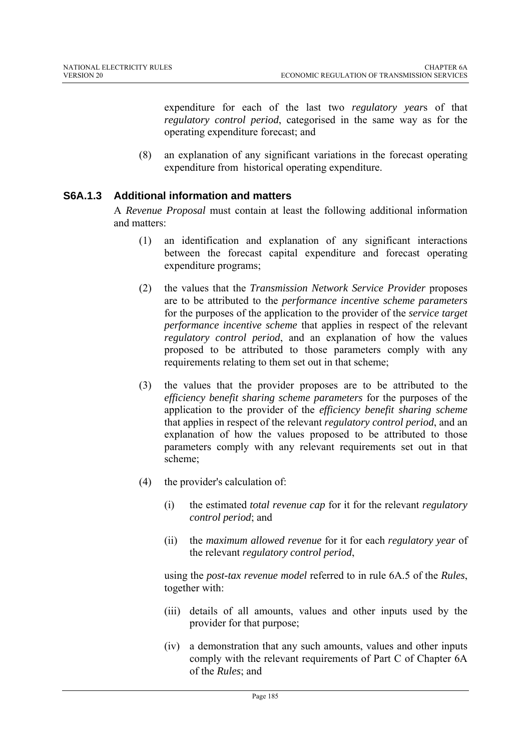expenditure for each of the last two *regulatory year*s of that *regulatory control period*, categorised in the same way as for the operating expenditure forecast; and

(8) an explanation of any significant variations in the forecast operating expenditure from historical operating expenditure.

# **S6A.1.3 Additional information and matters**

A *Revenue Proposal* must contain at least the following additional information and matters:

- (1) an identification and explanation of any significant interactions between the forecast capital expenditure and forecast operating expenditure programs;
- (2) the values that the *Transmission Network Service Provider* proposes are to be attributed to the *performance incentive scheme parameters*  for the purposes of the application to the provider of the *service target performance incentive scheme* that applies in respect of the relevant *regulatory control period*, and an explanation of how the values proposed to be attributed to those parameters comply with any requirements relating to them set out in that scheme;
- (3) the values that the provider proposes are to be attributed to the *efficiency benefit sharing scheme parameters* for the purposes of the application to the provider of the *efficiency benefit sharing scheme* that applies in respect of the relevant *regulatory control period*, and an explanation of how the values proposed to be attributed to those parameters comply with any relevant requirements set out in that scheme;
- (4) the provider's calculation of:
	- (i) the estimated *total revenue cap* for it for the relevant *regulatory control period*; and
	- (ii) the *maximum allowed revenue* for it for each *regulatory year* of the relevant *regulatory control period*,

using the *post-tax revenue model* referred to in rule 6A.5 of the *Rules*, together with:

- (iii) details of all amounts, values and other inputs used by the provider for that purpose;
- (iv) a demonstration that any such amounts, values and other inputs comply with the relevant requirements of Part C of Chapter 6A of the *Rules*; and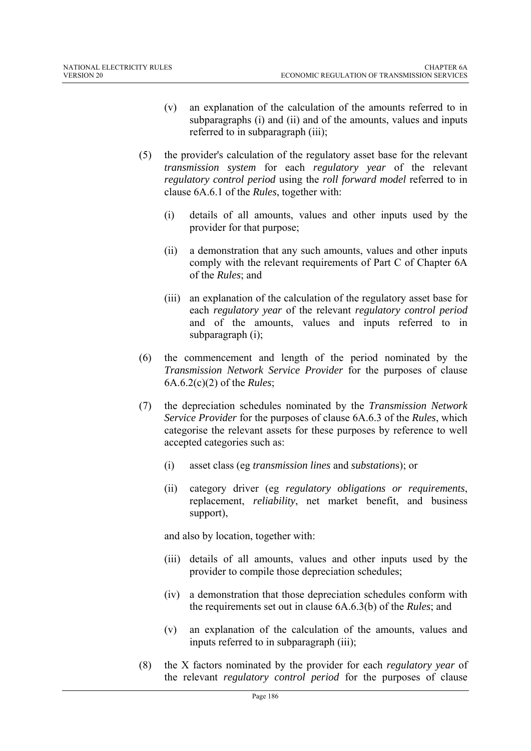- (v) an explanation of the calculation of the amounts referred to in subparagraphs (i) and (ii) and of the amounts, values and inputs referred to in subparagraph (iii);
- (5) the provider's calculation of the regulatory asset base for the relevant *transmission system* for each *regulatory year* of the relevant *regulatory control period* using the *roll forward model* referred to in clause 6A.6.1 of the *Rules*, together with:
	- (i) details of all amounts, values and other inputs used by the provider for that purpose;
	- (ii) a demonstration that any such amounts, values and other inputs comply with the relevant requirements of Part C of Chapter 6A of the *Rules*; and
	- (iii) an explanation of the calculation of the regulatory asset base for each *regulatory year* of the relevant *regulatory control period* and of the amounts, values and inputs referred to in subparagraph (i);
- (6) the commencement and length of the period nominated by the *Transmission Network Service Provider* for the purposes of clause 6A.6.2(c)(2) of the *Rules*;
- (7) the depreciation schedules nominated by the *Transmission Network Service Provider* for the purposes of clause 6A.6.3 of the *Rules*, which categorise the relevant assets for these purposes by reference to well accepted categories such as:
	- (i) asset class (eg *transmission lines* and *substation*s); or
	- (ii) category driver (eg *regulatory obligations or requirements*, replacement, *reliability*, net market benefit, and business support),

and also by location, together with:

- (iii) details of all amounts, values and other inputs used by the provider to compile those depreciation schedules;
- (iv) a demonstration that those depreciation schedules conform with the requirements set out in clause 6A.6.3(b) of the *Rules*; and
- (v) an explanation of the calculation of the amounts, values and inputs referred to in subparagraph (iii);
- (8) the X factors nominated by the provider for each *regulatory year* of the relevant *regulatory control period* for the purposes of clause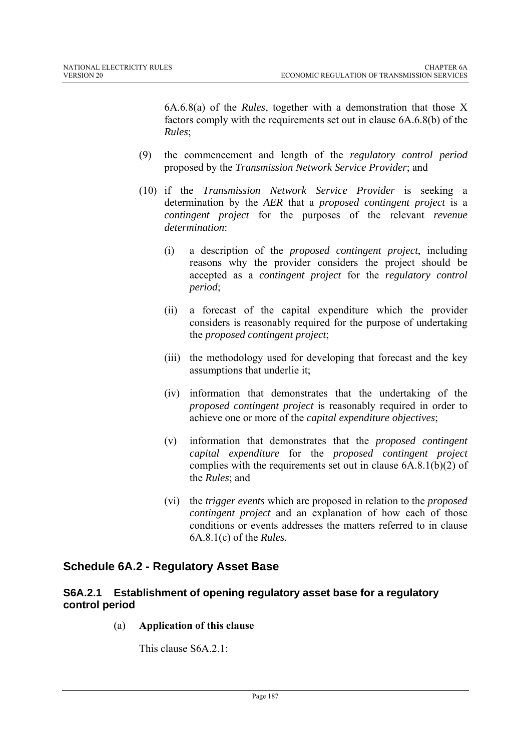6A.6.8(a) of the *Rules*, together with a demonstration that those X factors comply with the requirements set out in clause 6A.6.8(b) of the *Rules*;

- (9) the commencement and length of the *regulatory control period* proposed by the *Transmission Network Service Provider*; and
- (10) if the *Transmission Network Service Provider* is seeking a determination by the *AER* that a *proposed contingent project* is a *contingent project* for the purposes of the relevant *revenue determination*:
	- (i) a description of the *proposed contingent project*, including reasons why the provider considers the project should be accepted as a *contingent project* for the *regulatory control period*;
	- (ii) a forecast of the capital expenditure which the provider considers is reasonably required for the purpose of undertaking the *proposed contingent project*;
	- (iii) the methodology used for developing that forecast and the key assumptions that underlie it;
	- (iv) information that demonstrates that the undertaking of the *proposed contingent project* is reasonably required in order to achieve one or more of the *capital expenditure objectives*;
	- (v) information that demonstrates that the *proposed contingent capital expenditure* for the *proposed contingent project* complies with the requirements set out in clause 6A.8.1(b)(2) of the *Rules*; and
	- (vi) the *trigger events* which are proposed in relation to the *proposed contingent project* and an explanation of how each of those conditions or events addresses the matters referred to in clause 6A.8.1(c) of the *Rules.*

# **Schedule 6A.2 - Regulatory Asset Base**

# **S6A.2.1 Establishment of opening regulatory asset base for a regulatory control period**

(a) **Application of this clause** 

This clause S6A.2.1: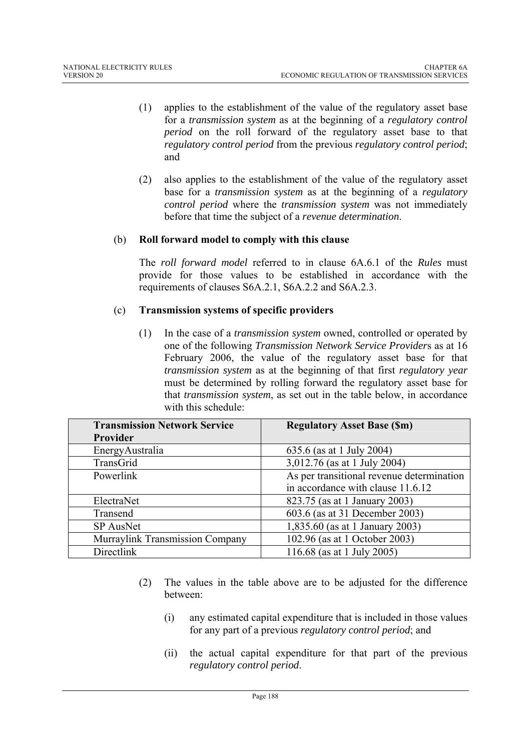- (1) applies to the establishment of the value of the regulatory asset base for a *transmission system* as at the beginning of a *regulatory control period* on the roll forward of the regulatory asset base to that *regulatory control period* from the previous *regulatory control period*; and
- (2) also applies to the establishment of the value of the regulatory asset base for a *transmission system* as at the beginning of a *regulatory control period* where the *transmission system* was not immediately before that time the subject of a *revenue determination*.

# (b) **Roll forward model to comply with this clause**

The *roll forward model* referred to in clause 6A.6.1 of the *Rules* must provide for those values to be established in accordance with the requirements of clauses S6A.2.1, S6A.2.2 and S6A.2.3.

# (c) **Transmission systems of specific providers**

(1) In the case of a *transmission system* owned, controlled or operated by one of the following *Transmission Network Service Provider*s as at 16 February 2006, the value of the regulatory asset base for that *transmission system* as at the beginning of that first *regulatory year* must be determined by rolling forward the regulatory asset base for that *transmission system*, as set out in the table below, in accordance with this schedule:

| <b>Transmission Network Service</b> | <b>Regulatory Asset Base (\$m)</b>        |
|-------------------------------------|-------------------------------------------|
| Provider                            |                                           |
| EnergyAustralia                     | 635.6 (as at 1 July 2004)                 |
| TransGrid                           | 3,012.76 (as at 1 July 2004)              |
| Powerlink                           | As per transitional revenue determination |
|                                     | in accordance with clause 11.6.12         |
| ElectraNet                          | 823.75 (as at 1 January 2003)             |
| Transend                            | 603.6 (as at 31 December 2003)            |
| SP AusNet                           | 1,835.60 (as at 1 January 2003)           |
| Murraylink Transmission Company     | 102.96 (as at 1 October 2003)             |
| Directlink                          | 116.68 (as at 1 July 2005)                |

- (2) The values in the table above are to be adjusted for the difference between:
	- (i) any estimated capital expenditure that is included in those values for any part of a previous *regulatory control period*; and
	- (ii) the actual capital expenditure for that part of the previous *regulatory control period*.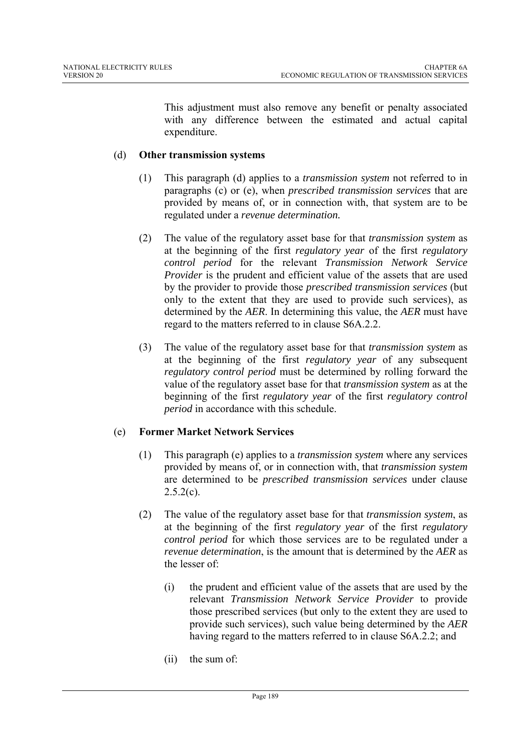This adjustment must also remove any benefit or penalty associated with any difference between the estimated and actual capital expenditure.

# (d) **Other transmission systems**

- (1) This paragraph (d) applies to a *transmission system* not referred to in paragraphs (c) or (e), when *prescribed transmission services* that are provided by means of, or in connection with, that system are to be regulated under a *revenue determination.*
- (2) The value of the regulatory asset base for that *transmission system* as at the beginning of the first *regulatory year* of the first *regulatory control period* for the relevant *Transmission Network Service Provider* is the prudent and efficient value of the assets that are used by the provider to provide those *prescribed transmission services* (but only to the extent that they are used to provide such services), as determined by the *AER*. In determining this value, the *AER* must have regard to the matters referred to in clause S6A.2.2.
- (3) The value of the regulatory asset base for that *transmission system* as at the beginning of the first *regulatory year* of any subsequent *regulatory control period* must be determined by rolling forward the value of the regulatory asset base for that *transmission system* as at the beginning of the first *regulatory year* of the first *regulatory control period* in accordance with this schedule.

# (e) **Former Market Network Services**

- (1) This paragraph (e) applies to a *transmission system* where any services provided by means of, or in connection with, that *transmission system* are determined to be *prescribed transmission services* under clause  $2.5.2(c)$ .
- (2) The value of the regulatory asset base for that *transmission system*, as at the beginning of the first *regulatory year* of the first *regulatory control period* for which those services are to be regulated under a *revenue determination*, is the amount that is determined by the *AER* as the lesser of:
	- (i) the prudent and efficient value of the assets that are used by the relevant *Transmission Network Service Provider* to provide those prescribed services (but only to the extent they are used to provide such services), such value being determined by the *AER* having regard to the matters referred to in clause S6A.2.2; and
	- (ii) the sum of: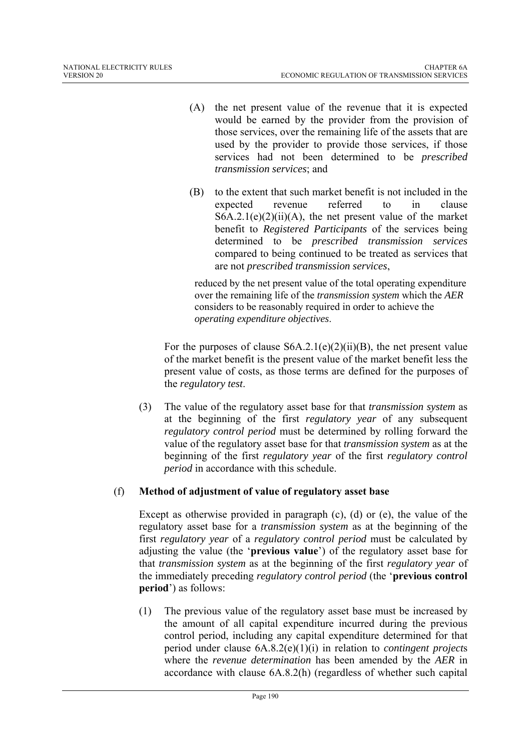- (A) the net present value of the revenue that it is expected would be earned by the provider from the provision of those services, over the remaining life of the assets that are used by the provider to provide those services, if those services had not been determined to be *prescribed transmission services*; and
- (B) to the extent that such market benefit is not included in the expected revenue referred to in clause  $S6A.2.1(e)(2)(ii)(A)$ , the net present value of the market benefit to *Registered Participants* of the services being determined to be *prescribed transmission services* compared to being continued to be treated as services that are not *prescribed transmission services*,

reduced by the net present value of the total operating expenditure over the remaining life of the *transmission system* which the *AER* considers to be reasonably required in order to achieve the *operating expenditure objectives*.

For the purposes of clause  $S6A.2.1(e)(2)(ii)(B)$ , the net present value of the market benefit is the present value of the market benefit less the present value of costs, as those terms are defined for the purposes of the *regulatory test*.

(3) The value of the regulatory asset base for that *transmission system* as at the beginning of the first *regulatory year* of any subsequent *regulatory control period* must be determined by rolling forward the value of the regulatory asset base for that *transmission system* as at the beginning of the first *regulatory year* of the first *regulatory control period* in accordance with this schedule.

# (f) **Method of adjustment of value of regulatory asset base**

Except as otherwise provided in paragraph (c), (d) or (e), the value of the regulatory asset base for a *transmission system* as at the beginning of the first *regulatory year* of a *regulatory control period* must be calculated by adjusting the value (the '**previous value**') of the regulatory asset base for that *transmission system* as at the beginning of the first *regulatory year* of the immediately preceding *regulatory control period* (the '**previous control period**') as follows:

(1) The previous value of the regulatory asset base must be increased by the amount of all capital expenditure incurred during the previous control period, including any capital expenditure determined for that period under clause 6A.8.2(e)(1)(i) in relation to *contingent project*s where the *revenue determination* has been amended by the *AER* in accordance with clause 6A.8.2(h) (regardless of whether such capital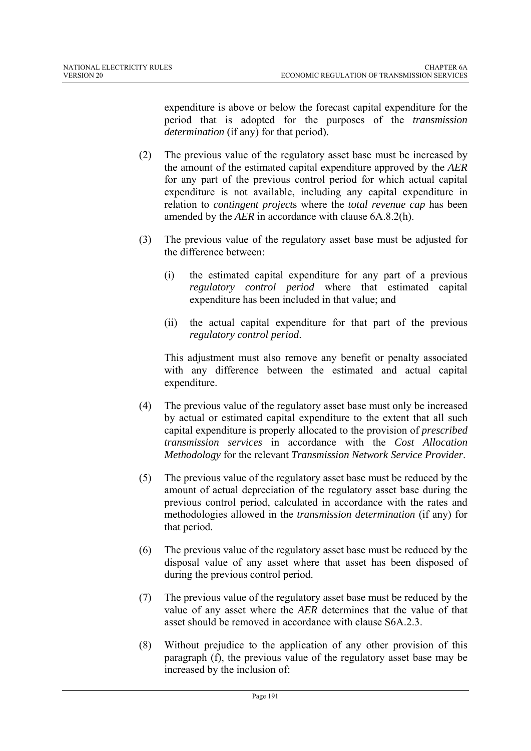expenditure is above or below the forecast capital expenditure for the period that is adopted for the purposes of the *transmission determination* (if any) for that period).

- (2) The previous value of the regulatory asset base must be increased by the amount of the estimated capital expenditure approved by the *AER* for any part of the previous control period for which actual capital expenditure is not available, including any capital expenditure in relation to *contingent project*s where the *total revenue cap* has been amended by the *AER* in accordance with clause 6A.8.2(h).
- (3) The previous value of the regulatory asset base must be adjusted for the difference between:
	- (i) the estimated capital expenditure for any part of a previous *regulatory control period* where that estimated capital expenditure has been included in that value; and
	- (ii) the actual capital expenditure for that part of the previous *regulatory control period*.

This adjustment must also remove any benefit or penalty associated with any difference between the estimated and actual capital expenditure.

- (4) The previous value of the regulatory asset base must only be increased by actual or estimated capital expenditure to the extent that all such capital expenditure is properly allocated to the provision of *prescribed transmission services* in accordance with the *Cost Allocation Methodology* for the relevant *Transmission Network Service Provider*.
- (5) The previous value of the regulatory asset base must be reduced by the amount of actual depreciation of the regulatory asset base during the previous control period, calculated in accordance with the rates and methodologies allowed in the *transmission determination* (if any) for that period.
- (6) The previous value of the regulatory asset base must be reduced by the disposal value of any asset where that asset has been disposed of during the previous control period.
- (7) The previous value of the regulatory asset base must be reduced by the value of any asset where the *AER* determines that the value of that asset should be removed in accordance with clause S6A.2.3.
- (8) Without prejudice to the application of any other provision of this paragraph (f), the previous value of the regulatory asset base may be increased by the inclusion of: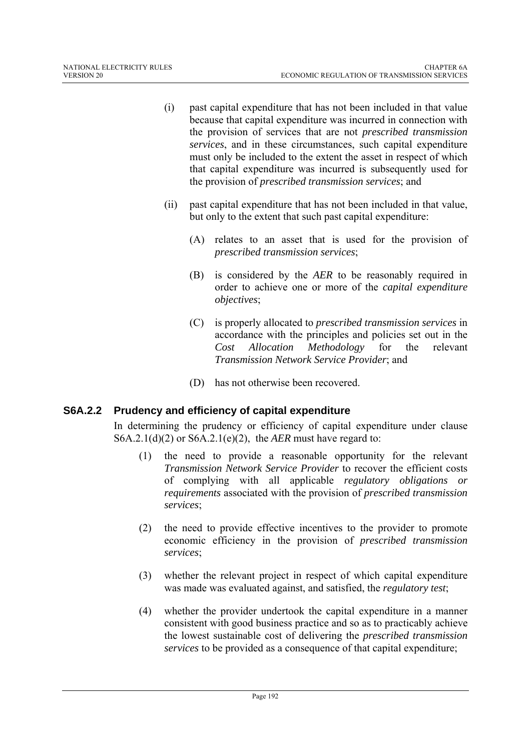- (i) past capital expenditure that has not been included in that value because that capital expenditure was incurred in connection with the provision of services that are not *prescribed transmission services*, and in these circumstances, such capital expenditure must only be included to the extent the asset in respect of which that capital expenditure was incurred is subsequently used for the provision of *prescribed transmission services*; and
- (ii) past capital expenditure that has not been included in that value, but only to the extent that such past capital expenditure:
	- (A) relates to an asset that is used for the provision of *prescribed transmission services*;
	- (B) is considered by the *AER* to be reasonably required in order to achieve one or more of the *capital expenditure objectives*;
	- (C) is properly allocated to *prescribed transmission services* in accordance with the principles and policies set out in the *Cost Allocation Methodology* for the relevant *Transmission Network Service Provider*; and
	- (D) has not otherwise been recovered.

# **S6A.2.2 Prudency and efficiency of capital expenditure**

In determining the prudency or efficiency of capital expenditure under clause S6A.2.1(d)(2) or S6A.2.1(e)(2), the *AER* must have regard to:

- (1) the need to provide a reasonable opportunity for the relevant *Transmission Network Service Provider* to recover the efficient costs of complying with all applicable *regulatory obligations or requirements* associated with the provision of *prescribed transmission services*;
- (2) the need to provide effective incentives to the provider to promote economic efficiency in the provision of *prescribed transmission services*;
- (3) whether the relevant project in respect of which capital expenditure was made was evaluated against, and satisfied, the *regulatory test*;
- (4) whether the provider undertook the capital expenditure in a manner consistent with good business practice and so as to practicably achieve the lowest sustainable cost of delivering the *prescribed transmission services* to be provided as a consequence of that capital expenditure;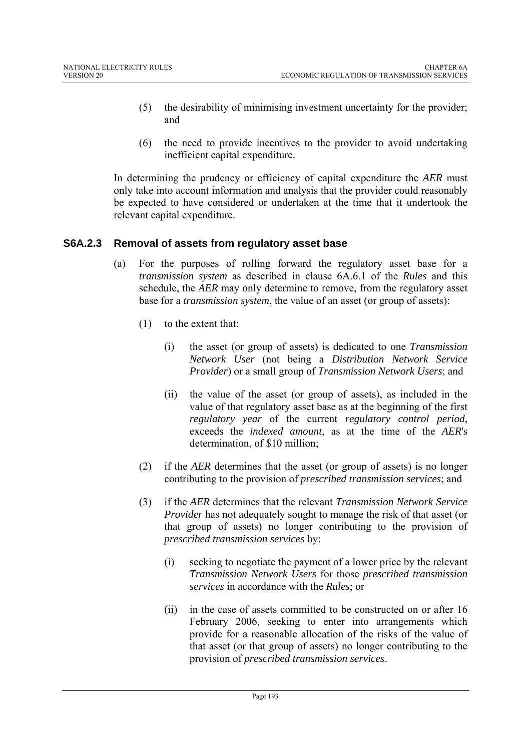- (5) the desirability of minimising investment uncertainty for the provider; and
- (6) the need to provide incentives to the provider to avoid undertaking inefficient capital expenditure.

In determining the prudency or efficiency of capital expenditure the *AER* must only take into account information and analysis that the provider could reasonably be expected to have considered or undertaken at the time that it undertook the relevant capital expenditure.

# **S6A.2.3 Removal of assets from regulatory asset base**

- (a) For the purposes of rolling forward the regulatory asset base for a *transmission system* as described in clause 6A.6.1 of the *Rules* and this schedule, the *AER* may only determine to remove, from the regulatory asset base for a *transmission system*, the value of an asset (or group of assets):
	- (1) to the extent that:
		- (i) the asset (or group of assets) is dedicated to one *Transmission Network User* (not being a *Distribution Network Service Provider*) or a small group of *Transmission Network Users*; and
		- (ii) the value of the asset (or group of assets), as included in the value of that regulatory asset base as at the beginning of the first *regulatory year* of the current *regulatory control period*, exceeds the *indexed amount*, as at the time of the *AER*'s determination, of \$10 million;
	- (2) if the *AER* determines that the asset (or group of assets) is no longer contributing to the provision of *prescribed transmission services*; and
	- (3) if the *AER* determines that the relevant *Transmission Network Service Provider* has not adequately sought to manage the risk of that asset (or that group of assets) no longer contributing to the provision of *prescribed transmission services* by:
		- (i) seeking to negotiate the payment of a lower price by the relevant *Transmission Network Users* for those *prescribed transmission services* in accordance with the *Rules*; or
		- (ii) in the case of assets committed to be constructed on or after 16 February 2006, seeking to enter into arrangements which provide for a reasonable allocation of the risks of the value of that asset (or that group of assets) no longer contributing to the provision of *prescribed transmission services*.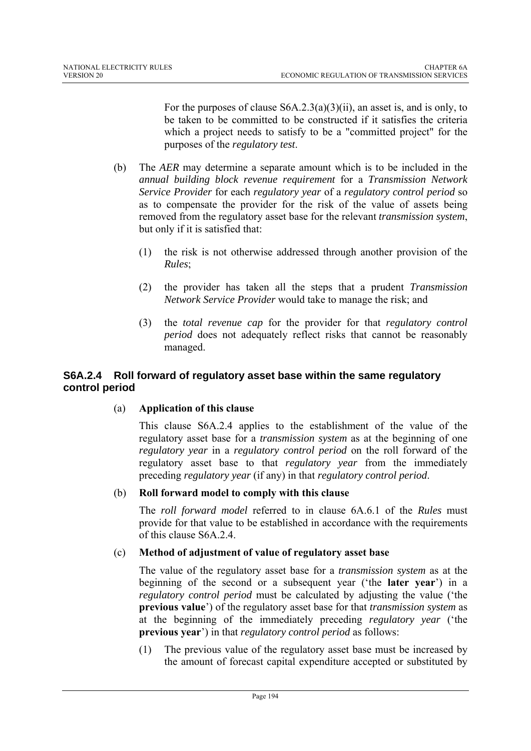For the purposes of clause S6A.2.3(a)(3)(ii), an asset is, and is only, to be taken to be committed to be constructed if it satisfies the criteria which a project needs to satisfy to be a "committed project" for the purposes of the *regulatory test*.

- (b) The *AER* may determine a separate amount which is to be included in the *annual building block revenue requirement* for a *Transmission Network Service Provider* for each *regulatory year* of a *regulatory control period* so as to compensate the provider for the risk of the value of assets being removed from the regulatory asset base for the relevant *transmission system*, but only if it is satisfied that:
	- (1) the risk is not otherwise addressed through another provision of the *Rules*;
	- (2) the provider has taken all the steps that a prudent *Transmission Network Service Provider* would take to manage the risk; and
	- (3) the *total revenue cap* for the provider for that *regulatory control period* does not adequately reflect risks that cannot be reasonably managed.

# **S6A.2.4 Roll forward of regulatory asset base within the same regulatory control period**

# (a) **Application of this clause**

This clause S6A.2.4 applies to the establishment of the value of the regulatory asset base for a *transmission system* as at the beginning of one *regulatory year* in a *regulatory control period* on the roll forward of the regulatory asset base to that *regulatory year* from the immediately preceding *regulatory year* (if any) in that *regulatory control period*.

# (b) **Roll forward model to comply with this clause**

The *roll forward model* referred to in clause 6A.6.1 of the *Rules* must provide for that value to be established in accordance with the requirements of this clause S6A.2.4.

# (c) **Method of adjustment of value of regulatory asset base**

The value of the regulatory asset base for a *transmission system* as at the beginning of the second or a subsequent year ('the **later year**') in a *regulatory control period* must be calculated by adjusting the value ('the **previous value**') of the regulatory asset base for that *transmission system* as at the beginning of the immediately preceding *regulatory year* ('the **previous year**') in that *regulatory control period* as follows:

(1) The previous value of the regulatory asset base must be increased by the amount of forecast capital expenditure accepted or substituted by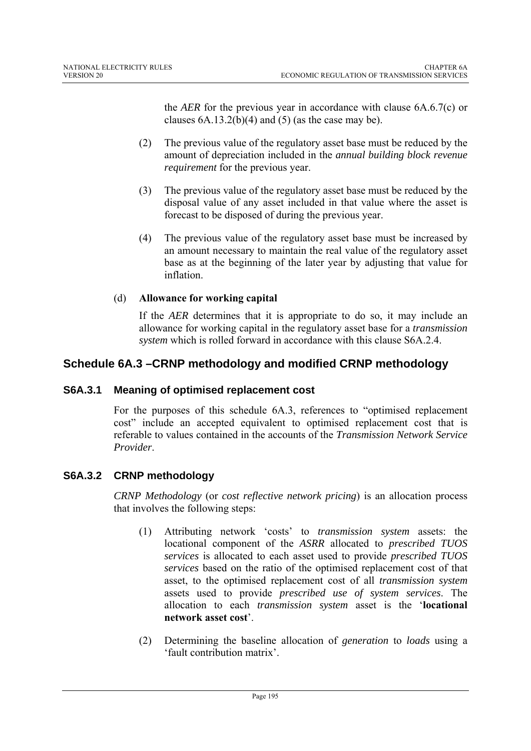the *AER* for the previous year in accordance with clause 6A.6.7(c) or clauses  $6A.13.2(b)(4)$  and  $(5)$  (as the case may be).

- (2) The previous value of the regulatory asset base must be reduced by the amount of depreciation included in the *annual building block revenue requirement* for the previous year.
- (3) The previous value of the regulatory asset base must be reduced by the disposal value of any asset included in that value where the asset is forecast to be disposed of during the previous year.
- (4) The previous value of the regulatory asset base must be increased by an amount necessary to maintain the real value of the regulatory asset base as at the beginning of the later year by adjusting that value for inflation.

# (d) **Allowance for working capital**

If the *AER* determines that it is appropriate to do so, it may include an allowance for working capital in the regulatory asset base for a *transmission system* which is rolled forward in accordance with this clause S6A.2.4.

# **Schedule 6A.3 – CRNP methodology and modified CRNP methodology**

# **S6A.3.1 Meaning of optimised replacement cost**

For the purposes of this schedule 6A.3, references to "optimised replacement cost" include an accepted equivalent to optimised replacement cost that is referable to values contained in the accounts of the *Transmission Network Service Provider*.

# **S6A.3.2 CRNP methodology**

*CRNP Methodology* (or *cost reflective network pricing*) is an allocation process that involves the following steps:

- (1) Attributing network 'costs' to *transmission system* assets: the locational component of the *ASRR* allocated to *prescribed TUOS services* is allocated to each asset used to provide *prescribed TUOS services* based on the ratio of the optimised replacement cost of that asset, to the optimised replacement cost of all *transmission system*  assets used to provide *prescribed use of system services*. The allocation to each *transmission system* asset is the '**locational network asset cost**'.
- (2) Determining the baseline allocation of *generation* to *loads* using a 'fault contribution matrix'.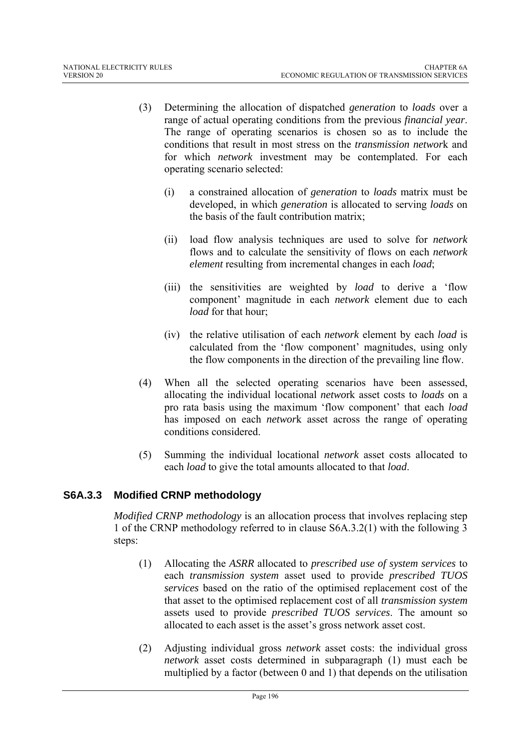- (3) Determining the allocation of dispatched *generation* to *loads* over a range of actual operating conditions from the previous *financial year*. The range of operating scenarios is chosen so as to include the conditions that result in most stress on the *transmission networ*k and for which *network* investment may be contemplated. For each operating scenario selected:
	- (i) a constrained allocation of *generation* to *loads* matrix must be developed, in which *generation* is allocated to serving *loads* on the basis of the fault contribution matrix;
	- (ii) load flow analysis techniques are used to solve for *network* flows and to calculate the sensitivity of flows on each *network element* resulting from incremental changes in each *load*;
	- (iii) the sensitivities are weighted by *load* to derive a 'flow component' magnitude in each *network* element due to each *load* for that hour;
	- (iv) the relative utilisation of each *network* element by each *load* is calculated from the 'flow component' magnitudes, using only the flow components in the direction of the prevailing line flow.
- (4) When all the selected operating scenarios have been assessed, allocating the individual locational *netwo*rk asset costs to *loads* on a pro rata basis using the maximum 'flow component' that each *load* has imposed on each *networ*k asset across the range of operating conditions considered.
- (5) Summing the individual locational *network* asset costs allocated to each *load* to give the total amounts allocated to that *load*.

# **S6A.3.3 Modified CRNP methodology**

*Modified CRNP methodology* is an allocation process that involves replacing step 1 of the CRNP methodology referred to in clause S6A.3.2(1) with the following 3 steps:

- (1) Allocating the *ASRR* allocated to *prescribed use of system services* to each *transmission system* asset used to provide *prescribed TUOS services* based on the ratio of the optimised replacement cost of the that asset to the optimised replacement cost of all *transmission system*  assets used to provide *prescribed TUOS services*. The amount so allocated to each asset is the asset's gross network asset cost.
- (2) Adjusting individual gross *network* asset costs: the individual gross *network* asset costs determined in subparagraph (1) must each be multiplied by a factor (between 0 and 1) that depends on the utilisation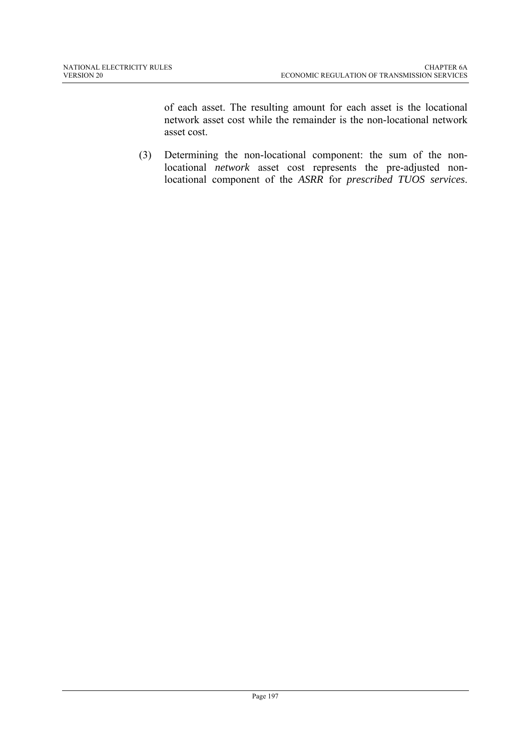of each asset. The resulting amount for each asset is the locational network asset cost while the remainder is the non-locational network asset cost.

(3) Determining the non-locational component: the sum of the nonlocational *network* asset cost represents the pre-adjusted nonlocational component of the *ASRR* for *prescribed TUOS services*.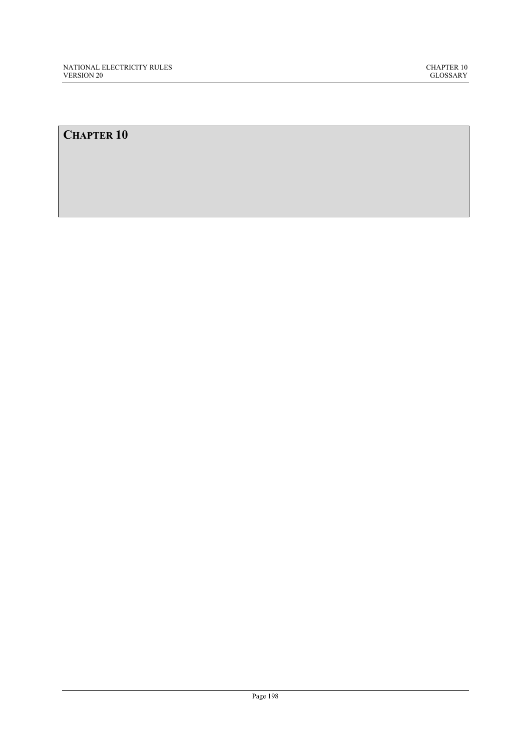# **CHAPTER 10**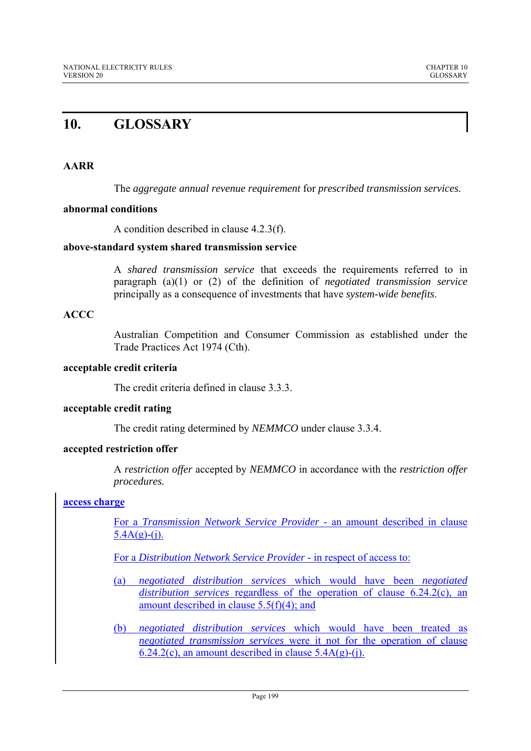# **10. GLOSSARY**

# **AARR**

The *aggregate annual revenue requirement* for *prescribed transmission services.*

# **abnormal conditions**

A condition described in clause 4.2.3(f).

# **above-standard system shared transmission service**

A *shared transmission service* that exceeds the requirements referred to in paragraph (a)(1) or (2) of the definition of *negotiated transmission service* principally as a consequence of investments that have *system-wide benefits*.

# **ACCC**

Australian Competition and Consumer Commission as established under the Trade Practices Act 1974 (Cth).

# **acceptable credit criteria**

The credit criteria defined in clause 3.3.3.

# **acceptable credit rating**

The credit rating determined by *NEMMCO* under clause 3.3.4.

# **accepted restriction offer**

A *restriction offer* accepted by *NEMMCO* in accordance with the *restriction offer procedures.* 

# **access charge**

For a *Transmission Network Service Provider* - an amount described in clause  $5.4A(g)-(i)$ .

For a *Distribution Network Service Provider* - in respect of access to:

- (a) *negotiated distribution services* which would have been *negotiated distribution services* regardless of the operation of clause 6.24.2(c), an amount described in clause 5.5(f)(4); and
- (b) *negotiated distribution services* which would have been treated as *negotiated transmission services* were it not for the operation of clause  $6.24.2(c)$ , an amount described in clause 5.4A(g)-(i).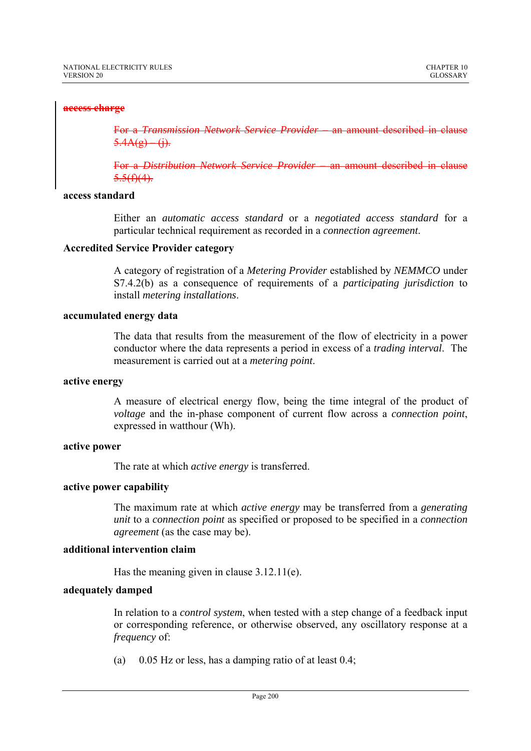## **access charge**

For a *Transmission Network Service Provider –* an amount described in clause  $5.4A(g) - (i)$ .

For a *Distribution Network Service Provider* – an amount described in clause  $5.5(f)(4)$ .

## **access standard**

Either an *automatic access standard* or a *negotiated access standard* for a particular technical requirement as recorded in a *connection agreement*.

# **Accredited Service Provider category**

A category of registration of a *Metering Provider* established by *NEMMCO* under S7.4.2(b) as a consequence of requirements of a *participating jurisdiction* to install *metering installations*.

# **accumulated energy data**

The data that results from the measurement of the flow of electricity in a power conductor where the data represents a period in excess of a *trading interval*. The measurement is carried out at a *metering point*.

## **active energy**

A measure of electrical energy flow, being the time integral of the product of *voltage* and the in-phase component of current flow across a *connection point*, expressed in watthour (Wh).

## **active power**

The rate at which *active energy* is transferred.

## **active power capability**

The maximum rate at which *active energy* may be transferred from a *generating unit* to a *connection point* as specified or proposed to be specified in a *connection agreement* (as the case may be).

## **additional intervention claim**

Has the meaning given in clause 3.12.11(e).

# **adequately damped**

In relation to a *control system*, when tested with a step change of a feedback input or corresponding reference, or otherwise observed, any oscillatory response at a *frequency* of:

(a) 0.05 Hz or less, has a damping ratio of at least 0.4;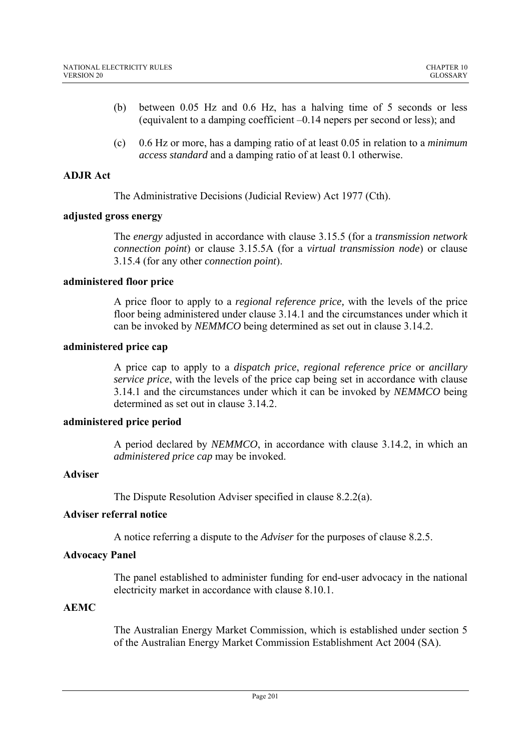- (b) between 0.05 Hz and 0.6 Hz, has a halving time of 5 seconds or less (equivalent to a damping coefficient –0.14 nepers per second or less); and
- (c) 0.6 Hz or more, has a damping ratio of at least 0.05 in relation to a *minimum access standard* and a damping ratio of at least 0.1 otherwise.

# **ADJR Act**

The Administrative Decisions (Judicial Review) Act 1977 (Cth).

## **adjusted gross energy**

The *energy* adjusted in accordance with clause 3.15.5 (for a *transmission network connection point*) or clause 3.15.5A (for a *virtual transmission node*) or clause 3.15.4 (for any other *connection point*).

## **administered floor price**

A price floor to apply to a *regional reference price,* with the levels of the price floor being administered under clause 3.14.1 and the circumstances under which it can be invoked by *NEMMCO* being determined as set out in clause 3.14.2.

# **administered price cap**

A price cap to apply to a *dispatch price*, *regional reference price* or *ancillary service price*, with the levels of the price cap being set in accordance with clause 3.14.1 and the circumstances under which it can be invoked by *NEMMCO* being determined as set out in clause 3.14.2.

# **administered price period**

A period declared by *NEMMCO*, in accordance with clause 3.14.2, in which an *administered price cap* may be invoked.

# **Adviser**

The Dispute Resolution Adviser specified in clause 8.2.2(a).

# **Adviser referral notice**

A notice referring a dispute to the *Adviser* for the purposes of clause 8.2.5.

# **Advocacy Panel**

The panel established to administer funding for end-user advocacy in the national electricity market in accordance with clause 8.10.1.

# **AEMC**

The Australian Energy Market Commission, which is established under section 5 of the Australian Energy Market Commission Establishment Act 2004 (SA).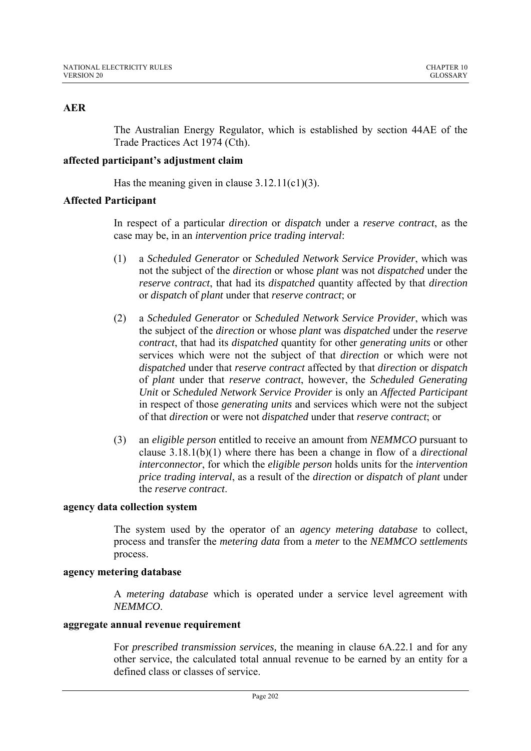# **AER**

The Australian Energy Regulator, which is established by section 44AE of the Trade Practices Act 1974 (Cth).

# **affected participant's adjustment claim**

Has the meaning given in clause  $3.12.11(c1)(3)$ .

# **Affected Participant**

In respect of a particular *direction* or *dispatch* under a *reserve contract*, as the case may be, in an *intervention price trading interval*:

- (1) a *Scheduled Generator* or *Scheduled Network Service Provider*, which was not the subject of the *direction* or whose *plant* was not *dispatched* under the *reserve contract*, that had its *dispatched* quantity affected by that *direction* or *dispatch* of *plant* under that *reserve contract*; or
- (2) a *Scheduled Generator* or *Scheduled Network Service Provider*, which was the subject of the *direction* or whose *plant* was *dispatched* under the *reserve contract*, that had its *dispatched* quantity for other *generating units* or other services which were not the subject of that *direction* or which were not *dispatched* under that *reserve contract* affected by that *direction* or *dispatch* of *plant* under that *reserve contract*, however, the *Scheduled Generating Unit* or *Scheduled Network Service Provider* is only an *Affected Participant* in respect of those *generating units* and services which were not the subject of that *direction* or were not *dispatched* under that *reserve contract*; or
- (3) an *eligible person* entitled to receive an amount from *NEMMCO* pursuant to clause 3.18.1(b)(1) where there has been a change in flow of a *directional interconnector*, for which the *eligible person* holds units for the *intervention price trading interval*, as a result of the *direction* or *dispatch* of *plant* under the *reserve contract*.

# **agency data collection system**

The system used by the operator of an *agency metering database* to collect, process and transfer the *metering data* from a *meter* to the *NEMMCO settlements* process.

## **agency metering database**

A *metering database* which is operated under a service level agreement with *NEMMCO*.

## **aggregate annual revenue requirement**

For *prescribed transmission services,* the meaning in clause 6A.22.1 and for any other service, the calculated total annual revenue to be earned by an entity for a defined class or classes of service.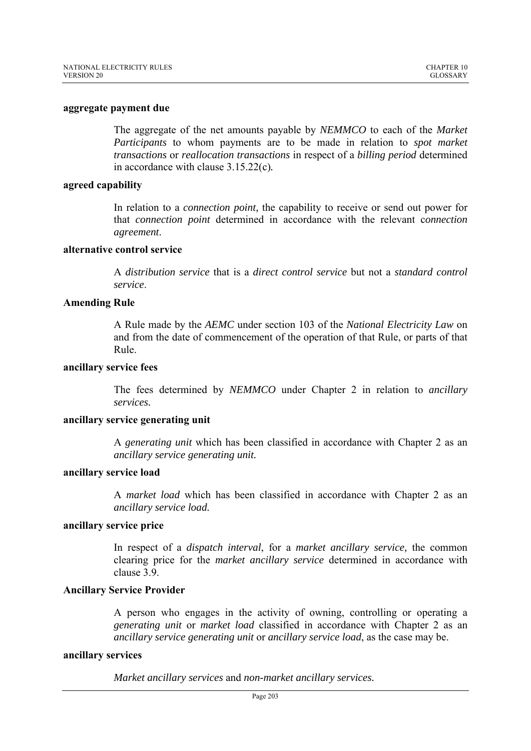#### **aggregate payment due**

The aggregate of the net amounts payable by *NEMMCO* to each of the *Market Participants* to whom payments are to be made in relation to *spot market transactions* or *reallocation transactions* in respect of a *billing period* determined in accordance with clause 3.15.22(c)*.*

## **agreed capability**

In relation to a *connection point,* the capability to receive or send out power for that *connection point* determined in accordance with the relevant c*onnection agreement*.

# **alternative control service**

A *distribution service* that is a *direct control service* but not a *standard control service*.

## **Amending Rule**

A Rule made by the *AEMC* under section 103 of the *National Electricity Law* on and from the date of commencement of the operation of that Rule, or parts of that Rule.

#### **ancillary service fees**

The fees determined by *NEMMCO* under Chapter 2 in relation to *ancillary services.*

# **ancillary service generating unit**

A *generating unit* which has been classified in accordance with Chapter 2 as an *ancillary service generating unit.* 

# **ancillary service load**

A *market load* which has been classified in accordance with Chapter 2 as an *ancillary service load.*

## **ancillary service price**

In respect of a *dispatch interval*, for a *market ancillary service,* the common clearing price for the *market ancillary service* determined in accordance with clause 3.9.

## **Ancillary Service Provider**

A person who engages in the activity of owning, controlling or operating a *generating unit* or *market load* classified in accordance with Chapter 2 as an *ancillary service generating unit* or *ancillary service load*, as the case may be.

## **ancillary services**

*Market ancillary services* and *non-market ancillary services.*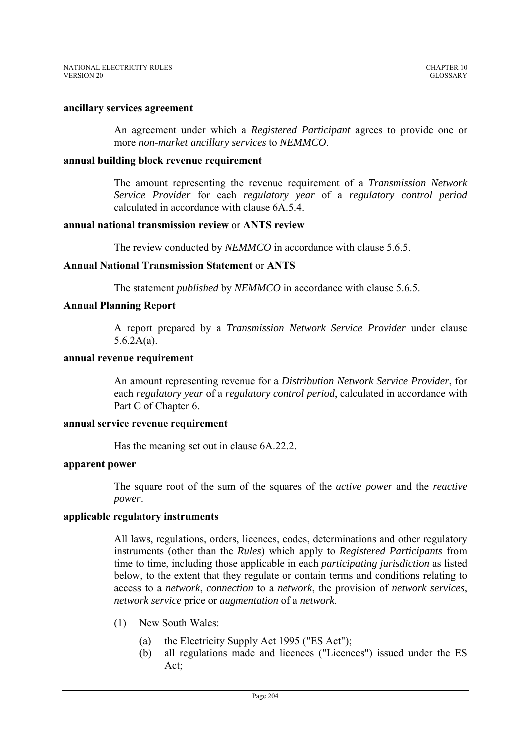#### **ancillary services agreement**

An agreement under which a *Registered Participant* agrees to provide one or more *non-market ancillary services* to *NEMMCO*.

#### **annual building block revenue requirement**

The amount representing the revenue requirement of a *Transmission Network Service Provider* for each *regulatory year* of a *regulatory control period* calculated in accordance with clause 6A.5.4.

#### **annual national transmission review** or **ANTS review**

The review conducted by *NEMMCO* in accordance with clause 5.6.5.

## **Annual National Transmission Statement** or **ANTS**

The statement *published* by *NEMMCO* in accordance with clause 5.6.5.

## **Annual Planning Report**

A report prepared by a *Transmission Network Service Provider* under clause 5.6.2A(a).

### **annual revenue requirement**

An amount representing revenue for a *Distribution Network Service Provider*, for each *regulatory year* of a *regulatory control period*, calculated in accordance with Part C of Chapter 6.

#### **annual service revenue requirement**

Has the meaning set out in clause 6A.22.2.

#### **apparent power**

The square root of the sum of the squares of the *active power* and the *reactive power*.

## **applicable regulatory instruments**

All laws, regulations, orders, licences, codes, determinations and other regulatory instruments (other than the *Rules*) which apply to *Registered Participants* from time to time, including those applicable in each *participating jurisdiction* as listed below, to the extent that they regulate or contain terms and conditions relating to access to a *network*, *connection* to a *network*, the provision of *network services*, *network service* price or *augmentation* of a *network*.

- (1) New South Wales:
	- (a) the Electricity Supply Act 1995 ("ES Act");
	- (b) all regulations made and licences ("Licences") issued under the ES Act;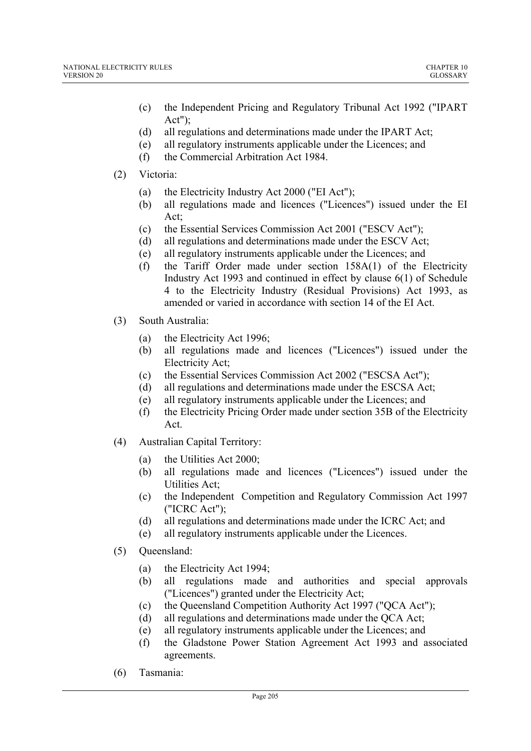- (c) the Independent Pricing and Regulatory Tribunal Act 1992 ("IPART Act");
- (d) all regulations and determinations made under the IPART Act;
- (e) all regulatory instruments applicable under the Licences; and
- (f) the Commercial Arbitration Act 1984.

# (2) Victoria:

- (a) the Electricity Industry Act 2000 ("EI Act");
- (b) all regulations made and licences ("Licences") issued under the EI Act;
- (c) the Essential Services Commission Act 2001 ("ESCV Act");
- (d) all regulations and determinations made under the ESCV Act;
- (e) all regulatory instruments applicable under the Licences; and
- (f) the Tariff Order made under section 158A(1) of the Electricity Industry Act 1993 and continued in effect by clause 6(1) of Schedule 4 to the Electricity Industry (Residual Provisions) Act 1993, as amended or varied in accordance with section 14 of the EI Act.
- (3) South Australia:
	- (a) the Electricity Act 1996;
	- (b) all regulations made and licences ("Licences") issued under the Electricity Act;
	- (c) the Essential Services Commission Act 2002 ("ESCSA Act");
	- (d) all regulations and determinations made under the ESCSA Act;
	- (e) all regulatory instruments applicable under the Licences; and
	- (f) the Electricity Pricing Order made under section 35B of the Electricity Act.
- (4) Australian Capital Territory:
	- (a) the Utilities Act 2000;
	- (b) all regulations made and licences ("Licences") issued under the Utilities Act;
	- (c) the Independent Competition and Regulatory Commission Act 1997 ("ICRC Act");
	- (d) all regulations and determinations made under the ICRC Act; and
	- (e) all regulatory instruments applicable under the Licences.
- (5) Queensland:
	- (a) the Electricity Act 1994;
	- (b) all regulations made and authorities and special approvals ("Licences") granted under the Electricity Act;
	- (c) the Queensland Competition Authority Act 1997 ("QCA Act");
	- (d) all regulations and determinations made under the QCA Act;
	- (e) all regulatory instruments applicable under the Licences; and
	- (f) the Gladstone Power Station Agreement Act 1993 and associated agreements.
- (6) Tasmania: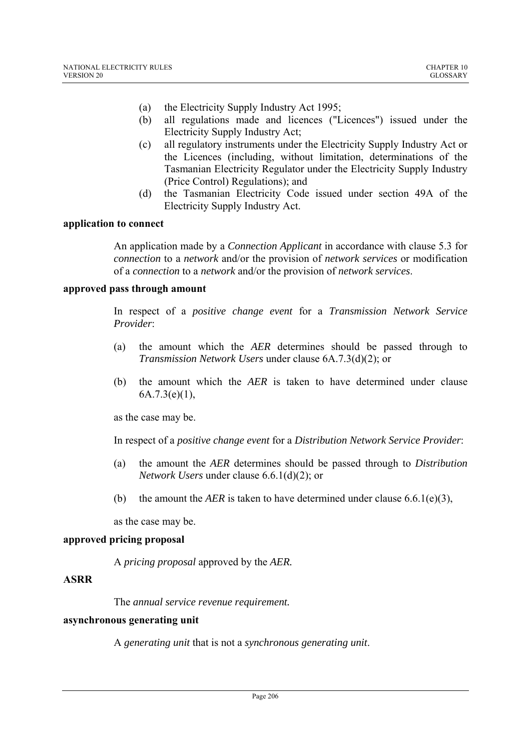- (a) the Electricity Supply Industry Act 1995;
- (b) all regulations made and licences ("Licences") issued under the Electricity Supply Industry Act;
- (c) all regulatory instruments under the Electricity Supply Industry Act or the Licences (including, without limitation, determinations of the Tasmanian Electricity Regulator under the Electricity Supply Industry (Price Control) Regulations); and
- (d) the Tasmanian Electricity Code issued under section 49A of the Electricity Supply Industry Act.

# **application to connect**

An application made by a *Connection Applicant* in accordance with clause 5.3 for *connection* to a *network* and/or the provision of *network services* or modification of a *connection* to a *network* and/or the provision of *network services*.

# **approved pass through amount**

In respect of a *positive change event* for a *Transmission Network Service Provider*:

- (a) the amount which the *AER* determines should be passed through to *Transmission Network Users* under clause 6A.7.3(d)(2); or
- (b) the amount which the *AER* is taken to have determined under clause 6A.7.3(e)(1),

as the case may be.

In respect of a *positive change event* for a *Distribution Network Service Provider*:

- (a) the amount the *AER* determines should be passed through to *Distribution Network Users* under clause 6.6.1(d)(2); or
- (b) the amount the *AER* is taken to have determined under clause  $6.6.1(e)(3)$ ,

as the case may be.

# **approved pricing proposal**

A *pricing proposal* approved by the *AER.*

# **ASRR**

The *annual service revenue requirement.*

## **asynchronous generating unit**

A *generating unit* that is not a *synchronous generating unit*.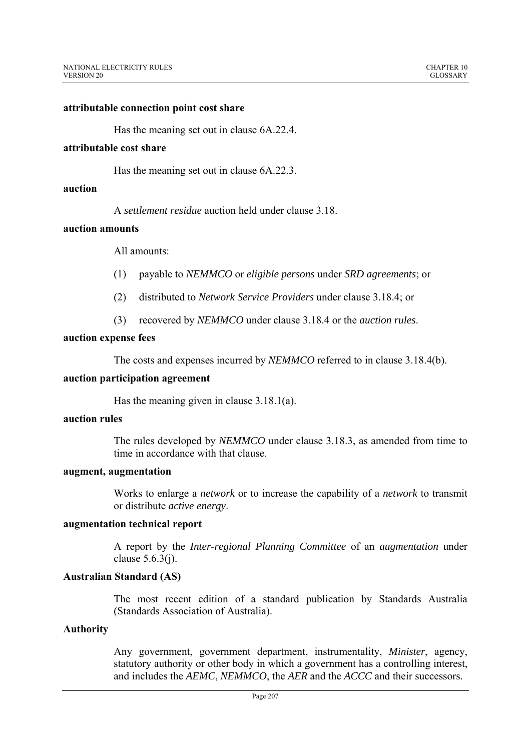#### **attributable connection point cost share**

Has the meaning set out in clause 6A.22.4.

#### **attributable cost share**

Has the meaning set out in clause 6A.22.3.

#### **auction**

A *settlement residue* auction held under clause 3.18.

#### **auction amounts**

All amounts:

- (1) payable to *NEMMCO* or *eligible persons* under *SRD agreements*; or
- (2) distributed to *Network Service Providers* under clause 3.18.4; or
- (3) recovered by *NEMMCO* under clause 3.18.4 or the *auction rules*.

#### **auction expense fees**

The costs and expenses incurred by *NEMMCO* referred to in clause 3.18.4(b).

#### **auction participation agreement**

Has the meaning given in clause 3.18.1(a).

# **auction rules**

The rules developed by *NEMMCO* under clause 3.18.3, as amended from time to time in accordance with that clause.

## **augment, augmentation**

Works to enlarge a *network* or to increase the capability of a *network* to transmit or distribute *active energy*.

### **augmentation technical report**

A report by the *Inter-regional Planning Committee* of an *augmentation* under clause 5.6.3(j).

### **Australian Standard (AS)**

The most recent edition of a standard publication by Standards Australia (Standards Association of Australia).

#### **Authority**

Any government, government department, instrumentality, *Minister*, agency, statutory authority or other body in which a government has a controlling interest, and includes the *AEMC*, *NEMMCO*, the *AER* and the *ACCC* and their successors.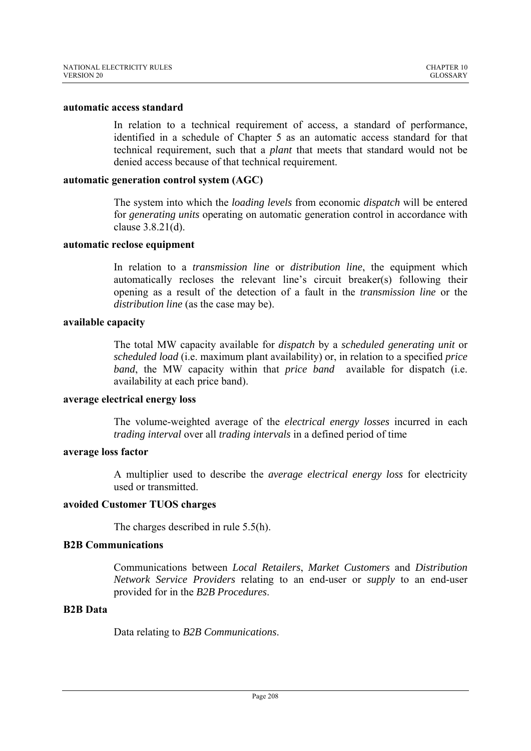#### **automatic access standard**

In relation to a technical requirement of access, a standard of performance, identified in a schedule of Chapter 5 as an automatic access standard for that technical requirement, such that a *plant* that meets that standard would not be denied access because of that technical requirement.

#### **automatic generation control system (AGC)**

The system into which the *loading levels* from economic *dispatch* will be entered for *generating units* operating on automatic generation control in accordance with clause 3.8.21(d).

#### **automatic reclose equipment**

In relation to a *transmission line* or *distribution line*, the equipment which automatically recloses the relevant line's circuit breaker(s) following their opening as a result of the detection of a fault in the *transmission line* or the *distribution line* (as the case may be).

#### **available capacity**

The total MW capacity available for *dispatch* by a *scheduled generating unit* or *scheduled load* (i.e. maximum plant availability) or, in relation to a specified *price band*, the MW capacity within that *price band* available for dispatch (i.e. availability at each price band).

## **average electrical energy loss**

The volume-weighted average of the *electrical energy losses* incurred in each *trading interval* over all *trading intervals* in a defined period of time

## **average loss factor**

A multiplier used to describe the *average electrical energy loss* for electricity used or transmitted.

## **avoided Customer TUOS charges**

The charges described in rule 5.5(h).

# **B2B Communications**

Communications between *Local Retailers*, *Market Customers* and *Distribution Network Service Providers* relating to an end-user or *supply* to an end-user provided for in the *B2B Procedures*.

# **B2B Data**

Data relating to *B2B Communications*.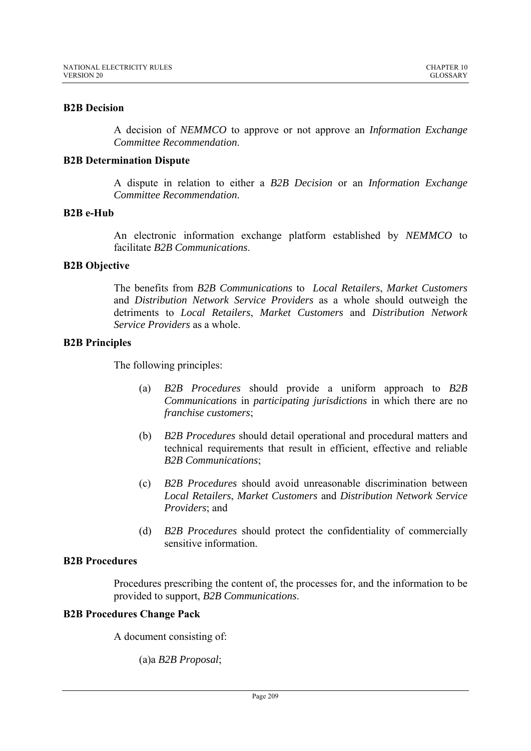# **B2B Decision**

A decision of *NEMMCO* to approve or not approve an *Information Exchange Committee Recommendation*.

# **B2B Determination Dispute**

A dispute in relation to either a *B2B Decision* or an *Information Exchange Committee Recommendation*.

# **B2B e-Hub**

An electronic information exchange platform established by *NEMMCO* to facilitate *B2B Communications*.

# **B2B Objective**

The benefits from *B2B Communications* to *Local Retailers*, *Market Customers* and *Distribution Network Service Providers* as a whole should outweigh the detriments to *Local Retailers*, *Market Customers* and *Distribution Network Service Providers* as a whole.

## **B2B Principles**

The following principles:

- (a) *B2B Procedures* should provide a uniform approach to *B2B Communications* in *participating jurisdictions* in which there are no *franchise customers*;
- (b) *B2B Procedures* should detail operational and procedural matters and technical requirements that result in efficient, effective and reliable *B2B Communications*;
- (c) *B2B Procedures* should avoid unreasonable discrimination between *Local Retailers*, *Market Customers* and *Distribution Network Service Providers*; and
- (d) *B2B Procedures* should protect the confidentiality of commercially sensitive information.

# **B2B Procedures**

Procedures prescribing the content of, the processes for, and the information to be provided to support, *B2B Communications*.

# **B2B Procedures Change Pack**

A document consisting of:

(a)a *B2B Proposal*;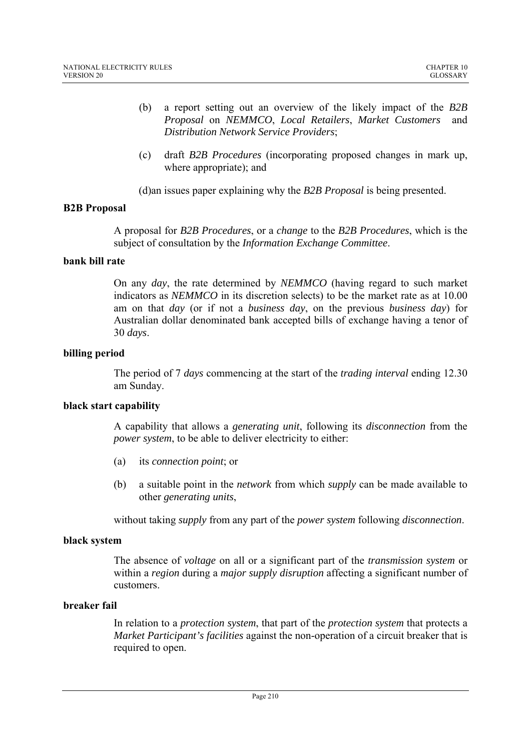- (b) a report setting out an overview of the likely impact of the *B2B Proposal* on *NEMMCO*, *Local Retailers*, *Market Customers* and *Distribution Network Service Providers*;
- (c) draft *B2B Procedures* (incorporating proposed changes in mark up, where appropriate); and

(d)an issues paper explaining why the *B2B Proposal* is being presented.

# **B2B Proposal**

A proposal for *B2B Procedures*, or a *change* to the *B2B Procedures*, which is the subject of consultation by the *Information Exchange Committee*.

## **bank bill rate**

On any *day*, the rate determined by *NEMMCO* (having regard to such market indicators as *NEMMCO* in its discretion selects) to be the market rate as at 10.00 am on that *day* (or if not a *business day*, on the previous *business day*) for Australian dollar denominated bank accepted bills of exchange having a tenor of 30 *days*.

## **billing period**

The period of 7 *days* commencing at the start of the *trading interval* ending 12.30 am Sunday.

## **black start capability**

A capability that allows a *generating unit*, following its *disconnection* from the *power system*, to be able to deliver electricity to either:

- (a) its *connection point*; or
- (b) a suitable point in the *network* from which *supply* can be made available to other *generating units*,

without taking *supply* from any part of the *power system* following *disconnection*.

## **black system**

The absence of *voltage* on all or a significant part of the *transmission system* or within a *region* during a *major supply disruption* affecting a significant number of customers.

## **breaker fail**

In relation to a *protection system*, that part of the *protection system* that protects a *Market Participant's facilities* against the non-operation of a circuit breaker that is required to open.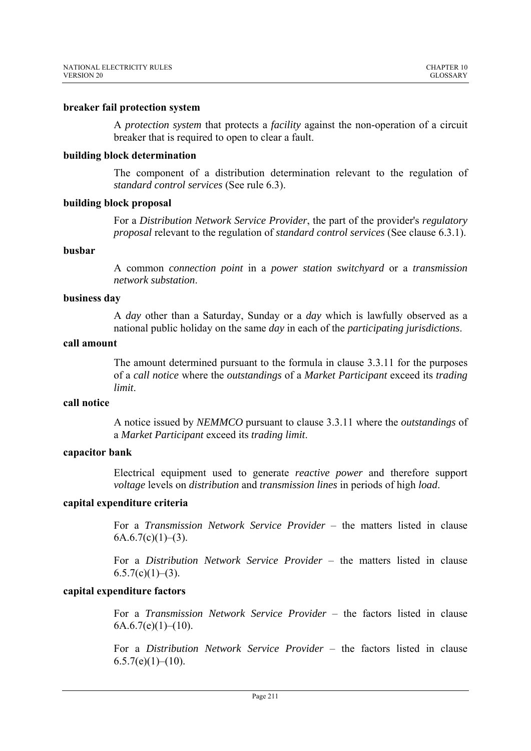# **breaker fail protection system**

A *protection system* that protects a *facility* against the non-operation of a circuit breaker that is required to open to clear a fault.

# **building block determination**

The component of a distribution determination relevant to the regulation of *standard control services* (See rule 6.3).

## **building block proposal**

For a *Distribution Network Service Provider*, the part of the provider's *regulatory proposal* relevant to the regulation of *standard control services* (See clause 6.3.1).

## **busbar**

A common *connection point* in a *power station switchyard* or a *transmission network substation*.

## **business day**

A *day* other than a Saturday, Sunday or a *day* which is lawfully observed as a national public holiday on the same *day* in each of the *participating jurisdictions*.

#### **call amount**

The amount determined pursuant to the formula in clause 3.3.11 for the purposes of a *call notice* where the *outstandings* of a *Market Participant* exceed its *trading limit*.

# **call notice**

A notice issued by *NEMMCO* pursuant to clause 3.3.11 where the *outstandings* of a *Market Participant* exceed its *trading limit*.

## **capacitor bank**

Electrical equipment used to generate *reactive power* and therefore support *voltage* levels on *distribution* and *transmission lines* in periods of high *load*.

# **capital expenditure criteria**

For a *Transmission Network Service Provider* – the matters listed in clause  $6A.6.7(c)(1)–(3)$ .

For a *Distribution Network Service Provider* – the matters listed in clause  $6.5.7(c)(1)–(3)$ .

# **capital expenditure factors**

For a *Transmission Network Service Provider* – the factors listed in clause  $6A.6.7(e)(1)–(10).$ 

For a *Distribution Network Service Provider* – the factors listed in clause  $6.5.7(e)(1)–(10).$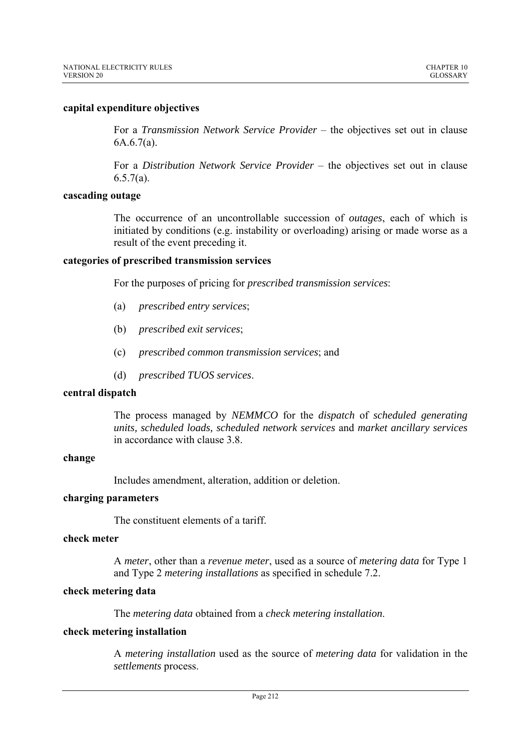# **capital expenditure objectives**

For a *Transmission Network Service Provider* – the objectives set out in clause 6A.6.7(a).

For a *Distribution Network Service Provider* – the objectives set out in clause  $6.5.7(a)$ .

## **cascading outage**

The occurrence of an uncontrollable succession of *outages*, each of which is initiated by conditions (e.g. instability or overloading) arising or made worse as a result of the event preceding it.

## **categories of prescribed transmission services**

For the purposes of pricing for *prescribed transmission services*:

- (a) *prescribed entry services*;
- (b) *prescribed exit services*;
- (c) *prescribed common transmission services*; and
- (d) *prescribed TUOS services*.

## **central dispatch**

The process managed by *NEMMCO* for the *dispatch* of *scheduled generating units, scheduled loads, scheduled network services* and *market ancillary services*  in accordance with clause 3.8.

#### **change**

Includes amendment, alteration, addition or deletion.

# **charging parameters**

The constituent elements of a tariff.

## **check meter**

A *meter*, other than a *revenue meter*, used as a source of *metering data* for Type 1 and Type 2 *metering installations* as specified in schedule 7.2.

# **check metering data**

The *metering data* obtained from a *check metering installation*.

#### **check metering installation**

A *metering installation* used as the source of *metering data* for validation in the *settlements* process.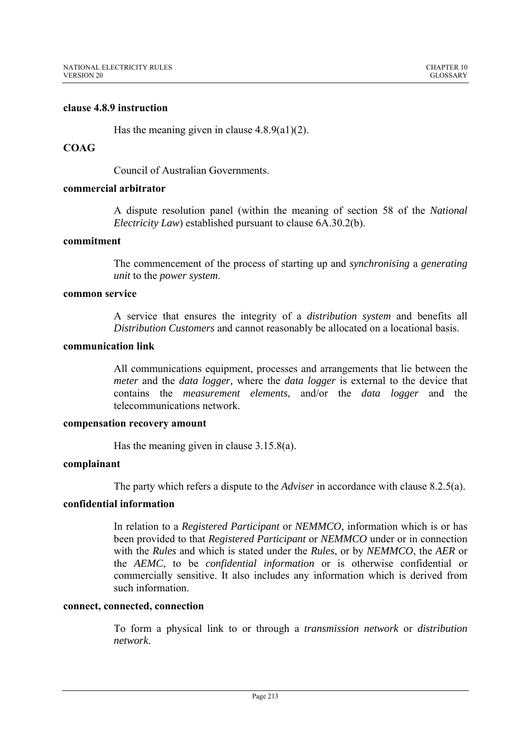# **clause 4.8.9 instruction**

Has the meaning given in clause  $4.8.9(a1)(2)$ .

# **COAG**

Council of Australian Governments.

#### **commercial arbitrator**

A dispute resolution panel (within the meaning of section 58 of the *National Electricity Law*) established pursuant to clause 6A.30.2(b).

# **commitment**

The commencement of the process of starting up and *synchronising* a *generating unit* to the *power system*.

#### **common service**

A service that ensures the integrity of a *distribution system* and benefits all *Distribution Customers* and cannot reasonably be allocated on a locational basis.

# **communication link**

All communications equipment, processes and arrangements that lie between the *meter* and the *data logger,* where the *data logger* is external to the device that contains the *measurement elements*, and/or the *data logger* and the telecommunications network.

#### **compensation recovery amount**

Has the meaning given in clause 3.15.8(a).

## **complainant**

The party which refers a dispute to the *Adviser* in accordance with clause 8.2.5(a).

# **confidential information**

In relation to a *Registered Participant* or *NEMMCO*, information which is or has been provided to that *Registered Participant* or *NEMMCO* under or in connection with the *Rules* and which is stated under the *Rules*, or by *NEMMCO*, the *AER* or the *AEMC*, to be *confidential information* or is otherwise confidential or commercially sensitive. It also includes any information which is derived from such information.

## **connect, connected, connection**

To form a physical link to or through a *transmission network* or *distribution network*.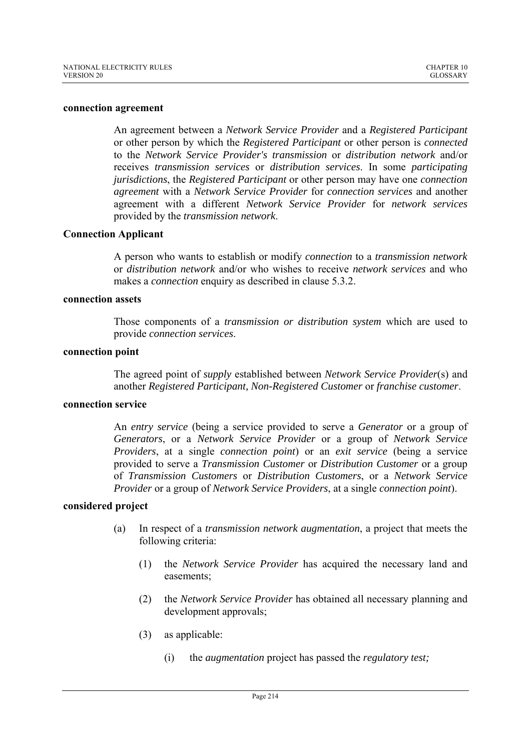#### **connection agreement**

An agreement between a *Network Service Provider* and a *Registered Participant* or other person by which the *Registered Participant* or other person is *connected*  to the *Network Service Provider's transmission* or *distribution network* and/or receives *transmission services* or *distribution services*. In some *participating jurisdictions*, the *Registered Participant* or other person may have one *connection agreement* with a *Network Service Provider* for *connection services* and another agreement with a different *Network Service Provider* for *network services* provided by the *transmission network*.

## **Connection Applicant**

A person who wants to establish or modify *connection* to a *transmission network*  or *distribution network* and/or who wishes to receive *network services* and who makes a *connection* enquiry as described in clause 5.3.2.

#### **connection assets**

Those components of a *transmission or distribution system* which are used to provide *connection services*.

#### **connection point**

The agreed point of *supply* established between *Network Service Provider*(s) and another *Registered Participant, Non-Registered Customer* or *franchise customer*.

# **connection service**

An *entry service* (being a service provided to serve a *Generator* or a group of *Generators*, or a *Network Service Provider* or a group of *Network Service Providers*, at a single *connection point*) or an *exit service* (being a service provided to serve a *Transmission Customer* or *Distribution Customer* or a group of *Transmission Customers* or *Distribution Customers*, or a *Network Service Provider* or a group of *Network Service Providers*, at a single *connection point*).

# **considered project**

- (a) In respect of a *transmission network augmentation*, a project that meets the following criteria:
	- (1) the *Network Service Provider* has acquired the necessary land and easements;
	- (2) the *Network Service Provider* has obtained all necessary planning and development approvals;
	- (3) as applicable:
		- (i) the *augmentation* project has passed the *regulatory test;*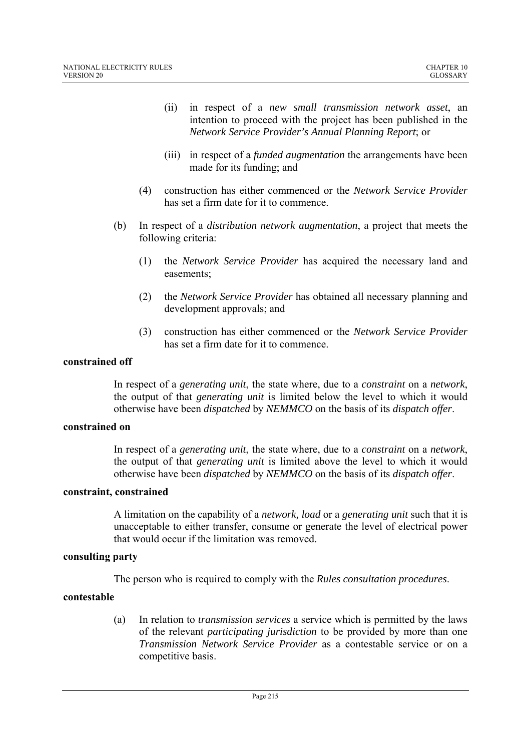- (ii) in respect of a *new small transmission network asset*, an intention to proceed with the project has been published in the *Network Service Provider's Annual Planning Report*; or
- (iii) in respect of a *funded augmentation* the arrangements have been made for its funding; and
- (4) construction has either commenced or the *Network Service Provider* has set a firm date for it to commence.
- (b) In respect of a *distribution network augmentation*, a project that meets the following criteria:
	- (1) the *Network Service Provider* has acquired the necessary land and easements;
	- (2) the *Network Service Provider* has obtained all necessary planning and development approvals; and
	- (3) construction has either commenced or the *Network Service Provider* has set a firm date for it to commence.

# **constrained off**

In respect of a *generating unit*, the state where, due to a *constraint* on a *network*, the output of that *generating unit* is limited below the level to which it would otherwise have been *dispatched* by *NEMMCO* on the basis of its *dispatch offer*.

# **constrained on**

In respect of a *generating unit*, the state where, due to a *constraint* on a *network*, the output of that *generating unit* is limited above the level to which it would otherwise have been *dispatched* by *NEMMCO* on the basis of its *dispatch offer*.

## **constraint, constrained**

A limitation on the capability of a *network, load* or a *generating unit* such that it is unacceptable to either transfer, consume or generate the level of electrical power that would occur if the limitation was removed.

# **consulting party**

The person who is required to comply with the *Rules consultation procedures*.

## **contestable**

(a) In relation to *transmission services* a service which is permitted by the laws of the relevant *participating jurisdiction* to be provided by more than one *Transmission Network Service Provider* as a contestable service or on a competitive basis.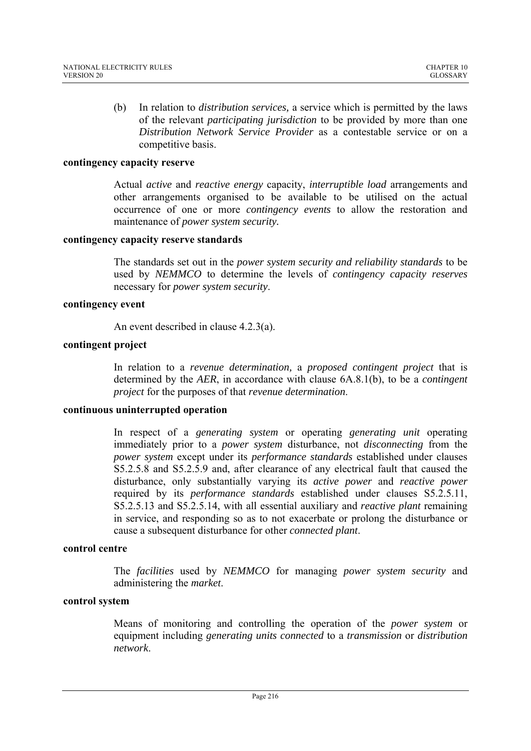(b) In relation to *distribution services,* a service which is permitted by the laws of the relevant *participating jurisdiction* to be provided by more than one *Distribution Network Service Provider* as a contestable service or on a competitive basis.

## **contingency capacity reserve**

Actual *active* and *reactive energy* capacity, *interruptible load* arrangements and other arrangements organised to be available to be utilised on the actual occurrence of one or more *contingency events* to allow the restoration and maintenance of *power system security.* 

### **contingency capacity reserve standards**

The standards set out in the *power system security and reliability standards* to be used by *NEMMCO* to determine the levels of *contingency capacity reserves* necessary for *power system security*.

### **contingency event**

An event described in clause 4.2.3(a).

### **contingent project**

In relation to a *revenue determination,* a *proposed contingent project* that is determined by the *AER*, in accordance with clause 6A.8.1(b), to be a *contingent project* for the purposes of that *revenue determination*.

#### **continuous uninterrupted operation**

In respect of a *generating system* or operating *generating unit* operating immediately prior to a *power system* disturbance, not *disconnecting* from the *power system* except under its *performance standards* established under clauses S5.2.5.8 and S5.2.5.9 and, after clearance of any electrical fault that caused the disturbance, only substantially varying its *active power* and *reactive power* required by its *performance standards* established under clauses S5.2.5.11, S5.2.5.13 and S5.2.5.14, with all essential auxiliary and *reactive plant* remaining in service, and responding so as to not exacerbate or prolong the disturbance or cause a subsequent disturbance for other *connected plant*.

#### **control centre**

The *facilities* used by *NEMMCO* for managing *power system security* and administering the *market*.

## **control system**

Means of monitoring and controlling the operation of the *power system* or equipment including *generating units connected* to a *transmission* or *distribution network*.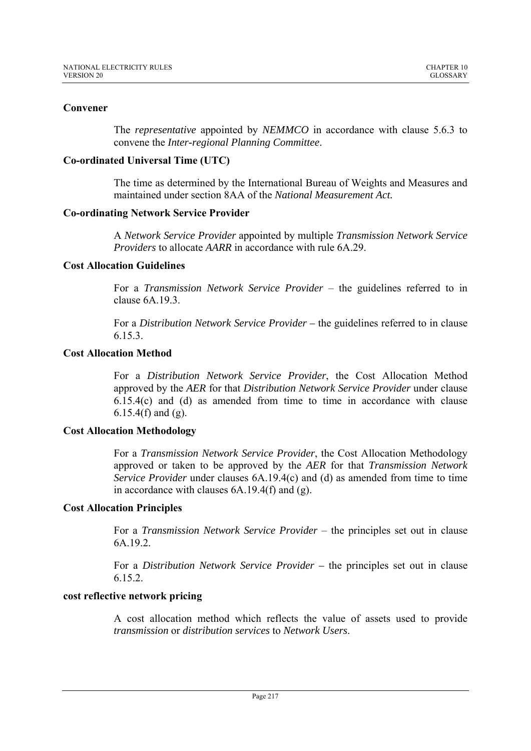# **Convener**

The *representative* appointed by *NEMMCO* in accordance with clause 5.6.3 to convene the *Inter-regional Planning Committee*.

# **Co-ordinated Universal Time (UTC)**

The time as determined by the International Bureau of Weights and Measures and maintained under section 8AA of the *National Measurement Act.*

# **Co-ordinating Network Service Provider**

A *Network Service Provider* appointed by multiple *Transmission Network Service Providers* to allocate *AARR* in accordance with rule 6A.29.

# **Cost Allocation Guidelines**

For a *Transmission Network Service Provider* – the guidelines referred to in clause 6A 19.3.

For a *Distribution Network Service Provider –* the guidelines referred to in clause 6.15.3.

# **Cost Allocation Method**

For a *Distribution Network Service Provider*, the Cost Allocation Method approved by the *AER* for that *Distribution Network Service Provider* under clause 6.15.4(c) and (d) as amended from time to time in accordance with clause 6.15.4(f) and (g).

# **Cost Allocation Methodology**

For a *Transmission Network Service Provider*, the Cost Allocation Methodology approved or taken to be approved by the *AER* for that *Transmission Network Service Provider* under clauses 6A.19.4(c) and (d) as amended from time to time in accordance with clauses 6A.19.4(f) and (g).

## **Cost Allocation Principles**

For a *Transmission Network Service Provider* – the principles set out in clause 6A.19.2.

For a *Distribution Network Service Provider –* the principles set out in clause 6.15.2.

## **cost reflective network pricing**

A cost allocation method which reflects the value of assets used to provide *transmission* or *distribution services* to *Network Users*.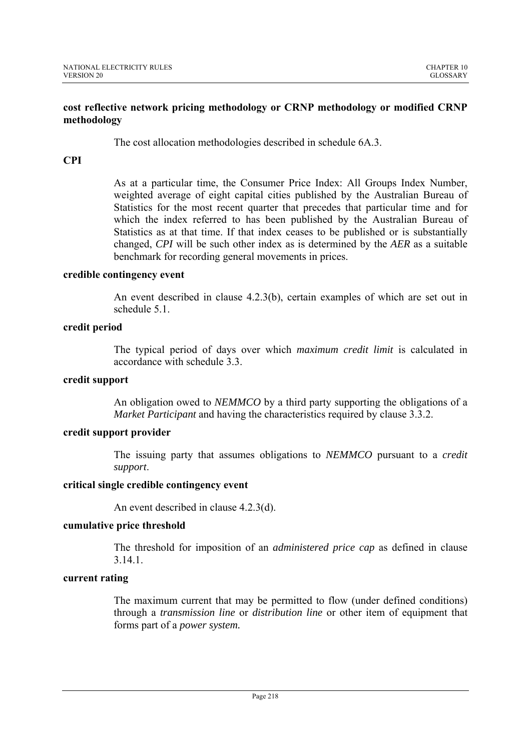# **cost reflective network pricing methodology or CRNP methodology or modified CRNP methodology**

The cost allocation methodologies described in schedule 6A.3.

# **CPI**

As at a particular time, the Consumer Price Index: All Groups Index Number, weighted average of eight capital cities published by the Australian Bureau of Statistics for the most recent quarter that precedes that particular time and for which the index referred to has been published by the Australian Bureau of Statistics as at that time. If that index ceases to be published or is substantially changed, *CPI* will be such other index as is determined by the *AER* as a suitable benchmark for recording general movements in prices.

# **credible contingency event**

An event described in clause 4.2.3(b), certain examples of which are set out in schedule 5.1.

# **credit period**

The typical period of days over which *maximum credit limit* is calculated in accordance with schedule 3.3.

## **credit support**

An obligation owed to *NEMMCO* by a third party supporting the obligations of a *Market Participant* and having the characteristics required by clause 3.3.2.

## **credit support provider**

The issuing party that assumes obligations to *NEMMCO* pursuant to a *credit support*.

# **critical single credible contingency event**

An event described in clause 4.2.3(d).

## **cumulative price threshold**

The threshold for imposition of an *administered price cap* as defined in clause 3.14.1.

## **current rating**

The maximum current that may be permitted to flow (under defined conditions) through a *transmission line* or *distribution line* or other item of equipment that forms part of a *power system.*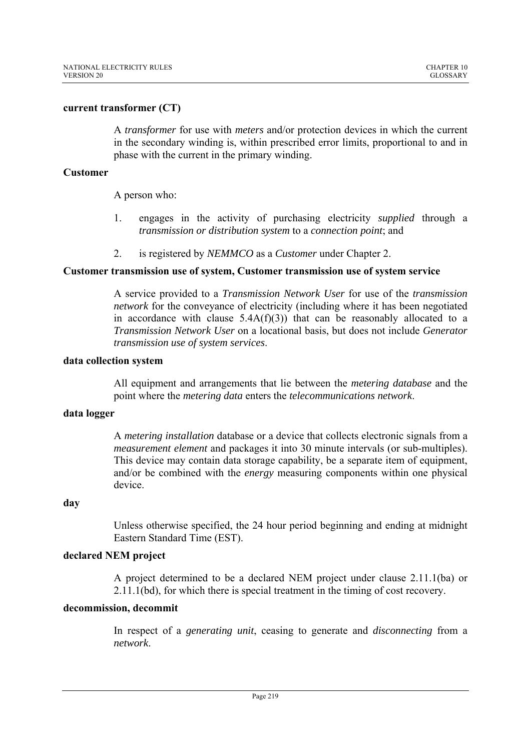## **current transformer (CT)**

A *transformer* for use with *meters* and/or protection devices in which the current in the secondary winding is, within prescribed error limits, proportional to and in phase with the current in the primary winding.

## **Customer**

A person who:

- 1. engages in the activity of purchasing electricity *supplied* through a *transmission or distribution system* to a *connection point*; and
- 2. is registered by *NEMMCO* as a *Customer* under Chapter 2.

# **Customer transmission use of system, Customer transmission use of system service**

A service provided to a *Transmission Network User* for use of the *transmission network* for the conveyance of electricity (including where it has been negotiated in accordance with clause  $5.4A(f)(3)$  that can be reasonably allocated to a *Transmission Network User* on a locational basis, but does not include *Generator transmission use of system services*.

### **data collection system**

All equipment and arrangements that lie between the *metering database* and the point where the *metering data* enters the *telecommunications network*.

## **data logger**

A *metering installation* database or a device that collects electronic signals from a *measurement element* and packages it into 30 minute intervals (or sub-multiples). This device may contain data storage capability, be a separate item of equipment, and/or be combined with the *energy* measuring components within one physical device.

## **day**

Unless otherwise specified, the 24 hour period beginning and ending at midnight Eastern Standard Time (EST).

## **declared NEM project**

A project determined to be a declared NEM project under clause 2.11.1(ba) or 2.11.1(bd), for which there is special treatment in the timing of cost recovery.

## **decommission, decommit**

In respect of a *generating unit*, ceasing to generate and *disconnecting* from a *network*.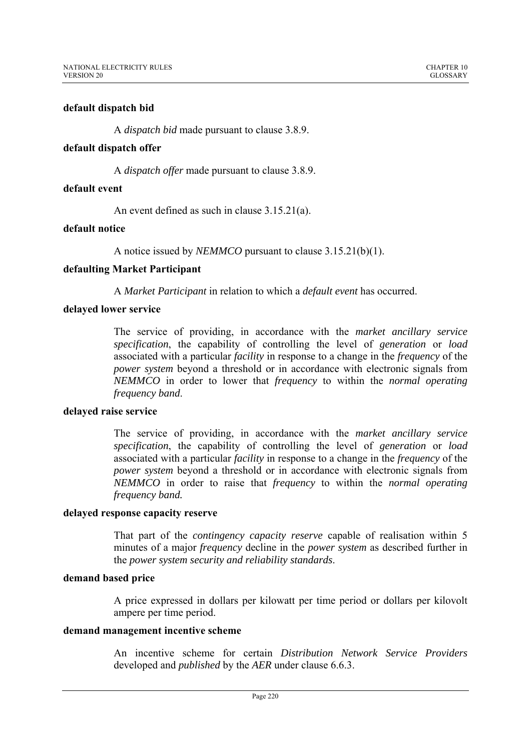## **default dispatch bid**

A *dispatch bid* made pursuant to clause 3.8.9.

## **default dispatch offer**

A *dispatch offer* made pursuant to clause 3.8.9.

## **default event**

An event defined as such in clause 3.15.21(a).

## **default notice**

A notice issued by *NEMMCO* pursuant to clause 3.15.21(b)(1).

# **defaulting Market Participant**

A *Market Participant* in relation to which a *default event* has occurred.

## **delayed lower service**

The service of providing, in accordance with the *market ancillary service specification*, the capability of controlling the level of *generation* or *load* associated with a particular *facility* in response to a change in the *frequency* of the *power system* beyond a threshold or in accordance with electronic signals from *NEMMCO* in order to lower that *frequency* to within the *normal operating frequency band*.

## **delayed raise service**

The service of providing, in accordance with the *market ancillary service specification*, the capability of controlling the level of *generation* or *load* associated with a particular *facility* in response to a change in the *frequency* of the *power system* beyond a threshold or in accordance with electronic signals from *NEMMCO* in order to raise that *frequency* to within the *normal operating frequency band.*

## **delayed response capacity reserve**

That part of the *contingency capacity reserve* capable of realisation within 5 minutes of a major *frequency* decline in the *power system* as described further in the *power system security and reliability standards*.

## **demand based price**

A price expressed in dollars per kilowatt per time period or dollars per kilovolt ampere per time period.

## **demand management incentive scheme**

An incentive scheme for certain *Distribution Network Service Providers*  developed and *published* by the *AER* under clause 6.6.3.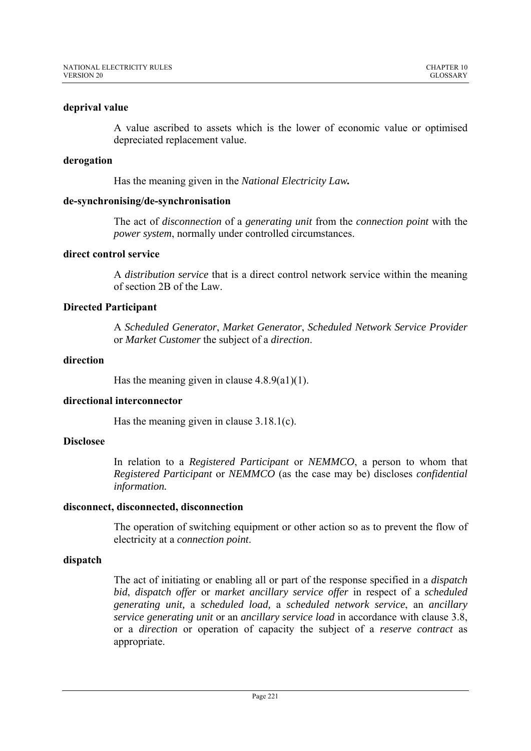# **deprival value**

A value ascribed to assets which is the lower of economic value or optimised depreciated replacement value.

## **derogation**

Has the meaning given in the *National Electricity Law.* 

## **de-synchronising/de-synchronisation**

The act of *disconnection* of a *generating unit* from the *connection point* with the *power system*, normally under controlled circumstances.

# **direct control service**

A *distribution service* that is a direct control network service within the meaning of section 2B of the Law.

# **Directed Participant**

A *Scheduled Generator*, *Market Generator*, *Scheduled Network Service Provider*  or *Market Customer* the subject of a *direction*.

# **direction**

Has the meaning given in clause  $4.8.9(a1)(1)$ .

# **directional interconnector**

Has the meaning given in clause  $3.18.1(c)$ .

## **Disclosee**

In relation to a *Registered Participant* or *NEMMCO*, a person to whom that *Registered Participant* or *NEMMCO* (as the case may be) discloses *confidential information.*

## **disconnect, disconnected, disconnection**

The operation of switching equipment or other action so as to prevent the flow of electricity at a *connection point*.

# **dispatch**

The act of initiating or enabling all or part of the response specified in a *dispatch bid*, *dispatch offer* or *market ancillary service offer* in respect of a *scheduled generating unit,* a *scheduled load,* a *scheduled network service*, an *ancillary service generating unit* or an *ancillary service load* in accordance with clause 3.8, or a *direction* or operation of capacity the subject of a *reserve contract* as appropriate.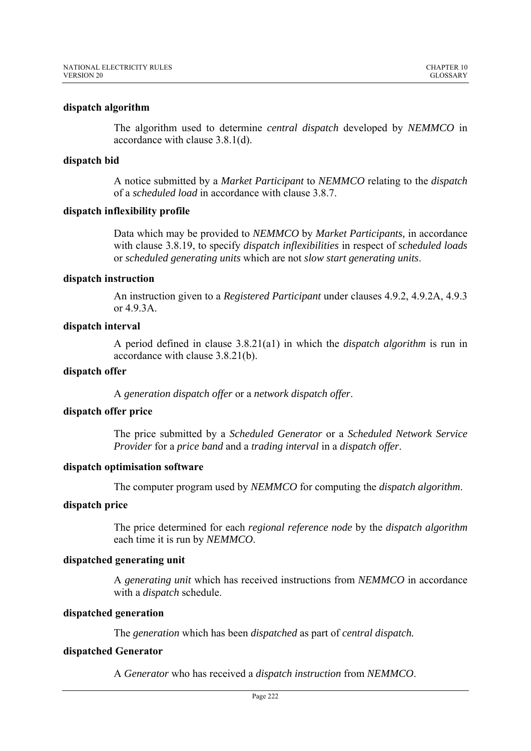## **dispatch algorithm**

The algorithm used to determine *central dispatch* developed by *NEMMCO* in accordance with clause 3.8.1(d).

## **dispatch bid**

A notice submitted by a *Market Participant* to *NEMMCO* relating to the *dispatch* of a *scheduled load* in accordance with clause 3.8.7.

## **dispatch inflexibility profile**

Data which may be provided to *NEMMCO* by *Market Participants,* in accordance with clause 3.8.19, to specify *dispatch inflexibilities* in respect of *scheduled loads*  or *scheduled generating units* which are not *slow start generating units*.

# **dispatch instruction**

An instruction given to a *Registered Participant* under clauses 4.9.2, 4.9.2A, 4.9.3 or  $4.9.3A$ .

# **dispatch interval**

A period defined in clause 3.8.21(a1) in which the *dispatch algorithm* is run in accordance with clause 3.8.21(b).

## **dispatch offer**

A *generation dispatch offer* or a *network dispatch offer*.

# **dispatch offer price**

The price submitted by a *Scheduled Generator* or a *Scheduled Network Service Provider* for a *price band* and a *trading interval* in a *dispatch offer*.

## **dispatch optimisation software**

The computer program used by *NEMMCO* for computing the *dispatch algorithm*.

## **dispatch price**

The price determined for each *regional reference node* by the *dispatch algorithm*  each time it is run by *NEMMCO*.

# **dispatched generating unit**

A *generating unit* which has received instructions from *NEMMCO* in accordance with a *dispatch* schedule.

# **dispatched generation**

The *generation* which has been *dispatched* as part of *central dispatch.*

# **dispatched Generator**

A *Generator* who has received a *dispatch instruction* from *NEMMCO*.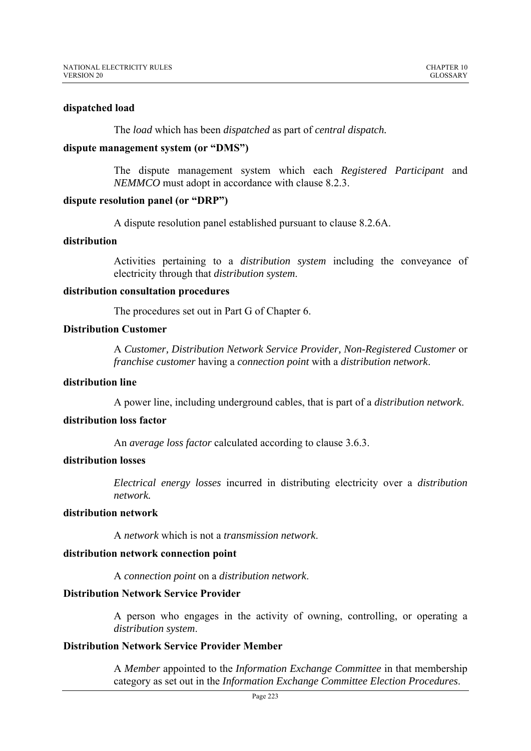### **dispatched load**

The *load* which has been *dispatched* as part of *central dispatch.*

### **dispute management system (or "DMS")**

The dispute management system which each *Registered Participant* and *NEMMCO* must adopt in accordance with clause 8.2.3.

## **dispute resolution panel (or "DRP")**

A dispute resolution panel established pursuant to clause 8.2.6A.

## **distribution**

Activities pertaining to a *distribution system* including the conveyance of electricity through that *distribution system*.

## **distribution consultation procedures**

The procedures set out in Part G of Chapter 6.

## **Distribution Customer**

A *Customer, Distribution Network Service Provider, Non-Registered Customer* or *franchise customer* having a *connection point* with a *distribution network*.

### **distribution line**

A power line, including underground cables, that is part of a *distribution network*.

# **distribution loss factor**

An *average loss factor* calculated according to clause 3.6.3.

## **distribution losses**

*Electrical energy losses* incurred in distributing electricity over a *distribution network.*

### **distribution network**

A *network* which is not a *transmission network*.

## **distribution network connection point**

A *connection point* on a *distribution network*.

## **Distribution Network Service Provider**

A person who engages in the activity of owning, controlling, or operating a *distribution system*.

## **Distribution Network Service Provider Member**

A *Member* appointed to the *Information Exchange Committee* in that membership category as set out in the *Information Exchange Committee Election Procedures*.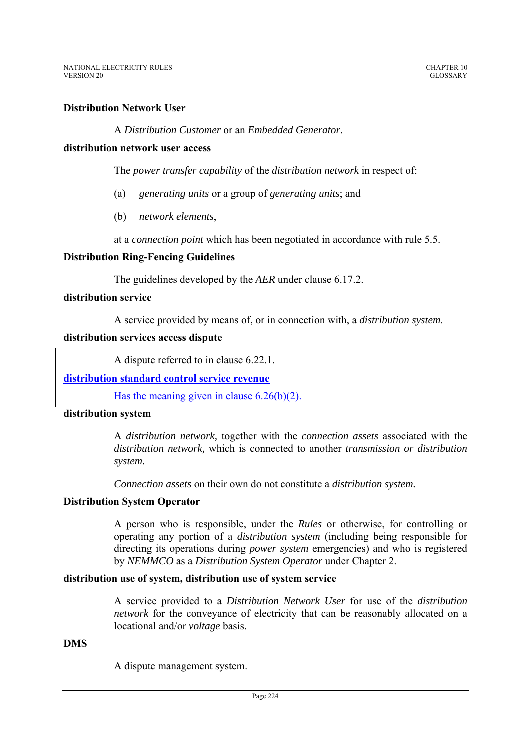# **Distribution Network User**

A *Distribution Customer* or an *Embedded Generator*.

### **distribution network user access**

The *power transfer capability* of the *distribution network* in respect of:

- (a) *generating units* or a group of *generating units*; and
- (b) *network elements*,

at a *connection point* which has been negotiated in accordance with rule 5.5.

## **Distribution Ring-Fencing Guidelines**

The guidelines developed by the *AER* under clause 6.17.2.

# **distribution service**

A service provided by means of, or in connection with, a *distribution system*.

## **distribution services access dispute**

A dispute referred to in clause 6.22.1.

## **distribution standard control service revenue**

Has the meaning given in clause  $6.26(b)(2)$ .

## **distribution system**

A *distribution network,* together with the *connection assets* associated with the *distribution network,* which is connected to another *transmission or distribution system.*

*Connection assets* on their own do not constitute a *distribution system.*

## **Distribution System Operator**

A person who is responsible, under the *Rules* or otherwise, for controlling or operating any portion of a *distribution system* (including being responsible for directing its operations during *power system* emergencies) and who is registered by *NEMMCO* as a *Distribution System Operator* under Chapter 2.

## **distribution use of system, distribution use of system service**

A service provided to a *Distribution Network User* for use of the *distribution network* for the conveyance of electricity that can be reasonably allocated on a locational and/or *voltage* basis.

## **DMS**

A dispute management system.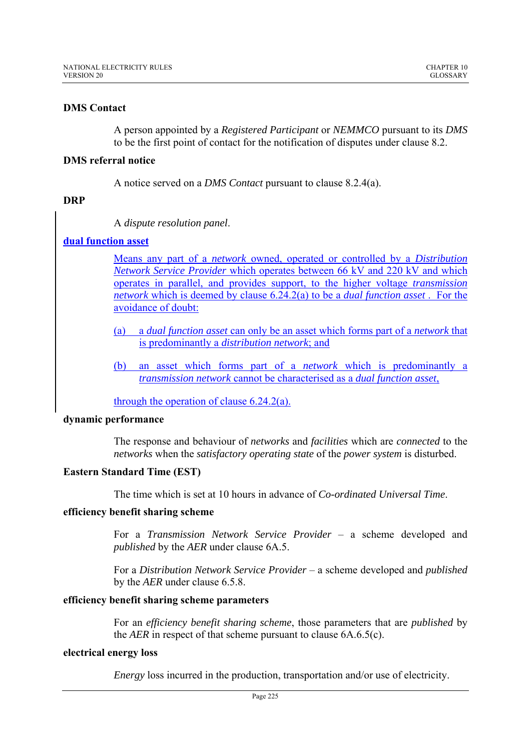# **DMS Contact**

A person appointed by a *Registered Participant* or *NEMMCO* pursuant to its *DMS* to be the first point of contact for the notification of disputes under clause 8.2.

## **DMS referral notice**

A notice served on a *DMS Contact* pursuant to clause 8.2.4(a).

## **DRP**

A *dispute resolution panel*.

# **dual function asset**

Means any part of a *network* owned, operated or controlled by a *Distribution Network Service Provider* which operates between 66 kV and 220 kV and which operates in parallel, and provides support, to the higher voltage *transmission network* which is deemed by clause 6.24.2(a) to be a *dual function asset* . For the avoidance of doubt:

- (a) a *dual function asset* can only be an asset which forms part of a *network* that is predominantly a *distribution network*; and
- (b) an asset which forms part of a *network* which is predominantly a *transmission network* cannot be characterised as a *dual function asset*,

through the operation of clause 6.24.2(a).

## **dynamic performance**

The response and behaviour of *networks* and *facilities* which are *connected* to the *networks* when the *satisfactory operating state* of the *power system* is disturbed.

## **Eastern Standard Time (EST)**

The time which is set at 10 hours in advance of *Co-ordinated Universal Time*.

## **efficiency benefit sharing scheme**

For a *Transmission Network Service Provider* – a scheme developed and *published* by the *AER* under clause 6A.5.

For a *Distribution Network Service Provider* – a scheme developed and *published*  by the *AER* under clause 6.5.8.

## **efficiency benefit sharing scheme parameters**

For an *efficiency benefit sharing scheme*, those parameters that are *published* by the *AER* in respect of that scheme pursuant to clause 6A.6.5(c).

## **electrical energy loss**

*Energy* loss incurred in the production, transportation and/or use of electricity.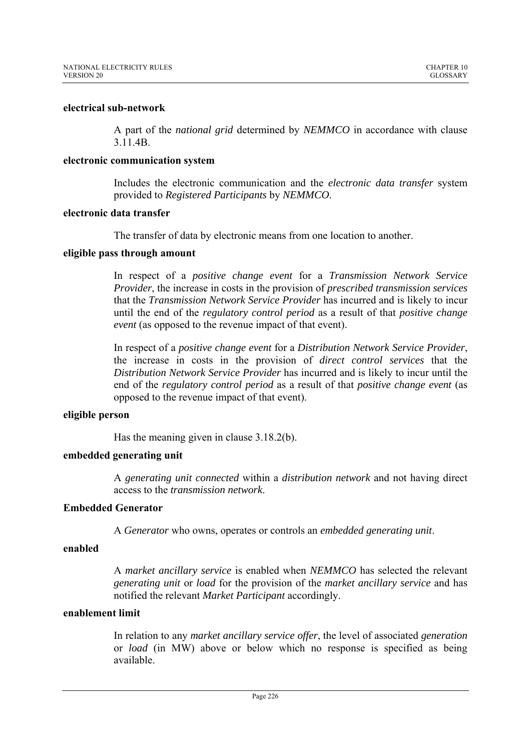### **electrical sub-network**

A part of the *national grid* determined by *NEMMCO* in accordance with clause 3.11.4B.

### **electronic communication system**

Includes the electronic communication and the *electronic data transfer* system provided to *Registered Participants* by *NEMMCO*.

# **electronic data transfer**

The transfer of data by electronic means from one location to another.

# **eligible pass through amount**

In respect of a *positive change event* for a *Transmission Network Service Provider*, the increase in costs in the provision of *prescribed transmission services* that the *Transmission Network Service Provider* has incurred and is likely to incur until the end of the *regulatory control period* as a result of that *positive change event* (as opposed to the revenue impact of that event).

In respect of a *positive change event* for a *Distribution Network Service Provider*, the increase in costs in the provision of *direct control services* that the *Distribution Network Service Provider* has incurred and is likely to incur until the end of the *regulatory control period* as a result of that *positive change event* (as opposed to the revenue impact of that event).

## **eligible person**

Has the meaning given in clause 3.18.2(b).

## **embedded generating unit**

A *generating unit connected* within a *distribution network* and not having direct access to the *transmission network*.

# **Embedded Generator**

A *Generator* who owns, operates or controls an *embedded generating unit*.

## **enabled**

A *market ancillary service* is enabled when *NEMMCO* has selected the relevant *generating unit* or *load* for the provision of the *market ancillary service* and has notified the relevant *Market Participant* accordingly.

## **enablement limit**

In relation to any *market ancillary service offer*, the level of associated *generation* or *load* (in MW) above or below which no response is specified as being available.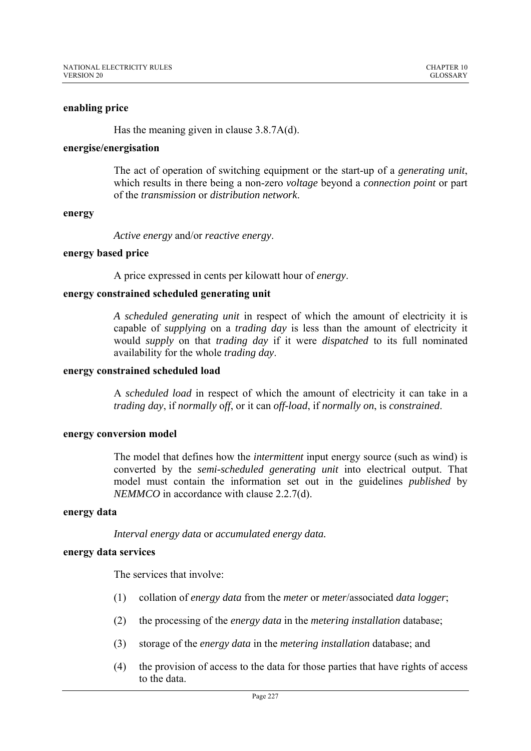### **enabling price**

Has the meaning given in clause 3.8.7A(d).

#### **energise/energisation**

The act of operation of switching equipment or the start-up of a *generating unit*, which results in there being a non-zero *voltage* beyond a *connection point* or part of the *transmission* or *distribution network*.

#### **energy**

*Active energy* and/or *reactive energy*.

### **energy based price**

A price expressed in cents per kilowatt hour of *energy*.

## **energy constrained scheduled generating unit**

*A scheduled generating unit* in respect of which the amount of electricity it is capable of *supplying* on a *trading day* is less than the amount of electricity it would *supply* on that *trading day* if it were *dispatched* to its full nominated availability for the whole *trading day*.

#### **energy constrained scheduled load**

A *scheduled load* in respect of which the amount of electricity it can take in a *trading day*, if *normally* o*ff*, or it can *off-load*, if *normally on*, is *constrained*.

## **energy conversion model**

The model that defines how the *intermittent* input energy source (such as wind) is converted by the *semi-scheduled generating unit* into electrical output. That model must contain the information set out in the guidelines *published* by *NEMMCO* in accordance with clause 2.2.7(d).

## **energy data**

*Interval energy data* or *accumulated energy data.* 

## **energy data services**

The services that involve:

- (1) collation of *energy data* from the *meter* or *meter*/associated *data logger*;
- (2) the processing of the *energy data* in the *metering installation* database;
- (3) storage of the *energy data* in the *metering installation* database; and
- (4) the provision of access to the data for those parties that have rights of access to the data.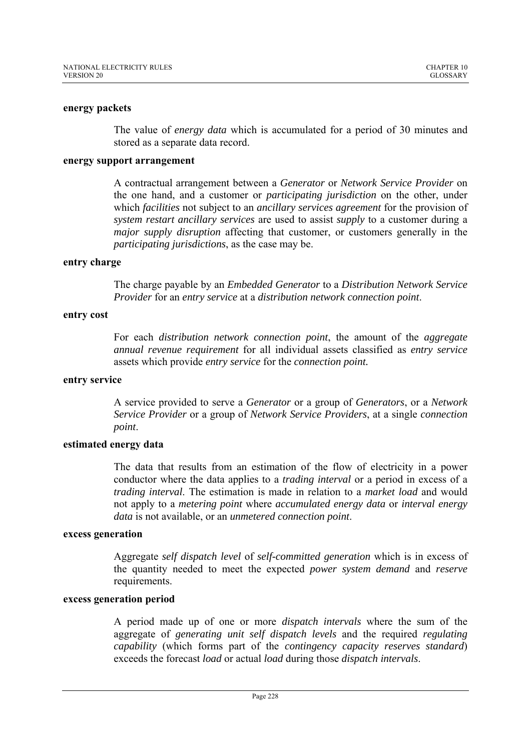### **energy packets**

The value of *energy data* which is accumulated for a period of 30 minutes and stored as a separate data record.

## **energy support arrangement**

A contractual arrangement between a *Generator* or *Network Service Provider* on the one hand, and a customer or *participating jurisdiction* on the other, under which *facilities* not subject to an *ancillary services agreement* for the provision of *system restart ancillary services* are used to assist *supply* to a customer during a *major supply disruption* affecting that customer, or customers generally in the *participating jurisdictions*, as the case may be.

## **entry charge**

The charge payable by an *Embedded Generator* to a *Distribution Network Service Provider* for an *entry service* at a *distribution network connection point*.

### **entry cost**

For each *distribution network connection point*, the amount of the *aggregate annual revenue requirement* for all individual assets classified as *entry service*  assets which provide *entry service* for the *connection point.*

#### **entry service**

A service provided to serve a *Generator* or a group of *Generators*, or a *Network Service Provider* or a group of *Network Service Providers*, at a single *connection point*.

## **estimated energy data**

The data that results from an estimation of the flow of electricity in a power conductor where the data applies to a *trading interval* or a period in excess of a *trading interval*. The estimation is made in relation to a *market load* and would not apply to a *metering point* where *accumulated energy data* or *interval energy data* is not available, or an *unmetered connection point*.

### **excess generation**

Aggregate *self dispatch level* of *self-committed generation* which is in excess of the quantity needed to meet the expected *power system demand* and *reserve* requirements.

## **excess generation period**

A period made up of one or more *dispatch intervals* where the sum of the aggregate of *generating unit self dispatch levels* and the required *regulating capability* (which forms part of the *contingency capacity reserves standard*) exceeds the forecast *load* or actual *load* during those *dispatch intervals*.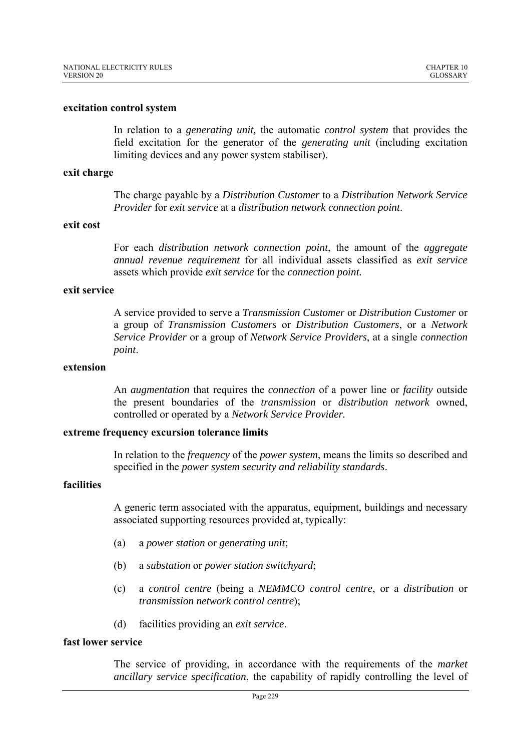#### **excitation control system**

In relation to a *generating unit,* the automatic *control system* that provides the field excitation for the generator of the *generating unit* (including excitation limiting devices and any power system stabiliser).

### **exit charge**

The charge payable by a *Distribution Customer* to a *Distribution Network Service Provider* for *exit service* at a *distribution network connection point*.

### **exit cost**

For each *distribution network connection point*, the amount of the *aggregate annual revenue requirement* for all individual assets classified as *exit service*  assets which provide *exit service* for the *connection point.*

### **exit service**

A service provided to serve a *Transmission Customer* or *Distribution Customer* or a group of *Transmission Customers* or *Distribution Customers*, or a *Network Service Provider* or a group of *Network Service Providers*, at a single *connection point*.

### **extension**

An *augmentation* that requires the *connection* of a power line or *facility* outside the present boundaries of the *transmission* or *distribution network* owned, controlled or operated by a *Network Service Provider.* 

## **extreme frequency excursion tolerance limits**

In relation to the *frequency* of the *power system*, means the limits so described and specified in the *power system security and reliability standards*.

## **facilities**

A generic term associated with the apparatus, equipment, buildings and necessary associated supporting resources provided at, typically:

- (a) a *power station* or *generating unit*;
- (b) a *substation* or *power station switchyard*;
- (c) a *control centre* (being a *NEMMCO control centre*, or a *distribution* or *transmission network control centre*);
- (d) facilities providing an *exit service*.

# **fast lower service**

The service of providing, in accordance with the requirements of the *market ancillary service specification*, the capability of rapidly controlling the level of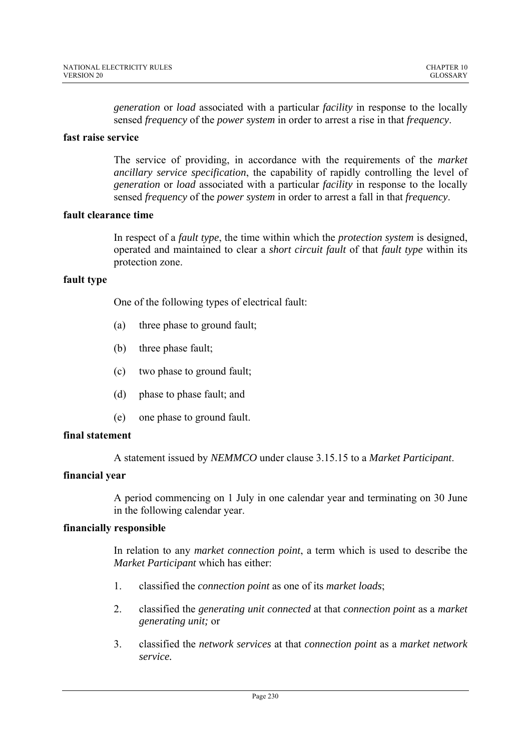*generation* or *load* associated with a particular *facility* in response to the locally sensed *frequency* of the *power system* in order to arrest a rise in that *frequency*.

# **fast raise service**

The service of providing, in accordance with the requirements of the *market ancillary service specification*, the capability of rapidly controlling the level of *generation* or *load* associated with a particular *facility* in response to the locally sensed *frequency* of the *power system* in order to arrest a fall in that *frequency*.

## **fault clearance time**

In respect of a *fault type*, the time within which the *protection system* is designed, operated and maintained to clear a *short circuit fault* of that *fault type* within its protection zone.

# **fault type**

One of the following types of electrical fault:

- (a) three phase to ground fault;
- (b) three phase fault;
- (c) two phase to ground fault;
- (d) phase to phase fault; and
- (e) one phase to ground fault.

# **final statement**

A statement issued by *NEMMCO* under clause 3.15.15 to a *Market Participant*.

# **financial year**

A period commencing on 1 July in one calendar year and terminating on 30 June in the following calendar year.

# **financially responsible**

In relation to any *market connection point*, a term which is used to describe the *Market Participant* which has either:

- 1. classified the *connection point* as one of its *market loads*;
- 2. classified the *generating unit connected* at that *connection point* as a *market generating unit;* or
- 3. classified the *network services* at that *connection point* as a *market network service.*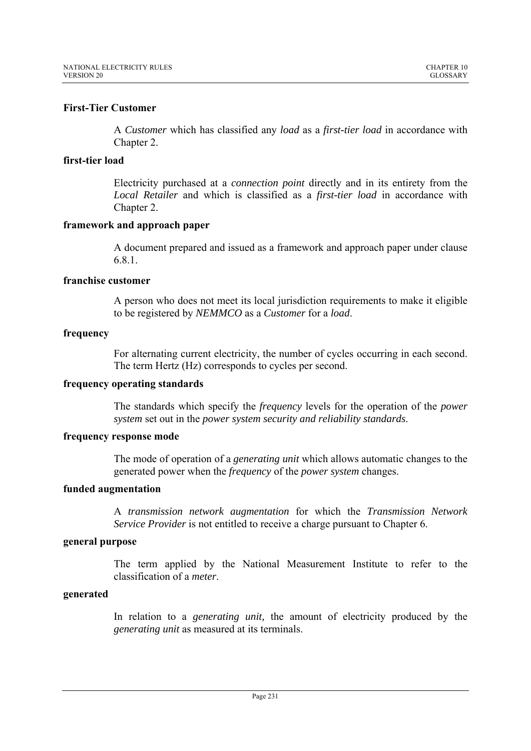# **First-Tier Customer**

A *Customer* which has classified any *load* as a *first-tier load* in accordance with Chapter 2.

## **first-tier load**

Electricity purchased at a *connection point* directly and in its entirety from the *Local Retailer* and which is classified as a *first-tier load* in accordance with Chapter 2.

# **framework and approach paper**

A document prepared and issued as a framework and approach paper under clause 6.8.1.

# **franchise customer**

A person who does not meet its local jurisdiction requirements to make it eligible to be registered by *NEMMCO* as a *Customer* for a *load*.

# **frequency**

For alternating current electricity, the number of cycles occurring in each second. The term Hertz (Hz) corresponds to cycles per second.

## **frequency operating standards**

The standards which specify the *frequency* levels for the operation of the *power system* set out in the *power system security and reliability standards*.

# **frequency response mode**

The mode of operation of a *generating unit* which allows automatic changes to the generated power when the *frequency* of the *power system* changes.

## **funded augmentation**

A *transmission network augmentation* for which the *Transmission Network Service Provider* is not entitled to receive a charge pursuant to Chapter 6.

# **general purpose**

The term applied by the National Measurement Institute to refer to the classification of a *meter*.

## **generated**

In relation to a *generating unit,* the amount of electricity produced by the *generating unit* as measured at its terminals.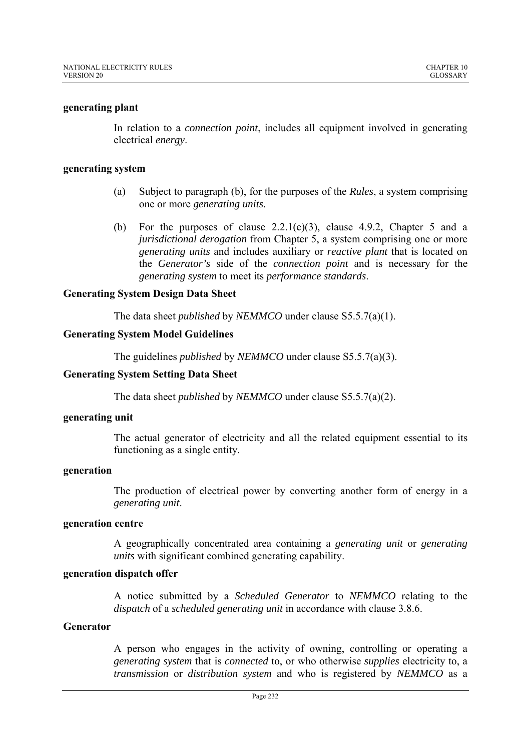# **generating plant**

In relation to a *connection point*, includes all equipment involved in generating electrical *energy*.

## **generating system**

- (a) Subject to paragraph (b), for the purposes of the *Rules*, a system comprising one or more *generating units*.
- (b) For the purposes of clause  $2.2.1(e)(3)$ , clause  $4.9.2$ , Chapter 5 and a *jurisdictional derogation* from Chapter 5, a system comprising one or more *generating units* and includes auxiliary or *reactive plant* that is located on the *Generator's* side of the *connection point* and is necessary for the *generating system* to meet its *performance standards*.

# **Generating System Design Data Sheet**

The data sheet *published* by *NEMMCO* under clause S5.5.7(a)(1).

# **Generating System Model Guidelines**

The guidelines *published* by *NEMMCO* under clause S5.5.7(a)(3).

# **Generating System Setting Data Sheet**

The data sheet *published* by *NEMMCO* under clause S5.5.7(a)(2).

## **generating unit**

The actual generator of electricity and all the related equipment essential to its functioning as a single entity.

## **generation**

The production of electrical power by converting another form of energy in a *generating unit*.

## **generation centre**

A geographically concentrated area containing a *generating unit* or *generating units* with significant combined generating capability.

## **generation dispatch offer**

A notice submitted by a *Scheduled Generator* to *NEMMCO* relating to the *dispatch* of a *scheduled generating unit* in accordance with clause 3.8.6.

## **Generator**

A person who engages in the activity of owning, controlling or operating a *generating system* that is *connected* to, or who otherwise *supplies* electricity to, a *transmission* or *distribution system* and who is registered by *NEMMCO* as a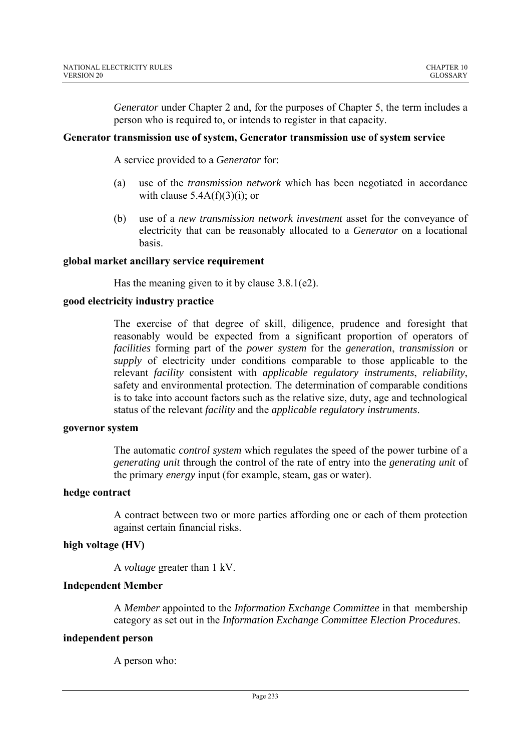*Generator* under Chapter 2 and, for the purposes of Chapter 5, the term includes a person who is required to, or intends to register in that capacity.

## **Generator transmission use of system, Generator transmission use of system service**

A service provided to a *Generator* for:

- (a) use of the *transmission network* which has been negotiated in accordance with clause  $5.4A(f)(3)(i)$ ; or
- (b) use of a *new transmission network investment* asset for the conveyance of electricity that can be reasonably allocated to a *Generator* on a locational basis.

# **global market ancillary service requirement**

Has the meaning given to it by clause 3.8.1(e2).

# **good electricity industry practice**

The exercise of that degree of skill, diligence, prudence and foresight that reasonably would be expected from a significant proportion of operators of *facilities* forming part of the *power system* for the *generation*, *transmission* or *supply* of electricity under conditions comparable to those applicable to the relevant *facility* consistent with *applicable regulatory instruments*, *reliability*, safety and environmental protection. The determination of comparable conditions is to take into account factors such as the relative size, duty, age and technological status of the relevant *facility* and the *applicable regulatory instruments*.

## **governor system**

The automatic *control system* which regulates the speed of the power turbine of a *generating unit* through the control of the rate of entry into the *generating unit* of the primary *energy* input (for example, steam, gas or water).

## **hedge contract**

A contract between two or more parties affording one or each of them protection against certain financial risks.

# **high voltage (HV)**

A *voltage* greater than 1 kV.

# **Independent Member**

A *Member* appointed to the *Information Exchange Committee* in that membership category as set out in the *Information Exchange Committee Election Procedures*.

## **independent person**

A person who: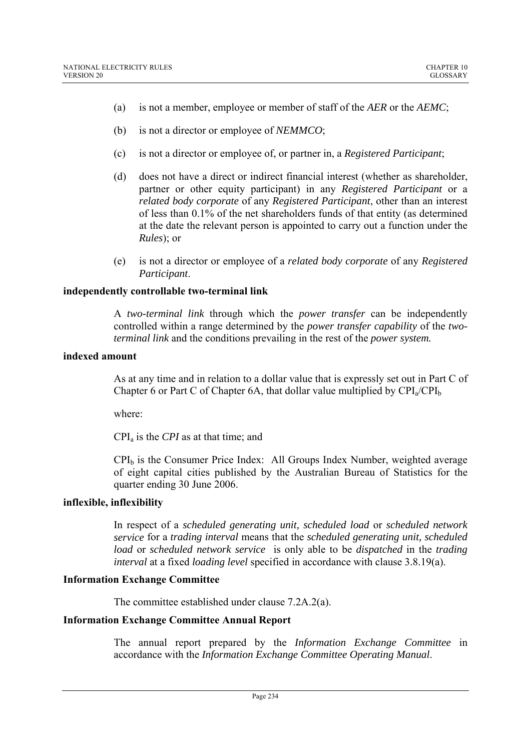- (a) is not a member, employee or member of staff of the *AER* or the *AEMC*;
- (b) is not a director or employee of *NEMMCO*;
- (c) is not a director or employee of, or partner in, a *Registered Participant*;
- (d) does not have a direct or indirect financial interest (whether as shareholder, partner or other equity participant) in any *Registered Participant* or a *related body corporate* of any *Registered Participant*, other than an interest of less than 0.1% of the net shareholders funds of that entity (as determined at the date the relevant person is appointed to carry out a function under the *Rules*); or
- (e) is not a director or employee of a *related body corporate* of any *Registered Participant*.

# **independently controllable two-terminal link**

A *two-terminal link* through which the *power transfer* can be independently controlled within a range determined by the *power transfer capability* of the *twoterminal link* and the conditions prevailing in the rest of the *power system.* 

## **indexed amount**

As at any time and in relation to a dollar value that is expressly set out in Part C of Chapter 6 or Part C of Chapter 6A, that dollar value multiplied by  $\text{CPI}_a/\text{CPI}_b$ 

where:

CPIa is the *CPI* as at that time; and

 $CPI<sub>b</sub>$  is the Consumer Price Index: All Groups Index Number, weighted average of eight capital cities published by the Australian Bureau of Statistics for the quarter ending 30 June 2006.

# **inflexible, inflexibility**

In respect of a *scheduled generating unit, scheduled load* or *scheduled network service* for a *trading interval* means that the *scheduled generating unit, scheduled load* or *scheduled network service* is only able to be *dispatched* in the *trading interval* at a fixed *loading level* specified in accordance with clause 3.8.19(a).

# **Information Exchange Committee**

The committee established under clause 7.2A.2(a).

# **Information Exchange Committee Annual Report**

The annual report prepared by the *Information Exchange Committee* in accordance with the *Information Exchange Committee Operating Manual*.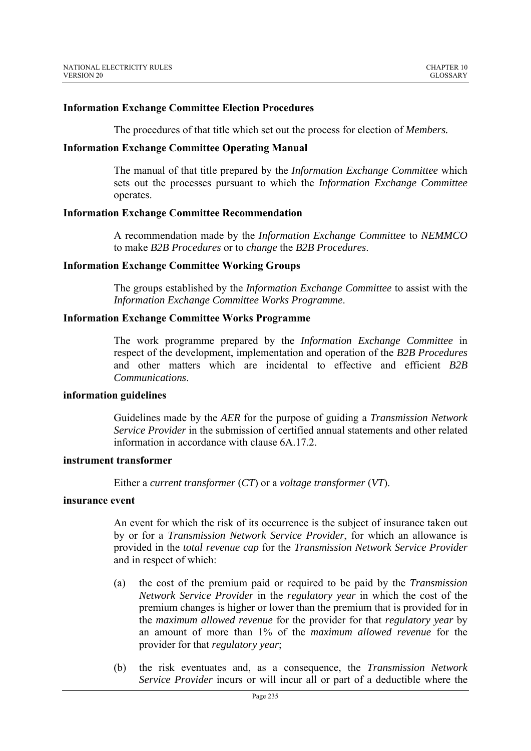### **Information Exchange Committee Election Procedures**

The procedures of that title which set out the process for election of *Members.*

### **Information Exchange Committee Operating Manual**

The manual of that title prepared by the *Information Exchange Committee* which sets out the processes pursuant to which the *Information Exchange Committee*  operates.

#### **Information Exchange Committee Recommendation**

A recommendation made by the *Information Exchange Committee* to *NEMMCO* to make *B2B Procedures* or to *change* the *B2B Procedures*.

#### **Information Exchange Committee Working Groups**

The groups established by the *Information Exchange Committee* to assist with the *Information Exchange Committee Works Programme*.

### **Information Exchange Committee Works Programme**

The work programme prepared by the *Information Exchange Committee* in respect of the development, implementation and operation of the *B2B Procedures*  and other matters which are incidental to effective and efficient *B2B Communications*.

### **information guidelines**

Guidelines made by the *AER* for the purpose of guiding a *Transmission Network Service Provider* in the submission of certified annual statements and other related information in accordance with clause 6A.17.2.

### **instrument transformer**

Either a *current transformer* (*CT*) or a *voltage transformer* (*VT*).

### **insurance event**

An event for which the risk of its occurrence is the subject of insurance taken out by or for a *Transmission Network Service Provider*, for which an allowance is provided in the *total revenue cap* for the *Transmission Network Service Provider* and in respect of which:

- (a) the cost of the premium paid or required to be paid by the *Transmission Network Service Provider* in the *regulatory year* in which the cost of the premium changes is higher or lower than the premium that is provided for in the *maximum allowed revenue* for the provider for that *regulatory year* by an amount of more than 1% of the *maximum allowed revenue* for the provider for that *regulatory year*;
- (b) the risk eventuates and, as a consequence, the *Transmission Network Service Provider* incurs or will incur all or part of a deductible where the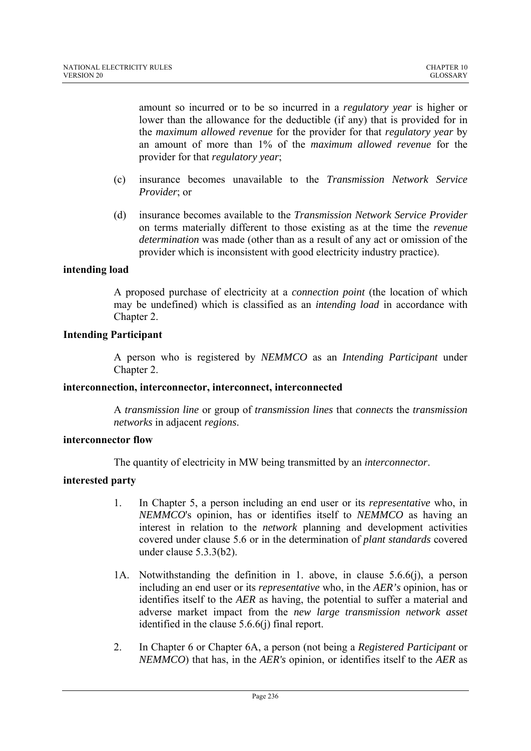amount so incurred or to be so incurred in a *regulatory year* is higher or lower than the allowance for the deductible (if any) that is provided for in the *maximum allowed revenue* for the provider for that *regulatory year* by an amount of more than 1% of the *maximum allowed revenue* for the provider for that *regulatory year*;

- (c) insurance becomes unavailable to the *Transmission Network Service Provider*; or
- (d) insurance becomes available to the *Transmission Network Service Provider*  on terms materially different to those existing as at the time the *revenue determination* was made (other than as a result of any act or omission of the provider which is inconsistent with good electricity industry practice).

# **intending load**

A proposed purchase of electricity at a *connection point* (the location of which may be undefined) which is classified as an *intending load* in accordance with Chapter 2.

# **Intending Participant**

A person who is registered by *NEMMCO* as an *Intending Participant* under Chapter 2.

## **interconnection, interconnector, interconnect, interconnected**

A *transmission line* or group of *transmission lines* that *connects* the *transmission networks* in adjacent *regions*.

# **interconnector flow**

The quantity of electricity in MW being transmitted by an *interconnector*.

# **interested party**

- 1. In Chapter 5, a person including an end user or its *representative* who, in *NEMMCO*'s opinion, has or identifies itself to *NEMMCO* as having an interest in relation to the *network* planning and development activities covered under clause 5.6 or in the determination of *plant standards* covered under clause 5.3.3(b2).
- 1A. Notwithstanding the definition in 1. above, in clause 5.6.6(j), a person including an end user or its *representative* who, in the *AER's* opinion, has or identifies itself to the *AER* as having, the potential to suffer a material and adverse market impact from the *new large transmission network asset* identified in the clause 5.6.6(j) final report.
- 2. In Chapter 6 or Chapter 6A, a person (not being a *Registered Participant* or *NEMMCO*) that has, in the *AER's* opinion, or identifies itself to the *AER* as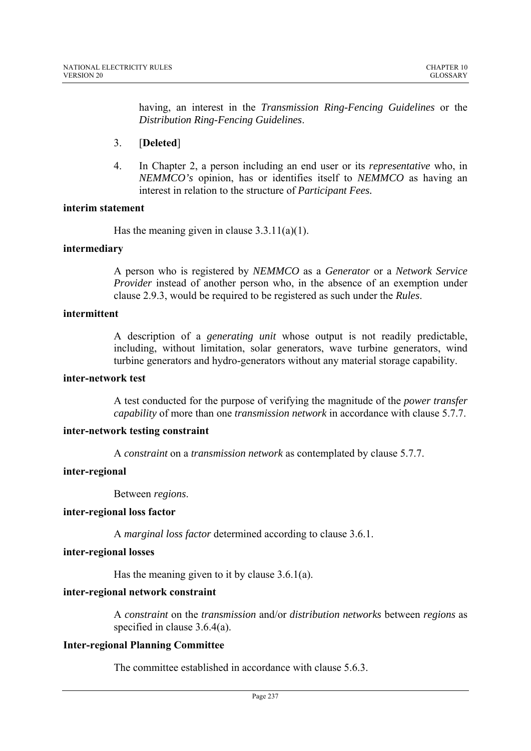having, an interest in the *Transmission Ring-Fencing Guidelines* or the *Distribution Ring-Fencing Guidelines*.

# 3. [**Deleted**]

4. In Chapter 2, a person including an end user or its *representative* who, in *NEMMCO's* opinion, has or identifies itself to *NEMMCO* as having an interest in relation to the structure of *Participant Fees.* 

# **interim statement**

Has the meaning given in clause 3.3.11(a)(1).

# **intermediary**

A person who is registered by *NEMMCO* as a *Generator* or a *Network Service Provider* instead of another person who, in the absence of an exemption under clause 2.9.3, would be required to be registered as such under the *Rules*.

## **intermittent**

A description of a *generating unit* whose output is not readily predictable, including, without limitation, solar generators, wave turbine generators, wind turbine generators and hydro-generators without any material storage capability.

## **inter-network test**

A test conducted for the purpose of verifying the magnitude of the *power transfer capability* of more than one *transmission network* in accordance with clause 5.7.7.

# **inter-network testing constraint**

A *constraint* on a *transmission network* as contemplated by clause 5.7.7.

## **inter-regional**

Between *regions*.

## **inter-regional loss factor**

A *marginal loss factor* determined according to clause 3.6.1.

## **inter-regional losses**

Has the meaning given to it by clause 3.6.1(a).

# **inter-regional network constraint**

A *constraint* on the *transmission* and/or *distribution networks* between *regions* as specified in clause 3.6.4(a).

## **Inter-regional Planning Committee**

The committee established in accordance with clause 5.6.3.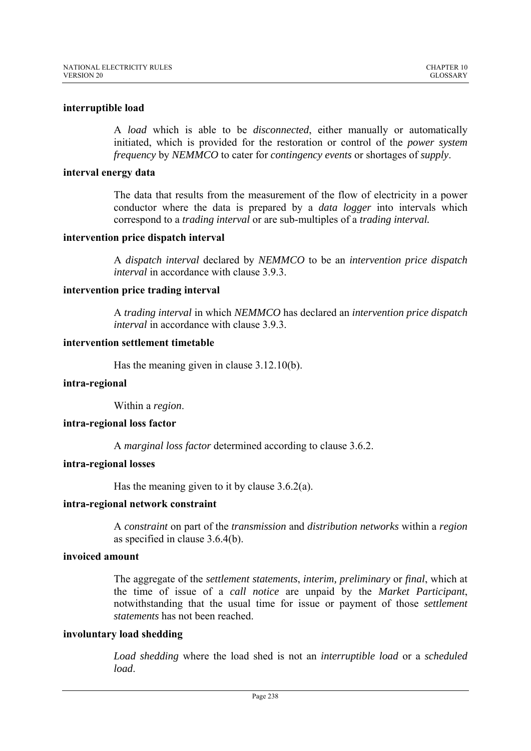# **interruptible load**

A *load* which is able to be *disconnected*, either manually or automatically initiated, which is provided for the restoration or control of the *power system frequency* by *NEMMCO* to cater for *contingency events* or shortages of *supply*.

## **interval energy data**

The data that results from the measurement of the flow of electricity in a power conductor where the data is prepared by a *data logger* into intervals which correspond to a *trading interval* or are sub-multiples of a *trading interval.* 

## **intervention price dispatch interval**

A *dispatch interval* declared by *NEMMCO* to be an *intervention price dispatch interval* in accordance with clause 3.9.3.

### **intervention price trading interval**

A *trading interval* in which *NEMMCO* has declared an *intervention price dispatch interval* in accordance with clause 3.9.3.

# **intervention settlement timetable**

Has the meaning given in clause 3.12.10(b).

#### **intra-regional**

Within a *region*.

## **intra-regional loss factor**

A *marginal loss factor* determined according to clause 3.6.2.

# **intra-regional losses**

Has the meaning given to it by clause 3.6.2(a).

#### **intra-regional network constraint**

A *constraint* on part of the *transmission* and *distribution networks* within a *region* as specified in clause 3.6.4(b).

## **invoiced amount**

The aggregate of the *settlement statements*, *interim, preliminary* or *final*, which at the time of issue of a *call notice* are unpaid by the *Market Participant*, notwithstanding that the usual time for issue or payment of those *settlement statements* has not been reached.

## **involuntary load shedding**

*Load shedding* where the load shed is not an *interruptible load* or a *scheduled load*.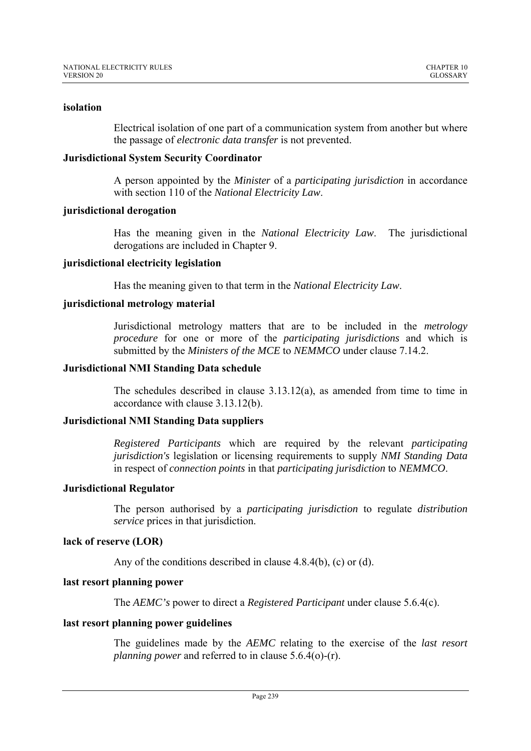## **isolation**

Electrical isolation of one part of a communication system from another but where the passage of *electronic data transfer* is not prevented.

# **Jurisdictional System Security Coordinator**

A person appointed by the *Minister* of a *participating jurisdiction* in accordance with section 110 of the *National Electricity Law*.

# **jurisdictional derogation**

Has the meaning given in the *National Electricity Law*. The jurisdictional derogations are included in Chapter 9.

# **jurisdictional electricity legislation**

Has the meaning given to that term in the *National Electricity Law*.

# **jurisdictional metrology material**

Jurisdictional metrology matters that are to be included in the *metrology procedure* for one or more of the *participating jurisdictions* and which is submitted by the *Ministers of the MCE* to *NEMMCO* under clause 7.14.2.

## **Jurisdictional NMI Standing Data schedule**

The schedules described in clause 3.13.12(a), as amended from time to time in accordance with clause 3.13.12(b).

## **Jurisdictional NMI Standing Data suppliers**

*Registered Participants* which are required by the relevant *participating jurisdiction's* legislation or licensing requirements to supply *NMI Standing Data* in respect of *connection points* in that *participating jurisdiction* to *NEMMCO*.

## **Jurisdictional Regulator**

The person authorised by a *participating jurisdiction* to regulate *distribution service* prices in that jurisdiction.

# **lack of reserve (LOR)**

Any of the conditions described in clause 4.8.4(b), (c) or (d).

# **last resort planning power**

The *AEMC's* power to direct a *Registered Participant* under clause 5.6.4(c).

# **last resort planning power guidelines**

The guidelines made by the *AEMC* relating to the exercise of the *last resort planning power* and referred to in clause 5.6.4(o)-(r).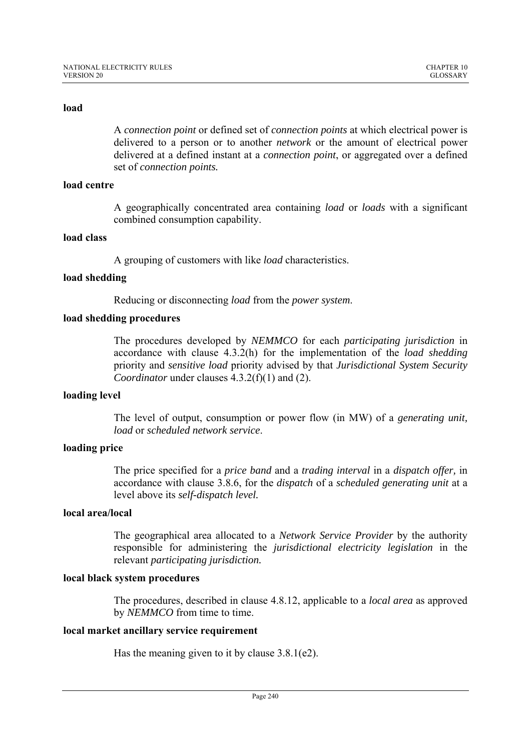A *connection point* or defined set of *connection points* at which electrical power is delivered to a person or to another *network* or the amount of electrical power delivered at a defined instant at a *connection point*, or aggregated over a defined set of *connection points.* 

### **load centre**

A geographically concentrated area containing *load* or *loads* with a significant combined consumption capability.

### **load class**

A grouping of customers with like *load* characteristics.

## **load shedding**

Reducing or disconnecting *load* from the *power system*.

### **load shedding procedures**

The procedures developed by *NEMMCO* for each *participating jurisdiction* in accordance with clause 4.3.2(h) for the implementation of the *load shedding* priority and *sensitive load* priority advised by that *Jurisdictional System Security Coordinator* under clauses 4.3.2(f)(1) and (2).

#### **loading level**

The level of output, consumption or power flow (in MW) of a *generating unit, load* or *scheduled network service*.

## **loading price**

The price specified for a *price band* and a *trading interval* in a *dispatch offer,* in accordance with clause 3.8.6, for the *dispatch* of a *scheduled generating unit* at a level above its *self-dispatch level.* 

## **local area/local**

The geographical area allocated to a *Network Service Provider* by the authority responsible for administering the *jurisdictional electricity legislation* in the relevant *participating jurisdiction.*

#### **local black system procedures**

The procedures, described in clause 4.8.12, applicable to a *local area* as approved by *NEMMCO* from time to time.

### **local market ancillary service requirement**

Has the meaning given to it by clause 3.8.1(e2).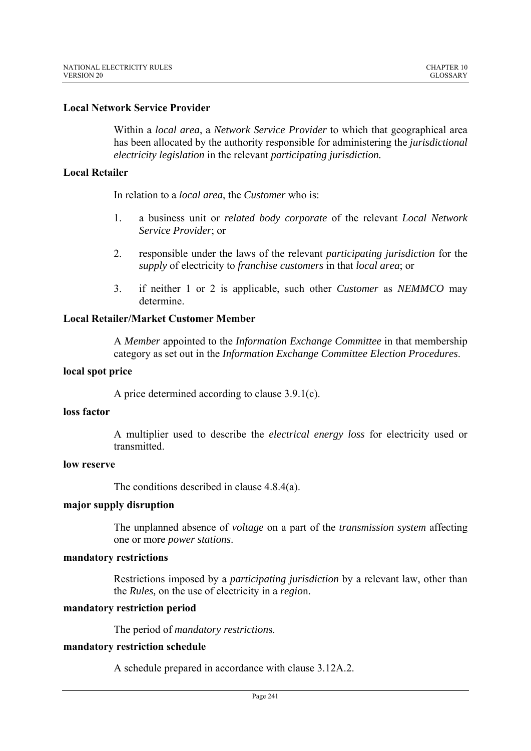# **Local Network Service Provider**

Within a *local area*, a *Network Service Provider* to which that geographical area has been allocated by the authority responsible for administering the *jurisdictional electricity legislation* in the relevant *participating jurisdiction.*

# **Local Retailer**

In relation to a *local area*, the *Customer* who is:

- 1. a business unit or *related body corporate* of the relevant *Local Network Service Provider*; or
- 2. responsible under the laws of the relevant *participating jurisdiction* for the *supply* of electricity to *franchise customers* in that *local area*; or
- 3. if neither 1 or 2 is applicable, such other *Customer* as *NEMMCO* may determine.

# **Local Retailer/Market Customer Member**

A *Member* appointed to the *Information Exchange Committee* in that membership category as set out in the *Information Exchange Committee Election Procedures*.

## **local spot price**

A price determined according to clause 3.9.1(c).

## **loss factor**

A multiplier used to describe the *electrical energy loss* for electricity used or transmitted.

# **low reserve**

The conditions described in clause 4.8.4(a).

## **major supply disruption**

The unplanned absence of *voltage* on a part of the *transmission system* affecting one or more *power stations*.

## **mandatory restrictions**

Restrictions imposed by a *participating jurisdiction* by a relevant law, other than the *Rules,* on the use of electricity in a *regio*n.

## **mandatory restriction period**

The period of *mandatory restriction*s.

## **mandatory restriction schedule**

A schedule prepared in accordance with clause 3.12A.2.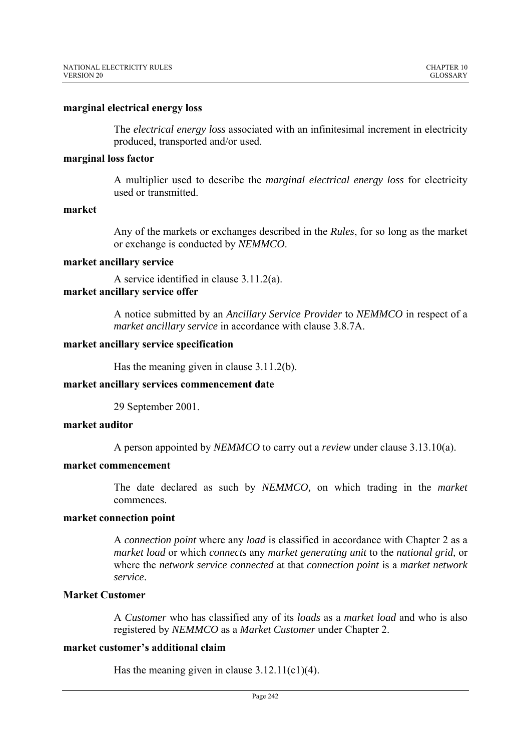### **marginal electrical energy loss**

The *electrical energy loss* associated with an infinitesimal increment in electricity produced, transported and/or used.

### **marginal loss factor**

A multiplier used to describe the *marginal electrical energy loss* for electricity used or transmitted.

### **market**

Any of the markets or exchanges described in the *Rules*, for so long as the market or exchange is conducted by *NEMMCO*.

### **market ancillary service**

A service identified in clause 3.11.2(a). **market ancillary service offer** 

> A notice submitted by an *Ancillary Service Provider* to *NEMMCO* in respect of a *market ancillary service* in accordance with clause 3.8.7A.

### **market ancillary service specification**

Has the meaning given in clause 3.11.2(b).

## **market ancillary services commencement date**

29 September 2001.

# **market auditor**

A person appointed by *NEMMCO* to carry out a *review* under clause 3.13.10(a).

# **market commencement**

The date declared as such by *NEMMCO,* on which trading in the *market* commences.

#### **market connection point**

A *connection point* where any *load* is classified in accordance with Chapter 2 as a *market load* or which *connects* any *market generating unit* to the *national grid,* or where the *network service connected* at that *connection point* is a *market network service*.

# **Market Customer**

A *Customer* who has classified any of its *loads* as a *market load* and who is also registered by *NEMMCO* as a *Market Customer* under Chapter 2.

#### **market customer's additional claim**

Has the meaning given in clause 3.12.11(c1)(4).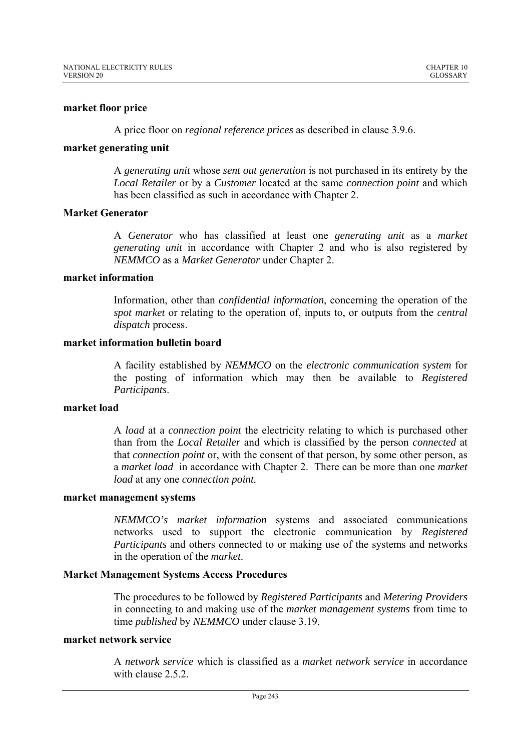# **market floor price**

A price floor on *regional reference prices* as described in clause 3.9.6.

## **market generating unit**

A *generating unit* whose *sent out generation* is not purchased in its entirety by the *Local Retailer* or by a *Customer* located at the same *connection point* and which has been classified as such in accordance with Chapter 2.

# **Market Generator**

A *Generator* who has classified at least one *generating unit* as a *market generating unit* in accordance with Chapter 2 and who is also registered by *NEMMCO* as a *Market Generator* under Chapter 2.

# **market information**

Information, other than *confidential information*, concerning the operation of the *spot market* or relating to the operation of, inputs to, or outputs from the *central dispatch* process.

## **market information bulletin board**

A facility established by *NEMMCO* on the *electronic communication system* for the posting of information which may then be available to *Registered Participants*.

## **market load**

A *load* at a *connection point* the electricity relating to which is purchased other than from the *Local Retailer* and which is classified by the person *connected* at that *connection point* or, with the consent of that person, by some other person, as a *market load* in accordance with Chapter 2. There can be more than one *market load* at any one *connection point.* 

## **market management systems**

*NEMMCO's market information* systems and associated communications networks used to support the electronic communication by *Registered Participants* and others connected to or making use of the systems and networks in the operation of the *market*.

## **Market Management Systems Access Procedures**

The procedures to be followed by *Registered Participants* and *Metering Providers* in connecting to and making use of the *market management systems* from time to time *published* by *NEMMCO* under clause 3.19.

# **market network service**

A *network service* which is classified as a *market network service* in accordance with clause 2.5.2.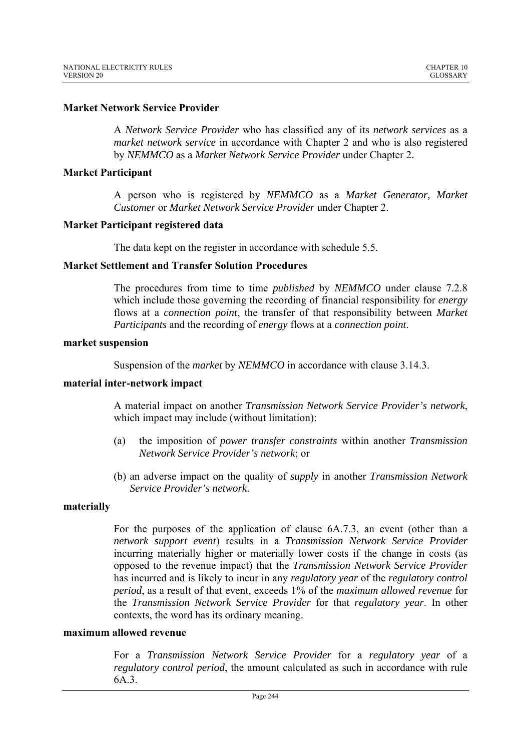# **Market Network Service Provider**

A *Network Service Provider* who has classified any of its *network services* as a *market network service* in accordance with Chapter 2 and who is also registered by *NEMMCO* as a *Market Network Service Provider* under Chapter 2.

## **Market Participant**

A person who is registered by *NEMMCO* as a *Market Generator, Market Customer* or *Market Network Service Provider* under Chapter 2.

## **Market Participant registered data**

The data kept on the register in accordance with schedule 5.5.

### **Market Settlement and Transfer Solution Procedures**

The procedures from time to time *published* by *NEMMCO* under clause 7.2.8 which include those governing the recording of financial responsibility for *energy* flows at a *connection point*, the transfer of that responsibility between *Market Participants* and the recording of *energy* flows at a *connection point*.

#### **market suspension**

Suspension of the *market* by *NEMMCO* in accordance with clause 3.14.3.

#### **material inter-network impact**

A material impact on another *Transmission Network Service Provider's network*, which impact may include (without limitation):

- (a) the imposition of *power transfer constraints* within another *Transmission Network Service Provider's network*; or
- (b) an adverse impact on the quality of *supply* in another *Transmission Network Service Provider's network*.

### **materially**

For the purposes of the application of clause 6A.7.3, an event (other than a *network support event*) results in a *Transmission Network Service Provider* incurring materially higher or materially lower costs if the change in costs (as opposed to the revenue impact) that the *Transmission Network Service Provider* has incurred and is likely to incur in any *regulatory year* of the *regulatory control period*, as a result of that event, exceeds 1% of the *maximum allowed revenue* for the *Transmission Network Service Provider* for that *regulatory year*. In other contexts, the word has its ordinary meaning.

## **maximum allowed revenue**

For a *Transmission Network Service Provider* for a *regulatory year* of a *regulatory control period*, the amount calculated as such in accordance with rule 6A.3.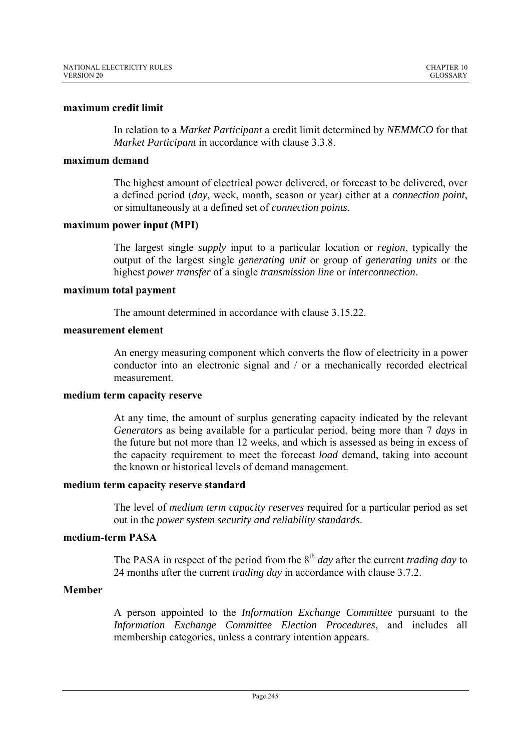### **maximum credit limit**

In relation to a *Market Participant* a credit limit determined by *NEMMCO* for that *Market Participant* in accordance with clause 3.3.8.

### **maximum demand**

The highest amount of electrical power delivered, or forecast to be delivered, over a defined period (*day*, week, month, season or year) either at a *connection point*, or simultaneously at a defined set of *connection points*.

### **maximum power input (MPI)**

The largest single *supply* input to a particular location or *region*, typically the output of the largest single *generating unit* or group of *generating units* or the highest *power transfer* of a single *transmission line* or *interconnection*.

#### **maximum total payment**

The amount determined in accordance with clause 3.15.22.

### **measurement element**

An energy measuring component which converts the flow of electricity in a power conductor into an electronic signal and / or a mechanically recorded electrical measurement.

## **medium term capacity reserve**

At any time, the amount of surplus generating capacity indicated by the relevant *Generators* as being available for a particular period, being more than 7 *days* in the future but not more than 12 weeks, and which is assessed as being in excess of the capacity requirement to meet the forecast *load* demand, taking into account the known or historical levels of demand management.

#### **medium term capacity reserve standard**

The level of *medium term capacity reserves* required for a particular period as set out in the *power system security and reliability standards*.

### **medium-term PASA**

The PASA in respect of the period from the 8<sup>th</sup> *day* after the current *trading day* to 24 months after the current *trading day* in accordance with clause 3.7.2.

## **Member**

A person appointed to the *Information Exchange Committee* pursuant to the *Information Exchange Committee Election Procedures*, and includes all membership categories, unless a contrary intention appears.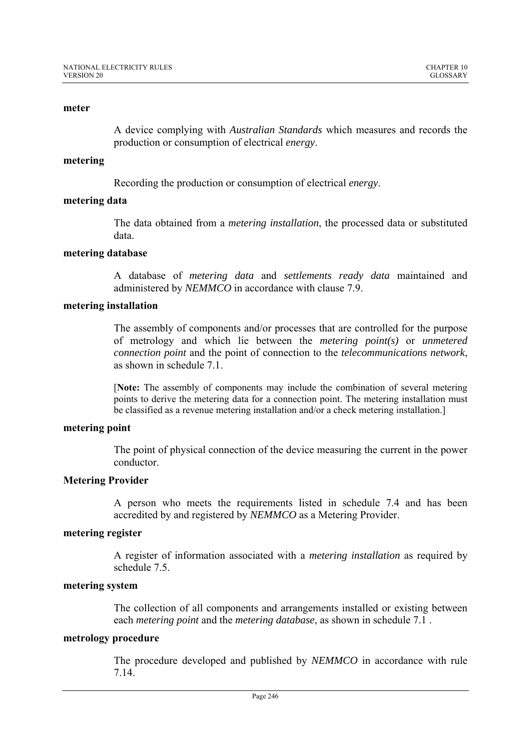#### **meter**

A device complying with *Australian Standards* which measures and records the production or consumption of electrical *energy*.

### **metering**

Recording the production or consumption of electrical *energy*.

## **metering data**

The data obtained from a *metering installation*, the processed data or substituted data.

### **metering database**

A database of *metering data* and *settlements ready data* maintained and administered by *NEMMCO* in accordance with clause 7.9.

## **metering installation**

The assembly of components and/or processes that are controlled for the purpose of metrology and which lie between the *metering point(s)* or *unmetered connection point* and the point of connection to the *telecommunications network*, as shown in schedule 7.1.

[**Note:** The assembly of components may include the combination of several metering points to derive the metering data for a connection point. The metering installation must be classified as a revenue metering installation and/or a check metering installation.]

### **metering point**

The point of physical connection of the device measuring the current in the power conductor.

#### **Metering Provider**

A person who meets the requirements listed in schedule 7.4 and has been accredited by and registered by *NEMMCO* as a Metering Provider.

### **metering register**

A register of information associated with a *metering installation* as required by schedule 7.5.

### **metering system**

The collection of all components and arrangements installed or existing between each *metering point* and the *metering database*, as shown in schedule 7.1 .

# **metrology procedure**

The procedure developed and published by *NEMMCO* in accordance with rule 7.14.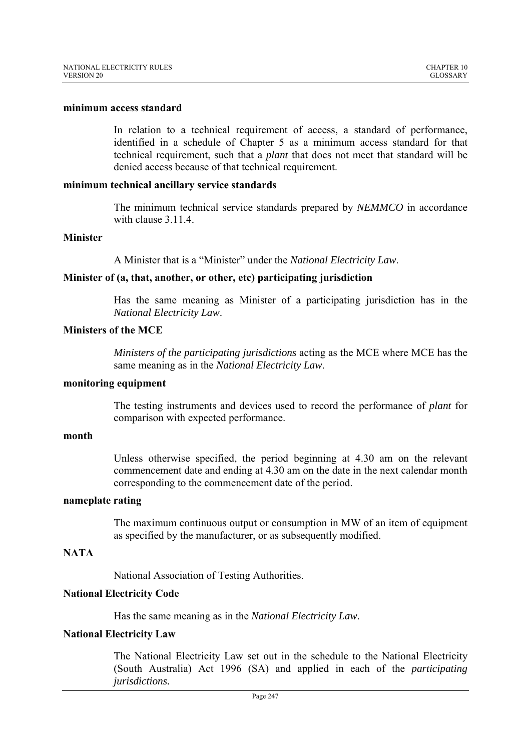### **minimum access standard**

In relation to a technical requirement of access, a standard of performance, identified in a schedule of Chapter 5 as a minimum access standard for that technical requirement, such that a *plant* that does not meet that standard will be denied access because of that technical requirement.

#### **minimum technical ancillary service standards**

The minimum technical service standards prepared by *NEMMCO* in accordance with clause 3.11.4.

#### **Minister**

A Minister that is a "Minister" under the *National Electricity Law*.

### **Minister of (a, that, another, or other, etc) participating jurisdiction**

Has the same meaning as Minister of a participating jurisdiction has in the *National Electricity Law*.

# **Ministers of the MCE**

*Ministers of the participating jurisdictions* acting as the MCE where MCE has the same meaning as in the *National Electricity Law*.

#### **monitoring equipment**

The testing instruments and devices used to record the performance of *plant* for comparison with expected performance.

### **month**

Unless otherwise specified, the period beginning at 4.30 am on the relevant commencement date and ending at 4.30 am on the date in the next calendar month corresponding to the commencement date of the period.

#### **nameplate rating**

The maximum continuous output or consumption in MW of an item of equipment as specified by the manufacturer, or as subsequently modified.

# **NATA**

National Association of Testing Authorities.

### **National Electricity Code**

Has the same meaning as in the *National Electricity Law*.

### **National Electricity Law**

The National Electricity Law set out in the schedule to the National Electricity (South Australia) Act 1996 (SA) and applied in each of the *participating jurisdictions.*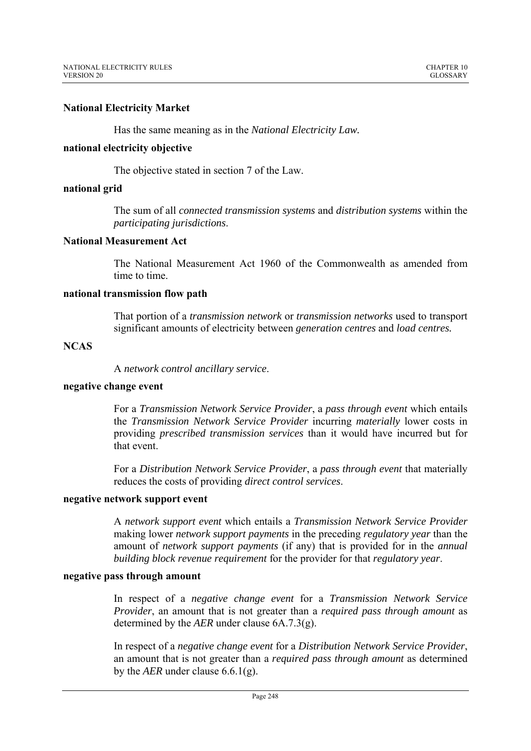# **National Electricity Market**

Has the same meaning as in the *National Electricity Law.* 

## **national electricity objective**

The objective stated in section 7 of the Law.

# **national grid**

The sum of all *connected transmission systems* and *distribution systems* within the *participating jurisdictions*.

# **National Measurement Act**

The National Measurement Act 1960 of the Commonwealth as amended from time to time.

## **national transmission flow path**

That portion of a *transmission network* or *transmission networks* used to transport significant amounts of electricity between *generation centres* and *load centres.* 

# **NCAS**

A *network control ancillary service*.

### **negative change event**

For a *Transmission Network Service Provider*, a *pass through event* which entails the *Transmission Network Service Provider* incurring *materially* lower costs in providing *prescribed transmission services* than it would have incurred but for that event.

For a *Distribution Network Service Provider*, a *pass through event* that materially reduces the costs of providing *direct control services*.

# **negative network support event**

A *network support event* which entails a *Transmission Network Service Provider* making lower *network support payments* in the preceding *regulatory year* than the amount of *network support payments* (if any) that is provided for in the *annual building block revenue requirement* for the provider for that *regulatory year*.

## **negative pass through amount**

In respect of a *negative change event* for a *Transmission Network Service Provider*, an amount that is not greater than a *required pass through amount* as determined by the *AER* under clause 6A.7.3(g).

In respect of a *negative change event* for a *Distribution Network Service Provider*, an amount that is not greater than a *required pass through amount* as determined by the *AER* under clause 6.6.1(g).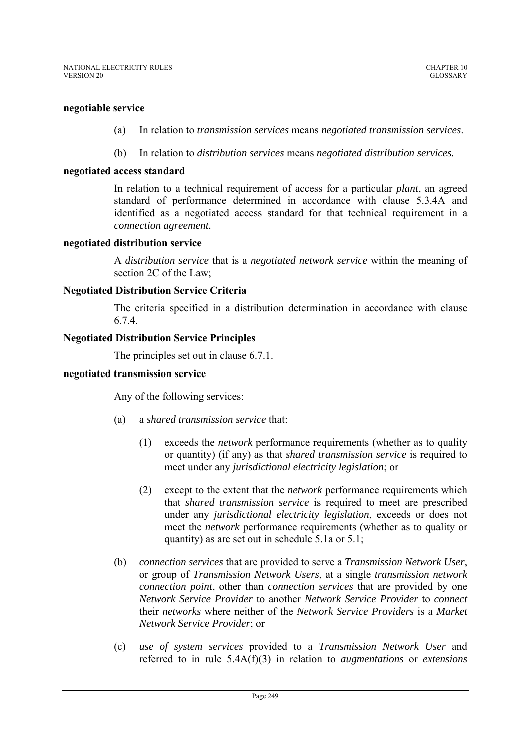## **negotiable service**

- (a) In relation to *transmission services* means *negotiated transmission services*.
- (b) In relation to *distribution services* means *negotiated distribution services.*

## **negotiated access standard**

In relation to a technical requirement of access for a particular *plant*, an agreed standard of performance determined in accordance with clause 5.3.4A and identified as a negotiated access standard for that technical requirement in a *connection agreement.* 

## **negotiated distribution service**

A *distribution service* that is a *negotiated network service* within the meaning of section 2C of the Law;

## **Negotiated Distribution Service Criteria**

The criteria specified in a distribution determination in accordance with clause 6.7.4.

## **Negotiated Distribution Service Principles**

The principles set out in clause 6.7.1.

### **negotiated transmission service**

Any of the following services:

- (a) a *shared transmission service* that:
	- (1) exceeds the *network* performance requirements (whether as to quality or quantity) (if any) as that *shared transmission service* is required to meet under any *jurisdictional electricity legislation*; or
	- (2) except to the extent that the *network* performance requirements which that *shared transmission service* is required to meet are prescribed under any *jurisdictional electricity legislation*, exceeds or does not meet the *network* performance requirements (whether as to quality or quantity) as are set out in schedule 5.1a or 5.1;
- (b) *connection services* that are provided to serve a *Transmission Network User*, or group of *Transmission Network Users*, at a single *transmission network connection point*, other than *connection services* that are provided by one *Network Service Provider* to another *Network Service Provider* to *connect* their *networks* where neither of the *Network Service Providers* is a *Market Network Service Provider*; or
- (c) *use of system services* provided to a *Transmission Network User* and referred to in rule 5.4A(f)(3) in relation to *augmentations* or *extensions*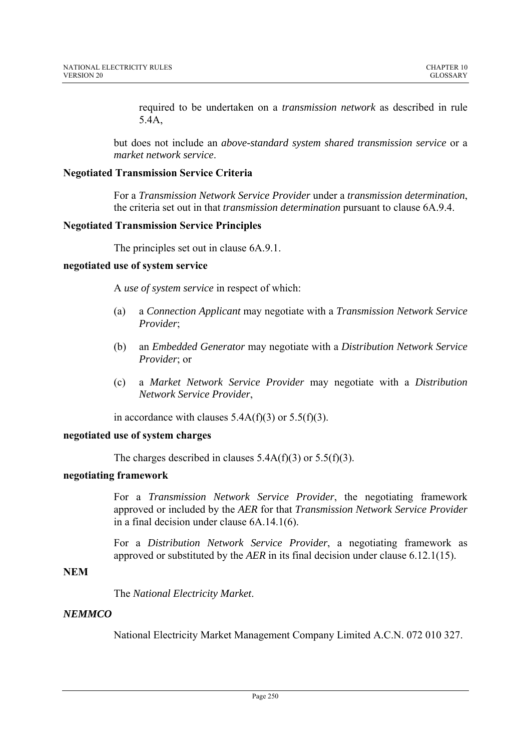required to be undertaken on a *transmission network* as described in rule 5.4A,

but does not include an *above-standard system shared transmission service* or a *market network service*.

# **Negotiated Transmission Service Criteria**

For a *Transmission Network Service Provider* under a *transmission determination*, the criteria set out in that *transmission determination* pursuant to clause 6A.9.4.

# **Negotiated Transmission Service Principles**

The principles set out in clause 6A.9.1.

# **negotiated use of system service**

A *use of system service* in respect of which:

- (a) a *Connection Applicant* may negotiate with a *Transmission Network Service Provider*;
- (b) an *Embedded Generator* may negotiate with a *Distribution Network Service Provider*; or
- (c) a *Market Network Service Provider* may negotiate with a *Distribution Network Service Provider*,

in accordance with clauses  $5.4A(f)(3)$  or  $5.5(f)(3)$ .

## **negotiated use of system charges**

The charges described in clauses  $5.4A(f)(3)$  or  $5.5(f)(3)$ .

# **negotiating framework**

For a *Transmission Network Service Provider*, the negotiating framework approved or included by the *AER* for that *Transmission Network Service Provider* in a final decision under clause 6A.14.1(6).

For a *Distribution Network Service Provider*, a negotiating framework as approved or substituted by the *AER* in its final decision under clause 6.12.1(15).

# **NEM**

The *National Electricity Market*.

# *NEMMCO*

National Electricity Market Management Company Limited A.C.N. 072 010 327.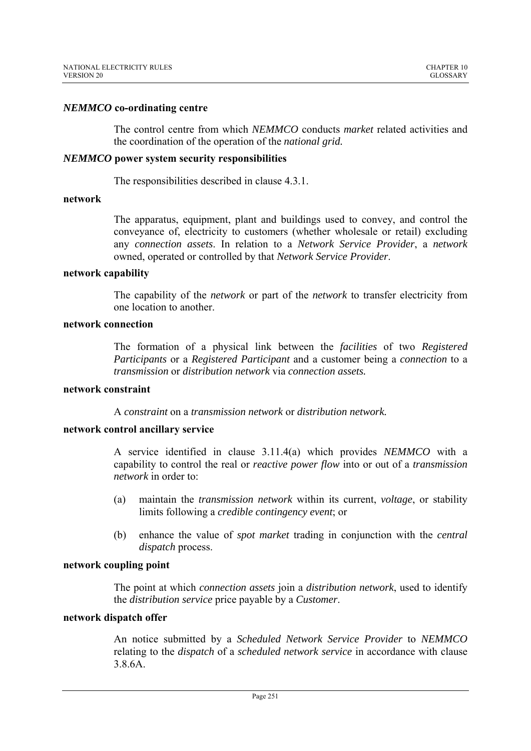## *NEMMCO* **co-ordinating centre**

The control centre from which *NEMMCO* conducts *market* related activities and the coordination of the operation of the *national grid.*

### *NEMMCO* **power system security responsibilities**

The responsibilities described in clause 4.3.1.

### **network**

The apparatus, equipment, plant and buildings used to convey, and control the conveyance of, electricity to customers (whether wholesale or retail) excluding any *connection assets*. In relation to a *Network Service Provider*, a *network* owned, operated or controlled by that *Network Service Provider*.

#### **network capability**

The capability of the *network* or part of the *network* to transfer electricity from one location to another.

### **network connection**

The formation of a physical link between the *facilities* of two *Registered Participants* or a *Registered Participant* and a customer being a *connection* to a *transmission* or *distribution network* via *connection assets.*

### **network constraint**

A *constraint* on a *transmission network* or *distribution network.* 

## **network control ancillary service**

A service identified in clause 3.11.4(a) which provides *NEMMCO* with a capability to control the real or *reactive power flow* into or out of a *transmission network* in order to:

- (a) maintain the *transmission network* within its current, *voltage*, or stability limits following a *credible contingency event*; or
- (b) enhance the value of *spot market* trading in conjunction with the *central dispatch* process.

### **network coupling point**

The point at which *connection assets* join a *distribution network*, used to identify the *distribution service* price payable by a *Customer*.

#### **network dispatch offer**

An notice submitted by a *Scheduled Network Service Provider* to *NEMMCO* relating to the *dispatch* of a *scheduled network service* in accordance with clause 3.8.6A.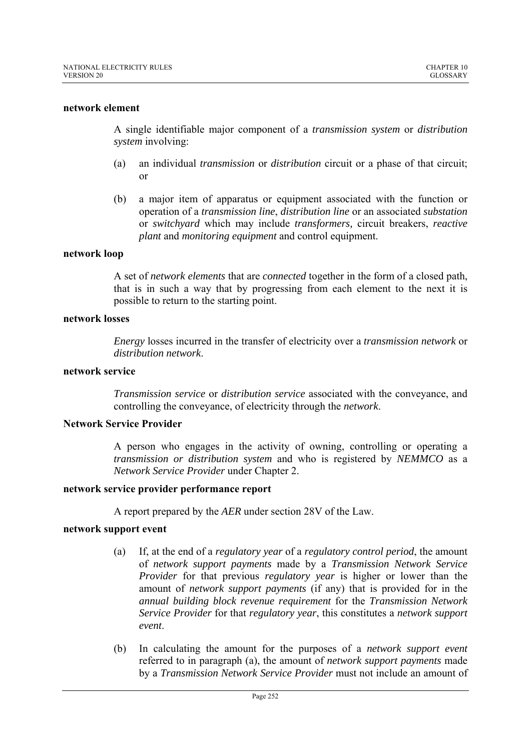### **network element**

A single identifiable major component of a *transmission system* or *distribution system* involving:

- (a) an individual *transmission* or *distribution* circuit or a phase of that circuit; or
- (b) a major item of apparatus or equipment associated with the function or operation of a *transmission line*, *distribution line* or an associated *substation* or *switchyard* which may include *transformers,* circuit breakers, *reactive plant* and *monitoring equipment* and control equipment.

# **network loop**

A set of *network elements* that are *connected* together in the form of a closed path, that is in such a way that by progressing from each element to the next it is possible to return to the starting point.

### **network losses**

*Energy* losses incurred in the transfer of electricity over a *transmission network* or *distribution network*.

### **network service**

*Transmission service* or *distribution service* associated with the conveyance, and controlling the conveyance, of electricity through the *network*.

### **Network Service Provider**

A person who engages in the activity of owning, controlling or operating a *transmission or distribution system* and who is registered by *NEMMCO* as a *Network Service Provider* under Chapter 2.

### **network service provider performance report**

A report prepared by the *AER* under section 28V of the Law.

### **network support event**

- (a) If, at the end of a *regulatory year* of a *regulatory control period*, the amount of *network support payments* made by a *Transmission Network Service Provider* for that previous *regulatory year* is higher or lower than the amount of *network support payments* (if any) that is provided for in the *annual building block revenue requirement* for the *Transmission Network Service Provider* for that *regulatory year*, this constitutes a *network support event*.
- (b) In calculating the amount for the purposes of a *network support event* referred to in paragraph (a), the amount of *network support payments* made by a *Transmission Network Service Provider* must not include an amount of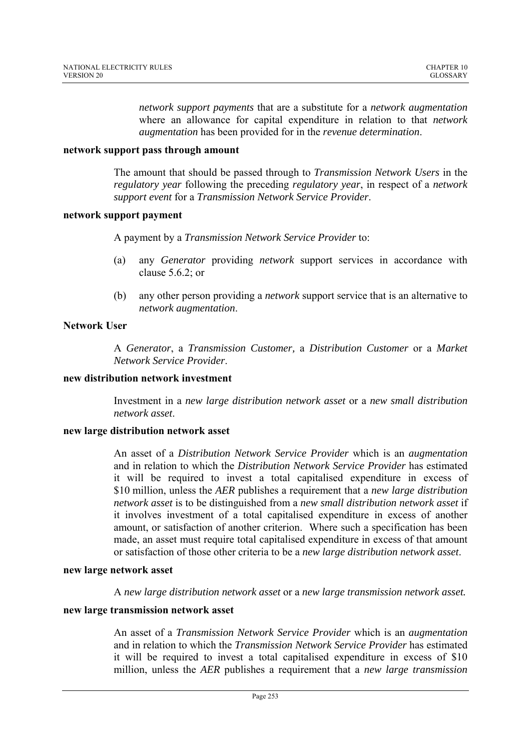*network support payments* that are a substitute for a *network augmentation* where an allowance for capital expenditure in relation to that *network augmentation* has been provided for in the *revenue determination*.

### **network support pass through amount**

The amount that should be passed through to *Transmission Network Users* in the *regulatory year* following the preceding *regulatory year*, in respect of a *network support event* for a *Transmission Network Service Provider*.

# **network support payment**

A payment by a *Transmission Network Service Provider* to:

- (a) any *Generator* providing *network* support services in accordance with clause 5.6.2; or
- (b) any other person providing a *network* support service that is an alternative to *network augmentation*.

# **Network User**

A *Generator*, a *Transmission Customer,* a *Distribution Customer* or a *Market Network Service Provider*.

# **new distribution network investment**

Investment in a *new large distribution network asset* or a *new small distribution network asset*.

## **new large distribution network asset**

An asset of a *Distribution Network Service Provider* which is an *augmentation* and in relation to which the *Distribution Network Service Provider* has estimated it will be required to invest a total capitalised expenditure in excess of \$10 million, unless the *AER* publishes a requirement that a *new large distribution network asset* is to be distinguished from a *new small distribution network asset* if it involves investment of a total capitalised expenditure in excess of another amount, or satisfaction of another criterion. Where such a specification has been made, an asset must require total capitalised expenditure in excess of that amount or satisfaction of those other criteria to be a *new large distribution network asset*.

### **new large network asset**

A *new large distribution network asset* or a *new large transmission network asset.*

### **new large transmission network asset**

An asset of a *Transmission Network Service Provider* which is an *augmentation* and in relation to which the *Transmission Network Service Provider* has estimated it will be required to invest a total capitalised expenditure in excess of \$10 million, unless the *AER* publishes a requirement that a *new large transmission*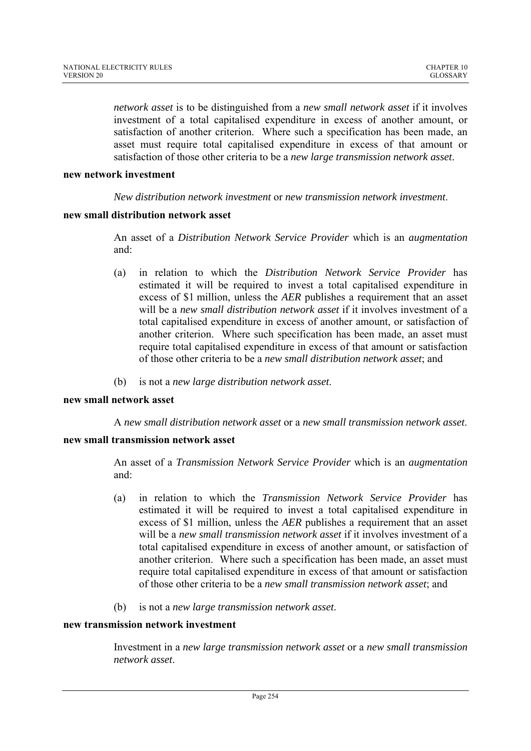*network asset* is to be distinguished from a *new small network asset* if it involves investment of a total capitalised expenditure in excess of another amount, or satisfaction of another criterion. Where such a specification has been made, an asset must require total capitalised expenditure in excess of that amount or satisfaction of those other criteria to be a *new large transmission network asset*.

# **new network investment**

*New distribution network investment* or *new transmission network investment*.

# **new small distribution network asset**

An asset of a *Distribution Network Service Provider* which is an *augmentation* and:

- (a) in relation to which the *Distribution Network Service Provider* has estimated it will be required to invest a total capitalised expenditure in excess of \$1 million, unless the *AER* publishes a requirement that an asset will be a *new small distribution network asset* if it involves investment of a total capitalised expenditure in excess of another amount, or satisfaction of another criterion. Where such specification has been made, an asset must require total capitalised expenditure in excess of that amount or satisfaction of those other criteria to be a *new small distribution network asset*; and
- (b) is not a *new large distribution network asset*.

### **new small network asset**

A *new small distribution network asset* or a *new small transmission network asset*.

### **new small transmission network asset**

An asset of a *Transmission Network Service Provider* which is an *augmentation* and:

- (a) in relation to which the *Transmission Network Service Provider* has estimated it will be required to invest a total capitalised expenditure in excess of \$1 million, unless the *AER* publishes a requirement that an asset will be a *new small transmission network asset* if it involves investment of a total capitalised expenditure in excess of another amount, or satisfaction of another criterion. Where such a specification has been made, an asset must require total capitalised expenditure in excess of that amount or satisfaction of those other criteria to be a *new small transmission network asset*; and
- (b) is not a *new large transmission network asset*.

### **new transmission network investment**

Investment in a *new large transmission network asset* or a *new small transmission network asset*.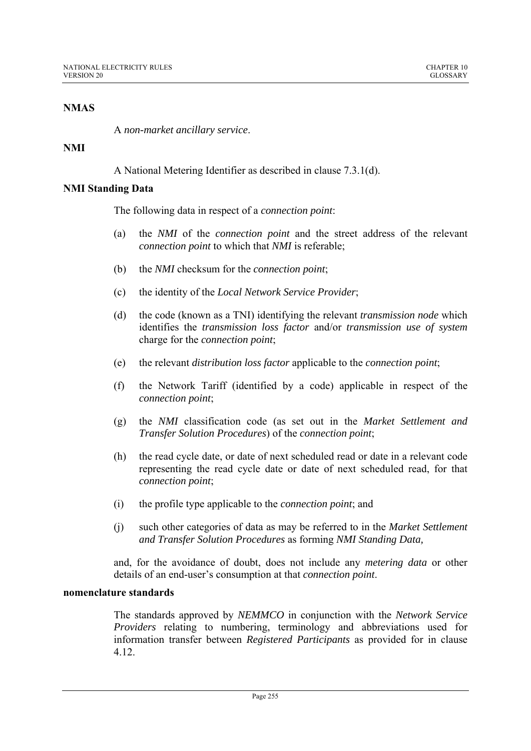# **NMAS**

A *non-market ancillary service*.

# **NMI**

A National Metering Identifier as described in clause 7.3.1(d).

# **NMI Standing Data**

The following data in respect of a *connection point*:

- (a) the *NMI* of the *connection point* and the street address of the relevant *connection point* to which that *NMI* is referable;
- (b) the *NMI* checksum for the *connection point*;
- (c) the identity of the *Local Network Service Provider*;
- (d) the code (known as a TNI) identifying the relevant *transmission node* which identifies the *transmission loss factor* and/or *transmission use of system* charge for the *connection point*;
- (e) the relevant *distribution loss factor* applicable to the *connection point*;
- (f) the Network Tariff (identified by a code) applicable in respect of the *connection point*;
- (g) the *NMI* classification code (as set out in the *Market Settlement and Transfer Solution Procedures*) of the *connection point*;
- (h) the read cycle date, or date of next scheduled read or date in a relevant code representing the read cycle date or date of next scheduled read, for that *connection point*;
- (i) the profile type applicable to the *connection point*; and
- (j) such other categories of data as may be referred to in the *Market Settlement and Transfer Solution Procedures* as forming *NMI Standing Data,*

and, for the avoidance of doubt, does not include any *metering data* or other details of an end-user's consumption at that *connection point*.

# **nomenclature standards**

The standards approved by *NEMMCO* in conjunction with the *Network Service Providers* relating to numbering, terminology and abbreviations used for information transfer between *Registered Participants* as provided for in clause 4.12.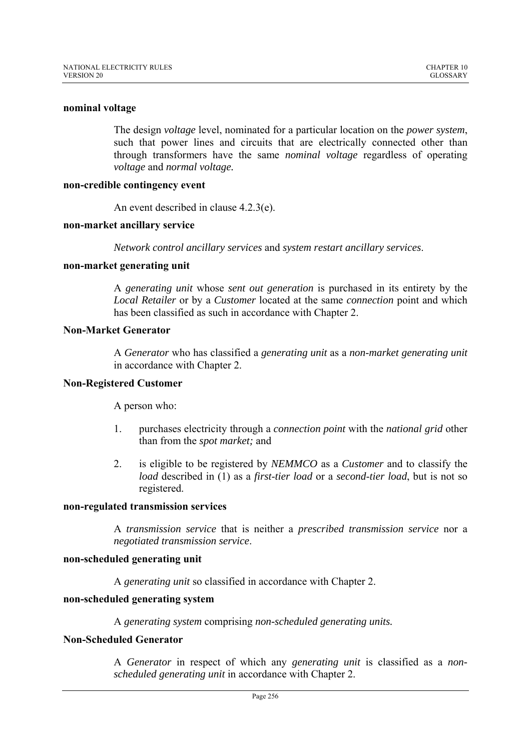### **nominal voltage**

The design *voltage* level, nominated for a particular location on the *power system*, such that power lines and circuits that are electrically connected other than through transformers have the same *nominal voltage* regardless of operating *voltage* and *normal voltage.*

#### **non-credible contingency event**

An event described in clause 4.2.3(e).

#### **non-market ancillary service**

*Network control ancillary services* and *system restart ancillary services*.

#### **non-market generating unit**

A *generating unit* whose *sent out generation* is purchased in its entirety by the *Local Retailer* or by a *Customer* located at the same *connection* point and which has been classified as such in accordance with Chapter 2.

## **Non-Market Generator**

A *Generator* who has classified a *generating unit* as a *non*-*market generating unit* in accordance with Chapter 2.

#### **Non-Registered Customer**

A person who:

- 1. purchases electricity through a *connection point* with the *national grid* other than from the *spot market;* and
- 2. is eligible to be registered by *NEMMCO* as a *Customer* and to classify the *load* described in (1) as a *first*-*tier load* or a *second*-*tier load*, but is not so registered.

#### **non-regulated transmission services**

A *transmission service* that is neither a *prescribed transmission service* nor a *negotiated transmission service*.

#### **non-scheduled generating unit**

A *generating unit* so classified in accordance with Chapter 2.

#### **non-scheduled generating system**

A *generating system* comprising *non-scheduled generating units.*

## **Non-Scheduled Generator**

A *Generator* in respect of which any *generating unit* is classified as a *nonscheduled generating unit* in accordance with Chapter 2.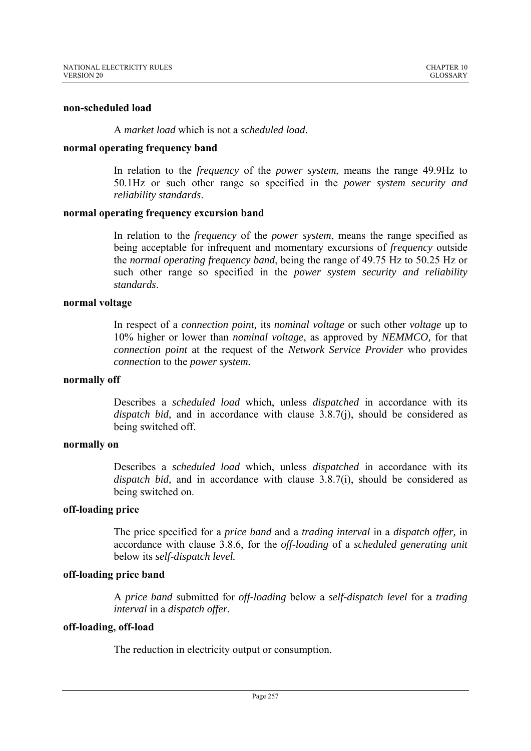### **non-scheduled load**

# A *market load* which is not a *scheduled load*.

## **normal operating frequency band**

In relation to the *frequency* of the *power system*, means the range 49.9Hz to 50.1Hz or such other range so specified in the *power system security and reliability standards*.

# **normal operating frequency excursion band**

In relation to the *frequency* of the *power system*, means the range specified as being acceptable for infrequent and momentary excursions of *frequency* outside the *normal operating frequency band*, being the range of 49.75 Hz to 50.25 Hz or such other range so specified in the *power system security and reliability standards*.

# **normal voltage**

In respect of a *connection point,* its *nominal voltage* or such other *voltage* up to 10% higher or lower than *nominal voltage*, as approved by *NEMMCO,* for that *connection point* at the request of the *Network Service Provider* who provides *connection* to the *power system.*

### **normally off**

Describes a *scheduled load* which, unless *dispatched* in accordance with its *dispatch bid,* and in accordance with clause 3.8.7(j), should be considered as being switched off.

### **normally on**

Describes a *scheduled load* which, unless *dispatched* in accordance with its *dispatch bid,* and in accordance with clause 3.8.7(i), should be considered as being switched on.

# **off-loading price**

The price specified for a *price band* and a *trading interval* in a *dispatch offer,* in accordance with clause 3.8.6, for the *off-loading* of a *scheduled generating unit*  below its *self-dispatch level.* 

# **off-loading price band**

A *price band* submitted for *off-loading* below a *self-dispatch level* for a *trading interval* in a *dispatch offer.*

# **off-loading, off-load**

The reduction in electricity output or consumption.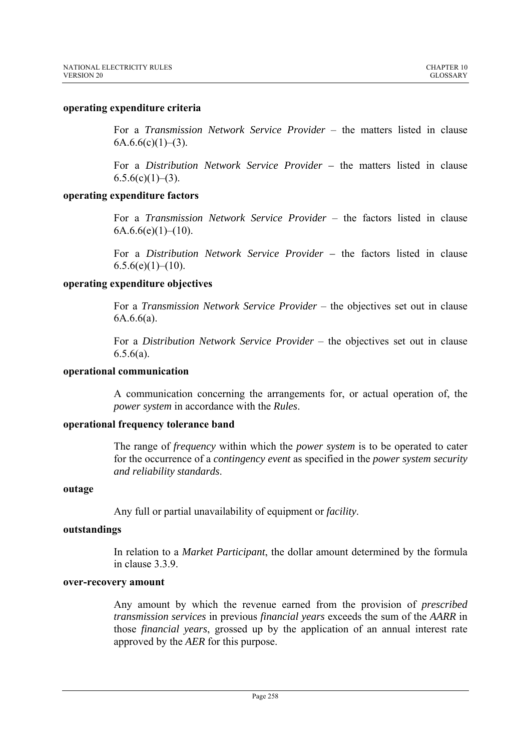## **operating expenditure criteria**

For a *Transmission Network Service Provider* – the matters listed in clause  $6A.6.6(c)(1)–(3)$ .

For a *Distribution Network Service Provider –* the matters listed in clause  $6.5.6(c)(1)–(3)$ .

# **operating expenditure factors**

For a *Transmission Network Service Provider* – the factors listed in clause  $6A.6.6(e)(1)–(10).$ 

For a *Distribution Network Service Provider –* the factors listed in clause  $6.5.6(e)(1)–(10)$ .

# **operating expenditure objectives**

For a *Transmission Network Service Provider* – the objectives set out in clause 6A.6.6(a).

For a *Distribution Network Service Provider* – the objectives set out in clause  $6.5.6(a)$ .

## **operational communication**

A communication concerning the arrangements for, or actual operation of, the *power system* in accordance with the *Rules*.

### **operational frequency tolerance band**

The range of *frequency* within which the *power system* is to be operated to cater for the occurrence of a *contingency event* as specified in the *power system security and reliability standards*.

### **outage**

Any full or partial unavailability of equipment or *facility*.

### **outstandings**

In relation to a *Market Participant*, the dollar amount determined by the formula in clause 3.3.9.

# **over-recovery amount**

Any amount by which the revenue earned from the provision of *prescribed transmission services* in previous *financial years* exceeds the sum of the *AARR* in those *financial years*, grossed up by the application of an annual interest rate approved by the *AER* for this purpose.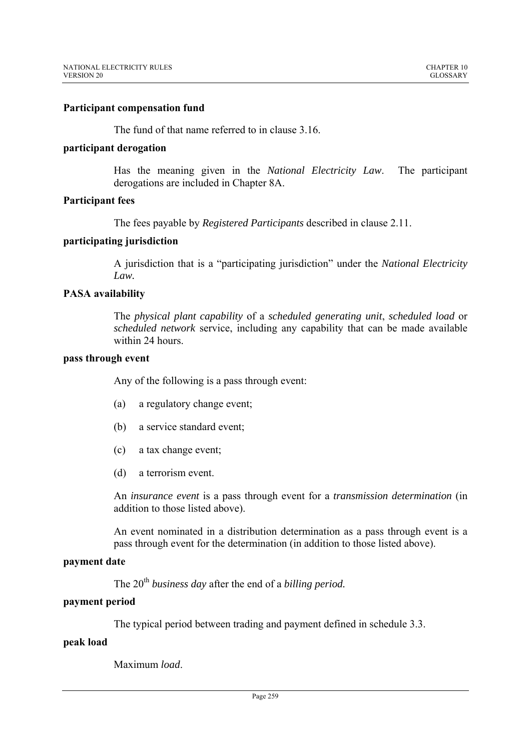## **Participant compensation fund**

The fund of that name referred to in clause 3.16.

#### **participant derogation**

Has the meaning given in the *National Electricity Law*. The participant derogations are included in Chapter 8A.

# **Participant fees**

The fees payable by *Registered Participants* described in clause 2.11.

### **participating jurisdiction**

A jurisdiction that is a "participating jurisdiction" under the *National Electricity Law.* 

# **PASA availability**

The *physical plant capability* of a *scheduled generating unit*, *scheduled load* or *scheduled network* service, including any capability that can be made available within 24 hours.

## **pass through event**

Any of the following is a pass through event:

- (a) a regulatory change event;
- (b) a service standard event;
- (c) a tax change event;
- (d) a terrorism event.

An *insurance event* is a pass through event for a *transmission determination* (in addition to those listed above).

An event nominated in a distribution determination as a pass through event is a pass through event for the determination (in addition to those listed above).

# **payment date**

The 20<sup>th</sup> business day after the end of a *billing period*.

# **payment period**

The typical period between trading and payment defined in schedule 3.3.

### **peak load**

Maximum *load*.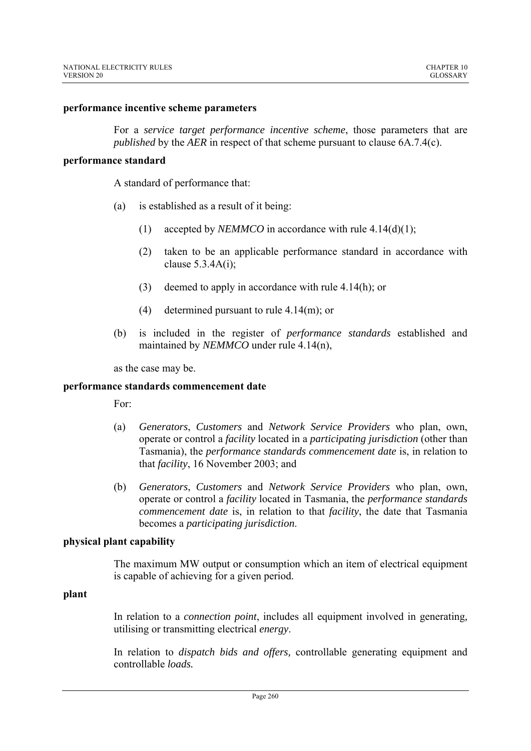#### **performance incentive scheme parameters**

For a *service target performance incentive scheme*, those parameters that are *published* by the *AER* in respect of that scheme pursuant to clause 6A.7.4(c).

#### **performance standard**

A standard of performance that:

- (a) is established as a result of it being:
	- (1) accepted by *NEMMCO* in accordance with rule  $4.14(d)(1)$ ;
	- (2) taken to be an applicable performance standard in accordance with clause 5.3.4A(i);
	- (3) deemed to apply in accordance with rule 4.14(h); or
	- (4) determined pursuant to rule 4.14(m); or
- (b) is included in the register of *performance standards* established and maintained by *NEMMCO* under rule 4.14(n),

as the case may be.

### **performance standards commencement date**

For:

- (a) *Generators*, *Customers* and *Network Service Providers* who plan, own, operate or control a *facility* located in a *participating jurisdiction* (other than Tasmania), the *performance standards commencement date* is, in relation to that *facility*, 16 November 2003; and
- (b) *Generators*, *Customers* and *Network Service Providers* who plan, own, operate or control a *facility* located in Tasmania, the *performance standards commencement date* is, in relation to that *facility*, the date that Tasmania becomes a *participating jurisdiction*.

#### **physical plant capability**

The maximum MW output or consumption which an item of electrical equipment is capable of achieving for a given period.

#### **plant**

In relation to a *connection point*, includes all equipment involved in generating, utilising or transmitting electrical *energy*.

In relation to *dispatch bids and offers,* controllable generating equipment and controllable *loads.*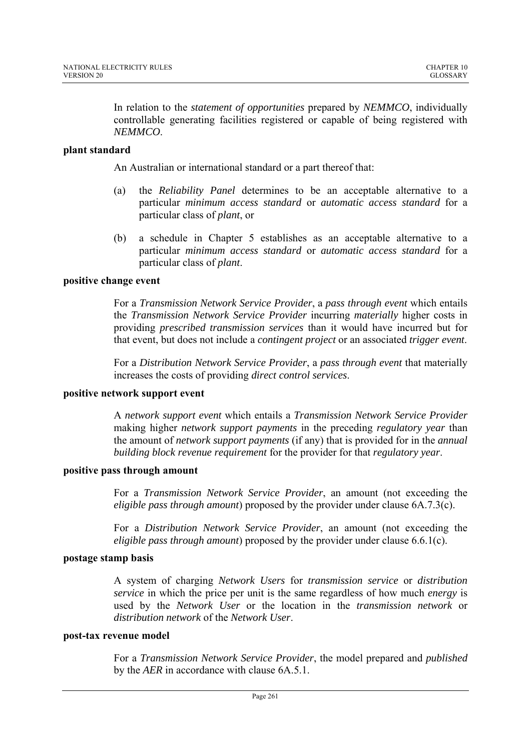In relation to the *statement of opportunities* prepared by *NEMMCO*, individually controllable generating facilities registered or capable of being registered with *NEMMCO*.

# **plant standard**

An Australian or international standard or a part thereof that:

- (a) the *Reliability Panel* determines to be an acceptable alternative to a particular *minimum access standard* or *automatic access standard* for a particular class of *plant*, or
- (b) a schedule in Chapter 5 establishes as an acceptable alternative to a particular *minimum access standard* or *automatic access standard* for a particular class of *plant*.

# **positive change event**

For a *Transmission Network Service Provider*, a *pass through event* which entails the *Transmission Network Service Provider* incurring *materially* higher costs in providing *prescribed transmission services* than it would have incurred but for that event, but does not include a *contingent project* or an associated *trigger event*.

For a *Distribution Network Service Provider*, a *pass through event* that materially increases the costs of providing *direct control services*.

### **positive network support event**

A *network support event* which entails a *Transmission Network Service Provider* making higher *network support payments* in the preceding *regulatory year* than the amount of *network support payments* (if any) that is provided for in the *annual building block revenue requirement* for the provider for that *regulatory year*.

### **positive pass through amount**

For a *Transmission Network Service Provider*, an amount (not exceeding the *eligible pass through amount*) proposed by the provider under clause 6A.7.3(c).

For a *Distribution Network Service Provider*, an amount (not exceeding the *eligible pass through amount*) proposed by the provider under clause 6.6.1(c).

### **postage stamp basis**

A system of charging *Network Users* for *transmission service* or *distribution service* in which the price per unit is the same regardless of how much *energy* is used by the *Network User* or the location in the *transmission network* or *distribution network* of the *Network User*.

#### **post-tax revenue model**

For a *Transmission Network Service Provider*, the model prepared and *published* by the *AER* in accordance with clause 6A.5.1.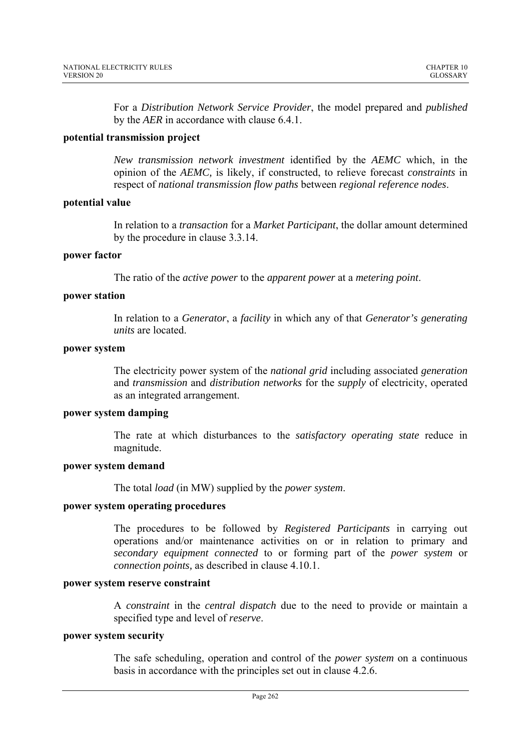For a *Distribution Network Service Provider*, the model prepared and *published* by the *AER* in accordance with clause 6.4.1.

# **potential transmission project**

*New transmission network investment* identified by the *AEMC* which, in the opinion of the *AEMC,* is likely, if constructed, to relieve forecast *constraints* in respect of *national transmission flow paths* between *regional reference nodes*.

# **potential value**

In relation to a *transaction* for a *Market Participant*, the dollar amount determined by the procedure in clause 3.3.14.

### **power factor**

The ratio of the *active power* to the *apparent power* at a *metering point*.

# **power station**

In relation to a *Generator*, a *facility* in which any of that *Generator's generating units* are located.

# **power system**

The electricity power system of the *national grid* including associated *generation* and *transmission* and *distribution networks* for the *supply* of electricity, operated as an integrated arrangement.

### **power system damping**

The rate at which disturbances to the *satisfactory operating state* reduce in magnitude.

### **power system demand**

The total *load* (in MW) supplied by the *power system*.

### **power system operating procedures**

The procedures to be followed by *Registered Participants* in carrying out operations and/or maintenance activities on or in relation to primary and *secondary equipment connected* to or forming part of the *power system* or *connection points,* as described in clause 4.10.1.

## **power system reserve constraint**

A *constraint* in the *central dispatch* due to the need to provide or maintain a specified type and level of *reserve*.

### **power system security**

The safe scheduling, operation and control of the *power system* on a continuous basis in accordance with the principles set out in clause 4.2.6.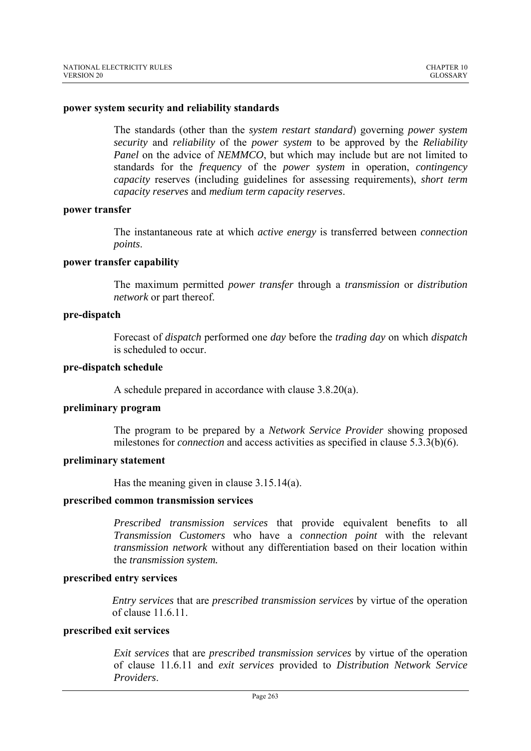#### **power system security and reliability standards**

The standards (other than the *system restart standard*) governing *power system security* and *reliability* of the *power system* to be approved by the *Reliability Panel* on the advice of *NEMMCO*, but which may include but are not limited to standards for the *frequency* of the *power system* in operation, *contingency capacity* reserves (including guidelines for assessing requirements), *short term capacity reserves* and *medium term capacity reserves*.

#### **power transfer**

The instantaneous rate at which *active energy* is transferred between *connection points*.

#### **power transfer capability**

The maximum permitted *power transfer* through a *transmission* or *distribution network* or part thereof.

#### **pre-dispatch**

Forecast of *dispatch* performed one *day* before the *trading day* on which *dispatch* is scheduled to occur.

#### **pre-dispatch schedule**

A schedule prepared in accordance with clause 3.8.20(a).

## **preliminary program**

The program to be prepared by a *Network Service Provider* showing proposed milestones for *connection* and access activities as specified in clause 5.3.3(b)(6).

#### **preliminary statement**

Has the meaning given in clause 3.15.14(a).

#### **prescribed common transmission services**

*Prescribed transmission services* that provide equivalent benefits to all *Transmission Customers* who have a *connection point* with the relevant *transmission network* without any differentiation based on their location within the *transmission system.*

### **prescribed entry services**

*Entry services* that are *prescribed transmission services* by virtue of the operation of clause  $11.6.11$ .

### **prescribed exit services**

*Exit services* that are *prescribed transmission services* by virtue of the operation of clause 11.6.11 and *exit services* provided to *Distribution Network Service Providers*.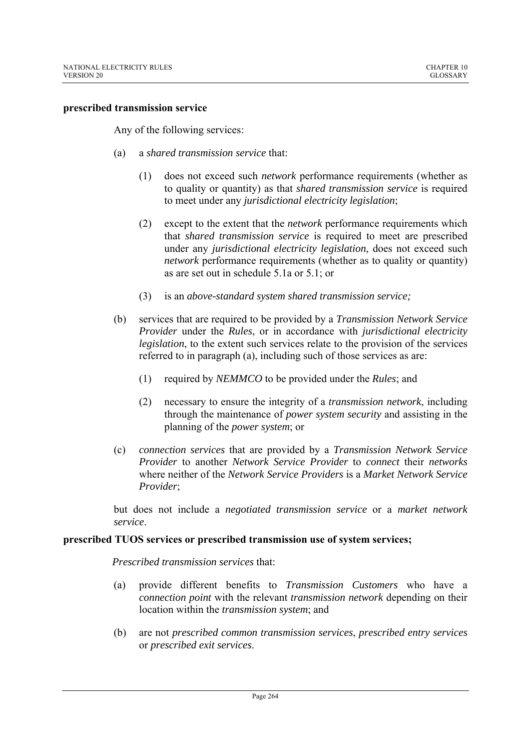#### **prescribed transmission service**

Any of the following services:

- (a) a *shared transmission service* that:
	- (1) does not exceed such *network* performance requirements (whether as to quality or quantity) as that *shared transmission service* is required to meet under any *jurisdictional electricity legislation*;
	- (2) except to the extent that the *network* performance requirements which that *shared transmission service* is required to meet are prescribed under any *jurisdictional electricity legislation*, does not exceed such *network* performance requirements (whether as to quality or quantity) as are set out in schedule 5.1a or 5.1; or
	- (3) is an *above-standard system shared transmission service;*
- (b) services that are required to be provided by a *Transmission Network Service Provider* under the *Rules*, or in accordance with *jurisdictional electricity legislation*, to the extent such services relate to the provision of the services referred to in paragraph (a), including such of those services as are:
	- (1) required by *NEMMCO* to be provided under the *Rules*; and
	- (2) necessary to ensure the integrity of a *transmission network*, including through the maintenance of *power system security* and assisting in the planning of the *power system*; or
- (c) *connection services* that are provided by a *Transmission Network Service Provider* to another *Network Service Provider* to *connect* their *networks* where neither of the *Network Service Providers* is a *Market Network Service Provider*;

but does not include a *negotiated transmission service* or a *market network service*.

#### **prescribed TUOS services or prescribed transmission use of system services;**

*Prescribed transmission services* that:

- (a) provide different benefits to *Transmission Customers* who have a *connection point* with the relevant *transmission network* depending on their location within the *transmission system*; and
- (b) are not *prescribed common transmission services*, *prescribed entry services* or *prescribed exit services*.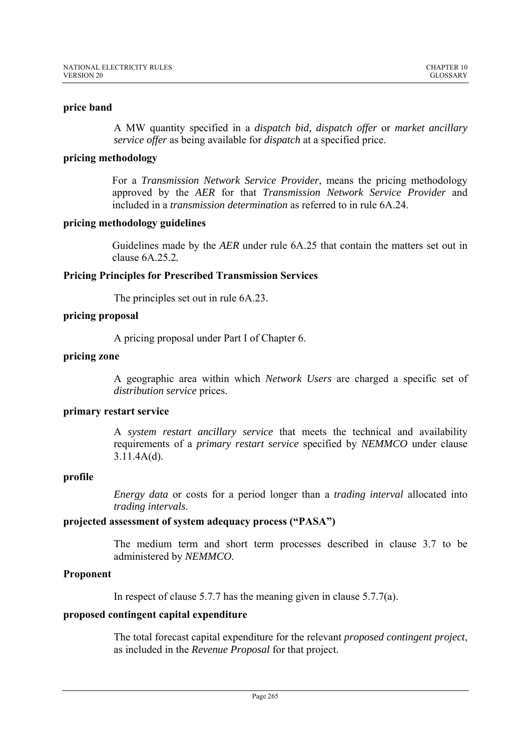# **price band**

A MW quantity specified in a *dispatch bid, dispatch offer* or *market ancillary service offer* as being available for *dispatch* at a specified price.

## **pricing methodology**

For a *Transmission Network Service Provider*, means the pricing methodology approved by the *AER* for that *Transmission Network Service Provider* and included in a *transmission determination* as referred to in rule 6A.24.

# **pricing methodology guidelines**

Guidelines made by the *AER* under rule 6A.25 that contain the matters set out in clause 6A.25.2*.* 

# **Pricing Principles for Prescribed Transmission Services**

The principles set out in rule 6A.23.

# **pricing proposal**

A pricing proposal under Part I of Chapter 6.

# **pricing zone**

A geographic area within which *Network Users* are charged a specific set of *distribution service* prices.

### **primary restart service**

A *system restart ancillary service* that meets the technical and availability requirements of a *primary restart service* specified by *NEMMCO* under clause 3.11.4A(d).

### **profile**

*Energy data* or costs for a period longer than a *trading interval* allocated into *trading intervals*.

# **projected assessment of system adequacy process ("PASA")**

The medium term and short term processes described in clause 3.7 to be administered by *NEMMCO*.

# **Proponent**

In respect of clause 5.7.7 has the meaning given in clause 5.7.7(a).

## **proposed contingent capital expenditure**

The total forecast capital expenditure for the relevant *proposed contingent project*, as included in the *Revenue Proposal* for that project.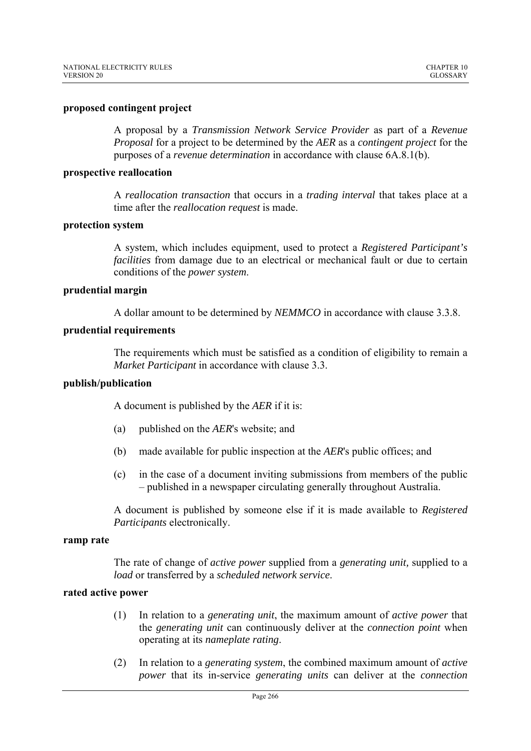### **proposed contingent project**

A proposal by a *Transmission Network Service Provider* as part of a *Revenue Proposal* for a project to be determined by the *AER* as a *contingent project* for the purposes of a *revenue determination* in accordance with clause 6A.8.1(b).

#### **prospective reallocation**

A *reallocation transaction* that occurs in a *trading interval* that takes place at a time after the *reallocation request* is made.

#### **protection system**

A system, which includes equipment, used to protect a *Registered Participant's facilities* from damage due to an electrical or mechanical fault or due to certain conditions of the *power system*.

#### **prudential margin**

A dollar amount to be determined by *NEMMCO* in accordance with clause 3.3.8.

#### **prudential requirements**

The requirements which must be satisfied as a condition of eligibility to remain a *Market Participant* in accordance with clause 3.3.

### **publish/publication**

A document is published by the *AER* if it is:

- (a) published on the *AER*'s website; and
- (b) made available for public inspection at the *AER*'s public offices; and
- (c) in the case of a document inviting submissions from members of the public – published in a newspaper circulating generally throughout Australia.

A document is published by someone else if it is made available to *Registered Participants* electronically.

#### **ramp rate**

The rate of change of *active power* supplied from a *generating unit,* supplied to a *load* or transferred by a *scheduled network service*.

# **rated active power**

- (1) In relation to a *generating unit*, the maximum amount of *active power* that the *generating unit* can continuously deliver at the *connection point* when operating at its *nameplate rating*.
- (2) In relation to a *generating system*, the combined maximum amount of *active power* that its in-service *generating units* can deliver at the *connection*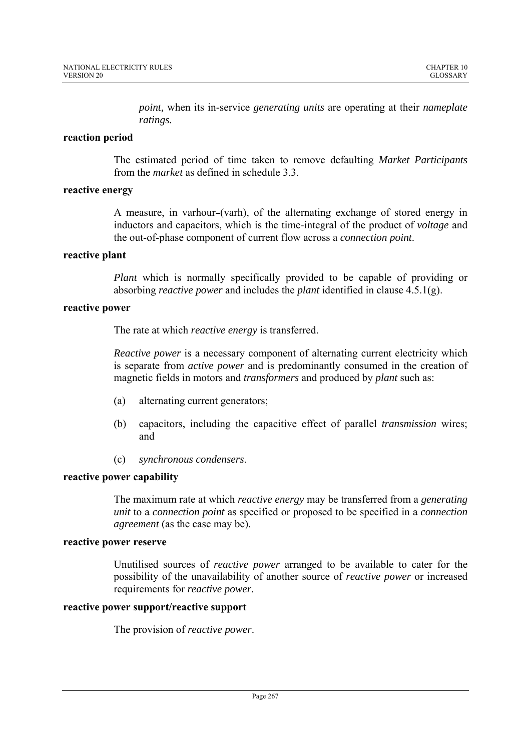*point,* when its in*-*service *generating units* are operating at their *nameplate ratings.*

## **reaction period**

The estimated period of time taken to remove defaulting *Market Participants* from the *market* as defined in schedule 3.3.

## **reactive energy**

A measure, in varhour-(varh), of the alternating exchange of stored energy in inductors and capacitors, which is the time-integral of the product of *voltage* and the out-of-phase component of current flow across a *connection point*.

### **reactive plant**

*Plant* which is normally specifically provided to be capable of providing or absorbing *reactive power* and includes the *plant* identified in clause 4.5.1(g).

# **reactive power**

The rate at which *reactive energy* is transferred.

*Reactive power* is a necessary component of alternating current electricity which is separate from *active power* and is predominantly consumed in the creation of magnetic fields in motors and *transformers* and produced by *plant* such as:

- (a) alternating current generators;
- (b) capacitors, including the capacitive effect of parallel *transmission* wires; and
- (c) *synchronous condensers*.

# **reactive power capability**

The maximum rate at which *reactive energy* may be transferred from a *generating unit* to a *connection point* as specified or proposed to be specified in a *connection agreement* (as the case may be).

## **reactive power reserve**

Unutilised sources of *reactive power* arranged to be available to cater for the possibility of the unavailability of another source of *reactive power* or increased requirements for *reactive power*.

### **reactive power support/reactive support**

The provision of *reactive power*.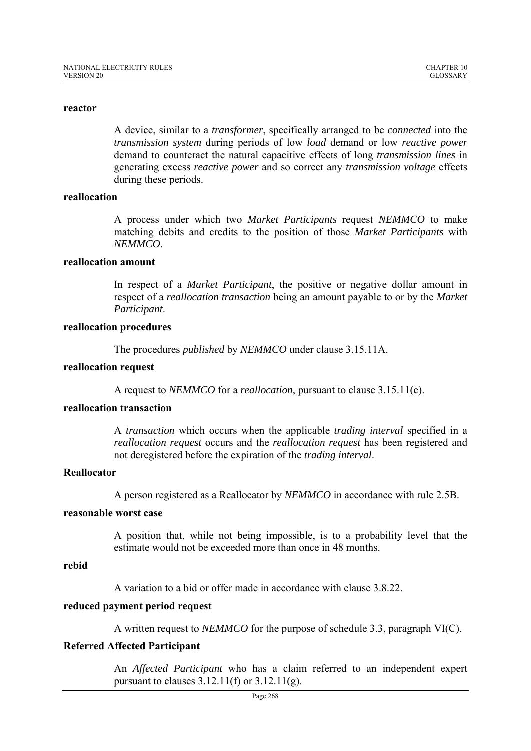#### **reactor**

A device, similar to a *transformer*, specifically arranged to be *connected* into the *transmission system* during periods of low *load* demand or low *reactive power* demand to counteract the natural capacitive effects of long *transmission lines* in generating excess *reactive power* and so correct any *transmission voltage* effects during these periods.

#### **reallocation**

A process under which two *Market Participants* request *NEMMCO* to make matching debits and credits to the position of those *Market Participants* with *NEMMCO*.

#### **reallocation amount**

In respect of a *Market Participant*, the positive or negative dollar amount in respect of a *reallocation transaction* being an amount payable to or by the *Market Participant*.

#### **reallocation procedures**

The procedures *published* by *NEMMCO* under clause 3.15.11A.

#### **reallocation request**

A request to *NEMMCO* for a *reallocation*, pursuant to clause 3.15.11(c).

#### **reallocation transaction**

A *transaction* which occurs when the applicable *trading interval* specified in a *reallocation request* occurs and the *reallocation request* has been registered and not deregistered before the expiration of the *trading interval*.

#### **Reallocator**

A person registered as a Reallocator by *NEMMCO* in accordance with rule 2.5B.

#### **reasonable worst case**

A position that, while not being impossible, is to a probability level that the estimate would not be exceeded more than once in 48 months.

#### **rebid**

A variation to a bid or offer made in accordance with clause 3.8.22.

# **reduced payment period request**

A written request to *NEMMCO* for the purpose of schedule 3.3, paragraph VI(C).

#### **Referred Affected Participant**

An *Affected Participant* who has a claim referred to an independent expert pursuant to clauses  $3.12.11(f)$  or  $3.12.11(g)$ .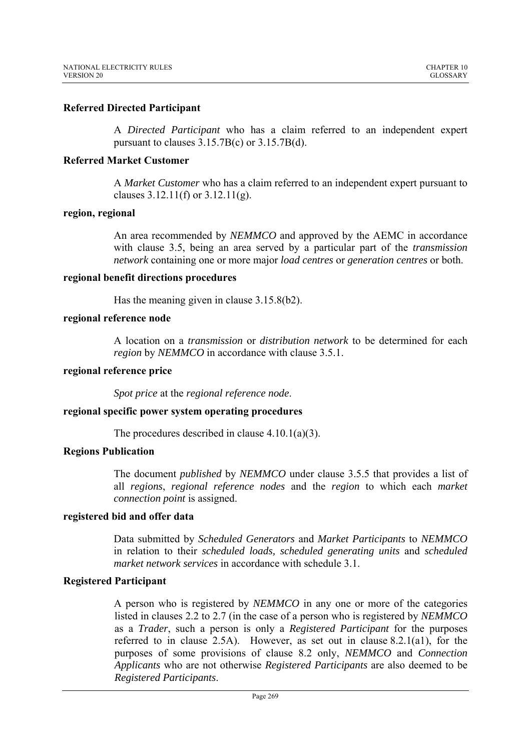# **Referred Directed Participant**

A *Directed Participant* who has a claim referred to an independent expert pursuant to clauses 3.15.7B(c) or 3.15.7B(d).

### **Referred Market Customer**

A *Market Customer* who has a claim referred to an independent expert pursuant to clauses  $3.12.11(f)$  or  $3.12.11(g)$ .

### **region, regional**

An area recommended by *NEMMCO* and approved by the AEMC in accordance with clause 3.5, being an area served by a particular part of the *transmission network* containing one or more major *load centres* or *generation centres* or both.

### **regional benefit directions procedures**

Has the meaning given in clause 3.15.8(b2).

### **regional reference node**

A location on a *transmission* or *distribution network* to be determined for each *region* by *NEMMCO* in accordance with clause 3.5.1.

#### **regional reference price**

*Spot price* at the *regional reference node*.

### **regional specific power system operating procedures**

The procedures described in clause  $4.10.1(a)(3)$ .

### **Regions Publication**

The document *published* by *NEMMCO* under clause 3.5.5 that provides a list of all *regions*, *regional reference nodes* and the *region* to which each *market connection point* is assigned.

### **registered bid and offer data**

Data submitted by *Scheduled Generators* and *Market Participants* to *NEMMCO* in relation to their *scheduled loads, scheduled generating units* and *scheduled market network services* in accordance with schedule 3.1.

### **Registered Participant**

A person who is registered by *NEMMCO* in any one or more of the categories listed in clauses 2.2 to 2.7 (in the case of a person who is registered by *NEMMCO* as a *Trader*, such a person is only a *Registered Participant* for the purposes referred to in clause 2.5A). However, as set out in clause 8.2.1(a1), for the purposes of some provisions of clause 8.2 only, *NEMMCO* and *Connection Applicants* who are not otherwise *Registered Participants* are also deemed to be *Registered Participants*.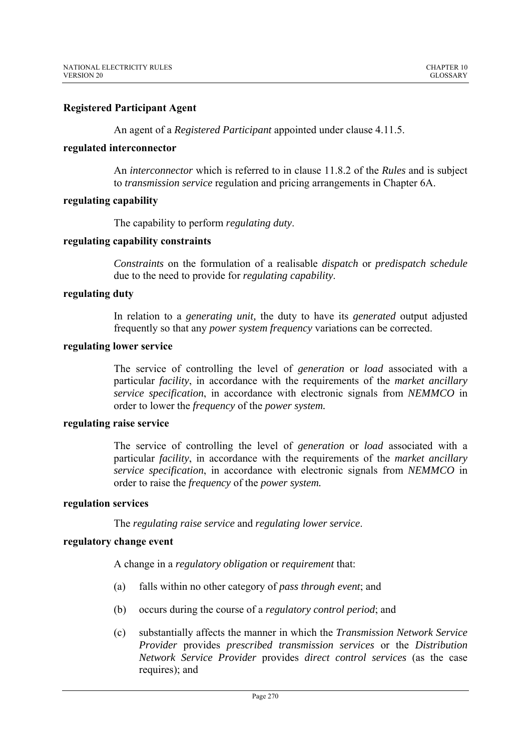# **Registered Participant Agent**

An agent of a *Registered Participant* appointed under clause 4.11.5.

#### **regulated interconnector**

An *interconnector* which is referred to in clause 11.8.2 of the *Rules* and is subject to *transmission service* regulation and pricing arrangements in Chapter 6A.

### **regulating capability**

The capability to perform *regulating duty*.

### **regulating capability constraints**

*Constraints* on the formulation of a realisable *dispatch* or *predispatch schedule* due to the need to provide for *regulating capability*.

### **regulating duty**

In relation to a *generating unit,* the duty to have its *generated* output adjusted frequently so that any *power system frequency* variations can be corrected.

# **regulating lower service**

The service of controlling the level of *generation* or *load* associated with a particular *facility*, in accordance with the requirements of the *market ancillary service specification*, in accordance with electronic signals from *NEMMCO* in order to lower the *frequency* of the *power system.* 

#### **regulating raise service**

The service of controlling the level of *generation* or *load* associated with a particular *facility*, in accordance with the requirements of the *market ancillary service specification*, in accordance with electronic signals from *NEMMCO* in order to raise the *frequency* of the *power system.* 

#### **regulation services**

The *regulating raise service* and *regulating lower service*.

# **regulatory change event**

A change in a *regulatory obligation* or *requirement* that:

- (a) falls within no other category of *pass through event*; and
- (b) occurs during the course of a *regulatory control period*; and
- (c) substantially affects the manner in which the *Transmission Network Service Provider* provides *prescribed transmission services* or the *Distribution Network Service Provider* provides *direct control services* (as the case requires); and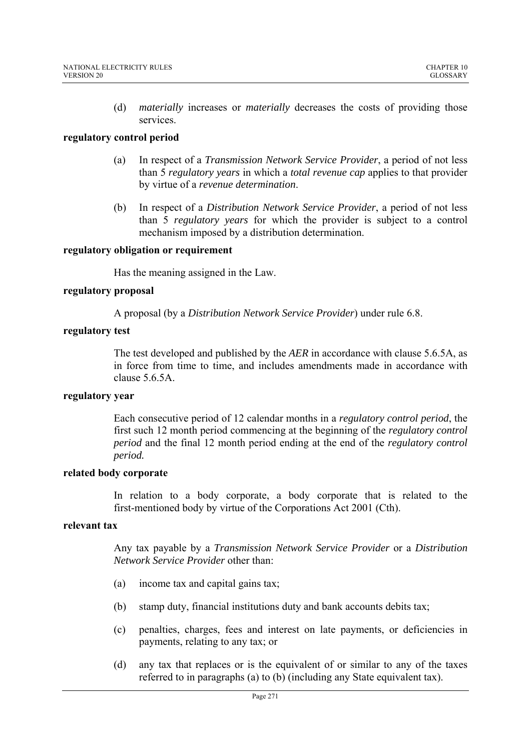(d) *materially* increases or *materially* decreases the costs of providing those services.

# **regulatory control period**

- (a) In respect of a *Transmission Network Service Provider*, a period of not less than 5 *regulatory years* in which a *total revenue cap* applies to that provider by virtue of a *revenue determination*.
- (b) In respect of a *Distribution Network Service Provider*, a period of not less than 5 *regulatory years* for which the provider is subject to a control mechanism imposed by a distribution determination.

# **regulatory obligation or requirement**

Has the meaning assigned in the Law.

# **regulatory proposal**

A proposal (by a *Distribution Network Service Provider*) under rule 6.8.

# **regulatory test**

The test developed and published by the *AER* in accordance with clause 5.6.5A, as in force from time to time, and includes amendments made in accordance with clause 5.6.5A.

### **regulatory year**

Each consecutive period of 12 calendar months in a *regulatory control period*, the first such 12 month period commencing at the beginning of the *regulatory control period* and the final 12 month period ending at the end of the *regulatory control period.*

### **related body corporate**

In relation to a body corporate, a body corporate that is related to the first-mentioned body by virtue of the Corporations Act 2001 (Cth).

# **relevant tax**

Any tax payable by a *Transmission Network Service Provider* or a *Distribution Network Service Provider* other than:

- (a) income tax and capital gains tax;
- (b) stamp duty, financial institutions duty and bank accounts debits tax;
- (c) penalties, charges, fees and interest on late payments, or deficiencies in payments, relating to any tax; or
- (d) any tax that replaces or is the equivalent of or similar to any of the taxes referred to in paragraphs (a) to (b) (including any State equivalent tax).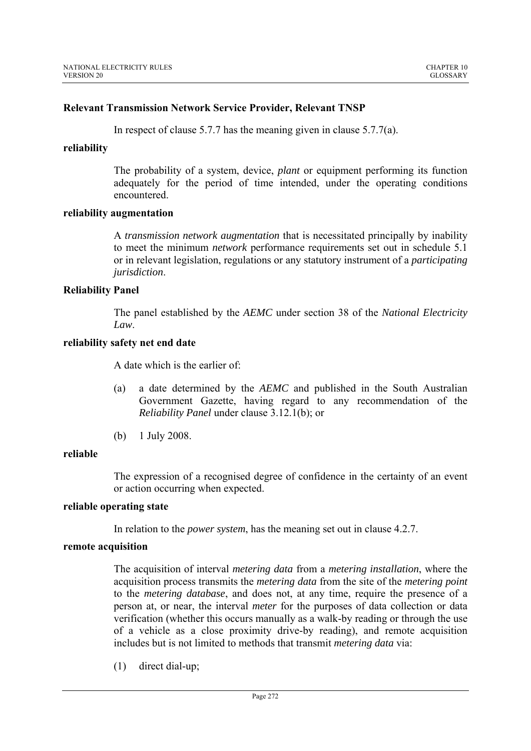## **Relevant Transmission Network Service Provider, Relevant TNSP**

In respect of clause 5.7.7 has the meaning given in clause 5.7.7(a).

### **reliability**

The probability of a system, device, *plant* or equipment performing its function adequately for the period of time intended, under the operating conditions encountered.

### **reliability augmentation**

A *transmission network augmentation* that is necessitated principally by inability to meet the minimum *network* performance requirements set out in schedule 5.1 or in relevant legislation, regulations or any statutory instrument of a *participating jurisdiction*.

### **Reliability Panel**

The panel established by the *AEMC* under section 38 of the *National Electricity Law*.

### **reliability safety net end date**

A date which is the earlier of:

- (a) a date determined by the *AEMC* and published in the South Australian Government Gazette, having regard to any recommendation of the *Reliability Panel* under clause 3.12.1(b); or
- (b) 1 July 2008.

# **reliable**

The expression of a recognised degree of confidence in the certainty of an event or action occurring when expected.

### **reliable operating state**

In relation to the *power system*, has the meaning set out in clause 4.2.7.

# **remote acquisition**

The acquisition of interval *metering data* from a *metering installation*, where the acquisition process transmits the *metering data* from the site of the *metering point*  to the *metering database*, and does not, at any time, require the presence of a person at, or near, the interval *meter* for the purposes of data collection or data verification (whether this occurs manually as a walk-by reading or through the use of a vehicle as a close proximity drive-by reading), and remote acquisition includes but is not limited to methods that transmit *metering data* via:

(1) direct dial-up;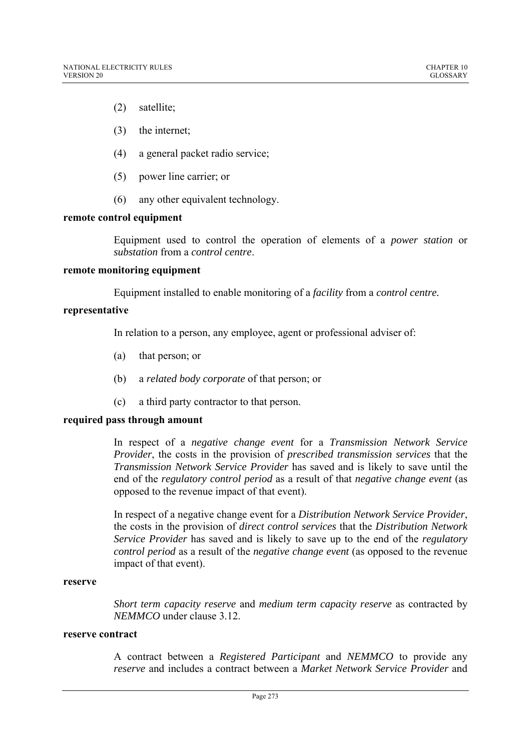- (2) satellite;
- (3) the internet;
- (4) a general packet radio service;
- (5) power line carrier; or
- (6) any other equivalent technology.

### **remote control equipment**

Equipment used to control the operation of elements of a *power station* or *substation* from a *control centre*.

### **remote monitoring equipment**

Equipment installed to enable monitoring of a *facility* from a *control centre.*

# **representative**

In relation to a person, any employee, agent or professional adviser of:

- (a) that person; or
- (b) a *related body corporate* of that person; or
- (c) a third party contractor to that person.

# **required pass through amount**

In respect of a *negative change event* for a *Transmission Network Service Provider*, the costs in the provision of *prescribed transmission services* that the *Transmission Network Service Provider* has saved and is likely to save until the end of the *regulatory control period* as a result of that *negative change event* (as opposed to the revenue impact of that event).

In respect of a negative change event for a *Distribution Network Service Provider*, the costs in the provision of *direct control services* that the *Distribution Network Service Provider* has saved and is likely to save up to the end of the *regulatory control period* as a result of the *negative change event* (as opposed to the revenue impact of that event).

#### **reserve**

*Short term capacity reserve* and *medium term capacity reserve* as contracted by *NEMMCO* under clause 3.12.

# **reserve contract**

A contract between a *Registered Participant* and *NEMMCO* to provide any *reserve* and includes a contract between a *Market Network Service Provider* and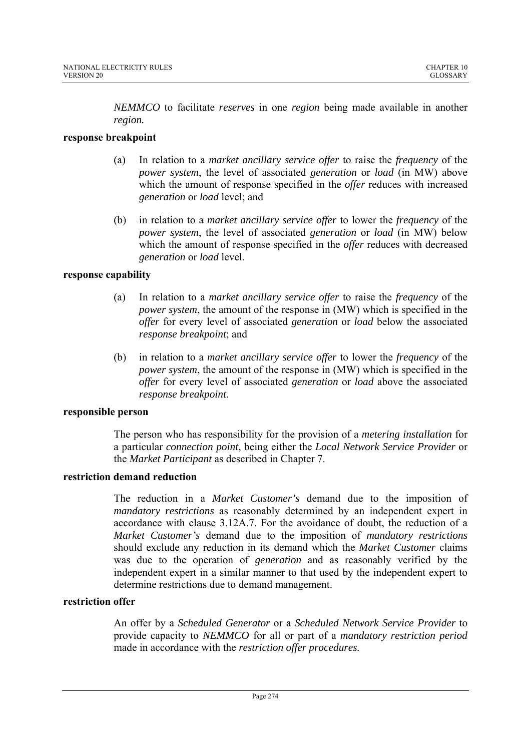*NEMMCO* to facilitate *reserves* in one *region* being made available in another *region.* 

# **response breakpoint**

- (a) In relation to a *market ancillary service offer* to raise the *frequency* of the *power system*, the level of associated *generation* or *load* (in MW) above which the amount of response specified in the *offer* reduces with increased *generation* or *load* level; and
- (b) in relation to a *market ancillary service offer* to lower the *frequency* of the *power system*, the level of associated *generation* or *load* (in MW) below which the amount of response specified in the *offer* reduces with decreased *generation* or *load* level.

# **response capability**

- (a) In relation to a *market ancillary service offer* to raise the *frequency* of the *power system*, the amount of the response in (MW) which is specified in the *offer* for every level of associated *generation* or *load* below the associated *response breakpoint*; and
- (b) in relation to a *market ancillary service offer* to lower the *frequency* of the *power system*, the amount of the response in (MW) which is specified in the *offer* for every level of associated *generation* or *load* above the associated *response breakpoint.*

### **responsible person**

The person who has responsibility for the provision of a *metering installation* for a particular *connection point*, being either the *Local Network Service Provider* or the *Market Participant* as described in Chapter 7.

# **restriction demand reduction**

The reduction in a *Market Customer's* demand due to the imposition of *mandatory restrictions* as reasonably determined by an independent expert in accordance with clause 3.12A.7. For the avoidance of doubt, the reduction of a *Market Customer's* demand due to the imposition of *mandatory restrictions*  should exclude any reduction in its demand which the *Market Customer* claims was due to the operation of *generation* and as reasonably verified by the independent expert in a similar manner to that used by the independent expert to determine restrictions due to demand management.

# **restriction offer**

An offer by a *Scheduled Generator* or a *Scheduled Network Service Provider* to provide capacity to *NEMMCO* for all or part of a *mandatory restriction period*  made in accordance with the *restriction offer procedures.*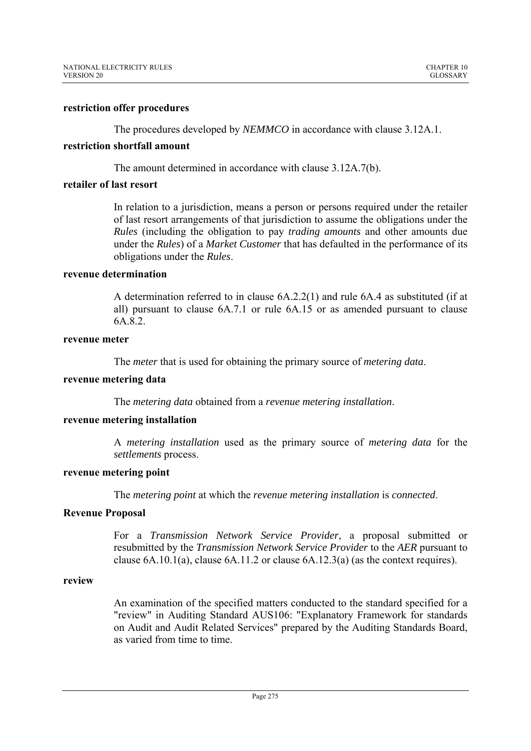#### **restriction offer procedures**

The procedures developed by *NEMMCO* in accordance with clause 3.12A.1.

# **restriction shortfall amount**

The amount determined in accordance with clause 3.12A.7(b).

#### **retailer of last resort**

In relation to a jurisdiction, means a person or persons required under the retailer of last resort arrangements of that jurisdiction to assume the obligations under the *Rules* (including the obligation to pay *trading amounts* and other amounts due under the *Rules*) of a *Market Customer* that has defaulted in the performance of its obligations under the *Rules*.

#### **revenue determination**

A determination referred to in clause 6A.2.2(1) and rule 6A.4 as substituted (if at all) pursuant to clause 6A.7.1 or rule 6A.15 or as amended pursuant to clause 6A.8.2.

#### **revenue meter**

The *meter* that is used for obtaining the primary source of *metering data*.

#### **revenue metering data**

The *metering data* obtained from a *revenue metering installation*.

#### **revenue metering installation**

A *metering installation* used as the primary source of *metering data* for the *settlements* process.

## **revenue metering point**

The *metering point* at which the *revenue metering installation* is *connected*.

# **Revenue Proposal**

For a *Transmission Network Service Provider*, a proposal submitted or resubmitted by the *Transmission Network Service Provider* to the *AER* pursuant to clause 6A.10.1(a), clause 6A.11.2 or clause 6A.12.3(a) (as the context requires).

#### **review**

An examination of the specified matters conducted to the standard specified for a "review" in Auditing Standard AUS106: "Explanatory Framework for standards on Audit and Audit Related Services" prepared by the Auditing Standards Board, as varied from time to time.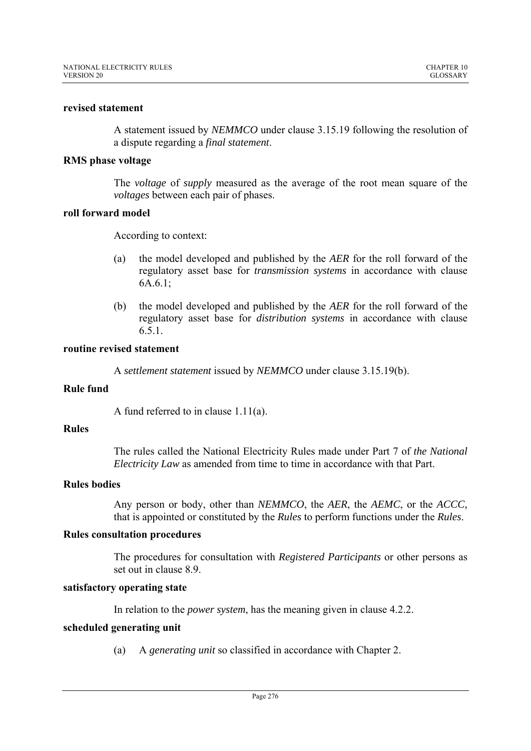#### **revised statement**

A statement issued by *NEMMCO* under clause 3.15.19 following the resolution of a dispute regarding a *final statement*.

#### **RMS phase voltage**

The *voltage* of *supply* measured as the average of the root mean square of the *voltages* between each pair of phases.

## **roll forward model**

According to context:

- (a) the model developed and published by the *AER* for the roll forward of the regulatory asset base for *transmission systems* in accordance with clause 6A.6.1 $\cdot$
- (b) the model developed and published by the *AER* for the roll forward of the regulatory asset base for *distribution systems* in accordance with clause 6.5.1.

#### **routine revised statement**

A *settlement statement* issued by *NEMMCO* under clause 3.15.19(b).

### **Rule fund**

A fund referred to in clause 1.11(a).

## **Rules**

The rules called the National Electricity Rules made under Part 7 of *the National Electricity Law* as amended from time to time in accordance with that Part.

# **Rules bodies**

Any person or body, other than *NEMMCO*, the *AER*, the *AEMC*, or the *ACCC,* that is appointed or constituted by the *Rules* to perform functions under the *Rules*.

#### **Rules consultation procedures**

The procedures for consultation with *Registered Participants* or other persons as set out in clause 8.9.

#### **satisfactory operating state**

In relation to the *power system*, has the meaning given in clause 4.2.2.

# **scheduled generating unit**

(a) A *generating unit* so classified in accordance with Chapter 2.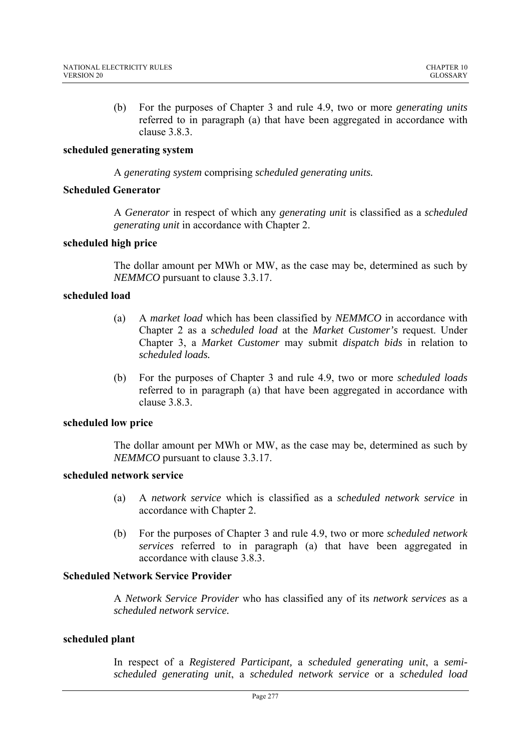(b) For the purposes of Chapter 3 and rule 4.9, two or more *generating units*  referred to in paragraph (a) that have been aggregated in accordance with clause 3.8.3.

### **scheduled generating system**

A *generating system* comprising *scheduled generating units.*

### **Scheduled Generator**

A *Generator* in respect of which any *generating unit* is classified as a *scheduled generating unit* in accordance with Chapter 2.

# **scheduled high price**

The dollar amount per MWh or MW, as the case may be, determined as such by *NEMMCO* pursuant to clause 3.3.17.

# **scheduled load**

- (a) A *market load* which has been classified by *NEMMCO* in accordance with Chapter 2 as a *scheduled load* at the *Market Customer's* request. Under Chapter 3, a *Market Customer* may submit *dispatch bids* in relation to *scheduled loads.*
- (b) For the purposes of Chapter 3 and rule 4.9, two or more *scheduled loads*  referred to in paragraph (a) that have been aggregated in accordance with clause 3.8.3.

### **scheduled low price**

The dollar amount per MWh or MW, as the case may be, determined as such by *NEMMCO* pursuant to clause 3.3.17.

# **scheduled network service**

- (a) A *network service* which is classified as a *scheduled network service* in accordance with Chapter 2.
- (b) For the purposes of Chapter 3 and rule 4.9, two or more *scheduled network services* referred to in paragraph (a) that have been aggregated in accordance with clause 3.8.3.

# **Scheduled Network Service Provider**

A *Network Service Provider* who has classified any of its *network services* as a *scheduled network service.* 

# **scheduled plant**

In respect of a *Registered Participant,* a *scheduled generating unit*, a *semischeduled generating unit*, a *scheduled network service* or a *scheduled load*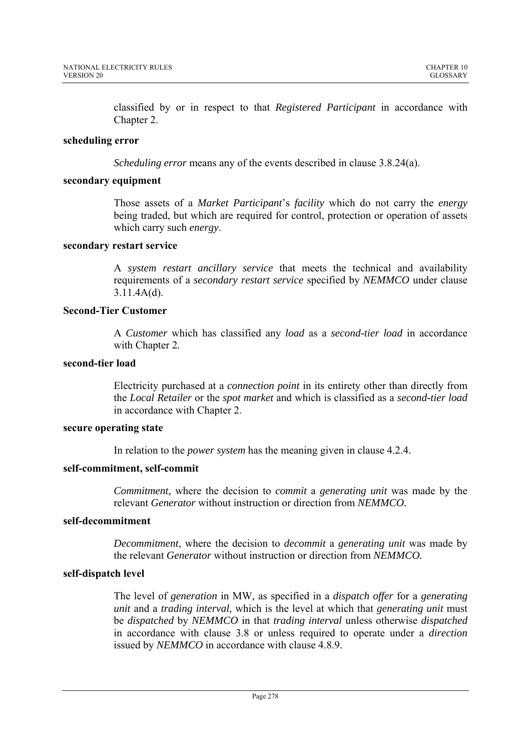classified by or in respect to that *Registered Participant* in accordance with Chapter 2.

### **scheduling error**

*Scheduling error* means any of the events described in clause 3.8.24(a).

#### **secondary equipment**

Those assets of a *Market Participant*'s *facility* which do not carry the *energy*  being traded, but which are required for control, protection or operation of assets which carry such *energy*.

#### **secondary restart service**

A *system restart ancillary service* that meets the technical and availability requirements of a *secondary restart service* specified by *NEMMCO* under clause 3.11.4A(d).

# **Second-Tier Customer**

A *Customer* which has classified any *load* as a *second-tier load* in accordance with Chapter 2*.*

# **second-tier load**

Electricity purchased at a *connection point* in its entirety other than directly from the *Local Retailer* or the *spot market* and which is classified as a *second-tier load* in accordance with Chapter 2.

## **secure operating state**

In relation to the *power system* has the meaning given in clause 4.2.4.

## **self-commitment, self-commit**

*Commitment,* where the decision to *commit* a *generating unit* was made by the relevant *Generator* without instruction or direction from *NEMMCO.*

### **self-decommitment**

*Decommitment*, where the decision to *decommit* a *generating unit* was made by the relevant *Generator* without instruction or direction from *NEMMCO.*

### **self-dispatch level**

The level of *generation* in MW, as specified in a *dispatch offer* for a *generating unit* and a *trading interval,* which is the level at which that *generating unit* must be *dispatched* by *NEMMCO* in that *trading interval* unless otherwise *dispatched* in accordance with clause 3.8 or unless required to operate under a *direction* issued by *NEMMCO* in accordance with clause 4.8.9.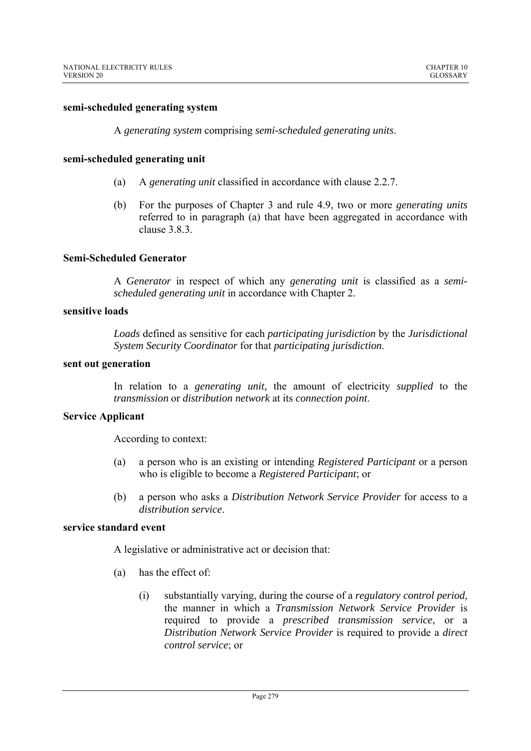#### **semi-scheduled generating system**

A *generating system* comprising *semi-scheduled generating units*.

#### **semi-scheduled generating unit**

- (a) A *generating unit* classified in accordance with clause 2.2.7.
- (b) For the purposes of Chapter 3 and rule 4.9, two or more *generating units*  referred to in paragraph (a) that have been aggregated in accordance with clause 3.8.3.

#### **Semi-Scheduled Generator**

A *Generator* in respect of which any *generating unit* is classified as a *semischeduled generating unit* in accordance with Chapter 2.

# **sensitive loads**

*Loads* defined as sensitive for each *participating jurisdiction* by the *Jurisdictional System Security Coordinator* for that *participating jurisdiction*.

#### **sent out generation**

In relation to a *generating unit,* the amount of electricity *supplied* to the *transmission* or *distribution network* at its *connection point*.

#### **Service Applicant**

According to context:

- (a) a person who is an existing or intending *Registered Participant* or a person who is eligible to become a *Registered Participant*; or
- (b) a person who asks a *Distribution Network Service Provider* for access to a *distribution service*.

## **service standard event**

A legislative or administrative act or decision that:

- (a) has the effect of:
	- (i) substantially varying, during the course of a *regulatory control period*, the manner in which a *Transmission Network Service Provider* is required to provide a *prescribed transmission service*, or a *Distribution Network Service Provider* is required to provide a *direct control service*; or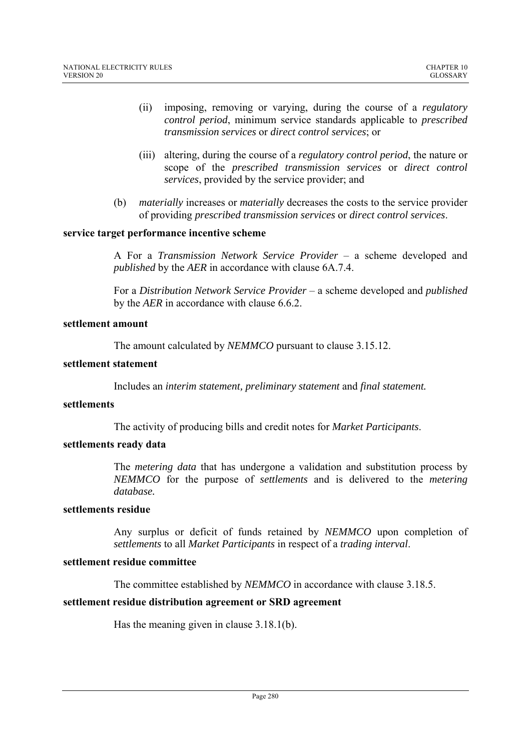- (ii) imposing, removing or varying, during the course of a *regulatory control period*, minimum service standards applicable to *prescribed transmission services* or *direct control services*; or
- (iii) altering, during the course of a *regulatory control period*, the nature or scope of the *prescribed transmission services* or *direct control services*, provided by the service provider; and
- (b) *materially* increases or *materially* decreases the costs to the service provider of providing *prescribed transmission services* or *direct control services*.

# **service target performance incentive scheme**

A For a *Transmission Network Service Provider* – a scheme developed and *published* by the *AER* in accordance with clause 6A.7.4.

For a *Distribution Network Service Provider* – a scheme developed and *published* by the *AER* in accordance with clause 6.6.2.

#### **settlement amount**

The amount calculated by *NEMMCO* pursuant to clause 3.15.12.

#### **settlement statement**

Includes an *interim statement, preliminary statement* and *final statement.* 

# **settlements**

The activity of producing bills and credit notes for *Market Participants*.

### **settlements ready data**

The *metering data* that has undergone a validation and substitution process by *NEMMCO* for the purpose of *settlements* and is delivered to the *metering database.* 

### **settlements residue**

Any surplus or deficit of funds retained by *NEMMCO* upon completion of *settlements* to all *Market Participants* in respect of a *trading interval*.

# **settlement residue committee**

The committee established by *NEMMCO* in accordance with clause 3.18.5.

### **settlement residue distribution agreement or SRD agreement**

Has the meaning given in clause 3.18.1(b).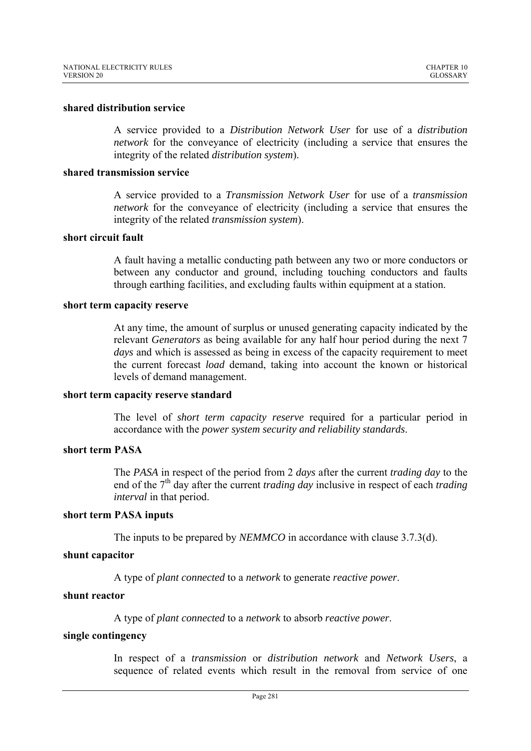#### **shared distribution service**

A service provided to a *Distribution Network User* for use of a *distribution network* for the conveyance of electricity (including a service that ensures the integrity of the related *distribution system*).

#### **shared transmission service**

A service provided to a *Transmission Network User* for use of a *transmission network* for the conveyance of electricity (including a service that ensures the integrity of the related *transmission system*).

# **short circuit fault**

A fault having a metallic conducting path between any two or more conductors or between any conductor and ground, including touching conductors and faults through earthing facilities, and excluding faults within equipment at a station.

### **short term capacity reserve**

At any time, the amount of surplus or unused generating capacity indicated by the relevant *Generators* as being available for any half hour period during the next 7 *days* and which is assessed as being in excess of the capacity requirement to meet the current forecast *load* demand, taking into account the known or historical levels of demand management.

#### **short term capacity reserve standard**

The level of *short term capacity reserve* required for a particular period in accordance with the *power system security and reliability standards*.

# **short term PASA**

The *PASA* in respect of the period from 2 *days* after the current *trading day* to the end of the 7<sup>th</sup> day after the current *trading day* inclusive in respect of each *trading interval* in that period.

#### **short term PASA inputs**

The inputs to be prepared by *NEMMCO* in accordance with clause 3.7.3(d).

### **shunt capacitor**

A type of *plant connected* to a *network* to generate *reactive power*.

#### **shunt reactor**

A type of *plant connected* to a *network* to absorb *reactive power*.

#### **single contingency**

In respect of a *transmission* or *distribution network* and *Network Users*, a sequence of related events which result in the removal from service of one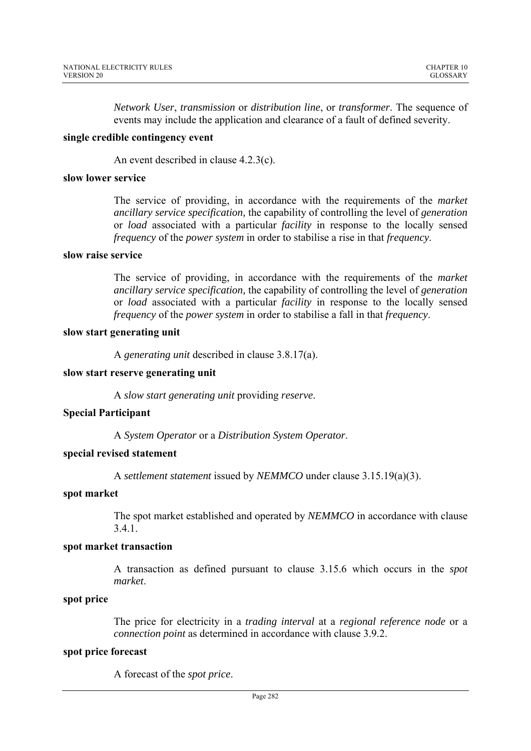*Network User*, *transmission* or *distribution line*, or *transformer*. The sequence of events may include the application and clearance of a fault of defined severity.

#### **single credible contingency event**

An event described in clause 4.2.3(c).

#### **slow lower service**

The service of providing, in accordance with the requirements of the *market ancillary service specification,* the capability of controlling the level of *generation*  or *load* associated with a particular *facility* in response to the locally sensed *frequency* of the *power system* in order to stabilise a rise in that *frequency*.

## **slow raise service**

The service of providing, in accordance with the requirements of the *market ancillary service specification,* the capability of controlling the level of *generation*  or *load* associated with a particular *facility* in response to the locally sensed *frequency* of the *power system* in order to stabilise a fall in that *frequency*.

#### **slow start generating unit**

A *generating unit* described in clause 3.8.17(a).

#### **slow start reserve generating unit**

A *slow start generating unit* providing *reserve*.

### **Special Participant**

A *System Operator* or a *Distribution System Operator*.

### **special revised statement**

A *settlement statement* issued by *NEMMCO* under clause 3.15.19(a)(3).

#### **spot market**

The spot market established and operated by *NEMMCO* in accordance with clause 3.4.1.

#### **spot market transaction**

A transaction as defined pursuant to clause 3.15.6 which occurs in the *spot market*.

# **spot price**

The price for electricity in a *trading interval* at a *regional reference node* or a *connection point* as determined in accordance with clause 3.9.2.

### **spot price forecast**

A forecast of the *spot price*.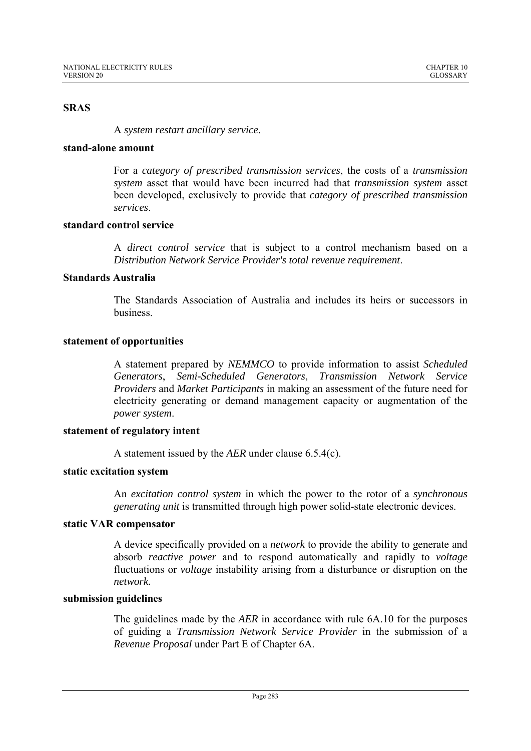# **SRAS**

A *system restart ancillary service*.

### **stand-alone amount**

For a *category of prescribed transmission services*, the costs of a *transmission system* asset that would have been incurred had that *transmission system* asset been developed, exclusively to provide that *category of prescribed transmission services*.

# **standard control service**

A *direct control service* that is subject to a control mechanism based on a *Distribution Network Service Provider's total revenue requirement*.

# **Standards Australia**

The Standards Association of Australia and includes its heirs or successors in business.

# **statement of opportunities**

A statement prepared by *NEMMCO* to provide information to assist *Scheduled Generators*, *Semi-Scheduled Generators*, *Transmission Network Service Providers* and *Market Participants* in making an assessment of the future need for electricity generating or demand management capacity or augmentation of the *power system*.

### **statement of regulatory intent**

A statement issued by the *AER* under clause 6.5.4(c).

### **static excitation system**

An *excitation control system* in which the power to the rotor of a *synchronous generating unit* is transmitted through high power solid-state electronic devices.

# **static VAR compensator**

A device specifically provided on a *network* to provide the ability to generate and absorb *reactive power* and to respond automatically and rapidly to *voltage* fluctuations or *voltage* instability arising from a disturbance or disruption on the *network.* 

### **submission guidelines**

The guidelines made by the *AER* in accordance with rule 6A.10 for the purposes of guiding a *Transmission Network Service Provider* in the submission of a *Revenue Proposal* under Part E of Chapter 6A.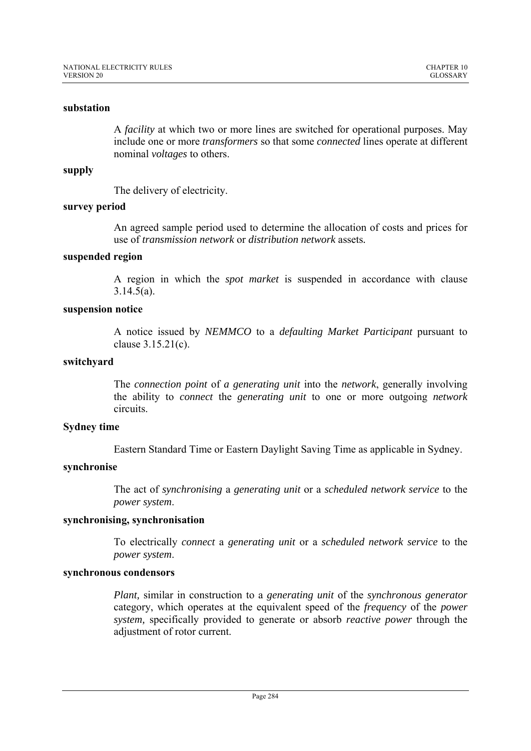## **substation**

A *facility* at which two or more lines are switched for operational purposes. May include one or more *transformers* so that some *connected* lines operate at different nominal *voltages* to others.

## **supply**

The delivery of electricity.

### **survey period**

An agreed sample period used to determine the allocation of costs and prices for use of *transmission network* or *distribution network* assets*.*

#### **suspended region**

A region in which the *spot market* is suspended in accordance with clause 3.14.5(a).

### **suspension notice**

A notice issued by *NEMMCO* to a *defaulting Market Participant* pursuant to clause 3.15.21(c).

### **switchyard**

The *connection point* of *a generating unit* into the *network*, generally involving the ability to *connect* the *generating unit* to one or more outgoing *network*  circuits.

### **Sydney time**

Eastern Standard Time or Eastern Daylight Saving Time as applicable in Sydney.

# **synchronise**

The act of *synchronising* a *generating unit* or a *scheduled network service* to the *power system*.

#### **synchronising, synchronisation**

To electrically *connect* a *generating unit* or a *scheduled network service* to the *power system*.

#### **synchronous condensors**

*Plant,* similar in construction to a *generating unit* of the *synchronous generator*  category, which operates at the equivalent speed of the *frequency* of the *power system,* specifically provided to generate or absorb *reactive power* through the adjustment of rotor current.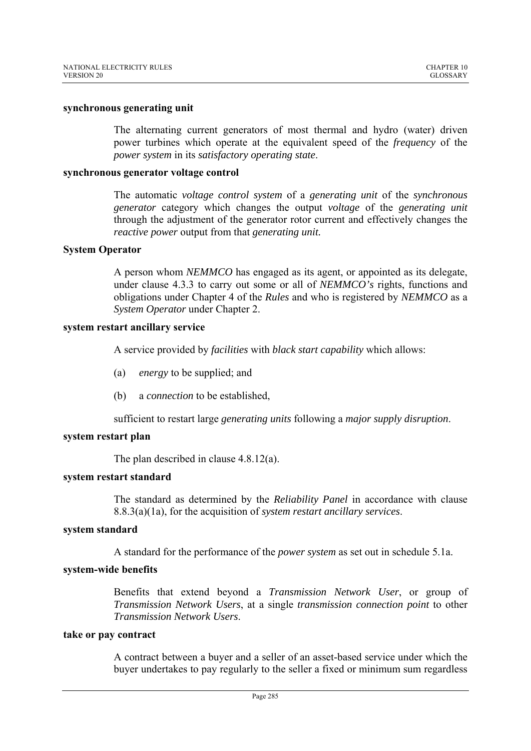#### **synchronous generating unit**

The alternating current generators of most thermal and hydro (water) driven power turbines which operate at the equivalent speed of the *frequency* of the *power system* in its *satisfactory operating state*.

#### **synchronous generator voltage control**

The automatic *voltage control system* of a *generating unit* of the *synchronous generator* category which changes the output *voltage* of the *generating unit* through the adjustment of the generator rotor current and effectively changes the *reactive power* output from that *generating unit.*

### **System Operator**

A person whom *NEMMCO* has engaged as its agent, or appointed as its delegate, under clause 4.3.3 to carry out some or all of *NEMMCO's* rights, functions and obligations under Chapter 4 of the *Rules* and who is registered by *NEMMCO* as a *System Operator* under Chapter 2.

# **system restart ancillary service**

A service provided by *facilities* with *black start capability* which allows:

- (a) *energy* to be supplied; and
- (b) a *connection* to be established,

sufficient to restart large *generating units* following a *major supply disruption*.

# **system restart plan**

The plan described in clause 4.8.12(a).

### **system restart standard**

The standard as determined by the *Reliability Panel* in accordance with clause 8.8.3(a)(1a), for the acquisition of *system restart ancillary services*.

### **system standard**

A standard for the performance of the *power system* as set out in schedule 5.1a.

### **system-wide benefits**

Benefits that extend beyond a *Transmission Network User*, or group of *Transmission Network Users*, at a single *transmission connection point* to other *Transmission Network Users*.

#### **take or pay contract**

A contract between a buyer and a seller of an asset-based service under which the buyer undertakes to pay regularly to the seller a fixed or minimum sum regardless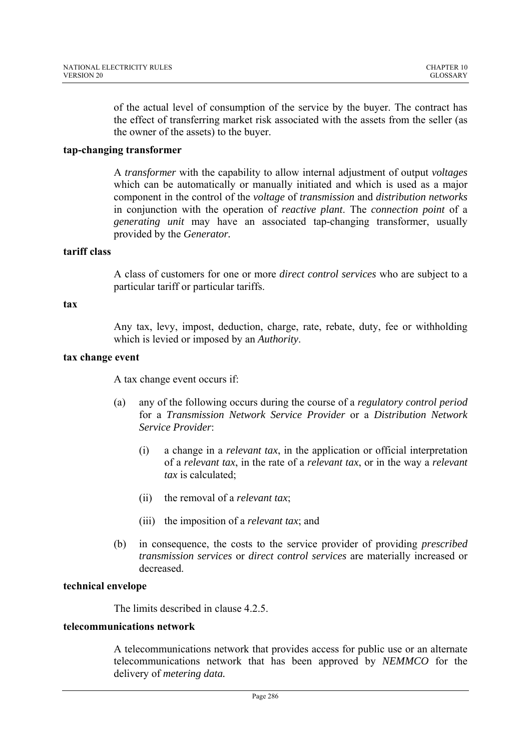of the actual level of consumption of the service by the buyer. The contract has the effect of transferring market risk associated with the assets from the seller (as the owner of the assets) to the buyer.

# **tap-changing transformer**

A *transformer* with the capability to allow internal adjustment of output *voltages* which can be automatically or manually initiated and which is used as a major component in the control of the *voltage* of *transmission* and *distribution networks* in conjunction with the operation of *reactive plant*. The *connection point* of a *generating unit* may have an associated tap-changing transformer, usually provided by the *Generator.* 

## **tariff class**

A class of customers for one or more *direct control services* who are subject to a particular tariff or particular tariffs.

### **tax**

Any tax, levy, impost, deduction, charge, rate, rebate, duty, fee or withholding which is levied or imposed by an *Authority*.

## **tax change event**

A tax change event occurs if:

- (a) any of the following occurs during the course of a *regulatory control period* for a *Transmission Network Service Provider* or a *Distribution Network Service Provider*:
	- (i) a change in a *relevant tax*, in the application or official interpretation of a *relevant tax*, in the rate of a *relevant tax*, or in the way a *relevant tax* is calculated;
	- (ii) the removal of a *relevant tax*;
	- (iii) the imposition of a *relevant tax*; and
- (b) in consequence, the costs to the service provider of providing *prescribed transmission services* or *direct control services* are materially increased or decreased.

## **technical envelope**

The limits described in clause 4.2.5.

## **telecommunications network**

A telecommunications network that provides access for public use or an alternate telecommunications network that has been approved by *NEMMCO* for the delivery of *metering data.*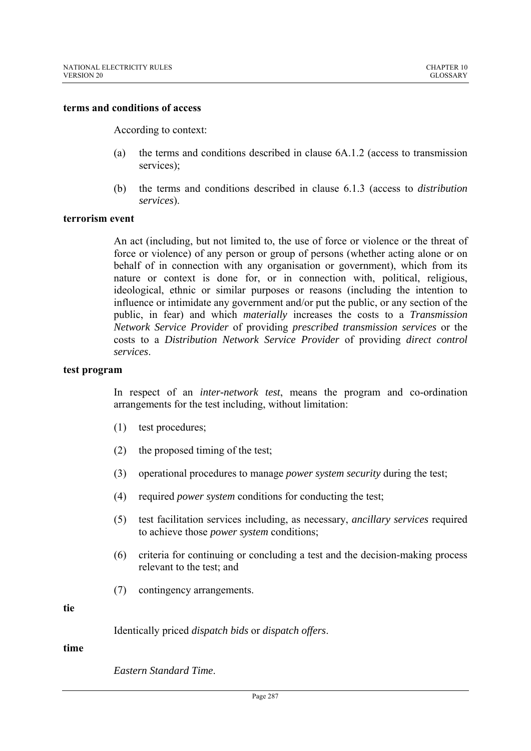#### **terms and conditions of access**

According to context:

- (a) the terms and conditions described in clause 6A.1.2 (access to transmission services);
- (b) the terms and conditions described in clause 6.1.3 (access to *distribution services*).

#### **terrorism event**

An act (including, but not limited to, the use of force or violence or the threat of force or violence) of any person or group of persons (whether acting alone or on behalf of in connection with any organisation or government), which from its nature or context is done for, or in connection with, political, religious, ideological, ethnic or similar purposes or reasons (including the intention to influence or intimidate any government and/or put the public, or any section of the public, in fear) and which *materially* increases the costs to a *Transmission Network Service Provider* of providing *prescribed transmission services* or the costs to a *Distribution Network Service Provider* of providing *direct control services*.

#### **test program**

In respect of an *inter-network test*, means the program and co-ordination arrangements for the test including, without limitation:

- (1) test procedures;
- (2) the proposed timing of the test;
- (3) operational procedures to manage *power system security* during the test;
- (4) required *power system* conditions for conducting the test;
- (5) test facilitation services including, as necessary, *ancillary services* required to achieve those *power system* conditions;
- (6) criteria for continuing or concluding a test and the decision-making process relevant to the test; and
- (7) contingency arrangements.

**tie** 

Identically priced *dispatch bids* or *dispatch offers*.

#### **time**

*Eastern Standard Time*.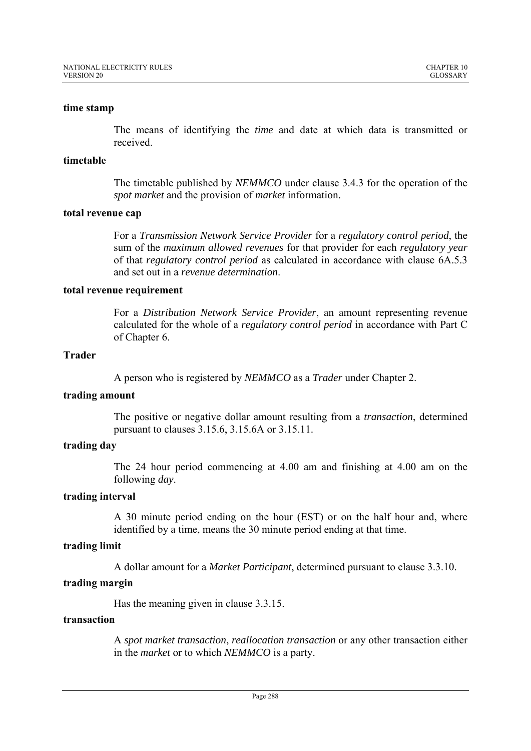### **time stamp**

The means of identifying the *time* and date at which data is transmitted or received.

# **timetable**

The timetable published by *NEMMCO* under clause 3.4.3 for the operation of the *spot market* and the provision of *market* information.

### **total revenue cap**

For a *Transmission Network Service Provider* for a *regulatory control period*, the sum of the *maximum allowed revenues* for that provider for each *regulatory year* of that *regulatory control period* as calculated in accordance with clause 6A.5.3 and set out in a *revenue determination*.

#### **total revenue requirement**

For a *Distribution Network Service Provider*, an amount representing revenue calculated for the whole of a *regulatory control period* in accordance with Part C of Chapter 6.

# **Trader**

A person who is registered by *NEMMCO* as a *Trader* under Chapter 2.

# **trading amount**

The positive or negative dollar amount resulting from a *transaction*, determined pursuant to clauses 3.15.6, 3.15.6A or 3.15.11.

# **trading day**

The 24 hour period commencing at 4.00 am and finishing at 4.00 am on the following *day*.

### **trading interval**

A 30 minute period ending on the hour (EST) or on the half hour and, where identified by a time, means the 30 minute period ending at that time.

### **trading limit**

A dollar amount for a *Market Participant*, determined pursuant to clause 3.3.10.

# **trading margin**

Has the meaning given in clause 3.3.15.

# **transaction**

A *spot market transaction*, *reallocation transaction* or any other transaction either in the *market* or to which *NEMMCO* is a party.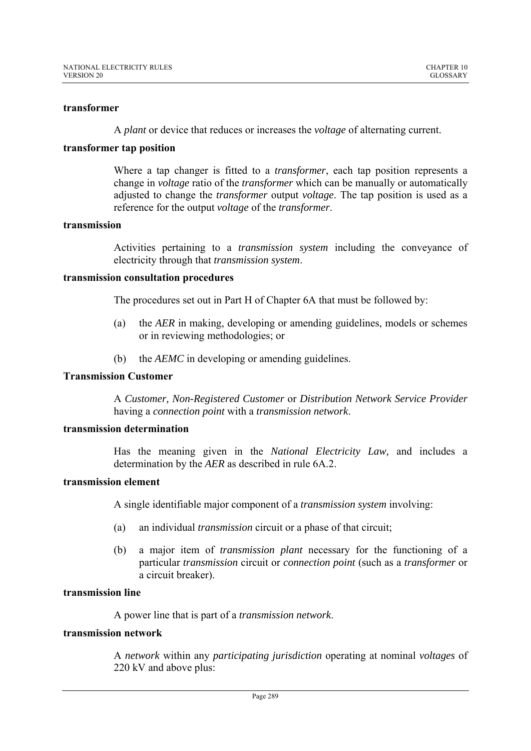#### **transformer**

A *plant* or device that reduces or increases the *voltage* of alternating current.

#### **transformer tap position**

Where a tap changer is fitted to a *transformer*, each tap position represents a change in *voltage* ratio of the *transformer* which can be manually or automatically adjusted to change the *transformer* output *voltage*. The tap position is used as a reference for the output *voltage* of the *transformer*.

#### **transmission**

Activities pertaining to a *transmission system* including the conveyance of electricity through that *transmission system*.

#### **transmission consultation procedures**

The procedures set out in Part H of Chapter 6A that must be followed by:

- (a) the *AER* in making, developing or amending guidelines, models or schemes or in reviewing methodologies; or
- (b) the *AEMC* in developing or amending guidelines.

# **Transmission Customer**

A *Customer, Non-Registered Customer* or *Distribution Network Service Provider* having a *connection point* with a *transmission network*.

### **transmission determination**

Has the meaning given in the *National Electricity Law,* and includes a determination by the *AER* as described in rule 6A.2.

#### **transmission element**

A single identifiable major component of a *transmission system* involving:

- (a) an individual *transmission* circuit or a phase of that circuit;
- (b) a major item of *transmission plant* necessary for the functioning of a particular *transmission* circuit or *connection point* (such as a *transformer* or a circuit breaker).

### **transmission line**

A power line that is part of a *transmission network*.

#### **transmission network**

A *network* within any *participating jurisdiction* operating at nominal *voltages* of 220 kV and above plus: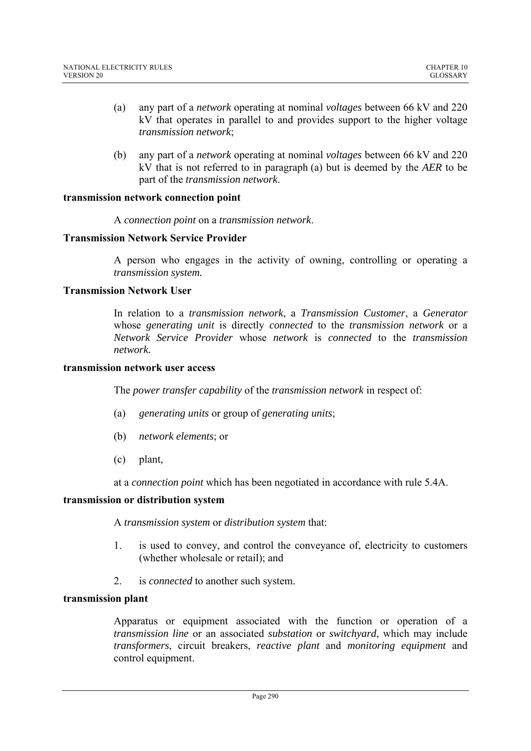- (a) any part of a *network* operating at nominal *voltages* between 66 kV and 220 kV that operates in parallel to and provides support to the higher voltage *transmission network*;
- (b) any part of a *network* operating at nominal *voltages* between 66 kV and 220 kV that is not referred to in paragraph (a) but is deemed by the *AER* to be part of the *transmission network*.

# **transmission network connection point**

A *connection point* on a *transmission network*.

### **Transmission Network Service Provider**

A person who engages in the activity of owning, controlling or operating a *transmission system.*

# **Transmission Network User**

In relation to a *transmission network*, a *Transmission Customer*, a *Generator*  whose *generating unit* is directly *connected* to the *transmission network* or a *Network Service Provider* whose *network* is *connected* to the *transmission network.* 

# **transmission network user access**

The *power transfer capability* of the *transmission network* in respect of:

- (a) *generating units* or group of *generating units*;
- (b) *network elements*; or
- (c) plant,

at a *connection point* which has been negotiated in accordance with rule 5.4A.

### **transmission or distribution system**

A *transmission system* or *distribution system* that:

- 1. is used to convey, and control the conveyance of, electricity to customers (whether wholesale or retail); and
- 2. is *connected* to another such system.

### **transmission plant**

Apparatus or equipment associated with the function or operation of a *transmission line* or an associated *substation* or *switchyard*, which may include *transformers*, circuit breakers, *reactive plant* and *monitoring equipment* and control equipment.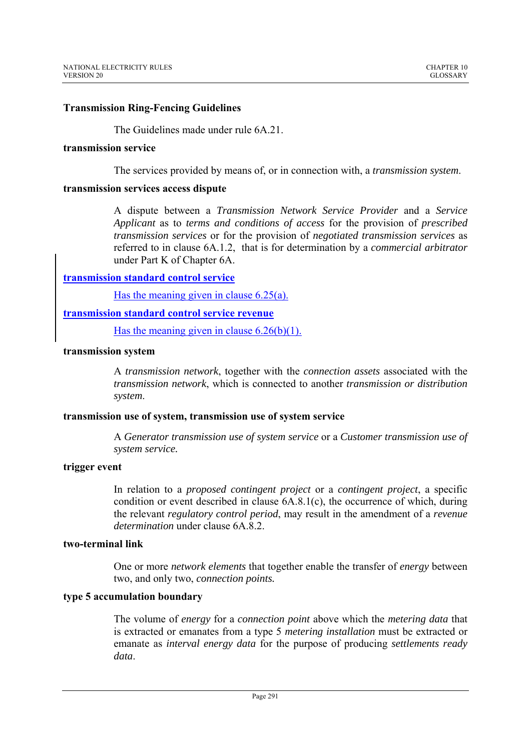# **Transmission Ring-Fencing Guidelines**

The Guidelines made under rule 6A.21.

#### **transmission service**

The services provided by means of, or in connection with, a *transmission system*.

### **transmission services access dispute**

A dispute between a *Transmission Network Service Provider* and a *Service Applicant* as to *terms and conditions of access* for the provision of *prescribed transmission services* or for the provision of *negotiated transmission services* as referred to in clause 6A.1.2, that is for determination by a *commercial arbitrator*  under Part K of Chapter 6A.

# **transmission standard control service**

Has the meaning given in clause 6.25(a).

# **transmission standard control service revenue**

Has the meaning given in clause  $6.26(b)(1)$ .

# **transmission system**

A *transmission network*, together with the *connection assets* associated with the *transmission network*, which is connected to another *transmission or distribution system*.

### **transmission use of system, transmission use of system service**

A *Generator transmission use of system service* or a *Customer transmission use of system service.* 

## **trigger event**

In relation to a *proposed contingent project* or a *contingent project*, a specific condition or event described in clause 6A.8.1(c), the occurrence of which, during the relevant *regulatory control period*, may result in the amendment of a *revenue determination* under clause 6A 8 2

# **two-terminal link**

One or more *network elements* that together enable the transfer of *energy* between two, and only two, *connection points.* 

### **type 5 accumulation boundary**

The volume of *energy* for a *connection point* above which the *metering data* that is extracted or emanates from a type 5 *metering installation* must be extracted or emanate as *interval energy data* for the purpose of producing *settlements ready data*.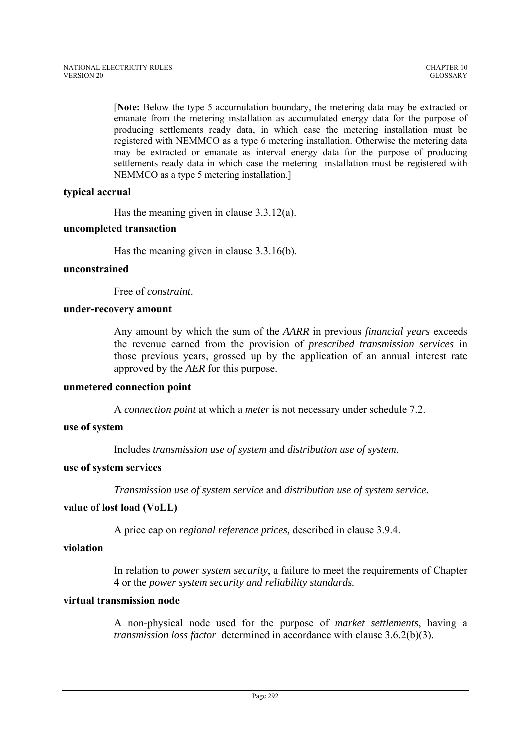[**Note:** Below the type 5 accumulation boundary, the metering data may be extracted or emanate from the metering installation as accumulated energy data for the purpose of producing settlements ready data, in which case the metering installation must be registered with NEMMCO as a type 6 metering installation. Otherwise the metering data may be extracted or emanate as interval energy data for the purpose of producing settlements ready data in which case the metering installation must be registered with NEMMCO as a type 5 metering installation.]

# **typical accrual**

Has the meaning given in clause 3.3.12(a).

# **uncompleted transaction**

Has the meaning given in clause 3.3.16(b).

# **unconstrained**

Free of *constraint*.

# **under-recovery amount**

Any amount by which the sum of the *AARR* in previous *financial years* exceeds the revenue earned from the provision of *prescribed transmission services* in those previous years, grossed up by the application of an annual interest rate approved by the *AER* for this purpose.

### **unmetered connection point**

A *connection point* at which a *meter* is not necessary under schedule 7.2.

# **use of system**

Includes *transmission use of system* and *distribution use of system.*

### **use of system services**

*Transmission use of system service* and *distribution use of system service.*

### **value of lost load (VoLL)**

A price cap on *regional reference prices,* described in clause 3.9.4.

# **violation**

In relation to *power system security*, a failure to meet the requirements of Chapter 4 or the *power system security and reliability standards.* 

# **virtual transmission node**

A non-physical node used for the purpose of *market settlements*, having a *transmission loss factor* determined in accordance with clause 3.6.2(b)(3).